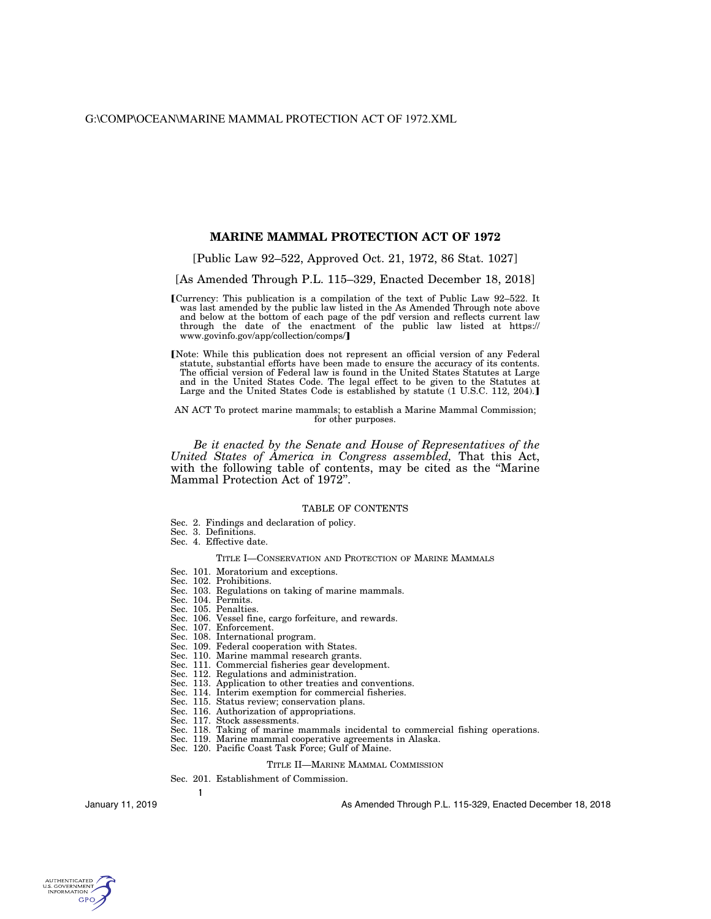G:\COMP\OCEAN\MARINE MAMMAL PROTECTION ACT OF 1972.XML

# **MARINE MAMMAL PROTECTION ACT OF 1972**

## [Public Law 92–522, Approved Oct. 21, 1972, 86 Stat. 1027]

[As Amended Through P.L. 115–329, Enacted December 18, 2018]

- øCurrency: This publication is a compilation of the text of Public Law 92–522. It was last amended by the public law listed in the As Amended Through note above and below at the bottom of each page of the pdf version and reflects current law through the date of the enactment of the public law listed at https:// www.govinfo.gov/app/collection/comps/
- Note: While this publication does not represent an official version of any Federal statute, substantial efforts have been made to ensure the accuracy of its contents. The official version of Federal law is found in the United States Statutes at Large and in the United States Code. The legal effect to be given to the Statutes at Large and the United States Code is established by statute (1 U.S.C. 112, 204).]

AN ACT To protect marine mammals; to establish a Marine Mammal Commission; for other purposes.

*Be it enacted by the Senate and House of Representatives of the United States of America in Congress assembled,* That this Act, with the following table of contents, may be cited as the "Marine" Mammal Protection Act of 1972''.

## TABLE OF CONTENTS

Sec. 2. Findings and declaration of policy.

- Sec. 3. Definitions. Sec. 4. Effective date.
- 

#### TITLE I—CONSERVATION AND PROTECTION OF MARINE MAMMALS

- Sec. 101. Moratorium and exceptions.
- Sec. 102. Prohibitions.
- Sec. 103. Regulations on taking of marine mammals.
- Sec. 104. Permits.
- Sec. 105. Penalties.

**1** 

- Sec. 106. Vessel fine, cargo forfeiture, and rewards.
- Sec. 107. Enforcement.
- Sec. 108. International program.
- Sec. 109. Federal cooperation with States.
- Sec. 110. Marine mammal research grants.
- Sec. 111. Commercial fisheries gear development.
- Sec. 112. Regulations and administration.
- Sec. 113. Application to other treaties and conventions.
- Sec. 114. Interim exemption for commercial fisheries.
- Sec. 115. Status review; conservation plans. Sec. 116. Authorization of appropriations.
- Sec. 117. Stock assessments.
- Sec. 118. Taking of marine mammals incidental to commercial fishing operations.
- Sec. 119. Marine mammal cooperative agreements in Alaska.
- Sec. 120. Pacific Coast Task Force; Gulf of Maine.

#### TITLE II—MARINE MAMMAL COMMISSION

Sec. 201. Establishment of Commission.

January 11, 2019

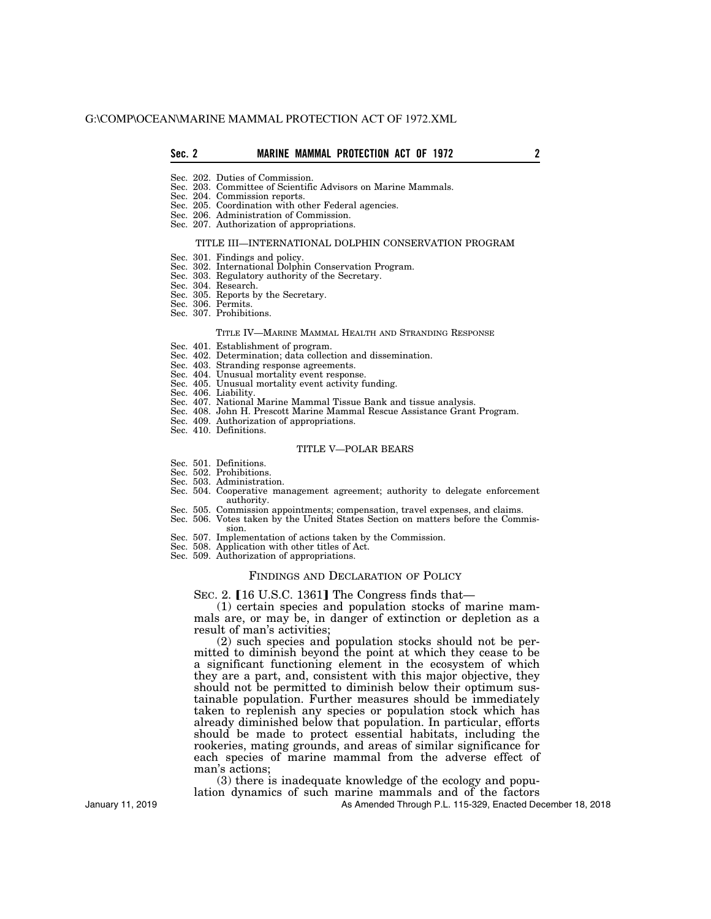**Sec. 2 MARINE MAMMAL PROTECTION ACT OF 1972 2** 

- Sec. 202. Duties of Commission.
- Sec. 203. Committee of Scientific Advisors on Marine Mammals.
- Sec. 204. Commission reports.
- Sec. 205. Coordination with other Federal agencies.
- Sec. 206. Administration of Commission.
- Sec. 207. Authorization of appropriations.

#### TITLE III—INTERNATIONAL DOLPHIN CONSERVATION PROGRAM

- Sec. 301. Findings and policy.
- Sec. 302. International Dolphin Conservation Program.
- Sec. 303. Regulatory authority of the Secretary.
- Sec. 304. Research.
- Sec. 305. Reports by the Secretary.
- Sec. 306. Permits. Sec. 307. Prohibitions.
- 

#### TITLE IV—MARINE MAMMAL HEALTH AND STRANDING RESPONSE

- Sec. 401. Establishment of program.
- Sec. 402. Determination; data collection and dissemination.
- Sec. 403. Stranding response agreements.
- Sec. 404. Unusual mortality event response.
- Sec. 405. Unusual mortality event activity funding.
- Sec. 406. Liability.
- Sec. 407. National Marine Mammal Tissue Bank and tissue analysis.
- Sec. 408. John H. Prescott Marine Mammal Rescue Assistance Grant Program.
- Sec. 409. Authorization of appropriations.
- Sec. 410. Definitions.

#### TITLE V—POLAR BEARS

- Sec. 501. Definitions.
- Sec. 502. Prohibitions.
- Sec. 503. Administration.
- Sec. 504. Cooperative management agreement; authority to delegate enforcement authority.
- Sec. 505. Commission appointments; compensation, travel expenses, and claims.
- Sec. 506. Votes taken by the United States Section on matters before the Commission.
- Sec. 507. Implementation of actions taken by the Commission.
- Sec. 508. Application with other titles of Act.
- Sec. 509. Authorization of appropriations.

#### FINDINGS AND DECLARATION OF POLICY

SEC. 2.  $[16 \text{ U.S.C. } 1361]$  The Congress finds that—

(1) certain species and population stocks of marine mammals are, or may be, in danger of extinction or depletion as a result of man's activities;

(2) such species and population stocks should not be permitted to diminish beyond the point at which they cease to be a significant functioning element in the ecosystem of which they are a part, and, consistent with this major objective, they should not be permitted to diminish below their optimum sustainable population. Further measures should be immediately taken to replenish any species or population stock which has already diminished below that population. In particular, efforts should be made to protect essential habitats, including the rookeries, mating grounds, and areas of similar significance for each species of marine mammal from the adverse effect of man's actions;

(3) there is inadequate knowledge of the ecology and population dynamics of such marine mammals and of the factors

As Amended Through P.L. 115-329, Enacted December 18, 2018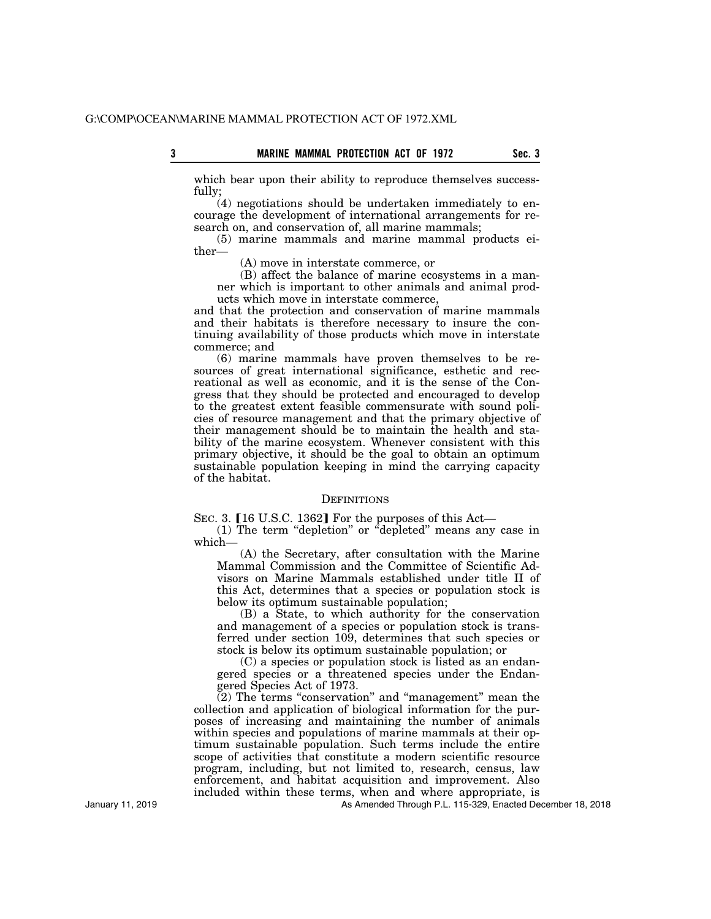which bear upon their ability to reproduce themselves successfully;

(4) negotiations should be undertaken immediately to encourage the development of international arrangements for research on, and conservation of, all marine mammals;

(5) marine mammals and marine mammal products either—

(A) move in interstate commerce, or

(B) affect the balance of marine ecosystems in a manner which is important to other animals and animal products which move in interstate commerce,

and that the protection and conservation of marine mammals and their habitats is therefore necessary to insure the continuing availability of those products which move in interstate commerce; and

(6) marine mammals have proven themselves to be resources of great international significance, esthetic and recreational as well as economic, and it is the sense of the Congress that they should be protected and encouraged to develop to the greatest extent feasible commensurate with sound policies of resource management and that the primary objective of their management should be to maintain the health and stability of the marine ecosystem. Whenever consistent with this primary objective, it should be the goal to obtain an optimum sustainable population keeping in mind the carrying capacity of the habitat.

## **DEFINITIONS**

SEC. 3.  $[16 \text{ U.S.C. } 1362]$  For the purposes of this Act—

(1) The term ''depletion'' or ''depleted'' means any case in which—

(A) the Secretary, after consultation with the Marine Mammal Commission and the Committee of Scientific Advisors on Marine Mammals established under title II of this Act, determines that a species or population stock is below its optimum sustainable population;

(B) a State, to which authority for the conservation and management of a species or population stock is transferred under section 109, determines that such species or stock is below its optimum sustainable population; or

(C) a species or population stock is listed as an endangered species or a threatened species under the Endangered Species Act of 1973.

(2) The terms ''conservation'' and ''management'' mean the collection and application of biological information for the purposes of increasing and maintaining the number of animals within species and populations of marine mammals at their optimum sustainable population. Such terms include the entire scope of activities that constitute a modern scientific resource program, including, but not limited to, research, census, law enforcement, and habitat acquisition and improvement. Also included within these terms, when and where appropriate, is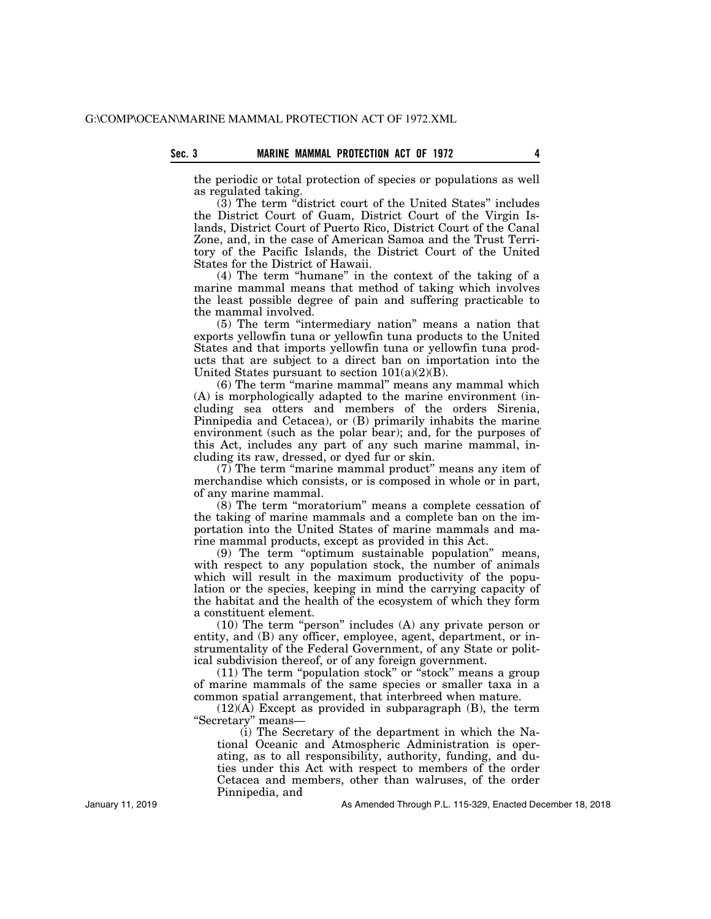the periodic or total protection of species or populations as well as regulated taking.

(3) The term ''district court of the United States'' includes the District Court of Guam, District Court of the Virgin Islands, District Court of Puerto Rico, District Court of the Canal Zone, and, in the case of American Samoa and the Trust Territory of the Pacific Islands, the District Court of the United States for the District of Hawaii.

(4) The term ''humane'' in the context of the taking of a marine mammal means that method of taking which involves the least possible degree of pain and suffering practicable to the mammal involved.

(5) The term ''intermediary nation'' means a nation that exports yellowfin tuna or yellowfin tuna products to the United States and that imports yellowfin tuna or yellowfin tuna products that are subject to a direct ban on importation into the United States pursuant to section  $101(a)(2)(B)$ .

(6) The term ''marine mammal'' means any mammal which (A) is morphologically adapted to the marine environment (including sea otters and members of the orders Sirenia, Pinnipedia and Cetacea), or (B) primarily inhabits the marine environment (such as the polar bear); and, for the purposes of this Act, includes any part of any such marine mammal, including its raw, dressed, or dyed fur or skin.

 $(7)$  The term "marine mammal product" means any item of merchandise which consists, or is composed in whole or in part, of any marine mammal.

(8) The term ''moratorium'' means a complete cessation of the taking of marine mammals and a complete ban on the importation into the United States of marine mammals and marine mammal products, except as provided in this Act.

(9) The term ''optimum sustainable population'' means, with respect to any population stock, the number of animals which will result in the maximum productivity of the population or the species, keeping in mind the carrying capacity of the habitat and the health of the ecosystem of which they form a constituent element.

(10) The term ''person'' includes (A) any private person or entity, and (B) any officer, employee, agent, department, or instrumentality of the Federal Government, of any State or political subdivision thereof, or of any foreign government.

(11) The term ''population stock'' or ''stock'' means a group of marine mammals of the same species or smaller taxa in a common spatial arrangement, that interbreed when mature.

(12)(A) Except as provided in subparagraph (B), the term ''Secretary'' means—

(i) The Secretary of the department in which the National Oceanic and Atmospheric Administration is operating, as to all responsibility, authority, funding, and duties under this Act with respect to members of the order Cetacea and members, other than walruses, of the order Pinnipedia, and

As Amended Through P.L. 115-329, Enacted December 18, 2018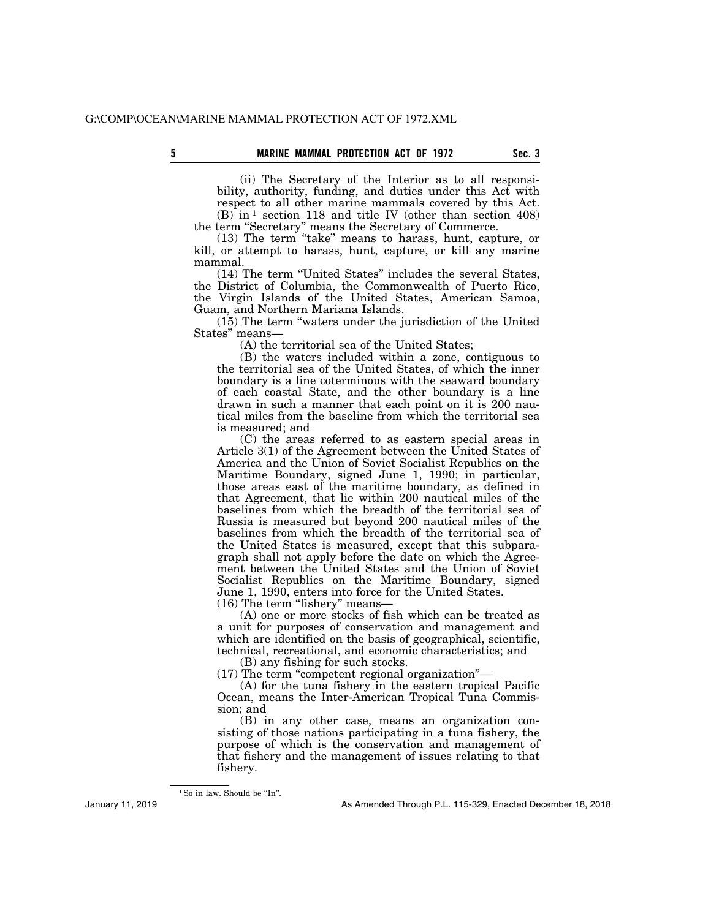(ii) The Secretary of the Interior as to all responsibility, authority, funding, and duties under this Act with respect to all other marine mammals covered by this Act. (B) in 1 section 118 and title IV (other than section 408)

the term ''Secretary'' means the Secretary of Commerce.

(13) The term ''take'' means to harass, hunt, capture, or kill, or attempt to harass, hunt, capture, or kill any marine mammal.

(14) The term ''United States'' includes the several States, the District of Columbia, the Commonwealth of Puerto Rico, the Virgin Islands of the United States, American Samoa, Guam, and Northern Mariana Islands.

(15) The term ''waters under the jurisdiction of the United States'' means—

(A) the territorial sea of the United States;

(B) the waters included within a zone, contiguous to the territorial sea of the United States, of which the inner boundary is a line coterminous with the seaward boundary of each coastal State, and the other boundary is a line drawn in such a manner that each point on it is 200 nautical miles from the baseline from which the territorial sea is measured; and

(C) the areas referred to as eastern special areas in Article 3(1) of the Agreement between the United States of America and the Union of Soviet Socialist Republics on the Maritime Boundary, signed June 1, 1990; in particular, those areas east of the maritime boundary, as defined in that Agreement, that lie within 200 nautical miles of the baselines from which the breadth of the territorial sea of Russia is measured but beyond 200 nautical miles of the baselines from which the breadth of the territorial sea of the United States is measured, except that this subparagraph shall not apply before the date on which the Agreement between the United States and the Union of Soviet Socialist Republics on the Maritime Boundary, signed June 1, 1990, enters into force for the United States.

(16) The term "fishery" means-

(A) one or more stocks of fish which can be treated as a unit for purposes of conservation and management and which are identified on the basis of geographical, scientific, technical, recreational, and economic characteristics; and

(B) any fishing for such stocks.

 $(17)$  The term "competent regional organization"-

(A) for the tuna fishery in the eastern tropical Pacific Ocean, means the Inter-American Tropical Tuna Commission; and

(B) in any other case, means an organization consisting of those nations participating in a tuna fishery, the purpose of which is the conservation and management of that fishery and the management of issues relating to that fishery.

January 11, 2019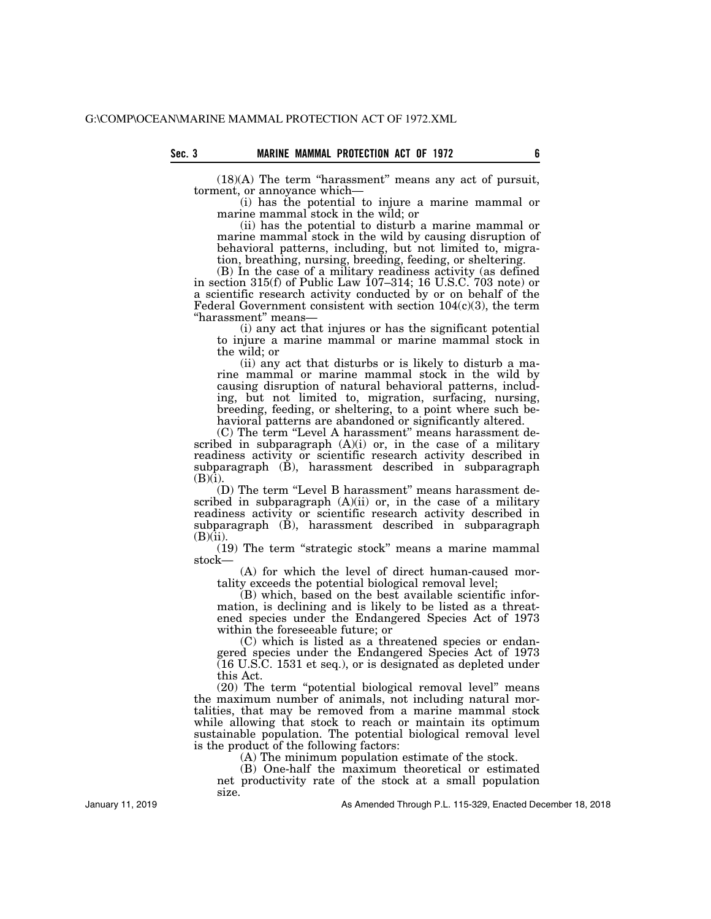$(18)(A)$  The term "harassment" means any act of pursuit, torment, or annoyance which—

(i) has the potential to injure a marine mammal or marine mammal stock in the wild; or

(ii) has the potential to disturb a marine mammal or marine mammal stock in the wild by causing disruption of behavioral patterns, including, but not limited to, migration, breathing, nursing, breeding, feeding, or sheltering.

(B) In the case of a military readiness activity (as defined in section 315(f) of Public Law  $107-314$ ; 16 U.S.C. 703 note) or a scientific research activity conducted by or on behalf of the Federal Government consistent with section  $104(c)(3)$ , the term ''harassment'' means—

(i) any act that injures or has the significant potential to injure a marine mammal or marine mammal stock in the wild; or

(ii) any act that disturbs or is likely to disturb a marine mammal or marine mammal stock in the wild by causing disruption of natural behavioral patterns, including, but not limited to, migration, surfacing, nursing, breeding, feeding, or sheltering, to a point where such behavioral patterns are abandoned or significantly altered.

(C) The term "Level A harassment" means harassment described in subparagraph  $(A)(i)$  or, in the case of a military readiness activity or scientific research activity described in subparagraph (B), harassment described in subparagraph  $(B)(i)$ .

(D) The term "Level B harassment" means harassment described in subparagraph  $(A)(ii)$  or, in the case of a military readiness activity or scientific research activity described in subparagraph  $(\check{B})$ , harassment described in subparagraph  $(B)(ii)$ .

(19) The term ''strategic stock'' means a marine mammal stock—

(A) for which the level of direct human-caused mortality exceeds the potential biological removal level;

(B) which, based on the best available scientific information, is declining and is likely to be listed as a threatened species under the Endangered Species Act of 1973 within the foreseeable future; or

(C) which is listed as a threatened species or endangered species under the Endangered Species Act of 1973 (16 U.S.C. 1531 et seq.), or is designated as depleted under this Act.

(20) The term ''potential biological removal level'' means the maximum number of animals, not including natural mortalities, that may be removed from a marine mammal stock while allowing that stock to reach or maintain its optimum sustainable population. The potential biological removal level is the product of the following factors:

(A) The minimum population estimate of the stock.

(B) One-half the maximum theoretical or estimated net productivity rate of the stock at a small population size.

January 11, 2019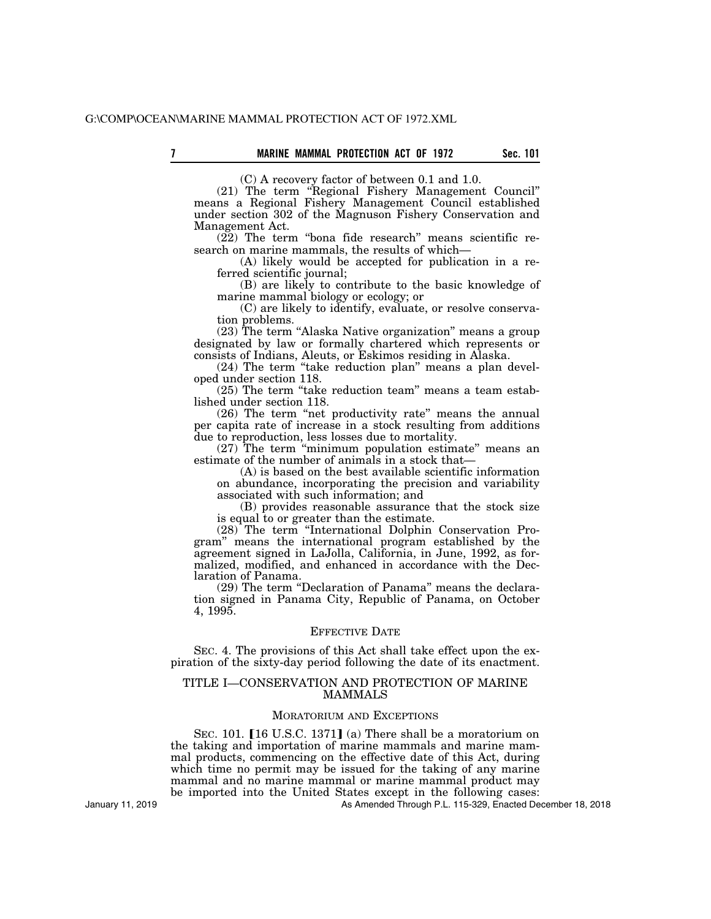(C) A recovery factor of between 0.1 and 1.0.

(21) The term ''Regional Fishery Management Council'' means a Regional Fishery Management Council established under section 302 of the Magnuson Fishery Conservation and Management Act.

 $(22)$  The term "bona fide research" means scientific research on marine mammals, the results of which—

(A) likely would be accepted for publication in a referred scientific journal;

(B) are likely to contribute to the basic knowledge of marine mammal biology or ecology; or

(C) are likely to identify, evaluate, or resolve conservation problems.

(23) The term ''Alaska Native organization'' means a group designated by law or formally chartered which represents or consists of Indians, Aleuts, or Eskimos residing in Alaska.

(24) The term "take reduction plan" means a plan developed under section 118.

 $(25)$  The term "take reduction team" means a team established under section 118.

(26) The term "net productivity rate" means the annual per capita rate of increase in a stock resulting from additions due to reproduction, less losses due to mortality.

 $(27)$  The term "minimum population estimate" means an estimate of the number of animals in a stock that—

(A) is based on the best available scientific information on abundance, incorporating the precision and variability associated with such information; and

(B) provides reasonable assurance that the stock size is equal to or greater than the estimate.

(28) The term ''International Dolphin Conservation Program'' means the international program established by the agreement signed in LaJolla, California, in June, 1992, as formalized, modified, and enhanced in accordance with the Declaration of Panama.

(29) The term ''Declaration of Panama'' means the declaration signed in Panama City, Republic of Panama, on October 4, 1995.

# EFFECTIVE DATE

SEC. 4. The provisions of this Act shall take effect upon the expiration of the sixty-day period following the date of its enactment.

# TITLE I—CONSERVATION AND PROTECTION OF MARINE MAMMALS

## MORATORIUM AND EXCEPTIONS

SEC. 101. [16 U.S.C. 1371] (a) There shall be a moratorium on the taking and importation of marine mammals and marine mammal products, commencing on the effective date of this Act, during which time no permit may be issued for the taking of any marine mammal and no marine mammal or marine mammal product may be imported into the United States except in the following cases:

As Amended Through P.L. 115-329, Enacted December 18, 2018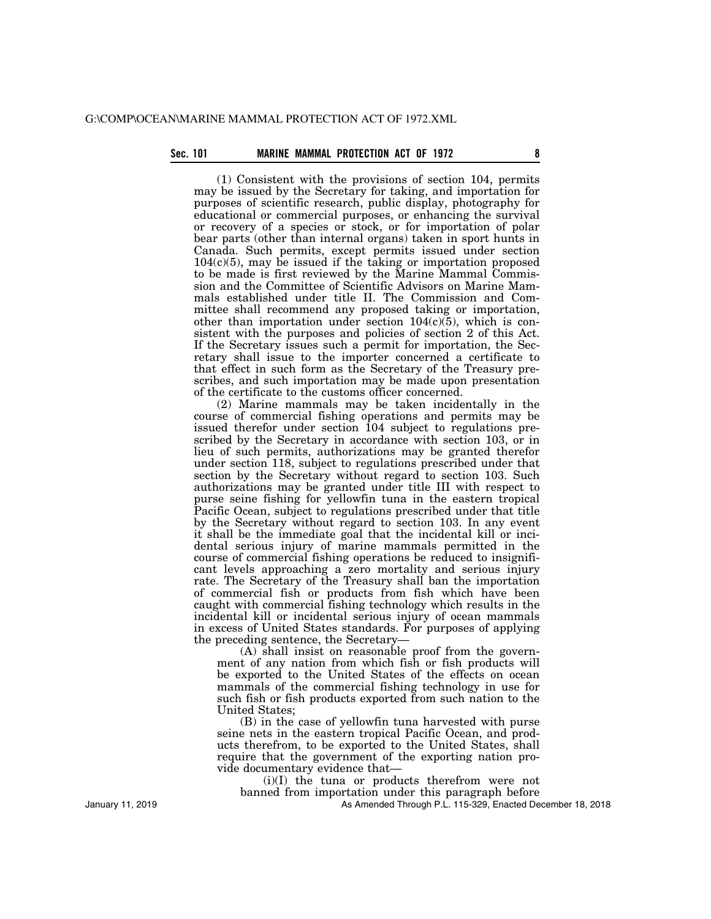# **Sec. 101 MARINE MAMMAL PROTECTION ACT OF 1972 8**

(1) Consistent with the provisions of section 104, permits may be issued by the Secretary for taking, and importation for purposes of scientific research, public display, photography for educational or commercial purposes, or enhancing the survival or recovery of a species or stock, or for importation of polar bear parts (other than internal organs) taken in sport hunts in Canada. Such permits, except permits issued under section  $104(c)(5)$ , may be issued if the taking or importation proposed to be made is first reviewed by the Marine Mammal Commission and the Committee of Scientific Advisors on Marine Mammals established under title II. The Commission and Committee shall recommend any proposed taking or importation, other than importation under section  $104(c)(5)$ , which is consistent with the purposes and policies of section 2 of this Act. If the Secretary issues such a permit for importation, the Secretary shall issue to the importer concerned a certificate to that effect in such form as the Secretary of the Treasury prescribes, and such importation may be made upon presentation of the certificate to the customs officer concerned.

(2) Marine mammals may be taken incidentally in the course of commercial fishing operations and permits may be issued therefor under section 104 subject to regulations prescribed by the Secretary in accordance with section 103, or in lieu of such permits, authorizations may be granted therefor under section 118, subject to regulations prescribed under that section by the Secretary without regard to section 103. Such authorizations may be granted under title III with respect to purse seine fishing for yellowfin tuna in the eastern tropical Pacific Ocean, subject to regulations prescribed under that title by the Secretary without regard to section 103. In any event it shall be the immediate goal that the incidental kill or incidental serious injury of marine mammals permitted in the course of commercial fishing operations be reduced to insignificant levels approaching a zero mortality and serious injury rate. The Secretary of the Treasury shall ban the importation of commercial fish or products from fish which have been caught with commercial fishing technology which results in the incidental kill or incidental serious injury of ocean mammals in excess of United States standards. For purposes of applying the preceding sentence, the Secretary—

(A) shall insist on reasonable proof from the government of any nation from which fish or fish products will be exported to the United States of the effects on ocean mammals of the commercial fishing technology in use for such fish or fish products exported from such nation to the United States;

(B) in the case of yellowfin tuna harvested with purse seine nets in the eastern tropical Pacific Ocean, and products therefrom, to be exported to the United States, shall require that the government of the exporting nation provide documentary evidence that—

(i)(I) the tuna or products therefrom were not banned from importation under this paragraph before

As Amended Through P.L. 115-329, Enacted December 18, 2018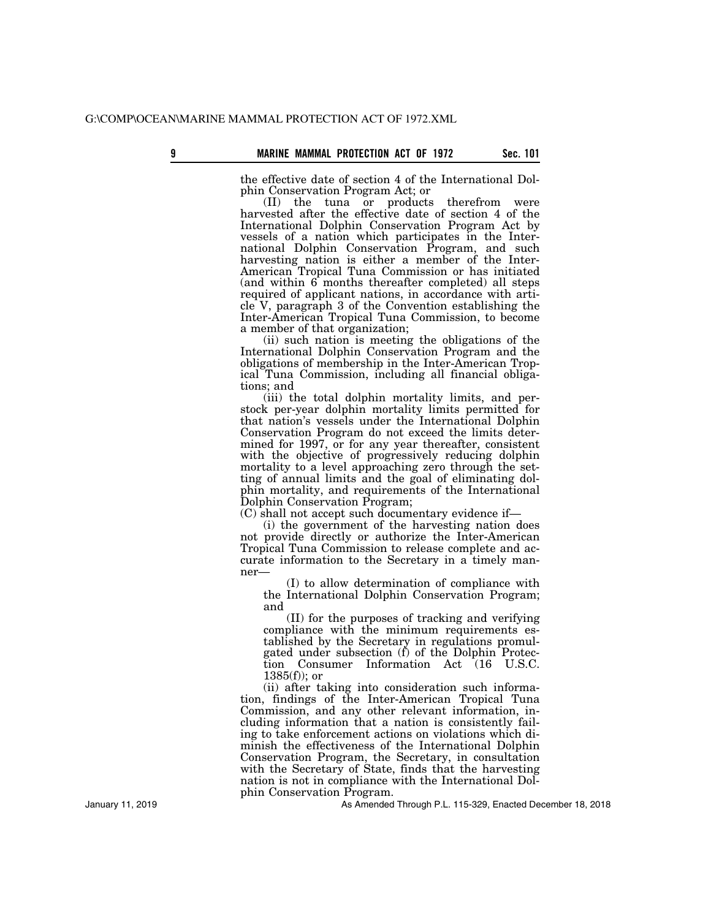the effective date of section 4 of the International Dolphin Conservation Program Act; or

(II) the tuna or products therefrom were harvested after the effective date of section 4 of the International Dolphin Conservation Program Act by vessels of a nation which participates in the International Dolphin Conservation Program, and such harvesting nation is either a member of the Inter-American Tropical Tuna Commission or has initiated  $($ and within  $6$  months thereafter completed) all steps required of applicant nations, in accordance with article V, paragraph 3 of the Convention establishing the Inter-American Tropical Tuna Commission, to become a member of that organization;

(ii) such nation is meeting the obligations of the International Dolphin Conservation Program and the obligations of membership in the Inter-American Tropical Tuna Commission, including all financial obligations; and

(iii) the total dolphin mortality limits, and perstock per-year dolphin mortality limits permitted for that nation's vessels under the International Dolphin Conservation Program do not exceed the limits determined for 1997, or for any year thereafter, consistent with the objective of progressively reducing dolphin mortality to a level approaching zero through the setting of annual limits and the goal of eliminating dolphin mortality, and requirements of the International Dolphin Conservation Program;

(C) shall not accept such documentary evidence if—

(i) the government of the harvesting nation does not provide directly or authorize the Inter-American Tropical Tuna Commission to release complete and accurate information to the Secretary in a timely manner—

(I) to allow determination of compliance with the International Dolphin Conservation Program; and

(II) for the purposes of tracking and verifying compliance with the minimum requirements established by the Secretary in regulations promulgated under subsection (f) of the Dolphin Protection Consumer Information Act (16 U.S.C.  $1385(f)$ ; or

(ii) after taking into consideration such information, findings of the Inter-American Tropical Tuna Commission, and any other relevant information, including information that a nation is consistently failing to take enforcement actions on violations which diminish the effectiveness of the International Dolphin Conservation Program, the Secretary, in consultation with the Secretary of State, finds that the harvesting nation is not in compliance with the International Dolphin Conservation Program.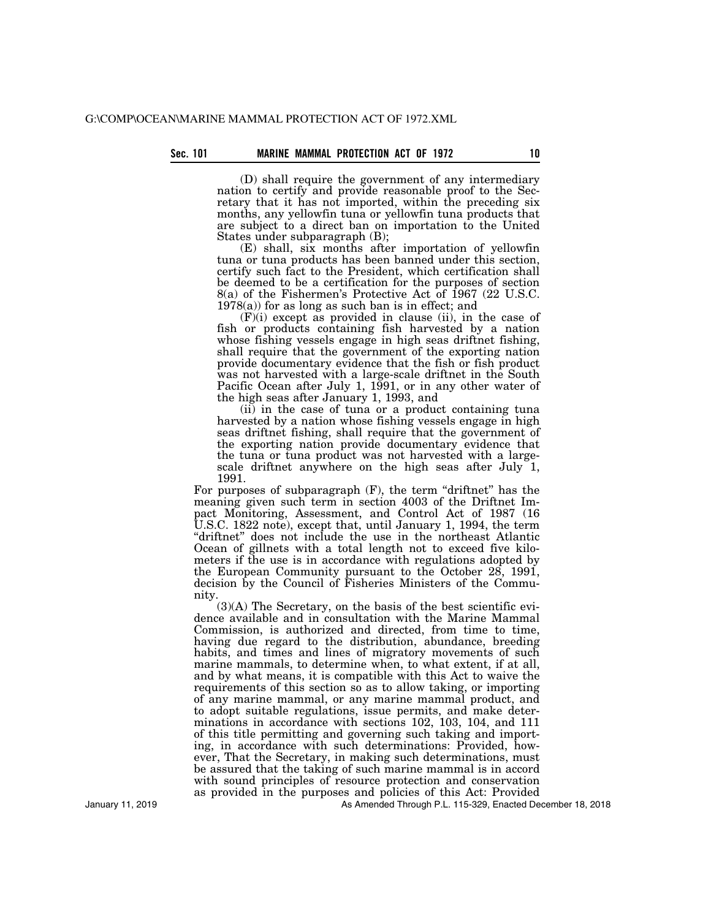(D) shall require the government of any intermediary nation to certify and provide reasonable proof to the Secretary that it has not imported, within the preceding six months, any yellowfin tuna or yellowfin tuna products that are subject to a direct ban on importation to the United States under subparagraph (B);

(E) shall, six months after importation of yellowfin tuna or tuna products has been banned under this section, certify such fact to the President, which certification shall be deemed to be a certification for the purposes of section 8(a) of the Fishermen's Protective Act of 1967 (22 U.S.C.  $1978(a)$  for as long as such ban is in effect; and

 $(F)(i)$  except as provided in clause (ii), in the case of fish or products containing fish harvested by a nation whose fishing vessels engage in high seas driftnet fishing, shall require that the government of the exporting nation provide documentary evidence that the fish or fish product was not harvested with a large-scale driftnet in the South Pacific Ocean after July 1, 1991, or in any other water of the high seas after January 1, 1993, and

(ii) in the case of tuna or a product containing tuna harvested by a nation whose fishing vessels engage in high seas driftnet fishing, shall require that the government of the exporting nation provide documentary evidence that the tuna or tuna product was not harvested with a largescale driftnet anywhere on the high seas after July 1, 1991.

For purposes of subparagraph (F), the term "driftnet" has the meaning given such term in section 4003 of the Driftnet Impact Monitoring, Assessment, and Control Act of 1987 (16 U.S.C. 1822 note), except that, until January 1, 1994, the term ''driftnet'' does not include the use in the northeast Atlantic Ocean of gillnets with a total length not to exceed five kilometers if the use is in accordance with regulations adopted by the European Community pursuant to the October 28, 1991, decision by the Council of Fisheries Ministers of the Community.

(3)(A) The Secretary, on the basis of the best scientific evidence available and in consultation with the Marine Mammal Commission, is authorized and directed, from time to time, having due regard to the distribution, abundance, breeding habits, and times and lines of migratory movements of such marine mammals, to determine when, to what extent, if at all, and by what means, it is compatible with this Act to waive the requirements of this section so as to allow taking, or importing of any marine mammal, or any marine mammal product, and to adopt suitable regulations, issue permits, and make determinations in accordance with sections 102, 103, 104, and 111 of this title permitting and governing such taking and importing, in accordance with such determinations: Provided, however, That the Secretary, in making such determinations, must be assured that the taking of such marine mammal is in accord with sound principles of resource protection and conservation as provided in the purposes and policies of this Act: Provided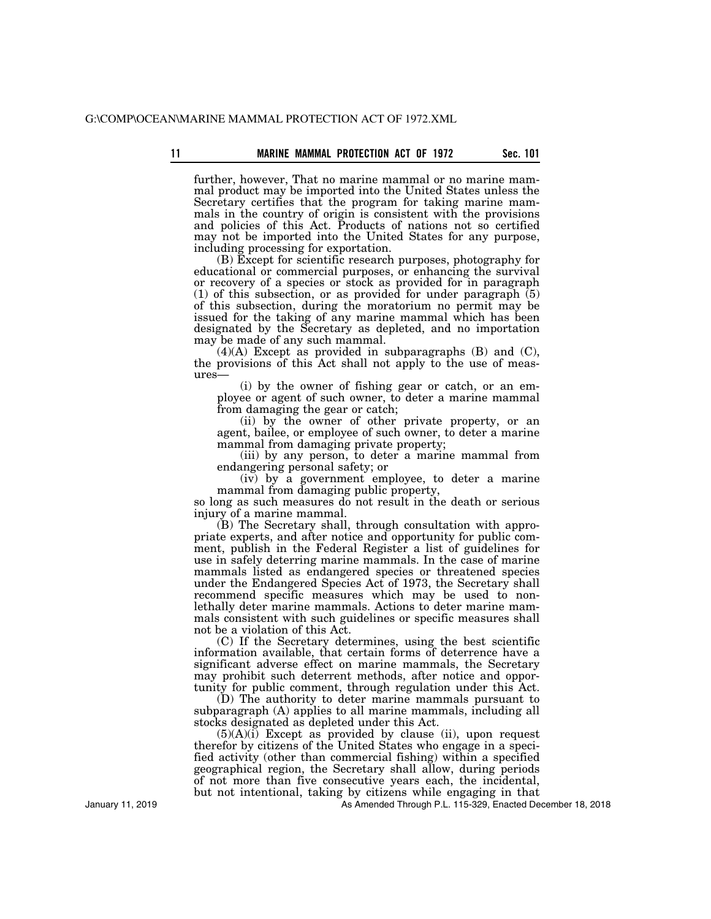further, however, That no marine mammal or no marine mammal product may be imported into the United States unless the Secretary certifies that the program for taking marine mammals in the country of origin is consistent with the provisions and policies of this Act. Products of nations not so certified may not be imported into the United States for any purpose, including processing for exportation.

(B) Except for scientific research purposes, photography for educational or commercial purposes, or enhancing the survival or recovery of a species or stock as provided for in paragraph (1) of this subsection, or as provided for under paragraph (5) of this subsection, during the moratorium no permit may be issued for the taking of any marine mammal which has been designated by the Secretary as depleted, and no importation may be made of any such mammal.

 $(4)(A)$  Except as provided in subparagraphs  $(B)$  and  $(C)$ , the provisions of this Act shall not apply to the use of measures—

(i) by the owner of fishing gear or catch, or an employee or agent of such owner, to deter a marine mammal from damaging the gear or catch;

(ii) by the owner of other private property, or an agent, bailee, or employee of such owner, to deter a marine mammal from damaging private property;

(iii) by any person, to deter a marine mammal from endangering personal safety; or

(iv) by a government employee, to deter a marine mammal from damaging public property,

so long as such measures do not result in the death or serious injury of a marine mammal.

(B) The Secretary shall, through consultation with appropriate experts, and after notice and opportunity for public comment, publish in the Federal Register a list of guidelines for use in safely deterring marine mammals. In the case of marine mammals listed as endangered species or threatened species under the Endangered Species Act of 1973, the Secretary shall recommend specific measures which may be used to nonlethally deter marine mammals. Actions to deter marine mammals consistent with such guidelines or specific measures shall not be a violation of this Act.

(C) If the Secretary determines, using the best scientific information available, that certain forms of deterrence have a significant adverse effect on marine mammals, the Secretary may prohibit such deterrent methods, after notice and opportunity for public comment, through regulation under this Act.

(D) The authority to deter marine mammals pursuant to subparagraph (A) applies to all marine mammals, including all stocks designated as depleted under this Act.

 $(5)(A)(i)$  Except as provided by clause (ii), upon request therefor by citizens of the United States who engage in a specified activity (other than commercial fishing) within a specified geographical region, the Secretary shall allow, during periods of not more than five consecutive years each, the incidental, but not intentional, taking by citizens while engaging in that

As Amended Through P.L. 115-329, Enacted December 18, 2018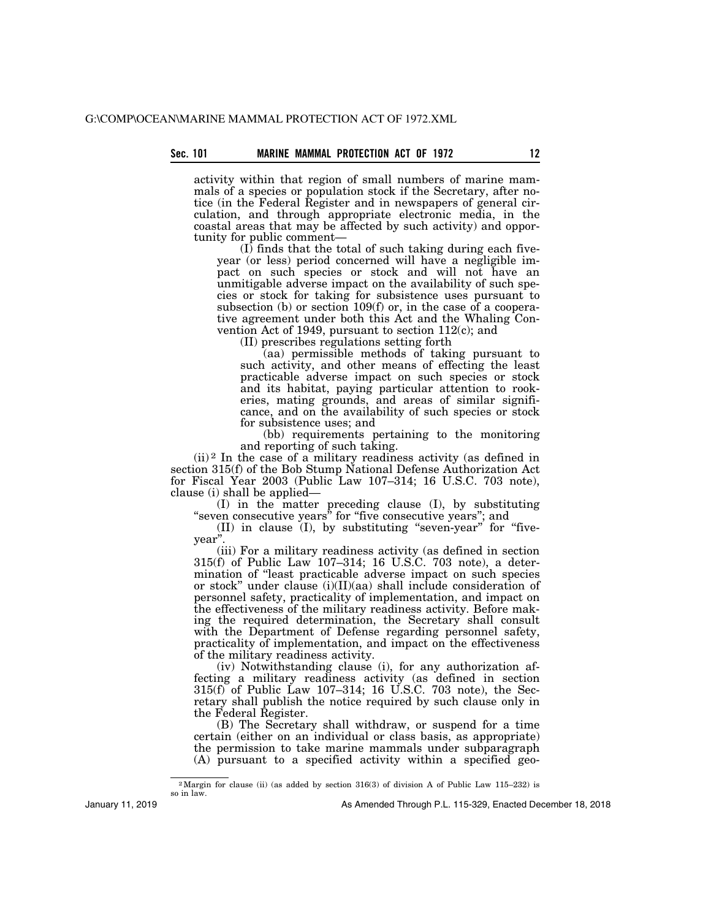## Sec. 101 **MARINE MAMMAL PROTECTION ACT OF 1972** 12

activity within that region of small numbers of marine mammals of a species or population stock if the Secretary, after notice (in the Federal Register and in newspapers of general circulation, and through appropriate electronic media, in the coastal areas that may be affected by such activity) and opportunity for public comment—

(I) finds that the total of such taking during each fiveyear (or less) period concerned will have a negligible impact on such species or stock and will not have an unmitigable adverse impact on the availability of such species or stock for taking for subsistence uses pursuant to subsection (b) or section 109(f) or, in the case of a cooperative agreement under both this Act and the Whaling Convention Act of 1949, pursuant to section 112(c); and

(II) prescribes regulations setting forth

(aa) permissible methods of taking pursuant to such activity, and other means of effecting the least practicable adverse impact on such species or stock and its habitat, paying particular attention to rookeries, mating grounds, and areas of similar significance, and on the availability of such species or stock for subsistence uses; and

(bb) requirements pertaining to the monitoring and reporting of such taking.

 $(ii)$ <sup>2</sup> In the case of a military readiness activity (as defined in section 315(f) of the Bob Stump National Defense Authorization Act for Fiscal Year 2003 (Public Law 107–314; 16 U.S.C. 703 note), clause (i) shall be applied—

(I) in the matter preceding clause (I), by substituting "seven consecutive years" for "five consecutive years"; and

 $(II)$  in clause  $(I)$ , by substituting "seven-year" for "fivevear'

(iii) For a military readiness activity (as defined in section 315(f) of Public Law 107–314; 16 U.S.C. 703 note), a determination of ''least practicable adverse impact on such species or stock'' under clause (i)(II)(aa) shall include consideration of personnel safety, practicality of implementation, and impact on the effectiveness of the military readiness activity. Before making the required determination, the Secretary shall consult with the Department of Defense regarding personnel safety, practicality of implementation, and impact on the effectiveness of the military readiness activity.

(iv) Notwithstanding clause (i), for any authorization affecting a military readiness activity (as defined in section 315(f) of Public Law 107–314; 16 U.S.C. 703 note), the Secretary shall publish the notice required by such clause only in the Federal Register.

(B) The Secretary shall withdraw, or suspend for a time certain (either on an individual or class basis, as appropriate) the permission to take marine mammals under subparagraph (A) pursuant to a specified activity within a specified geo-

January 11, 2019

<sup>&</sup>lt;sup>2</sup>Margin for clause (ii) (as added by section 316(3) of division A of Public Law 115–232) is so in law.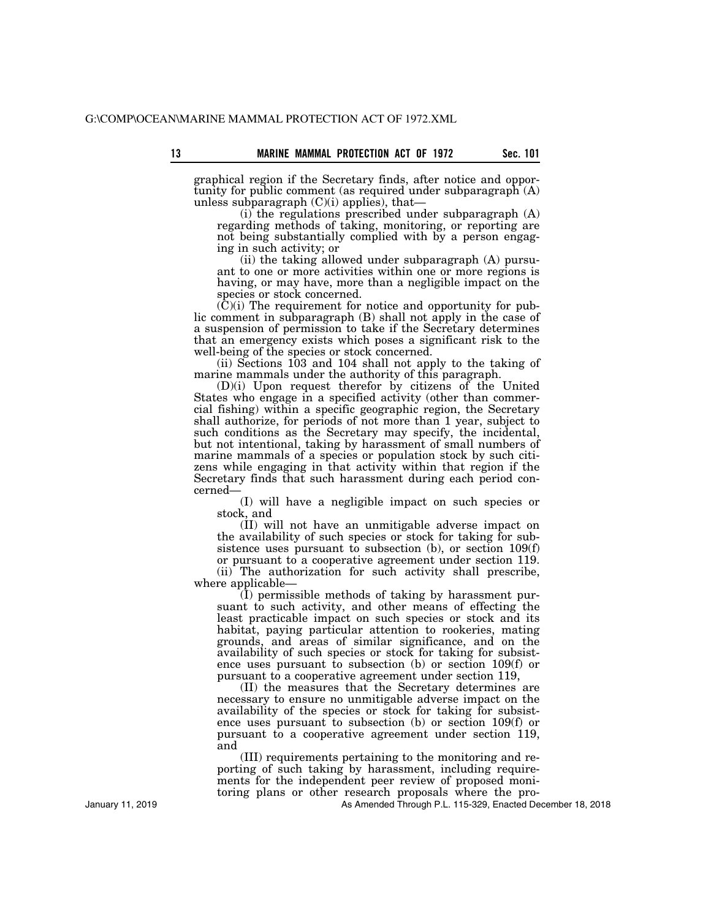graphical region if the Secretary finds, after notice and opportunity for public comment (as required under subparagraph (A) unless subparagraph  $(C)(i)$  applies), that—

(i) the regulations prescribed under subparagraph (A) regarding methods of taking, monitoring, or reporting are not being substantially complied with by a person engaging in such activity; or

(ii) the taking allowed under subparagraph (A) pursuant to one or more activities within one or more regions is having, or may have, more than a negligible impact on the species or stock concerned.

 $(C)(i)$  The requirement for notice and opportunity for public comment in subparagraph (B) shall not apply in the case of a suspension of permission to take if the Secretary determines that an emergency exists which poses a significant risk to the well-being of the species or stock concerned.

(ii) Sections 103 and 104 shall not apply to the taking of marine mammals under the authority of this paragraph.

(D)(i) Upon request therefor by citizens of the United States who engage in a specified activity (other than commercial fishing) within a specific geographic region, the Secretary shall authorize, for periods of not more than 1 year, subject to such conditions as the Secretary may specify, the incidental, but not intentional, taking by harassment of small numbers of marine mammals of a species or population stock by such citizens while engaging in that activity within that region if the Secretary finds that such harassment during each period concerned—

(I) will have a negligible impact on such species or stock, and

(II) will not have an unmitigable adverse impact on the availability of such species or stock for taking for subsistence uses pursuant to subsection (b), or section 109(f) or pursuant to a cooperative agreement under section 119.

(ii) The authorization for such activity shall prescribe, where applicable—

 $\overline{I}$ ) permissible methods of taking by harassment pursuant to such activity, and other means of effecting the least practicable impact on such species or stock and its habitat, paying particular attention to rookeries, mating grounds, and areas of similar significance, and on the availability of such species or stock for taking for subsistence uses pursuant to subsection (b) or section 109(f) or pursuant to a cooperative agreement under section 119,

(II) the measures that the Secretary determines are necessary to ensure no unmitigable adverse impact on the availability of the species or stock for taking for subsistence uses pursuant to subsection (b) or section 109(f) or pursuant to a cooperative agreement under section 119, and

(III) requirements pertaining to the monitoring and reporting of such taking by harassment, including requirements for the independent peer review of proposed monitoring plans or other research proposals where the pro-

As Amended Through P.L. 115-329, Enacted December 18, 2018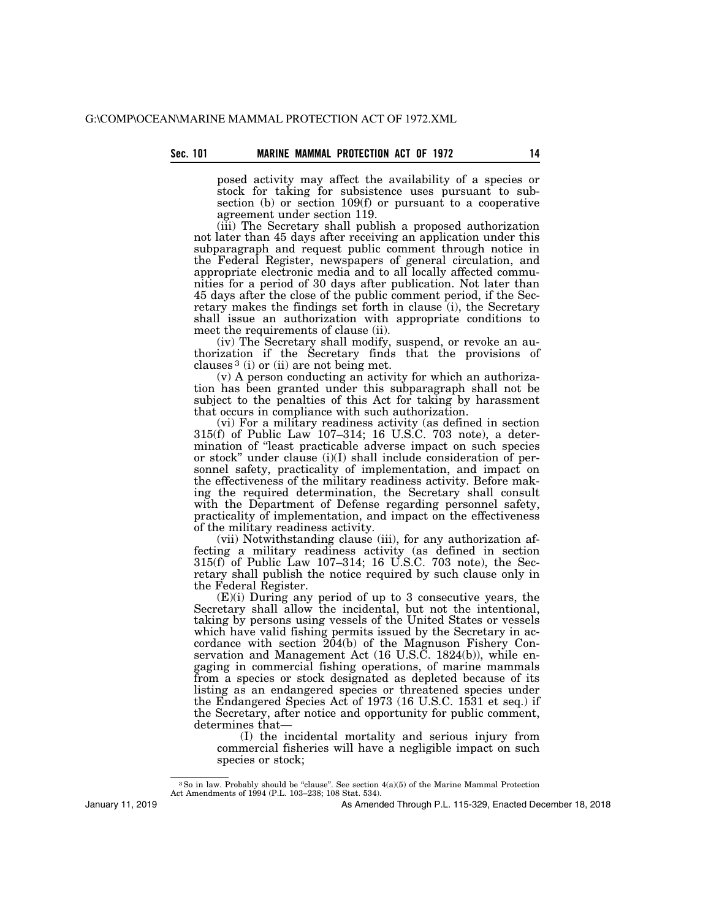#### **Sec. 101 MARINE MAMMAL PROTECTION ACT OF 1972 14**

posed activity may affect the availability of a species or stock for taking for subsistence uses pursuant to subsection (b) or section 109(f) or pursuant to a cooperative agreement under section 119.

(iii) The Secretary shall publish a proposed authorization not later than 45 days after receiving an application under this subparagraph and request public comment through notice in the Federal Register, newspapers of general circulation, and appropriate electronic media and to all locally affected communities for a period of 30 days after publication. Not later than 45 days after the close of the public comment period, if the Secretary makes the findings set forth in clause (i), the Secretary shall issue an authorization with appropriate conditions to meet the requirements of clause (ii).

(iv) The Secretary shall modify, suspend, or revoke an authorization if the Secretary finds that the provisions of clauses 3 (i) or (ii) are not being met.

(v) A person conducting an activity for which an authorization has been granted under this subparagraph shall not be subject to the penalties of this Act for taking by harassment that occurs in compliance with such authorization.

(vi) For a military readiness activity (as defined in section 315(f) of Public Law 107–314; 16 U.S.C. 703 note), a determination of ''least practicable adverse impact on such species or stock'' under clause (i)(I) shall include consideration of personnel safety, practicality of implementation, and impact on the effectiveness of the military readiness activity. Before making the required determination, the Secretary shall consult with the Department of Defense regarding personnel safety, practicality of implementation, and impact on the effectiveness of the military readiness activity.

(vii) Notwithstanding clause (iii), for any authorization affecting a military readiness activity (as defined in section 315(f) of Public Law 107–314; 16 U.S.C. 703 note), the Secretary shall publish the notice required by such clause only in the Federal Register.

(E)(i) During any period of up to 3 consecutive years, the Secretary shall allow the incidental, but not the intentional, taking by persons using vessels of the United States or vessels which have valid fishing permits issued by the Secretary in accordance with section 204(b) of the Magnuson Fishery Conservation and Management Act (16 U.S.C. 1824(b)), while engaging in commercial fishing operations, of marine mammals from a species or stock designated as depleted because of its listing as an endangered species or threatened species under the Endangered Species Act of 1973 (16 U.S.C. 1531 et seq.) if the Secretary, after notice and opportunity for public comment, determines that—

(I) the incidental mortality and serious injury from commercial fisheries will have a negligible impact on such species or stock;

January 11, 2019

 $3$  So in law. Probably should be "clause". See section  $4(a)(5)$  of the Marine Mammal Protection Act Amendments of 1994 (P.L. 103–238; 108 Stat. 534).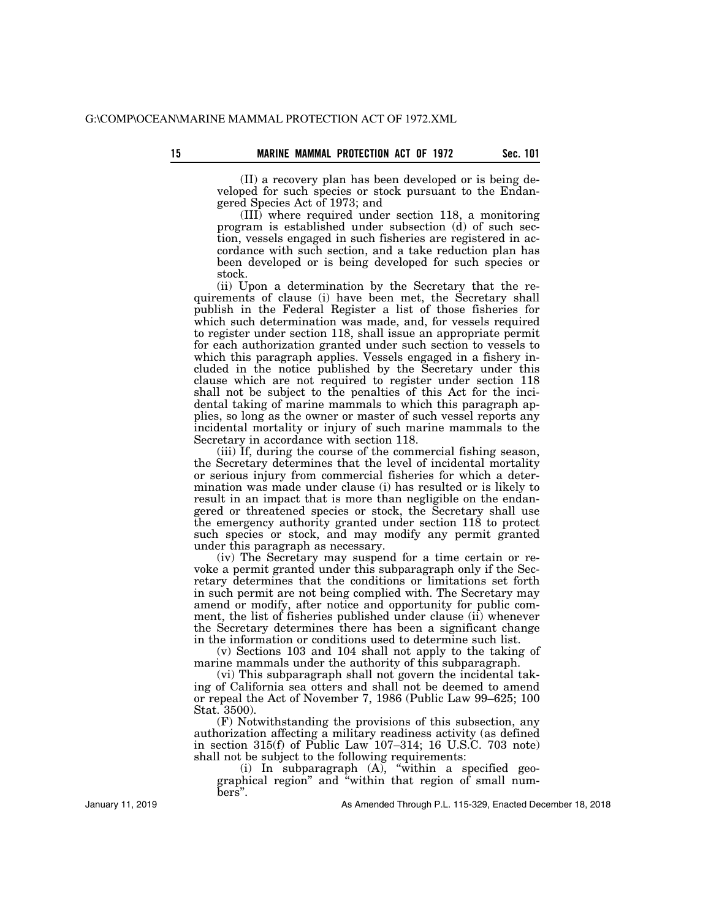(II) a recovery plan has been developed or is being developed for such species or stock pursuant to the Endangered Species Act of 1973; and

(III) where required under section 118, a monitoring program is established under subsection (d) of such section, vessels engaged in such fisheries are registered in accordance with such section, and a take reduction plan has been developed or is being developed for such species or stock.

(ii) Upon a determination by the Secretary that the requirements of clause (i) have been met, the Secretary shall publish in the Federal Register a list of those fisheries for which such determination was made, and, for vessels required to register under section 118, shall issue an appropriate permit for each authorization granted under such section to vessels to which this paragraph applies. Vessels engaged in a fishery included in the notice published by the Secretary under this clause which are not required to register under section 118 shall not be subject to the penalties of this Act for the incidental taking of marine mammals to which this paragraph applies, so long as the owner or master of such vessel reports any incidental mortality or injury of such marine mammals to the Secretary in accordance with section 118.

(iii) If, during the course of the commercial fishing season, the Secretary determines that the level of incidental mortality or serious injury from commercial fisheries for which a determination was made under clause (i) has resulted or is likely to result in an impact that is more than negligible on the endangered or threatened species or stock, the Secretary shall use the emergency authority granted under section 118 to protect such species or stock, and may modify any permit granted under this paragraph as necessary.

(iv) The Secretary may suspend for a time certain or revoke a permit granted under this subparagraph only if the Secretary determines that the conditions or limitations set forth in such permit are not being complied with. The Secretary may amend or modify, after notice and opportunity for public comment, the list of fisheries published under clause (ii) whenever the Secretary determines there has been a significant change in the information or conditions used to determine such list.

(v) Sections 103 and 104 shall not apply to the taking of marine mammals under the authority of this subparagraph.

(vi) This subparagraph shall not govern the incidental taking of California sea otters and shall not be deemed to amend or repeal the Act of November 7, 1986 (Public Law 99–625; 100 Stat. 3500).

(F) Notwithstanding the provisions of this subsection, any authorization affecting a military readiness activity (as defined in section 315(f) of Public Law 107–314; 16 U.S.C. 703 note) shall not be subject to the following requirements:

(i) In subparagraph (A), ''within a specified geographical region'' and ''within that region of small numbers''.

As Amended Through P.L. 115-329, Enacted December 18, 2018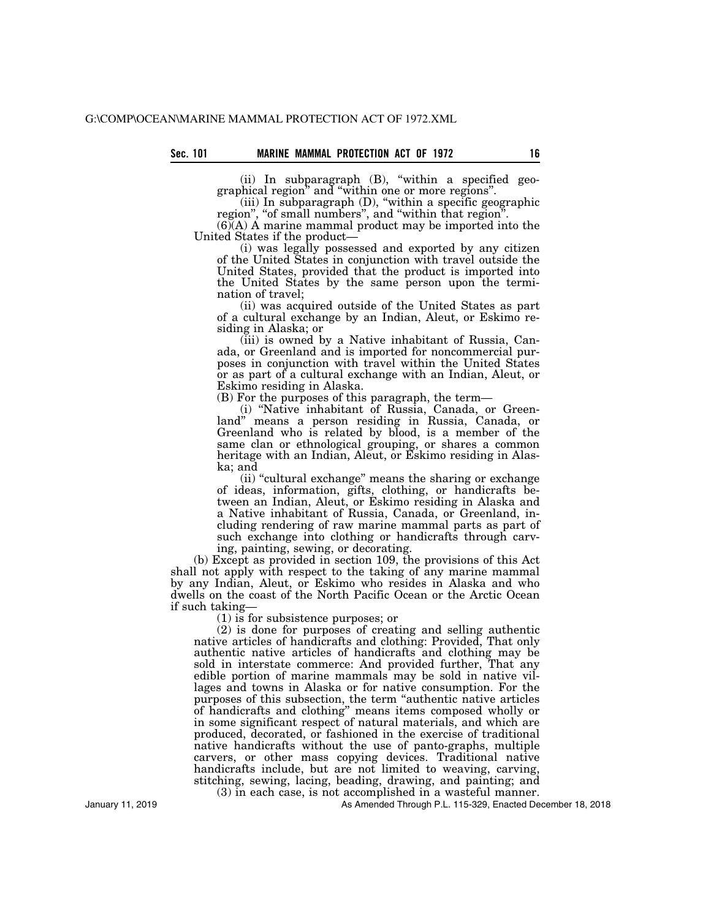(ii) In subparagraph (B), ''within a specified geographical region'' and ''within one or more regions''.

(iii) In subparagraph (D), ''within a specific geographic region", "of small numbers", and "within that region".

 $(6)$  $(A)$  A marine mammal product may be imported into the United States if the product—

(i) was legally possessed and exported by any citizen of the United States in conjunction with travel outside the United States, provided that the product is imported into the United States by the same person upon the termination of travel;

(ii) was acquired outside of the United States as part of a cultural exchange by an Indian, Aleut, or Eskimo residing in Alaska; or

(iii) is owned by a Native inhabitant of Russia, Canada, or Greenland and is imported for noncommercial purposes in conjunction with travel within the United States or as part of a cultural exchange with an Indian, Aleut, or Eskimo residing in Alaska.

(B) For the purposes of this paragraph, the term—

(i) ''Native inhabitant of Russia, Canada, or Greenland'' means a person residing in Russia, Canada, or Greenland who is related by blood, is a member of the same clan or ethnological grouping, or shares a common heritage with an Indian, Aleut, or Eskimo residing in Alaska; and

(ii) "cultural exchange" means the sharing or exchange of ideas, information, gifts, clothing, or handicrafts between an Indian, Aleut, or Eskimo residing in Alaska and a Native inhabitant of Russia, Canada, or Greenland, including rendering of raw marine mammal parts as part of such exchange into clothing or handicrafts through carving, painting, sewing, or decorating.

(b) Except as provided in section 109, the provisions of this Act shall not apply with respect to the taking of any marine mammal by any Indian, Aleut, or Eskimo who resides in Alaska and who dwells on the coast of the North Pacific Ocean or the Arctic Ocean if such taking—

(1) is for subsistence purposes; or

(2) is done for purposes of creating and selling authentic native articles of handicrafts and clothing: Provided, That only authentic native articles of handicrafts and clothing may be sold in interstate commerce: And provided further, That any edible portion of marine mammals may be sold in native villages and towns in Alaska or for native consumption. For the purposes of this subsection, the term ''authentic native articles of handicrafts and clothing'' means items composed wholly or in some significant respect of natural materials, and which are produced, decorated, or fashioned in the exercise of traditional native handicrafts without the use of panto-graphs, multiple carvers, or other mass copying devices. Traditional native handicrafts include, but are not limited to weaving, carving, stitching, sewing, lacing, beading, drawing, and painting; and

(3) in each case, is not accomplished in a wasteful manner.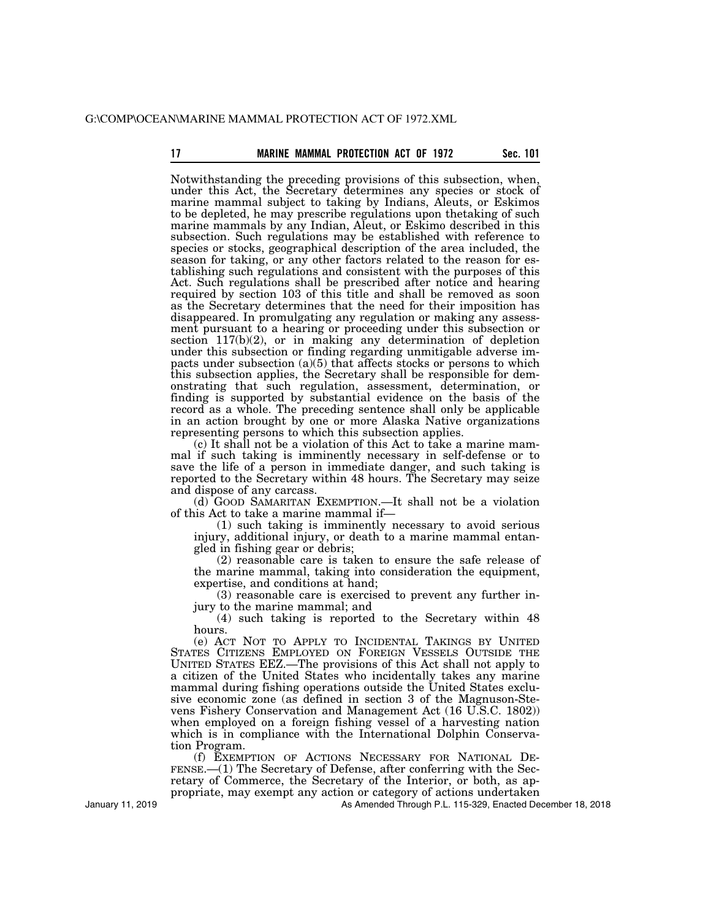## **17** MARINE MAMMAL PROTECTION ACT OF 1972 Sec. 101

Notwithstanding the preceding provisions of this subsection, when, under this Act, the Secretary determines any species or stock of marine mammal subject to taking by Indians, Aleuts, or Eskimos to be depleted, he may prescribe regulations upon thetaking of such marine mammals by any Indian, Aleut, or Eskimo described in this subsection. Such regulations may be established with reference to species or stocks, geographical description of the area included, the season for taking, or any other factors related to the reason for establishing such regulations and consistent with the purposes of this Act. Such regulations shall be prescribed after notice and hearing required by section 103 of this title and shall be removed as soon as the Secretary determines that the need for their imposition has disappeared. In promulgating any regulation or making any assessment pursuant to a hearing or proceeding under this subsection or section  $117(b)(2)$ , or in making any determination of depletion under this subsection or finding regarding unmitigable adverse impacts under subsection (a)(5) that affects stocks or persons to which this subsection applies, the Secretary shall be responsible for demonstrating that such regulation, assessment, determination, or finding is supported by substantial evidence on the basis of the record as a whole. The preceding sentence shall only be applicable in an action brought by one or more Alaska Native organizations representing persons to which this subsection applies.

(c) It shall not be a violation of this Act to take a marine mammal if such taking is imminently necessary in self-defense or to save the life of a person in immediate danger, and such taking is reported to the Secretary within 48 hours. The Secretary may seize and dispose of any carcass.

(d) GOOD SAMARITAN EXEMPTION.—It shall not be a violation of this Act to take a marine mammal if—

(1) such taking is imminently necessary to avoid serious injury, additional injury, or death to a marine mammal entangled in fishing gear or debris;

(2) reasonable care is taken to ensure the safe release of the marine mammal, taking into consideration the equipment, expertise, and conditions at hand;

(3) reasonable care is exercised to prevent any further injury to the marine mammal; and

(4) such taking is reported to the Secretary within 48 hours.

(e) ACT NOT TO APPLY TO INCIDENTAL TAKINGS BY UNITED STATES CITIZENS EMPLOYED ON FOREIGN VESSELS OUTSIDE THE UNITED STATES EEZ.—The provisions of this Act shall not apply to a citizen of the United States who incidentally takes any marine mammal during fishing operations outside the United States exclusive economic zone (as defined in section 3 of the Magnuson-Stevens Fishery Conservation and Management Act (16 U.S.C. 1802)) when employed on a foreign fishing vessel of a harvesting nation which is in compliance with the International Dolphin Conservation Program.

(f) EXEMPTION OF ACTIONS NECESSARY FOR NATIONAL DE-FENSE.—(1) The Secretary of Defense, after conferring with the Secretary of Commerce, the Secretary of the Interior, or both, as appropriate, may exempt any action or category of actions undertaken

As Amended Through P.L. 115-329, Enacted December 18, 2018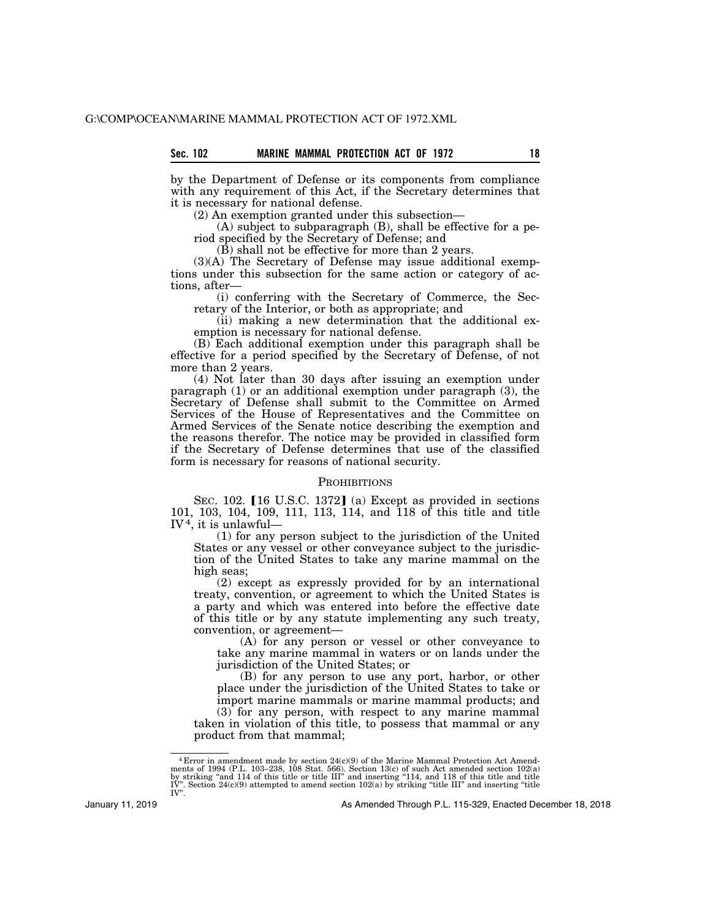by the Department of Defense or its components from compliance with any requirement of this Act, if the Secretary determines that it is necessary for national defense.

(2) An exemption granted under this subsection—

(A) subject to subparagraph (B), shall be effective for a period specified by the Secretary of Defense; and

(B) shall not be effective for more than 2 years.

(3)(A) The Secretary of Defense may issue additional exemptions under this subsection for the same action or category of actions, after—

(i) conferring with the Secretary of Commerce, the Secretary of the Interior, or both as appropriate; and

(ii) making a new determination that the additional exemption is necessary for national defense.

(B) Each additional exemption under this paragraph shall be effective for a period specified by the Secretary of Defense, of not more than 2 years.

(4) Not later than 30 days after issuing an exemption under paragraph (1) or an additional exemption under paragraph (3), the Secretary of Defense shall submit to the Committee on Armed Services of the House of Representatives and the Committee on Armed Services of the Senate notice describing the exemption and the reasons therefor. The notice may be provided in classified form if the Secretary of Defense determines that use of the classified form is necessary for reasons of national security.

#### **PROHIBITIONS**

SEC.  $102.$  [16 U.S.C. 1372] (a) Except as provided in sections 101, 103, 104, 109, 111, 113, 114, and 118 of this title and title IV<sup>4</sup>, it is unlawful–

(1) for any person subject to the jurisdiction of the United States or any vessel or other conveyance subject to the jurisdiction of the United States to take any marine mammal on the high seas;

(2) except as expressly provided for by an international treaty, convention, or agreement to which the United States is a party and which was entered into before the effective date of this title or by any statute implementing any such treaty, convention, or agreement—

(A) for any person or vessel or other conveyance to take any marine mammal in waters or on lands under the jurisdiction of the United States; or

(B) for any person to use any port, harbor, or other place under the jurisdiction of the United States to take or import marine mammals or marine mammal products; and (3) for any person, with respect to any marine mammal

taken in violation of this title, to possess that mammal or any product from that mammal;

January 11, 2019

<sup>&</sup>lt;sup>4</sup> Error in amendment made by section  $24(c)(9)$  of the Marine Mammal Protection Act Amendments of 1994 (P.L. 103–238, 108 Stat. 566). Section 13(c) of such Act amended section 102(a) by striking "and 114 of this title or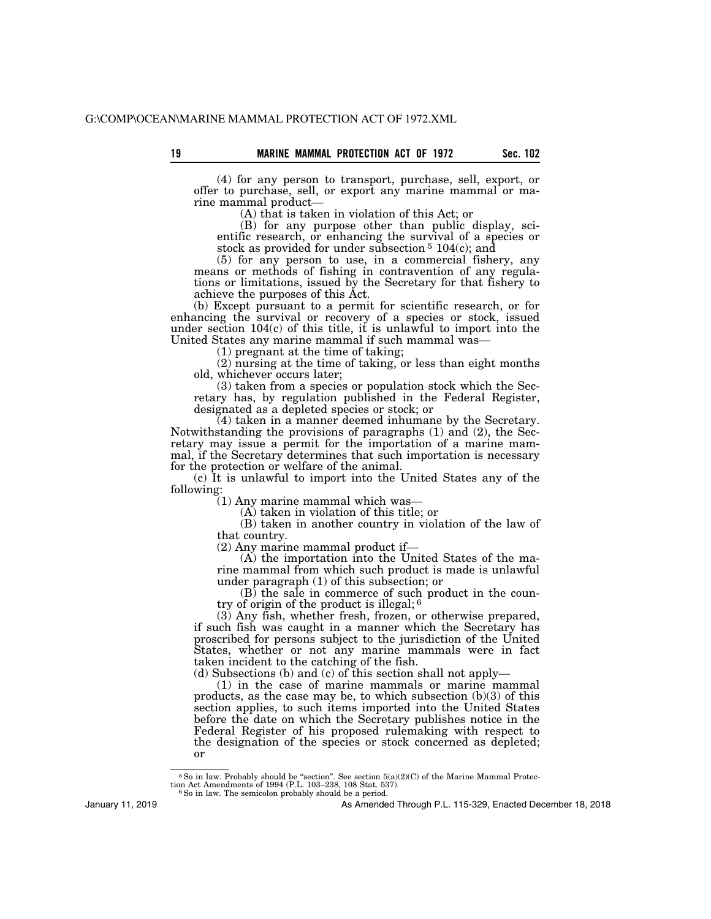(4) for any person to transport, purchase, sell, export, or offer to purchase, sell, or export any marine mammal or marine mammal product—

(A) that is taken in violation of this Act; or

(B) for any purpose other than public display, scientific research, or enhancing the survival of a species or stock as provided for under subsection<sup>5</sup> 104(c); and

(5) for any person to use, in a commercial fishery, any means or methods of fishing in contravention of any regulations or limitations, issued by the Secretary for that fishery to achieve the purposes of this Act.

(b) Except pursuant to a permit for scientific research, or for enhancing the survival or recovery of a species or stock, issued under section  $104(c)$  of this title, it is unlawful to import into the United States any marine mammal if such mammal was—

(1) pregnant at the time of taking;

(2) nursing at the time of taking, or less than eight months old, whichever occurs later;

(3) taken from a species or population stock which the Secretary has, by regulation published in the Federal Register, designated as a depleted species or stock; or

(4) taken in a manner deemed inhumane by the Secretary. Notwithstanding the provisions of paragraphs (1) and (2), the Secretary may issue a permit for the importation of a marine mammal, if the Secretary determines that such importation is necessary for the protection or welfare of the animal.

(c) It is unlawful to import into the United States any of the following:

 $(1)$  Any marine mammal which was—

(A) taken in violation of this title; or

(B) taken in another country in violation of the law of that country.

(2) Any marine mammal product if—

(A) the importation into the United States of the marine mammal from which such product is made is unlawful under paragraph (1) of this subsection; or

(B) the sale in commerce of such product in the country of origin of the product is illegal; 6

(3) Any fish, whether fresh, frozen, or otherwise prepared, if such fish was caught in a manner which the Secretary has proscribed for persons subject to the jurisdiction of the United States, whether or not any marine mammals were in fact taken incident to the catching of the fish.

(d) Subsections (b) and (c) of this section shall not apply—

(1) in the case of marine mammals or marine mammal products, as the case may be, to which subsection (b)(3) of this section applies, to such items imported into the United States before the date on which the Secretary publishes notice in the Federal Register of his proposed rulemaking with respect to the designation of the species or stock concerned as depleted; or

January 11, 2019

 $5$ So in law. Probably should be "section". See section  $5(a)(2)(C)$  of the Marine Mammal Protection Act Amendments of 1994 (P.L. 103–238, 108 Stat. 537).

<sup>&</sup>lt;sup>6</sup>So in law. The semicolon probably should be a period.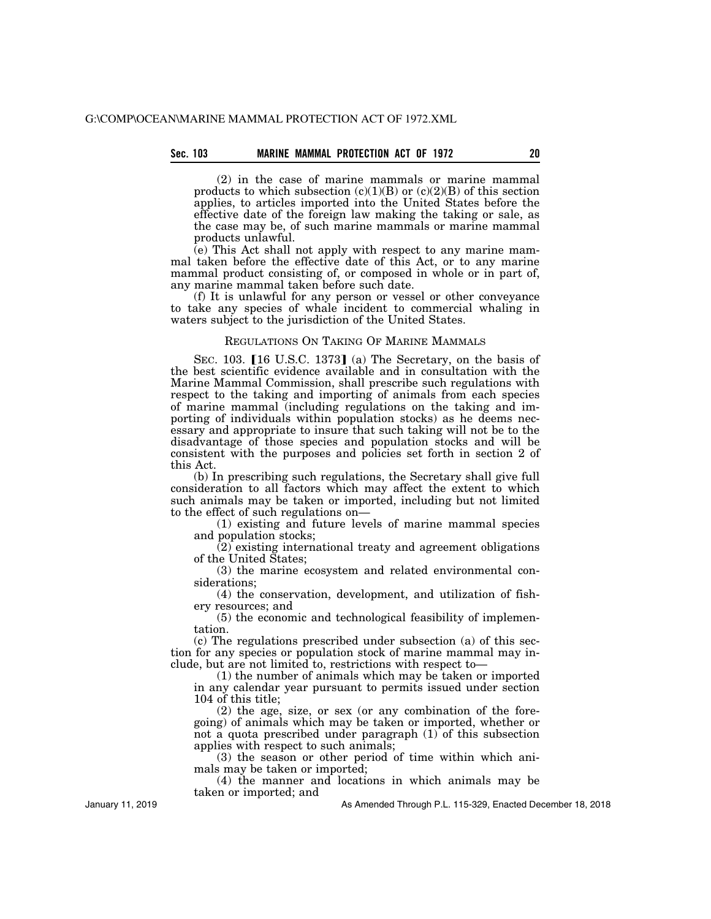## **Sec. 103 MARINE MAMMAL PROTECTION ACT OF 1972 20**

(2) in the case of marine mammals or marine mammal products to which subsection  $(c)(1)(B)$  or  $(c)(2)(B)$  of this section applies, to articles imported into the United States before the effective date of the foreign law making the taking or sale, as the case may be, of such marine mammals or marine mammal products unlawful.

 $\bar{e}$ ) This Act shall not apply with respect to any marine mammal taken before the effective date of this Act, or to any marine mammal product consisting of, or composed in whole or in part of, any marine mammal taken before such date.

(f) It is unlawful for any person or vessel or other conveyance to take any species of whale incident to commercial whaling in waters subject to the jurisdiction of the United States.

#### REGULATIONS ON TAKING OF MARINE MAMMALS

SEC. 103. [16 U.S.C. 1373] (a) The Secretary, on the basis of the best scientific evidence available and in consultation with the Marine Mammal Commission, shall prescribe such regulations with respect to the taking and importing of animals from each species of marine mammal (including regulations on the taking and importing of individuals within population stocks) as he deems necessary and appropriate to insure that such taking will not be to the disadvantage of those species and population stocks and will be consistent with the purposes and policies set forth in section 2 of this Act.

(b) In prescribing such regulations, the Secretary shall give full consideration to all factors which may affect the extent to which such animals may be taken or imported, including but not limited to the effect of such regulations on—

(1) existing and future levels of marine mammal species and population stocks;

 $(2)$  existing international treaty and agreement obligations of the United States;

(3) the marine ecosystem and related environmental considerations;

(4) the conservation, development, and utilization of fishery resources; and

(5) the economic and technological feasibility of implementation.

(c) The regulations prescribed under subsection (a) of this section for any species or population stock of marine mammal may include, but are not limited to, restrictions with respect to—

(1) the number of animals which may be taken or imported in any calendar year pursuant to permits issued under section 104 of this title;

(2) the age, size, or sex (or any combination of the foregoing) of animals which may be taken or imported, whether or not a quota prescribed under paragraph  $(1)$  of this subsection applies with respect to such animals;

(3) the season or other period of time within which animals may be taken or imported;

(4) the manner and locations in which animals may be taken or imported; and

As Amended Through P.L. 115-329, Enacted December 18, 2018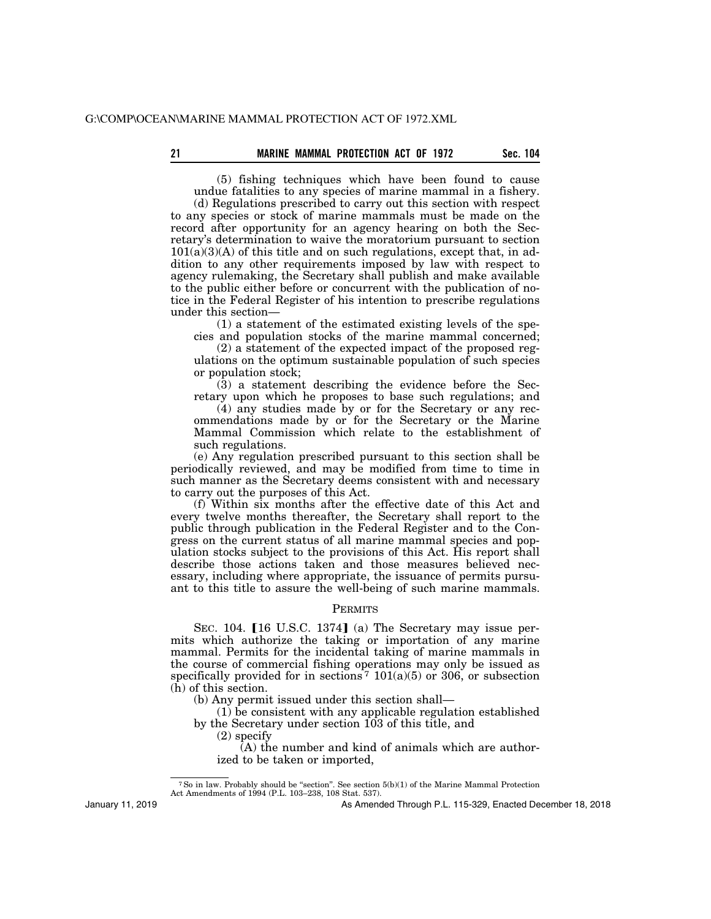(5) fishing techniques which have been found to cause undue fatalities to any species of marine mammal in a fishery. (d) Regulations prescribed to carry out this section with respect

to any species or stock of marine mammals must be made on the record after opportunity for an agency hearing on both the Secretary's determination to waive the moratorium pursuant to section  $101(a)(3)(A)$  of this title and on such regulations, except that, in addition to any other requirements imposed by law with respect to agency rulemaking, the Secretary shall publish and make available to the public either before or concurrent with the publication of notice in the Federal Register of his intention to prescribe regulations under this section—

(1) a statement of the estimated existing levels of the species and population stocks of the marine mammal concerned;

(2) a statement of the expected impact of the proposed regulations on the optimum sustainable population of such species or population stock;

 $(3)$  a statement describing the evidence before the Secretary upon which he proposes to base such regulations; and

(4) any studies made by or for the Secretary or any recommendations made by or for the Secretary or the Marine Mammal Commission which relate to the establishment of such regulations.

(e) Any regulation prescribed pursuant to this section shall be periodically reviewed, and may be modified from time to time in such manner as the Secretary deems consistent with and necessary to carry out the purposes of this Act.

(f) Within six months after the effective date of this Act and every twelve months thereafter, the Secretary shall report to the public through publication in the Federal Register and to the Congress on the current status of all marine mammal species and population stocks subject to the provisions of this Act. His report shall describe those actions taken and those measures believed necessary, including where appropriate, the issuance of permits pursuant to this title to assure the well-being of such marine mammals.

#### PERMITS

SEC. 104.  $[16 \text{ U.S.C. } 1374]$  (a) The Secretary may issue permits which authorize the taking or importation of any marine mammal. Permits for the incidental taking of marine mammals in the course of commercial fishing operations may only be issued as specifically provided for in sections<sup>7</sup>  $101(a)(5)$  or 306, or subsection (h) of this section.

(b) Any permit issued under this section shall—

(1) be consistent with any applicable regulation established by the Secretary under section 103 of this title, and

(2) specify

(A) the number and kind of animals which are authorized to be taken or imported,

January 11, 2019

<sup>7</sup>So in law. Probably should be ''section''. See section 5(b)(1) of the Marine Mammal Protection Act Amendments of 1994 (P.L. 103–238, 108 Stat. 537).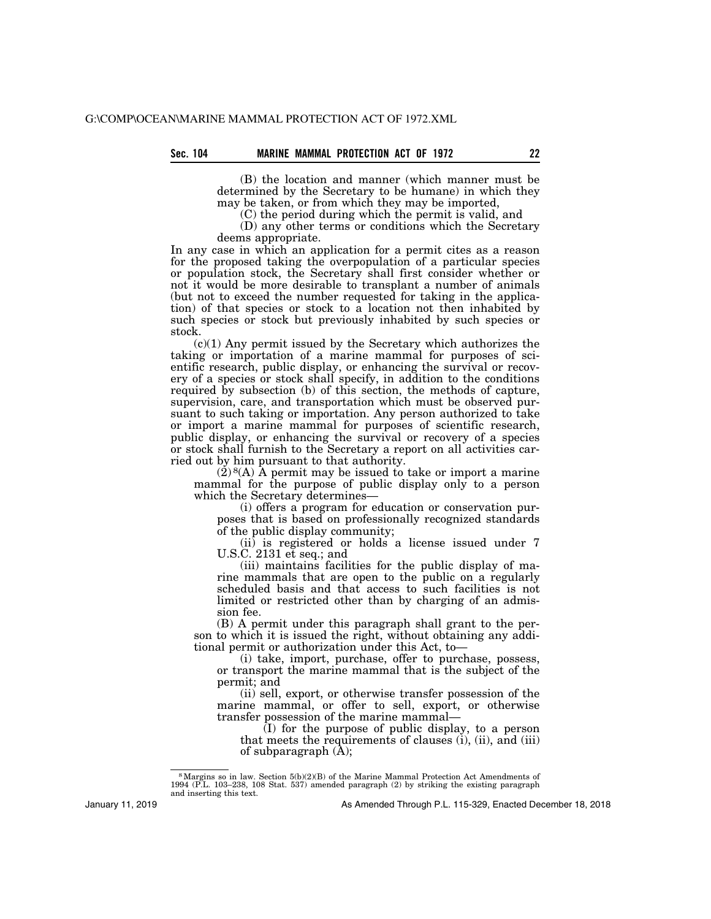## **Sec. 104 MARINE MAMMAL PROTECTION ACT OF 1972 22**

(B) the location and manner (which manner must be determined by the Secretary to be humane) in which they may be taken, or from which they may be imported,

(C) the period during which the permit is valid, and

(D) any other terms or conditions which the Secretary deems appropriate.

In any case in which an application for a permit cites as a reason for the proposed taking the overpopulation of a particular species or population stock, the Secretary shall first consider whether or not it would be more desirable to transplant a number of animals (but not to exceed the number requested for taking in the application) of that species or stock to a location not then inhabited by such species or stock but previously inhabited by such species or stock.

(c)(1) Any permit issued by the Secretary which authorizes the taking or importation of a marine mammal for purposes of scientific research, public display, or enhancing the survival or recovery of a species or stock shall specify, in addition to the conditions required by subsection (b) of this section, the methods of capture, supervision, care, and transportation which must be observed pursuant to such taking or importation. Any person authorized to take or import a marine mammal for purposes of scientific research, public display, or enhancing the survival or recovery of a species or stock shall furnish to the Secretary a report on all activities carried out by him pursuant to that authority.

 $(2)^{8}(A)$  A permit may be issued to take or import a marine mammal for the purpose of public display only to a person which the Secretary determines—

(i) offers a program for education or conservation purposes that is based on professionally recognized standards of the public display community;

(ii) is registered or holds a license issued under 7 U.S.C. 2131 et seq.; and

(iii) maintains facilities for the public display of marine mammals that are open to the public on a regularly scheduled basis and that access to such facilities is not limited or restricted other than by charging of an admission fee.

(B) A permit under this paragraph shall grant to the person to which it is issued the right, without obtaining any additional permit or authorization under this Act, to—

(i) take, import, purchase, offer to purchase, possess, or transport the marine mammal that is the subject of the permit; and

(ii) sell, export, or otherwise transfer possession of the marine mammal, or offer to sell, export, or otherwise transfer possession of the marine mammal—

(I) for the purpose of public display, to a person that meets the requirements of clauses (i), (ii), and (iii) of subparagraph  $(\bar{A})$ ;

January 11, 2019

<sup>8</sup>Margins so in law. Section 5(b)(2)(B) of the Marine Mammal Protection Act Amendments of 1994 (P.L. 103–238, 108 Stat. 537) amended paragraph (2) by striking the existing paragraph and inserting this text.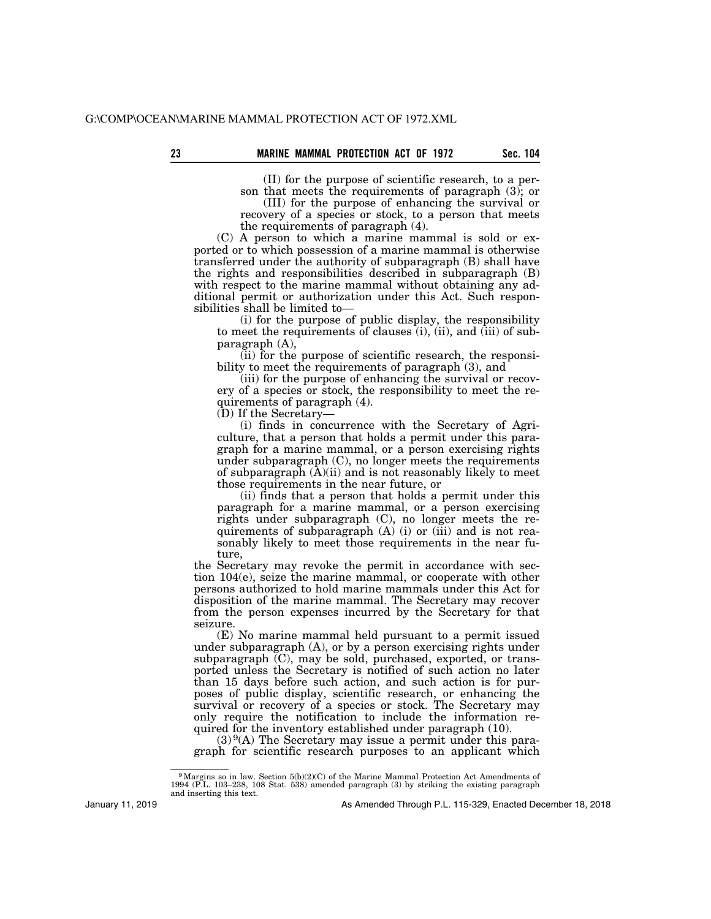(II) for the purpose of scientific research, to a person that meets the requirements of paragraph (3); or

(III) for the purpose of enhancing the survival or recovery of a species or stock, to a person that meets the requirements of paragraph (4).

(C) A person to which a marine mammal is sold or exported or to which possession of a marine mammal is otherwise transferred under the authority of subparagraph (B) shall have the rights and responsibilities described in subparagraph (B) with respect to the marine mammal without obtaining any additional permit or authorization under this Act. Such responsibilities shall be limited to—

(i) for the purpose of public display, the responsibility to meet the requirements of clauses  $(i)$ ,  $(ii)$ , and  $(iii)$  of subparagraph (A),

(ii) for the purpose of scientific research, the responsibility to meet the requirements of paragraph (3), and

(iii) for the purpose of enhancing the survival or recovery of a species or stock, the responsibility to meet the requirements of paragraph (4).

(D) If the Secretary—

(i) finds in concurrence with the Secretary of Agriculture, that a person that holds a permit under this paragraph for a marine mammal, or a person exercising rights under subparagraph (C), no longer meets the requirements of subparagraph  $(A)(ii)$  and is not reasonably likely to meet those requirements in the near future, or

(ii) finds that a person that holds a permit under this paragraph for a marine mammal, or a person exercising rights under subparagraph (C), no longer meets the requirements of subparagraph (A) (i) or (iii) and is not reasonably likely to meet those requirements in the near future,

the Secretary may revoke the permit in accordance with section 104(e), seize the marine mammal, or cooperate with other persons authorized to hold marine mammals under this Act for disposition of the marine mammal. The Secretary may recover from the person expenses incurred by the Secretary for that seizure.

(E) No marine mammal held pursuant to a permit issued under subparagraph (A), or by a person exercising rights under subparagraph  $(C)$ , may be sold, purchased, exported, or transported unless the Secretary is notified of such action no later than 15 days before such action, and such action is for purposes of public display, scientific research, or enhancing the survival or recovery of a species or stock. The Secretary may only require the notification to include the information required for the inventory established under paragraph (10).

 $(3)$ <sup>9</sup>(A) The Secretary may issue a permit under this paragraph for scientific research purposes to an applicant which

January 11, 2019

<sup>&</sup>lt;sup>9</sup>Margins so in law. Section  $5(b)(2)(C)$  of the Marine Mammal Protection Act Amendments of 1994 (P.L. 103–238, 108 Stat. 538) amended paragraph (3) by striking the existing paragraph and inserting this text.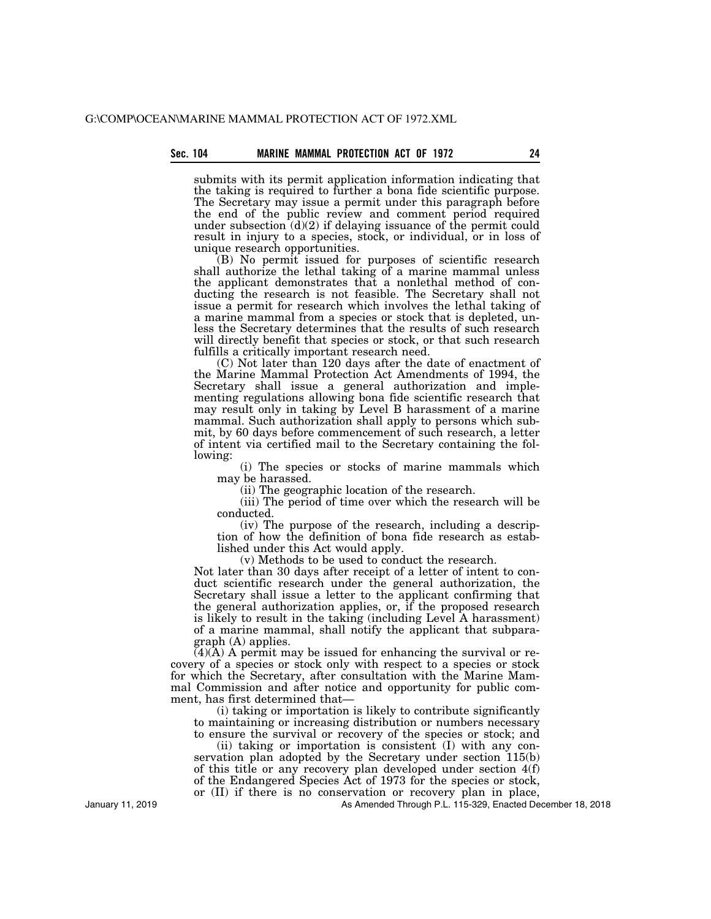#### **Sec. 104 MARINE MAMMAL PROTECTION ACT OF 1972 24**

submits with its permit application information indicating that the taking is required to further a bona fide scientific purpose. The Secretary may issue a permit under this paragraph before the end of the public review and comment period required under subsection (d)(2) if delaying issuance of the permit could result in injury to a species, stock, or individual, or in loss of unique research opportunities.

(B) No permit issued for purposes of scientific research shall authorize the lethal taking of a marine mammal unless the applicant demonstrates that a nonlethal method of conducting the research is not feasible. The Secretary shall not issue a permit for research which involves the lethal taking of a marine mammal from a species or stock that is depleted, unless the Secretary determines that the results of such research will directly benefit that species or stock, or that such research fulfills a critically important research need.

(C) Not later than 120 days after the date of enactment of the Marine Mammal Protection Act Amendments of 1994, the Secretary shall issue a general authorization and implementing regulations allowing bona fide scientific research that may result only in taking by Level B harassment of a marine mammal. Such authorization shall apply to persons which submit, by 60 days before commencement of such research, a letter of intent via certified mail to the Secretary containing the following:

(i) The species or stocks of marine mammals which may be harassed.

(ii) The geographic location of the research.

(iii) The period of time over which the research will be conducted.

(iv) The purpose of the research, including a description of how the definition of bona fide research as established under this Act would apply.

(v) Methods to be used to conduct the research.

Not later than 30 days after receipt of a letter of intent to conduct scientific research under the general authorization, the Secretary shall issue a letter to the applicant confirming that the general authorization applies, or, if the proposed research is likely to result in the taking (including Level A harassment) of a marine mammal, shall notify the applicant that subparagraph (A) applies.

 $(4)(\overline{A})$  A permit may be issued for enhancing the survival or recovery of a species or stock only with respect to a species or stock for which the Secretary, after consultation with the Marine Mammal Commission and after notice and opportunity for public comment, has first determined that—

(i) taking or importation is likely to contribute significantly to maintaining or increasing distribution or numbers necessary to ensure the survival or recovery of the species or stock; and

(ii) taking or importation is consistent (I) with any conservation plan adopted by the Secretary under section 115(b) of this title or any recovery plan developed under section 4(f) of the Endangered Species Act of 1973 for the species or stock, or (II) if there is no conservation or recovery plan in place,

As Amended Through P.L. 115-329, Enacted December 18, 2018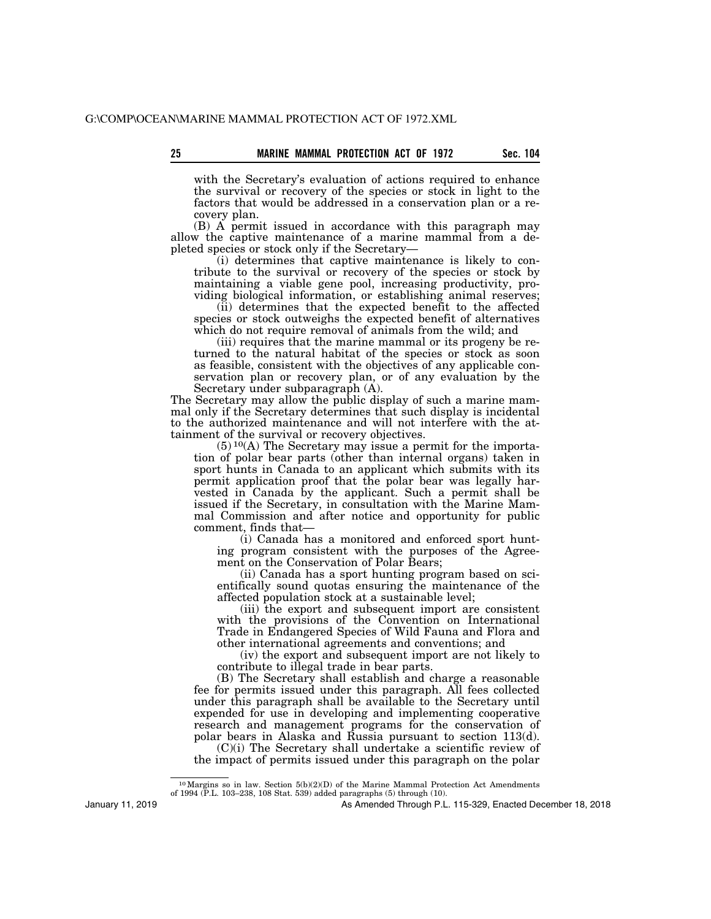with the Secretary's evaluation of actions required to enhance the survival or recovery of the species or stock in light to the factors that would be addressed in a conservation plan or a recovery plan.

(B) A permit issued in accordance with this paragraph may allow the captive maintenance of a marine mammal from a depleted species or stock only if the Secretary—

(i) determines that captive maintenance is likely to contribute to the survival or recovery of the species or stock by maintaining a viable gene pool, increasing productivity, providing biological information, or establishing animal reserves;

(ii) determines that the expected benefit to the affected species or stock outweighs the expected benefit of alternatives which do not require removal of animals from the wild; and

(iii) requires that the marine mammal or its progeny be returned to the natural habitat of the species or stock as soon as feasible, consistent with the objectives of any applicable conservation plan or recovery plan, or of any evaluation by the Secretary under subparagraph (A).

The Secretary may allow the public display of such a marine mammal only if the Secretary determines that such display is incidental to the authorized maintenance and will not interfere with the attainment of the survival or recovery objectives.

 $(5)^{10}(A)$  The Secretary may issue a permit for the importation of polar bear parts (other than internal organs) taken in sport hunts in Canada to an applicant which submits with its permit application proof that the polar bear was legally harvested in Canada by the applicant. Such a permit shall be issued if the Secretary, in consultation with the Marine Mammal Commission and after notice and opportunity for public comment, finds that—

(i) Canada has a monitored and enforced sport hunting program consistent with the purposes of the Agreement on the Conservation of Polar Bears;

(ii) Canada has a sport hunting program based on scientifically sound quotas ensuring the maintenance of the affected population stock at a sustainable level;

(iii) the export and subsequent import are consistent with the provisions of the Convention on International Trade in Endangered Species of Wild Fauna and Flora and other international agreements and conventions; and

(iv) the export and subsequent import are not likely to contribute to illegal trade in bear parts.

(B) The Secretary shall establish and charge a reasonable fee for permits issued under this paragraph. All fees collected under this paragraph shall be available to the Secretary until expended for use in developing and implementing cooperative research and management programs for the conservation of polar bears in Alaska and Russia pursuant to section 113(d).

(C)(i) The Secretary shall undertake a scientific review of the impact of permits issued under this paragraph on the polar

January 11, 2019

 $10$  Margins so in law. Section  $5(b)(2)(D)$  of the Marine Mammal Protection Act Amendments

of 1994 (P.L. 103–238, 108 Stat. 539) added paragraphs (5) through (10).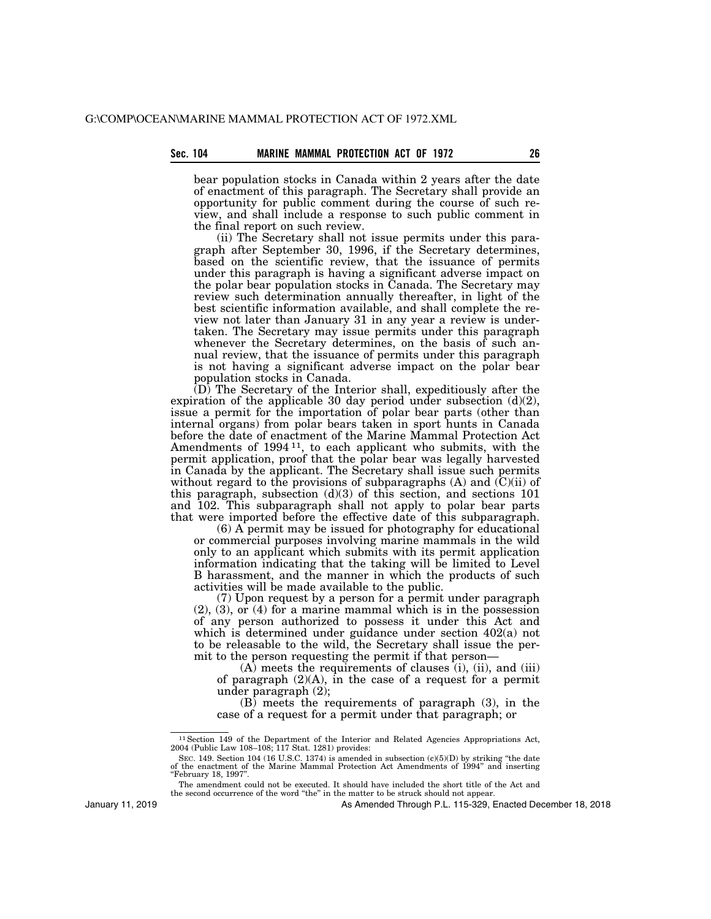### **Sec. 104 MARINE MAMMAL PROTECTION ACT OF 1972 26**

bear population stocks in Canada within 2 years after the date of enactment of this paragraph. The Secretary shall provide an opportunity for public comment during the course of such review, and shall include a response to such public comment in the final report on such review.

(ii) The Secretary shall not issue permits under this paragraph after September 30, 1996, if the Secretary determines, based on the scientific review, that the issuance of permits under this paragraph is having a significant adverse impact on the polar bear population stocks in Canada. The Secretary may review such determination annually thereafter, in light of the best scientific information available, and shall complete the review not later than January 31 in any year a review is undertaken. The Secretary may issue permits under this paragraph whenever the Secretary determines, on the basis of such annual review, that the issuance of permits under this paragraph is not having a significant adverse impact on the polar bear population stocks in Canada.

(D) The Secretary of the Interior shall, expeditiously after the expiration of the applicable 30 day period under subsection  $(d)(2)$ , issue a permit for the importation of polar bear parts (other than internal organs) from polar bears taken in sport hunts in Canada before the date of enactment of the Marine Mammal Protection Act Amendments of 1994 11, to each applicant who submits, with the permit application, proof that the polar bear was legally harvested in Canada by the applicant. The Secretary shall issue such permits without regard to the provisions of subparagraphs  $(A)$  and  $(C)(ii)$  of this paragraph, subsection  $(d)(3)$  of this section, and sections 101 and 102. This subparagraph shall not apply to polar bear parts that were imported before the effective date of this subparagraph.

(6) A permit may be issued for photography for educational or commercial purposes involving marine mammals in the wild only to an applicant which submits with its permit application information indicating that the taking will be limited to Level B harassment, and the manner in which the products of such activities will be made available to the public.

(7) Upon request by a person for a permit under paragraph (2), (3), or (4) for a marine mammal which is in the possession of any person authorized to possess it under this Act and which is determined under guidance under section 402(a) not to be releasable to the wild, the Secretary shall issue the permit to the person requesting the permit if that person—

 $(A)$  meets the requirements of clauses (i), (ii), and (iii) of paragraph  $(2)(A)$ , in the case of a request for a permit under paragraph (2);

(B) meets the requirements of paragraph (3), in the case of a request for a permit under that paragraph; or

As Amended Through P.L. 115-329, Enacted December 18, 2018

<sup>11</sup>Section 149 of the Department of the Interior and Related Agencies Appropriations Act, 2004 (Public Law 108–108; 117 Stat. 1281) provides:

SEC. 149. Section 104 (16 U.S.C. 1374) is amended in subsection (c)(5)(D) by striking "the date of the Marine Mammal Protection Act Amendments of 1994" and inserting "February 18, 1997".

The amendment could not be executed. It should have included the short title of the Act and the second occurrence of the word ''the'' in the matter to be struck should not appear.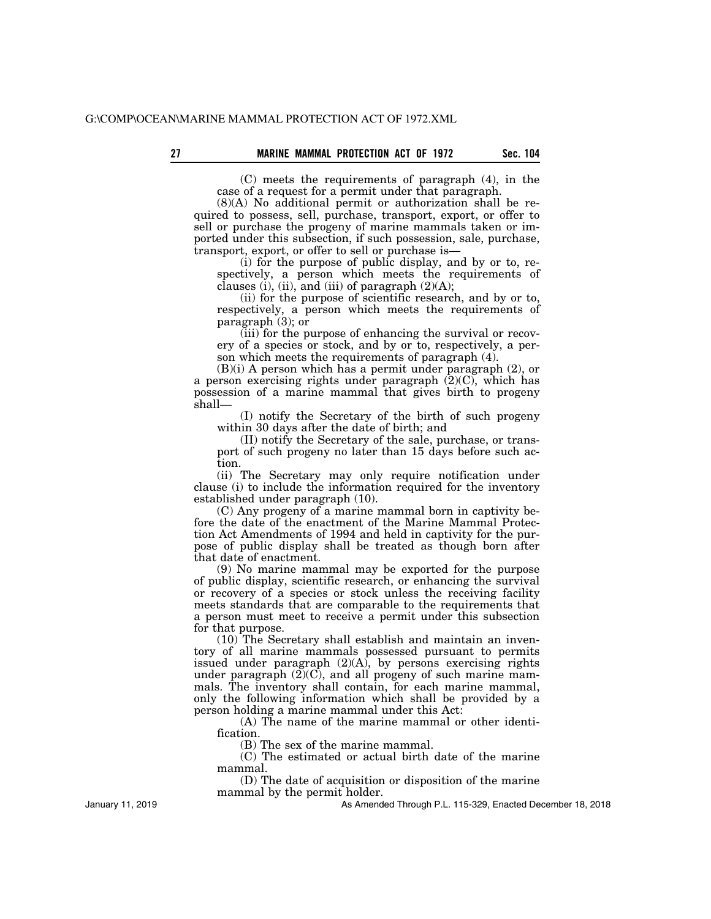(C) meets the requirements of paragraph (4), in the case of a request for a permit under that paragraph.

(8)(A) No additional permit or authorization shall be required to possess, sell, purchase, transport, export, or offer to sell or purchase the progeny of marine mammals taken or imported under this subsection, if such possession, sale, purchase, transport, export, or offer to sell or purchase is—

(i) for the purpose of public display, and by or to, respectively, a person which meets the requirements of clauses (i), (ii), and (iii) of paragraph  $(2)(A)$ ;

(ii) for the purpose of scientific research, and by or to, respectively, a person which meets the requirements of paragraph (3); or

(iii) for the purpose of enhancing the survival or recovery of a species or stock, and by or to, respectively, a person which meets the requirements of paragraph (4).

(B)(i) A person which has a permit under paragraph (2), or a person exercising rights under paragraph (2)(C), which has possession of a marine mammal that gives birth to progeny shall—

(I) notify the Secretary of the birth of such progeny within 30 days after the date of birth; and

(II) notify the Secretary of the sale, purchase, or transport of such progeny no later than 15 days before such action.

(ii) The Secretary may only require notification under clause (i) to include the information required for the inventory established under paragraph (10).

(C) Any progeny of a marine mammal born in captivity before the date of the enactment of the Marine Mammal Protection Act Amendments of 1994 and held in captivity for the purpose of public display shall be treated as though born after that date of enactment.

(9) No marine mammal may be exported for the purpose of public display, scientific research, or enhancing the survival or recovery of a species or stock unless the receiving facility meets standards that are comparable to the requirements that a person must meet to receive a permit under this subsection for that purpose.

(10) The Secretary shall establish and maintain an inventory of all marine mammals possessed pursuant to permits issued under paragraph  $(2)(A)$ , by persons exercising rights under paragraph (2)(C), and all progeny of such marine mammals. The inventory shall contain, for each marine mammal, only the following information which shall be provided by a person holding a marine mammal under this Act:

(A) The name of the marine mammal or other identification.

(B) The sex of the marine mammal.

(C) The estimated or actual birth date of the marine mammal.

(D) The date of acquisition or disposition of the marine mammal by the permit holder.

As Amended Through P.L. 115-329, Enacted December 18, 2018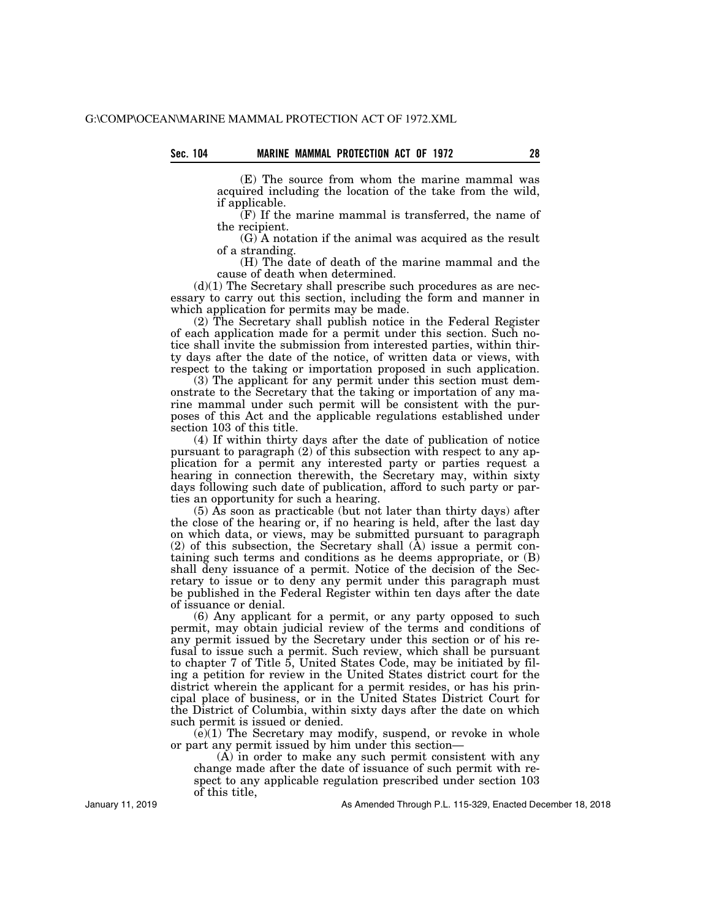| MARINE MAMMAL PROTECTION ACT OF 1972<br>Sec. 104 |  |
|--------------------------------------------------|--|
|--------------------------------------------------|--|

(E) The source from whom the marine mammal was acquired including the location of the take from the wild, if applicable.

(F) If the marine mammal is transferred, the name of the recipient.

(G) A notation if the animal was acquired as the result of a stranding.

(H) The date of death of the marine mammal and the cause of death when determined.

 $(d)(1)$  The Secretary shall prescribe such procedures as are necessary to carry out this section, including the form and manner in which application for permits may be made.

(2) The Secretary shall publish notice in the Federal Register of each application made for a permit under this section. Such notice shall invite the submission from interested parties, within thirty days after the date of the notice, of written data or views, with respect to the taking or importation proposed in such application.

(3) The applicant for any permit under this section must demonstrate to the Secretary that the taking or importation of any marine mammal under such permit will be consistent with the purposes of this Act and the applicable regulations established under section 103 of this title.

(4) If within thirty days after the date of publication of notice pursuant to paragraph (2) of this subsection with respect to any application for a permit any interested party or parties request a hearing in connection therewith, the Secretary may, within sixty days following such date of publication, afford to such party or parties an opportunity for such a hearing.

(5) As soon as practicable (but not later than thirty days) after the close of the hearing or, if no hearing is held, after the last day on which data, or views, may be submitted pursuant to paragraph  $(2)$  of this subsection, the Secretary shall  $(\overline{A})$  issue a permit containing such terms and conditions as he deems appropriate, or (B) shall deny issuance of a permit. Notice of the decision of the Secretary to issue or to deny any permit under this paragraph must be published in the Federal Register within ten days after the date of issuance or denial.

(6) Any applicant for a permit, or any party opposed to such permit, may obtain judicial review of the terms and conditions of any permit issued by the Secretary under this section or of his refusal to issue such a permit. Such review, which shall be pursuant to chapter 7 of Title 5, United States Code, may be initiated by filing a petition for review in the United States district court for the district wherein the applicant for a permit resides, or has his principal place of business, or in the United States District Court for the District of Columbia, within sixty days after the date on which such permit is issued or denied.

 $(e)(1)$  The Secretary may modify, suspend, or revoke in whole or part any permit issued by him under this section—

 $(A)$  in order to make any such permit consistent with any change made after the date of issuance of such permit with respect to any applicable regulation prescribed under section 103 of this title,

January 11, 2019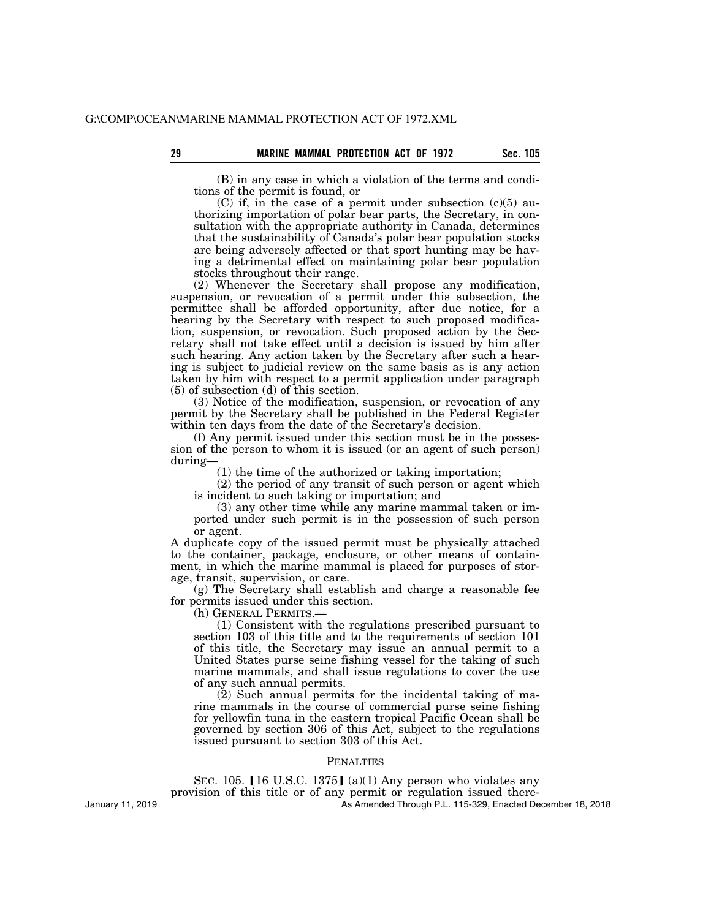(B) in any case in which a violation of the terms and conditions of the permit is found, or

(C) if, in the case of a permit under subsection (c)(5) authorizing importation of polar bear parts, the Secretary, in consultation with the appropriate authority in Canada, determines that the sustainability of Canada's polar bear population stocks are being adversely affected or that sport hunting may be having a detrimental effect on maintaining polar bear population stocks throughout their range.

(2) Whenever the Secretary shall propose any modification, suspension, or revocation of a permit under this subsection, the permittee shall be afforded opportunity, after due notice, for a hearing by the Secretary with respect to such proposed modification, suspension, or revocation. Such proposed action by the Secretary shall not take effect until a decision is issued by him after such hearing. Any action taken by the Secretary after such a hearing is subject to judicial review on the same basis as is any action taken by him with respect to a permit application under paragraph (5) of subsection (d) of this section.

(3) Notice of the modification, suspension, or revocation of any permit by the Secretary shall be published in the Federal Register within ten days from the date of the Secretary's decision.

(f) Any permit issued under this section must be in the possession of the person to whom it is issued (or an agent of such person) during—

(1) the time of the authorized or taking importation;

(2) the period of any transit of such person or agent which is incident to such taking or importation; and

(3) any other time while any marine mammal taken or imported under such permit is in the possession of such person or agent.

A duplicate copy of the issued permit must be physically attached to the container, package, enclosure, or other means of containment, in which the marine mammal is placed for purposes of storage, transit, supervision, or care.

(g) The Secretary shall establish and charge a reasonable fee for permits issued under this section.

(h) GENERAL PERMITS.—

(1) Consistent with the regulations prescribed pursuant to section 103 of this title and to the requirements of section 101 of this title, the Secretary may issue an annual permit to a United States purse seine fishing vessel for the taking of such marine mammals, and shall issue regulations to cover the use of any such annual permits.

(2) Such annual permits for the incidental taking of marine mammals in the course of commercial purse seine fishing for yellowfin tuna in the eastern tropical Pacific Ocean shall be governed by section 306 of this Act, subject to the regulations issued pursuant to section 303 of this Act.

#### **PENALTIES**

SEC. 105.  $[16 \text{ U.S.C. } 1375]$  (a)(1) Any person who violates any provision of this title or of any permit or regulation issued there-

As Amended Through P.L. 115-329, Enacted December 18, 2018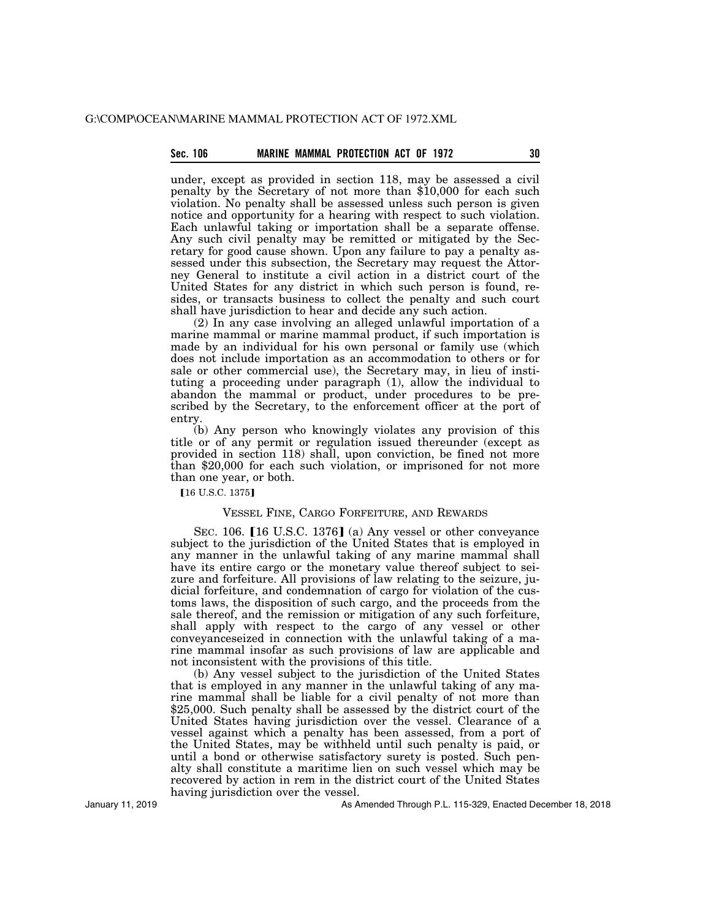## **Sec. 106 MARINE MAMMAL PROTECTION ACT OF 1972 30**

under, except as provided in section 118, may be assessed a civil penalty by the Secretary of not more than \$10,000 for each such violation. No penalty shall be assessed unless such person is given notice and opportunity for a hearing with respect to such violation. Each unlawful taking or importation shall be a separate offense. Any such civil penalty may be remitted or mitigated by the Secretary for good cause shown. Upon any failure to pay a penalty assessed under this subsection, the Secretary may request the Attorney General to institute a civil action in a district court of the United States for any district in which such person is found, resides, or transacts business to collect the penalty and such court shall have jurisdiction to hear and decide any such action.

(2) In any case involving an alleged unlawful importation of a marine mammal or marine mammal product, if such importation is made by an individual for his own personal or family use (which does not include importation as an accommodation to others or for sale or other commercial use), the Secretary may, in lieu of instituting a proceeding under paragraph (1), allow the individual to abandon the mammal or product, under procedures to be prescribed by the Secretary, to the enforcement officer at the port of entry.

(b) Any person who knowingly violates any provision of this title or of any permit or regulation issued thereunder (except as provided in section 118) shall, upon conviction, be fined not more than \$20,000 for each such violation, or imprisoned for not more than one year, or both.

[16 U.S.C. 1375]

## VESSEL FINE, CARGO FORFEITURE, AND REWARDS

SEC. 106.  $[16 \text{ U.S.C. } 1376]$  (a) Any vessel or other conveyance subject to the jurisdiction of the United States that is employed in any manner in the unlawful taking of any marine mammal shall have its entire cargo or the monetary value thereof subject to seizure and forfeiture. All provisions of law relating to the seizure, judicial forfeiture, and condemnation of cargo for violation of the customs laws, the disposition of such cargo, and the proceeds from the sale thereof, and the remission or mitigation of any such forfeiture, shall apply with respect to the cargo of any vessel or other conveyanceseized in connection with the unlawful taking of a marine mammal insofar as such provisions of law are applicable and not inconsistent with the provisions of this title.

(b) Any vessel subject to the jurisdiction of the United States that is employed in any manner in the unlawful taking of any marine mammal shall be liable for a civil penalty of not more than \$25,000. Such penalty shall be assessed by the district court of the United States having jurisdiction over the vessel. Clearance of a vessel against which a penalty has been assessed, from a port of the United States, may be withheld until such penalty is paid, or until a bond or otherwise satisfactory surety is posted. Such penalty shall constitute a maritime lien on such vessel which may be recovered by action in rem in the district court of the United States having jurisdiction over the vessel.

As Amended Through P.L. 115-329, Enacted December 18, 2018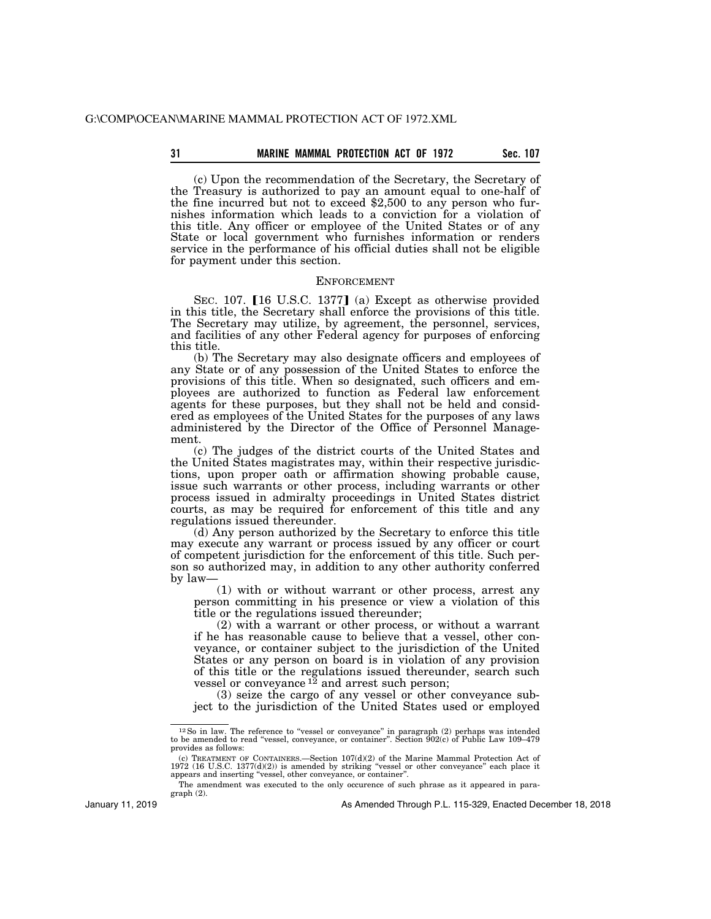## **31 MARINE MAMMAL PROTECTION ACT OF 1972** Sec. 107

(c) Upon the recommendation of the Secretary, the Secretary of the Treasury is authorized to pay an amount equal to one-half of the fine incurred but not to exceed \$2,500 to any person who furnishes information which leads to a conviction for a violation of this title. Any officer or employee of the United States or of any State or local government who furnishes information or renders service in the performance of his official duties shall not be eligible for payment under this section.

#### ENFORCEMENT

SEC. 107. [16 U.S.C. 1377] (a) Except as otherwise provided in this title, the Secretary shall enforce the provisions of this title. The Secretary may utilize, by agreement, the personnel, services, and facilities of any other Federal agency for purposes of enforcing this title.

(b) The Secretary may also designate officers and employees of any State or of any possession of the United States to enforce the provisions of this title. When so designated, such officers and employees are authorized to function as Federal law enforcement agents for these purposes, but they shall not be held and considered as employees of the United States for the purposes of any laws administered by the Director of the Office of Personnel Management.

(c) The judges of the district courts of the United States and the United States magistrates may, within their respective jurisdictions, upon proper oath or affirmation showing probable cause, issue such warrants or other process, including warrants or other process issued in admiralty proceedings in United States district courts, as may be required for enforcement of this title and any regulations issued thereunder.

(d) Any person authorized by the Secretary to enforce this title may execute any warrant or process issued by any officer or court of competent jurisdiction for the enforcement of this title. Such person so authorized may, in addition to any other authority conferred by law—

(1) with or without warrant or other process, arrest any person committing in his presence or view a violation of this title or the regulations issued thereunder;

(2) with a warrant or other process, or without a warrant if he has reasonable cause to believe that a vessel, other conveyance, or container subject to the jurisdiction of the United States or any person on board is in violation of any provision of this title or the regulations issued thereunder, search such vessel or conveyance  $1^2$  and arrest such person;

(3) seize the cargo of any vessel or other conveyance subject to the jurisdiction of the United States used or employed

January 11, 2019

 $12$  So in law. The reference to "vessel or conveyance" in paragraph (2) perhaps was intended to read "vessel, conveyance, or container". Section 902(c) of Public Law 109–479 provides as follows:

<sup>(</sup>c) TREATMENT OF CONTAINERS.—Section 107(d)(2) of the Marine Mammal Protection Act of 1972 (16 U.S.C. 1377(d)(2)) is amended by striking "vessel or other conveyance" each place it appears and inserting "vessel, other conveyance, or container".

The amendment was executed to the only occurence of such phrase as it appeared in paragraph (2).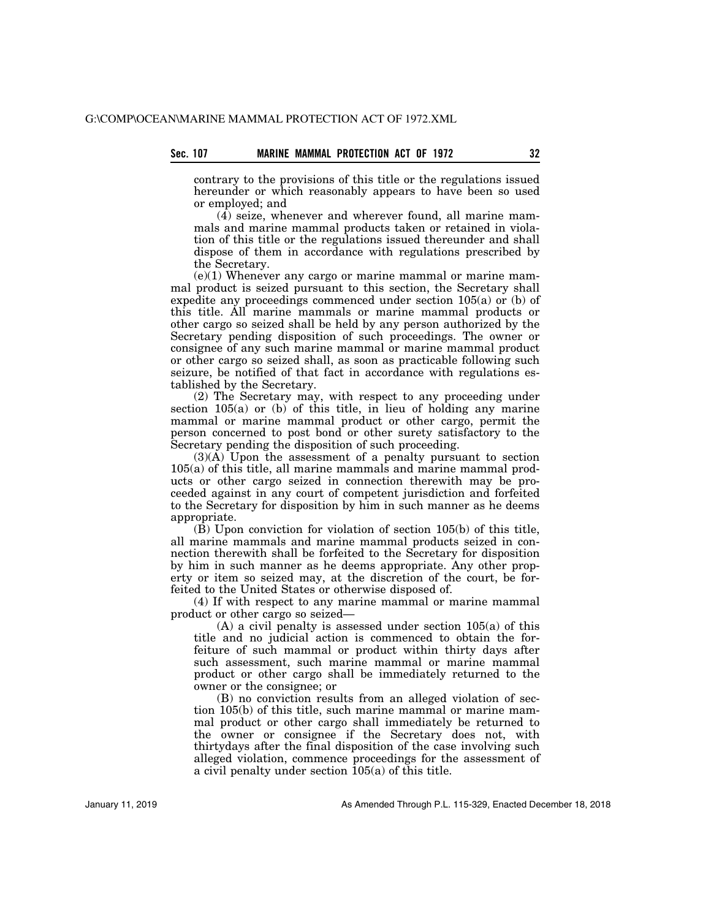# **Sec. 107 MARINE MAMMAL PROTECTION ACT OF 1972 32**

contrary to the provisions of this title or the regulations issued hereunder or which reasonably appears to have been so used or employed; and

 $(4)$  seize, whenever and wherever found, all marine mammals and marine mammal products taken or retained in violation of this title or the regulations issued thereunder and shall dispose of them in accordance with regulations prescribed by the Secretary.

 $(e)(1)$  Whenever any cargo or marine mammal or marine mammal product is seized pursuant to this section, the Secretary shall expedite any proceedings commenced under section 105(a) or (b) of this title. All marine mammals or marine mammal products or other cargo so seized shall be held by any person authorized by the Secretary pending disposition of such proceedings. The owner or consignee of any such marine mammal or marine mammal product or other cargo so seized shall, as soon as practicable following such seizure, be notified of that fact in accordance with regulations established by the Secretary.

(2) The Secretary may, with respect to any proceeding under section  $105(a)$  or (b) of this title, in lieu of holding any marine mammal or marine mammal product or other cargo, permit the person concerned to post bond or other surety satisfactory to the Secretary pending the disposition of such proceeding.

(3)(A) Upon the assessment of a penalty pursuant to section 105(a) of this title, all marine mammals and marine mammal products or other cargo seized in connection therewith may be proceeded against in any court of competent jurisdiction and forfeited to the Secretary for disposition by him in such manner as he deems appropriate.

(B) Upon conviction for violation of section 105(b) of this title, all marine mammals and marine mammal products seized in connection therewith shall be forfeited to the Secretary for disposition by him in such manner as he deems appropriate. Any other property or item so seized may, at the discretion of the court, be forfeited to the United States or otherwise disposed of.

(4) If with respect to any marine mammal or marine mammal product or other cargo so seized—

(A) a civil penalty is assessed under section 105(a) of this title and no judicial action is commenced to obtain the forfeiture of such mammal or product within thirty days after such assessment, such marine mammal or marine mammal product or other cargo shall be immediately returned to the owner or the consignee; or

(B) no conviction results from an alleged violation of section 105(b) of this title, such marine mammal or marine mammal product or other cargo shall immediately be returned to the owner or consignee if the Secretary does not, with thirtydays after the final disposition of the case involving such alleged violation, commence proceedings for the assessment of a civil penalty under section 105(a) of this title.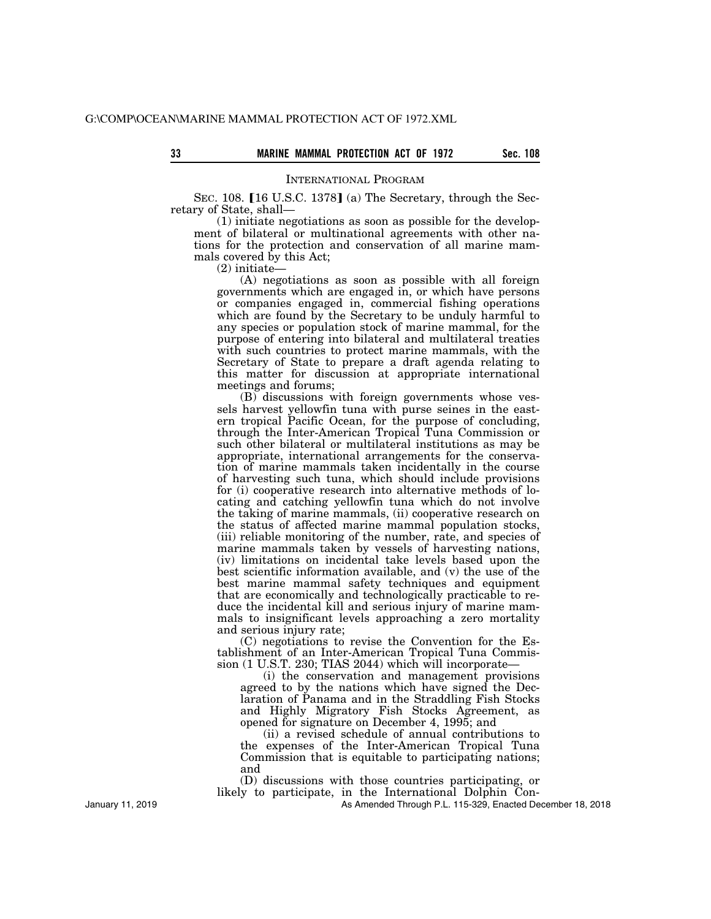## INTERNATIONAL PROGRAM

SEC. 108.  $[16 \text{ U.S.C. } 1378]$  (a) The Secretary, through the Secretary of State, shall—

(1) initiate negotiations as soon as possible for the development of bilateral or multinational agreements with other nations for the protection and conservation of all marine mammals covered by this Act;

(2) initiate—

(A) negotiations as soon as possible with all foreign governments which are engaged in, or which have persons or companies engaged in, commercial fishing operations which are found by the Secretary to be unduly harmful to any species or population stock of marine mammal, for the purpose of entering into bilateral and multilateral treaties with such countries to protect marine mammals, with the Secretary of State to prepare a draft agenda relating to this matter for discussion at appropriate international meetings and forums;

(B) discussions with foreign governments whose vessels harvest yellowfin tuna with purse seines in the eastern tropical Pacific Ocean, for the purpose of concluding, through the Inter-American Tropical Tuna Commission or such other bilateral or multilateral institutions as may be appropriate, international arrangements for the conservation of marine mammals taken incidentally in the course of harvesting such tuna, which should include provisions for (i) cooperative research into alternative methods of locating and catching yellowfin tuna which do not involve the taking of marine mammals, (ii) cooperative research on the status of affected marine mammal population stocks, (iii) reliable monitoring of the number, rate, and species of marine mammals taken by vessels of harvesting nations, (iv) limitations on incidental take levels based upon the best scientific information available, and (v) the use of the best marine mammal safety techniques and equipment that are economically and technologically practicable to reduce the incidental kill and serious injury of marine mammals to insignificant levels approaching a zero mortality and serious injury rate;

(C) negotiations to revise the Convention for the Establishment of an Inter-American Tropical Tuna Commission (1 U.S.T. 230; TIAS 2044) which will incorporate—

(i) the conservation and management provisions agreed to by the nations which have signed the Declaration of Panama and in the Straddling Fish Stocks and Highly Migratory Fish Stocks Agreement, as opened for signature on December 4, 1995; and

(ii) a revised schedule of annual contributions to the expenses of the Inter-American Tropical Tuna Commission that is equitable to participating nations; and

(D) discussions with those countries participating, or likely to participate, in the International Dolphin Con-

As Amended Through P.L. 115-329, Enacted December 18, 2018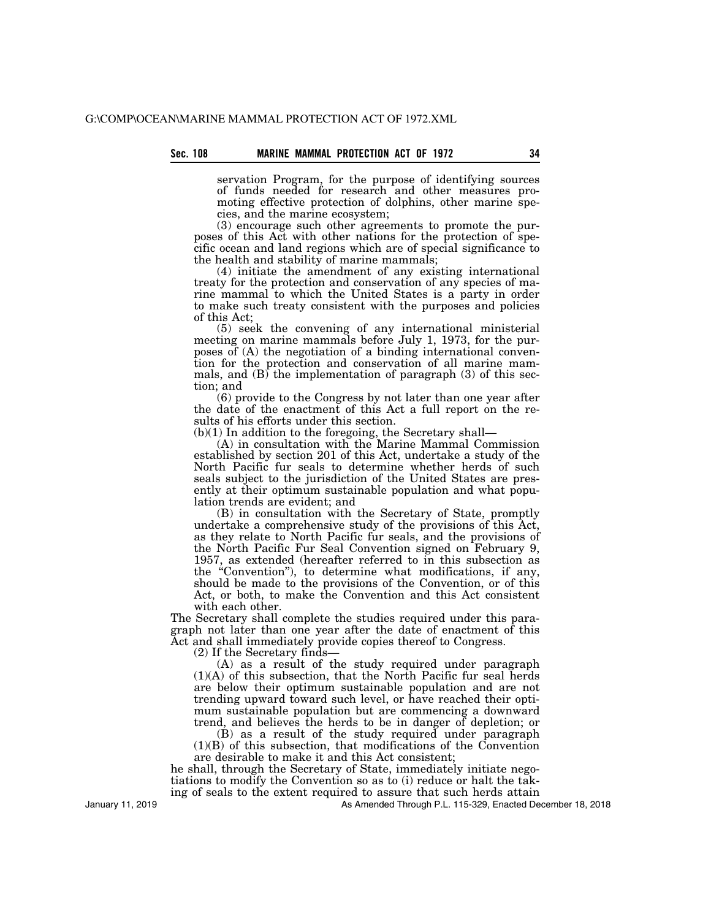### **Sec. 108 MARINE MAMMAL PROTECTION ACT OF 1972 34**

servation Program, for the purpose of identifying sources of funds needed for research and other measures promoting effective protection of dolphins, other marine species, and the marine ecosystem;

(3) encourage such other agreements to promote the purposes of this Act with other nations for the protection of specific ocean and land regions which are of special significance to the health and stability of marine mammals;

(4) initiate the amendment of any existing international treaty for the protection and conservation of any species of marine mammal to which the United States is a party in order to make such treaty consistent with the purposes and policies of this Act;

(5) seek the convening of any international ministerial meeting on marine mammals before July 1, 1973, for the purposes of (A) the negotiation of a binding international convention for the protection and conservation of all marine mammals, and  $(B)$  the implementation of paragraph  $(3)$  of this section; and

(6) provide to the Congress by not later than one year after the date of the enactment of this Act a full report on the results of his efforts under this section.

(b)(1) In addition to the foregoing, the Secretary shall—

(A) in consultation with the Marine Mammal Commission established by section 201 of this Act, undertake a study of the North Pacific fur seals to determine whether herds of such seals subject to the jurisdiction of the United States are presently at their optimum sustainable population and what population trends are evident; and

(B) in consultation with the Secretary of State, promptly undertake a comprehensive study of the provisions of this Act, as they relate to North Pacific fur seals, and the provisions of the North Pacific Fur Seal Convention signed on February 9, 1957, as extended (hereafter referred to in this subsection as the ''Convention''), to determine what modifications, if any, should be made to the provisions of the Convention, or of this Act, or both, to make the Convention and this Act consistent with each other.

The Secretary shall complete the studies required under this paragraph not later than one year after the date of enactment of this Act and shall immediately provide copies thereof to Congress.

(2) If the Secretary finds—

(A) as a result of the study required under paragraph (1)(A) of this subsection, that the North Pacific fur seal herds are below their optimum sustainable population and are not trending upward toward such level, or have reached their optimum sustainable population but are commencing a downward trend, and believes the herds to be in danger of depletion; or

(B) as a result of the study required under paragraph (1)(B) of this subsection, that modifications of the Convention are desirable to make it and this Act consistent;

he shall, through the Secretary of State, immediately initiate negotiations to modify the Convention so as to (i) reduce or halt the taking of seals to the extent required to assure that such herds attain

As Amended Through P.L. 115-329, Enacted December 18, 2018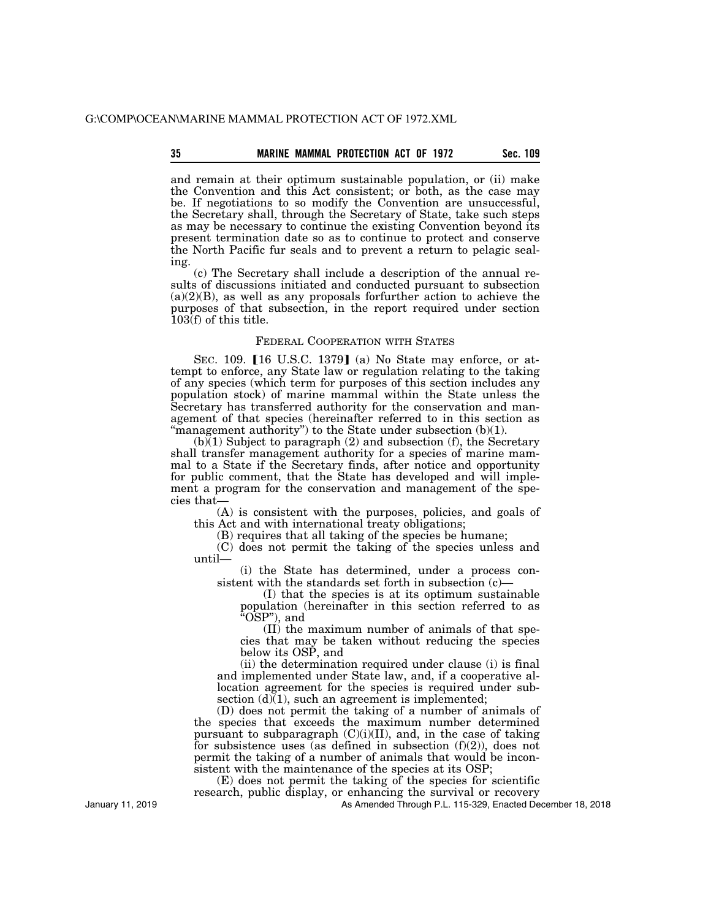and remain at their optimum sustainable population, or (ii) make the Convention and this Act consistent; or both, as the case may be. If negotiations to so modify the Convention are unsuccessful, the Secretary shall, through the Secretary of State, take such steps as may be necessary to continue the existing Convention beyond its present termination date so as to continue to protect and conserve the North Pacific fur seals and to prevent a return to pelagic sealing.

(c) The Secretary shall include a description of the annual results of discussions initiated and conducted pursuant to subsection  $(a)(2)(B)$ , as well as any proposals for further action to achieve the purposes of that subsection, in the report required under section 103(f) of this title.

#### FEDERAL COOPERATION WITH STATES

SEC. 109.  $[16 \text{ U.S.C. } 1379]$  (a) No State may enforce, or attempt to enforce, any State law or regulation relating to the taking of any species (which term for purposes of this section includes any population stock) of marine mammal within the State unless the Secretary has transferred authority for the conservation and management of that species (hereinafter referred to in this section as "management authority") to the State under subsection  $(b)(1)$ .

 $(b)$ (1) Subject to paragraph (2) and subsection (f), the Secretary shall transfer management authority for a species of marine mammal to a State if the Secretary finds, after notice and opportunity for public comment, that the State has developed and will implement a program for the conservation and management of the species that—

(A) is consistent with the purposes, policies, and goals of this Act and with international treaty obligations;

(B) requires that all taking of the species be humane;

(C) does not permit the taking of the species unless and until—

(i) the State has determined, under a process consistent with the standards set forth in subsection (c)—

(I) that the species is at its optimum sustainable population (hereinafter in this section referred to as ''OSP''), and

(II) the maximum number of animals of that species that may be taken without reducing the species below its OSP, and

(ii) the determination required under clause (i) is final and implemented under State law, and, if a cooperative allocation agreement for the species is required under subsection  $(d)(1)$ , such an agreement is implemented;

(D) does not permit the taking of a number of animals of the species that exceeds the maximum number determined pursuant to subparagraph  $(C)(i)(II)$ , and, in the case of taking for subsistence uses (as defined in subsection  $(f)(2)$ ), does not permit the taking of a number of animals that would be inconsistent with the maintenance of the species at its OSP;

(E) does not permit the taking of the species for scientific research, public display, or enhancing the survival or recovery

As Amended Through P.L. 115-329, Enacted December 18, 2018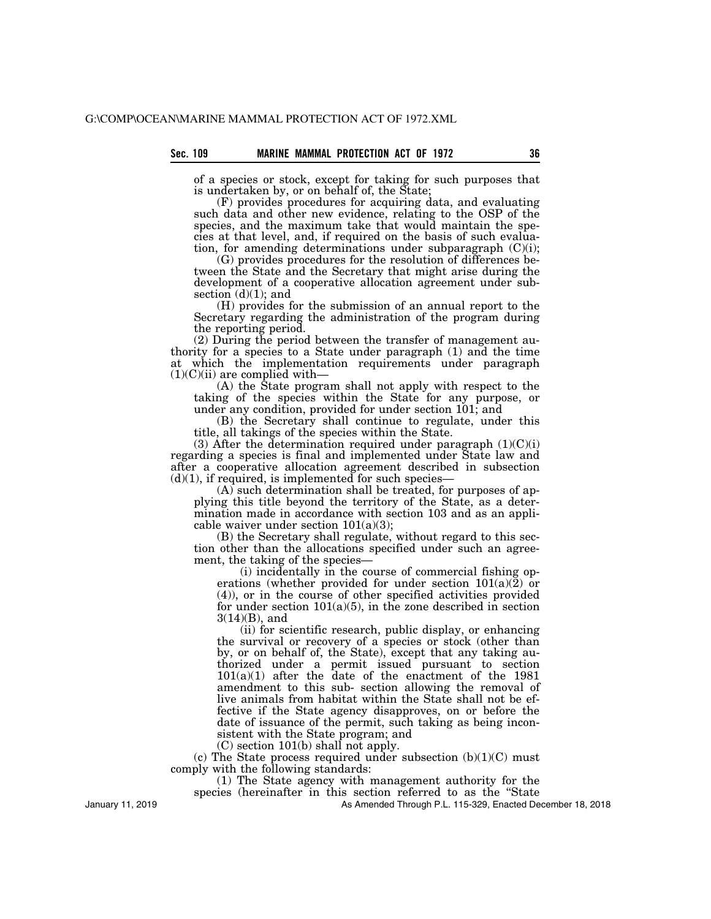## **Sec. 109 MARINE MAMMAL PROTECTION ACT OF 1972 36**

of a species or stock, except for taking for such purposes that is undertaken by, or on behalf of, the State;

(F) provides procedures for acquiring data, and evaluating such data and other new evidence, relating to the OSP of the species, and the maximum take that would maintain the species at that level, and, if required on the basis of such evaluation, for amending determinations under subparagraph  $(C)(i)$ ;

(G) provides procedures for the resolution of differences between the State and the Secretary that might arise during the development of a cooperative allocation agreement under subsection  $(d)(1)$ ; and

(H) provides for the submission of an annual report to the Secretary regarding the administration of the program during the reporting period.

(2) During the period between the transfer of management authority for a species to a State under paragraph (1) and the time at which the implementation requirements under paragraph  $(1)(C)(ii)$  are complied with—

(A) the State program shall not apply with respect to the taking of the species within the State for any purpose, or under any condition, provided for under section 101; and

(B) the Secretary shall continue to regulate, under this title, all takings of the species within the State.

(3) After the determination required under paragraph  $(1)(C)(i)$ regarding a species is final and implemented under State law and after a cooperative allocation agreement described in subsection  $(d)(1)$ , if required, is implemented for such species—

(A) such determination shall be treated, for purposes of applying this title beyond the territory of the State, as a determination made in accordance with section 103 and as an applicable waiver under section  $101(a)(3)$ ;

(B) the Secretary shall regulate, without regard to this section other than the allocations specified under such an agreement, the taking of the species—

(i) incidentally in the course of commercial fishing operations (whether provided for under section  $101(a)(2)$  or (4)), or in the course of other specified activities provided for under section  $101(a)(5)$ , in the zone described in section 3(14)(B), and

(ii) for scientific research, public display, or enhancing the survival or recovery of a species or stock (other than by, or on behalf of, the State), except that any taking authorized under a permit issued pursuant to section 101(a)(1) after the date of the enactment of the 1981 amendment to this sub- section allowing the removal of live animals from habitat within the State shall not be effective if the State agency disapproves, on or before the date of issuance of the permit, such taking as being inconsistent with the State program; and  $(C)$  section 101(b) shall not apply.

(c) The State process required under subsection  $(b)(1)(C)$  must comply with the following standards:

(1) The State agency with management authority for the species (hereinafter in this section referred to as the ''State

As Amended Through P.L. 115-329, Enacted December 18, 2018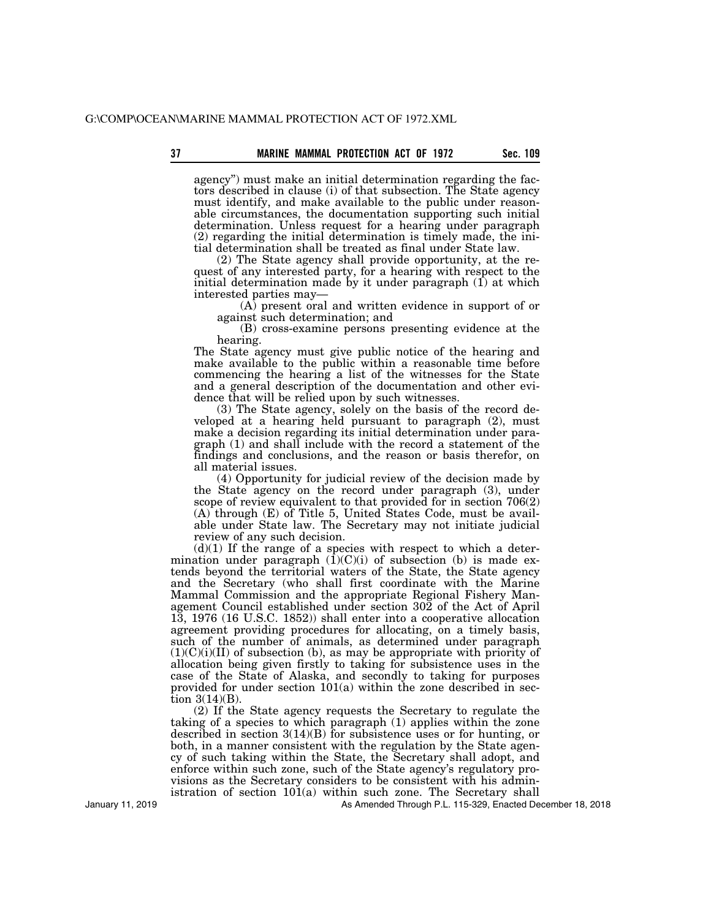agency'') must make an initial determination regarding the factors described in clause (i) of that subsection. The State agency must identify, and make available to the public under reasonable circumstances, the documentation supporting such initial determination. Unless request for a hearing under paragraph (2) regarding the initial determination is timely made, the initial determination shall be treated as final under State law.

(2) The State agency shall provide opportunity, at the request of any interested party, for a hearing with respect to the initial determination made by it under paragraph  $(1)$  at which interested parties may—

(A) present oral and written evidence in support of or against such determination; and

(B) cross-examine persons presenting evidence at the hearing.

The State agency must give public notice of the hearing and make available to the public within a reasonable time before commencing the hearing a list of the witnesses for the State and a general description of the documentation and other evidence that will be relied upon by such witnesses.

(3) The State agency, solely on the basis of the record developed at a hearing held pursuant to paragraph (2), must make a decision regarding its initial determination under paragraph (1) and shall include with the record a statement of the findings and conclusions, and the reason or basis therefor, on all material issues.

(4) Opportunity for judicial review of the decision made by the State agency on the record under paragraph (3), under scope of review equivalent to that provided for in section 706(2) (A) through (E) of Title 5, United States Code, must be available under State law. The Secretary may not initiate judicial review of any such decision.

 $(d)(1)$  If the range of a species with respect to which a determination under paragraph  $(\overline{1})(C)(i)$  of subsection (b) is made extends beyond the territorial waters of the State, the State agency and the Secretary (who shall first coordinate with the Marine Mammal Commission and the appropriate Regional Fishery Management Council established under section 302 of the Act of April 13, 1976 (16 U.S.C. 1852)) shall enter into a cooperative allocation agreement providing procedures for allocating, on a timely basis, such of the number of animals, as determined under paragraph  $(1)(C)(i)(II)$  of subsection (b), as may be appropriate with priority of allocation being given firstly to taking for subsistence uses in the case of the State of Alaska, and secondly to taking for purposes provided for under section 101(a) within the zone described in section  $3(14)(B)$ .

(2) If the State agency requests the Secretary to regulate the taking of a species to which paragraph (1) applies within the zone described in section 3(14)(B) for subsistence uses or for hunting, or both, in a manner consistent with the regulation by the State agency of such taking within the State, the Secretary shall adopt, and enforce within such zone, such of the State agency's regulatory provisions as the Secretary considers to be consistent with his administration of section 101(a) within such zone. The Secretary shall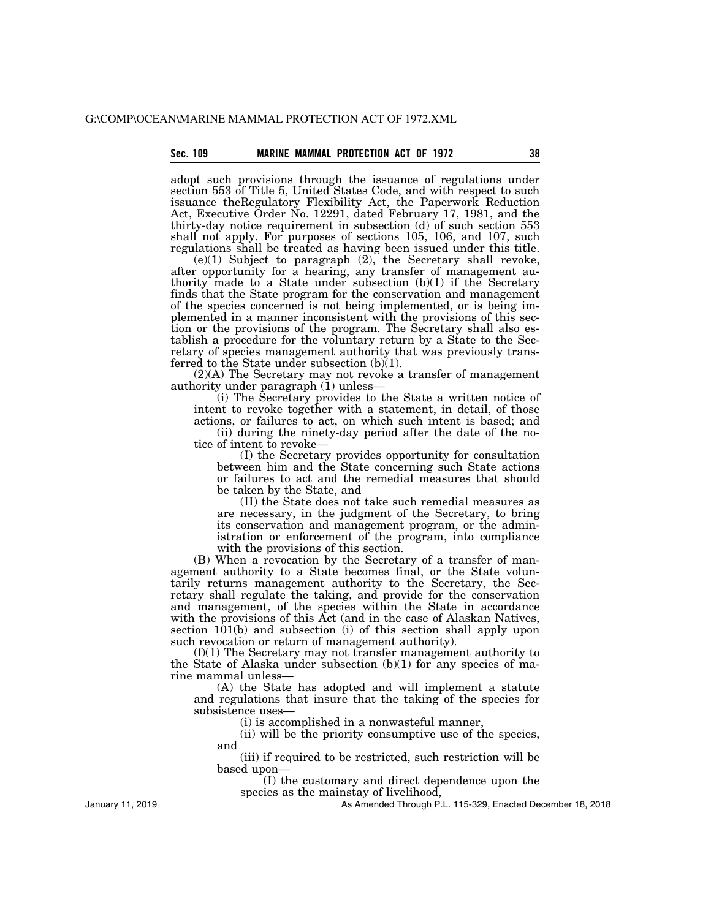## **Sec. 109 MARINE MAMMAL PROTECTION ACT OF 1972 38**

adopt such provisions through the issuance of regulations under section 553 of Title 5, United States Code, and with respect to such issuance theRegulatory Flexibility Act, the Paperwork Reduction Act, Executive Order No. 12291, dated February 17, 1981, and the thirty-day notice requirement in subsection (d) of such section 553 shall not apply. For purposes of sections 105, 106, and 107, such regulations shall be treated as having been issued under this title.

 $(e)(1)$  Subject to paragraph  $(2)$ , the Secretary shall revoke, after opportunity for a hearing, any transfer of management authority made to a State under subsection  $(b)(1)$  if the Secretary finds that the State program for the conservation and management of the species concerned is not being implemented, or is being implemented in a manner inconsistent with the provisions of this section or the provisions of the program. The Secretary shall also establish a procedure for the voluntary return by a State to the Secretary of species management authority that was previously transferred to the State under subsection (b)(1).

(2)(A) The Secretary may not revoke a transfer of management authority under paragraph (1) unless—

(i) The Secretary provides to the State a written notice of intent to revoke together with a statement, in detail, of those actions, or failures to act, on which such intent is based; and

(ii) during the ninety-day period after the date of the notice of intent to revoke—

(I) the Secretary provides opportunity for consultation between him and the State concerning such State actions or failures to act and the remedial measures that should be taken by the State, and

(II) the State does not take such remedial measures as are necessary, in the judgment of the Secretary, to bring its conservation and management program, or the administration or enforcement of the program, into compliance with the provisions of this section.

(B) When a revocation by the Secretary of a transfer of management authority to a State becomes final, or the State voluntarily returns management authority to the Secretary, the Secretary shall regulate the taking, and provide for the conservation and management, of the species within the State in accordance with the provisions of this Act (and in the case of Alaskan Natives, section  $101(b)$  and subsection (i) of this section shall apply upon such revocation or return of management authority).

(f)(1) The Secretary may not transfer management authority to the State of Alaska under subsection  $(b)(1)$  for any species of marine mammal unless—

(A) the State has adopted and will implement a statute and regulations that insure that the taking of the species for subsistence uses—

(i) is accomplished in a nonwasteful manner,

(ii) will be the priority consumptive use of the species, and

(iii) if required to be restricted, such restriction will be based upon—

(I) the customary and direct dependence upon the species as the mainstay of livelihood,

As Amended Through P.L. 115-329, Enacted December 18, 2018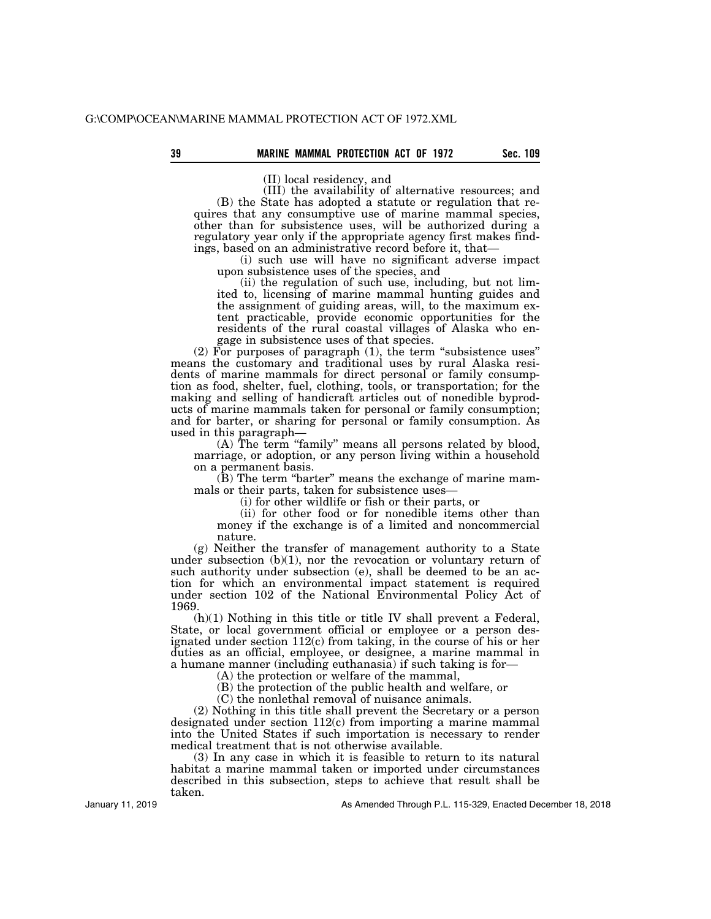(II) local residency, and

(III) the availability of alternative resources; and (B) the State has adopted a statute or regulation that requires that any consumptive use of marine mammal species, other than for subsistence uses, will be authorized during a regulatory year only if the appropriate agency first makes findings, based on an administrative record before it, that—

(i) such use will have no significant adverse impact upon subsistence uses of the species, and

(ii) the regulation of such use, including, but not limited to, licensing of marine mammal hunting guides and the assignment of guiding areas, will, to the maximum extent practicable, provide economic opportunities for the residents of the rural coastal villages of Alaska who engage in subsistence uses of that species.

(2) For purposes of paragraph (1), the term ''subsistence uses'' means the customary and traditional uses by rural Alaska residents of marine mammals for direct personal or family consumption as food, shelter, fuel, clothing, tools, or transportation; for the making and selling of handicraft articles out of nonedible byproducts of marine mammals taken for personal or family consumption; and for barter, or sharing for personal or family consumption. As used in this paragraph—

(A) The term "family" means all persons related by blood, marriage, or adoption, or any person living within a household on a permanent basis.

(B) The term "barter" means the exchange of marine mammals or their parts, taken for subsistence uses—

(i) for other wildlife or fish or their parts, or

(ii) for other food or for nonedible items other than money if the exchange is of a limited and noncommercial nature.

(g) Neither the transfer of management authority to a State under subsection  $(b)(1)$ , nor the revocation or voluntary return of such authority under subsection (e), shall be deemed to be an action for which an environmental impact statement is required under section 102 of the National Environmental Policy Act of 1969.

(h)(1) Nothing in this title or title IV shall prevent a Federal, State, or local government official or employee or a person designated under section 112(c) from taking, in the course of his or her duties as an official, employee, or designee, a marine mammal in a humane manner (including euthanasia) if such taking is for—

(A) the protection or welfare of the mammal,

(B) the protection of the public health and welfare, or

(C) the nonlethal removal of nuisance animals.

(2) Nothing in this title shall prevent the Secretary or a person designated under section 112(c) from importing a marine mammal into the United States if such importation is necessary to render medical treatment that is not otherwise available.

(3) In any case in which it is feasible to return to its natural habitat a marine mammal taken or imported under circumstances described in this subsection, steps to achieve that result shall be taken.

January 11, 2019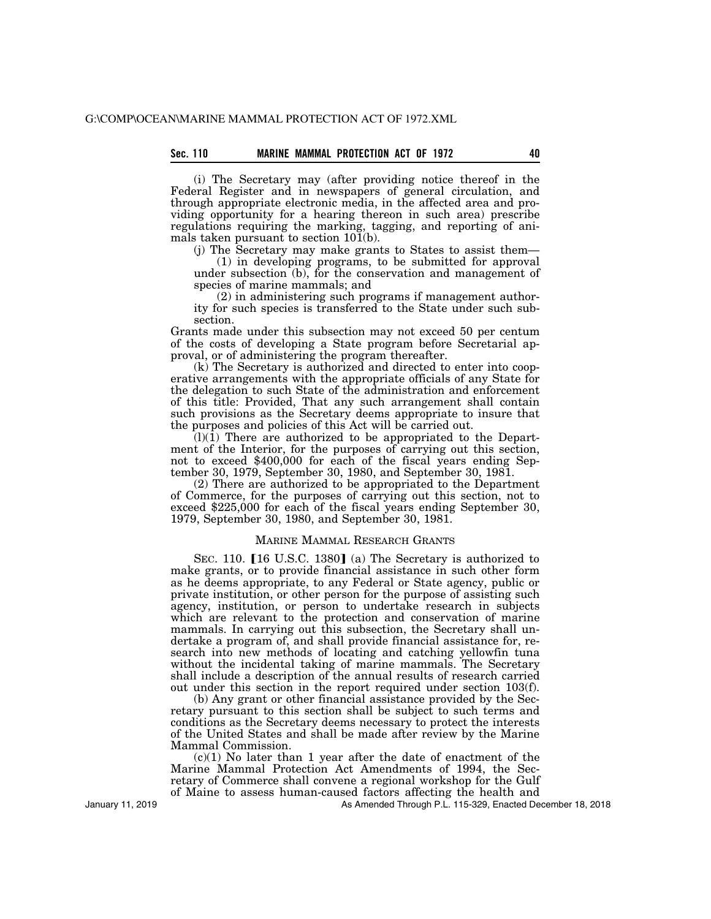#### **Sec. 110 MARINE MAMMAL PROTECTION ACT OF 1972 40**

(i) The Secretary may (after providing notice thereof in the Federal Register and in newspapers of general circulation, and through appropriate electronic media, in the affected area and providing opportunity for a hearing thereon in such area) prescribe regulations requiring the marking, tagging, and reporting of animals taken pursuant to section 101(b).

(j) The Secretary may make grants to States to assist them—

(1) in developing programs, to be submitted for approval under subsection (b), for the conservation and management of species of marine mammals; and

(2) in administering such programs if management authority for such species is transferred to the State under such subsection.

Grants made under this subsection may not exceed 50 per centum of the costs of developing a State program before Secretarial approval, or of administering the program thereafter.

(k) The Secretary is authorized and directed to enter into cooperative arrangements with the appropriate officials of any State for the delegation to such State of the administration and enforcement of this title: Provided, That any such arrangement shall contain such provisions as the Secretary deems appropriate to insure that the purposes and policies of this Act will be carried out.

(l)(1) There are authorized to be appropriated to the Department of the Interior, for the purposes of carrying out this section, not to exceed \$400,000 for each of the fiscal years ending September 30, 1979, September 30, 1980, and September 30, 1981.

(2) There are authorized to be appropriated to the Department of Commerce, for the purposes of carrying out this section, not to exceed \$225,000 for each of the fiscal years ending September 30, 1979, September 30, 1980, and September 30, 1981.

#### MARINE MAMMAL RESEARCH GRANTS

SEC. 110.  $[16 \text{ U.S.C. } 1380]$  (a) The Secretary is authorized to make grants, or to provide financial assistance in such other form as he deems appropriate, to any Federal or State agency, public or private institution, or other person for the purpose of assisting such agency, institution, or person to undertake research in subjects which are relevant to the protection and conservation of marine mammals. In carrying out this subsection, the Secretary shall undertake a program of, and shall provide financial assistance for, research into new methods of locating and catching yellowfin tuna without the incidental taking of marine mammals. The Secretary shall include a description of the annual results of research carried out under this section in the report required under section 103(f).

(b) Any grant or other financial assistance provided by the Secretary pursuant to this section shall be subject to such terms and conditions as the Secretary deems necessary to protect the interests of the United States and shall be made after review by the Marine Mammal Commission.

(c)(1) No later than 1 year after the date of enactment of the Marine Mammal Protection Act Amendments of 1994, the Secretary of Commerce shall convene a regional workshop for the Gulf of Maine to assess human-caused factors affecting the health and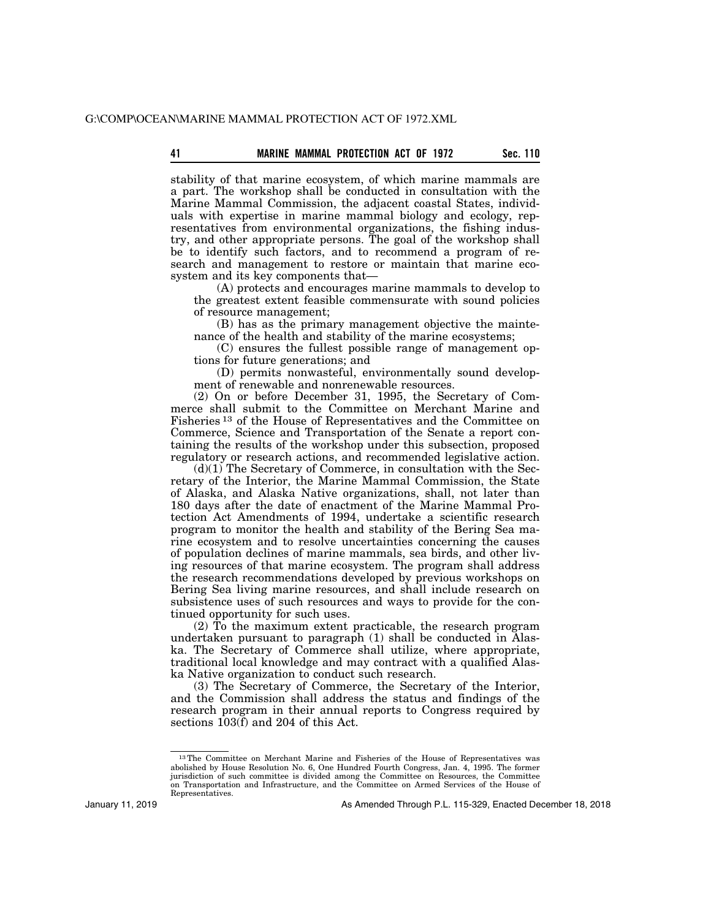stability of that marine ecosystem, of which marine mammals are a part. The workshop shall be conducted in consultation with the Marine Mammal Commission, the adjacent coastal States, individuals with expertise in marine mammal biology and ecology, representatives from environmental organizations, the fishing industry, and other appropriate persons. The goal of the workshop shall be to identify such factors, and to recommend a program of research and management to restore or maintain that marine ecosystem and its key components that—

(A) protects and encourages marine mammals to develop to the greatest extent feasible commensurate with sound policies of resource management;

(B) has as the primary management objective the maintenance of the health and stability of the marine ecosystems;

(C) ensures the fullest possible range of management options for future generations; and

(D) permits nonwasteful, environmentally sound development of renewable and nonrenewable resources.

(2) On or before December 31, 1995, the Secretary of Commerce shall submit to the Committee on Merchant Marine and Fisheries 13 of the House of Representatives and the Committee on Commerce, Science and Transportation of the Senate a report containing the results of the workshop under this subsection, proposed regulatory or research actions, and recommended legislative action.

 $(d)(1)$  The Secretary of Commerce, in consultation with the Secretary of the Interior, the Marine Mammal Commission, the State of Alaska, and Alaska Native organizations, shall, not later than 180 days after the date of enactment of the Marine Mammal Protection Act Amendments of 1994, undertake a scientific research program to monitor the health and stability of the Bering Sea marine ecosystem and to resolve uncertainties concerning the causes of population declines of marine mammals, sea birds, and other living resources of that marine ecosystem. The program shall address the research recommendations developed by previous workshops on Bering Sea living marine resources, and shall include research on subsistence uses of such resources and ways to provide for the continued opportunity for such uses.

(2) To the maximum extent practicable, the research program undertaken pursuant to paragraph (1) shall be conducted in Alaska. The Secretary of Commerce shall utilize, where appropriate, traditional local knowledge and may contract with a qualified Alaska Native organization to conduct such research.

(3) The Secretary of Commerce, the Secretary of the Interior, and the Commission shall address the status and findings of the research program in their annual reports to Congress required by sections 103(f) and 204 of this Act.

<sup>13</sup>The Committee on Merchant Marine and Fisheries of the House of Representatives was abolished by House Resolution No. 6, One Hundred Fourth Congress, Jan. 4, 1995. The former jurisdiction of such committee is divided among the Committee on Resources, the Committee on Transportation and Infrastructure, and the Committee on Armed Services of the House of Representatives.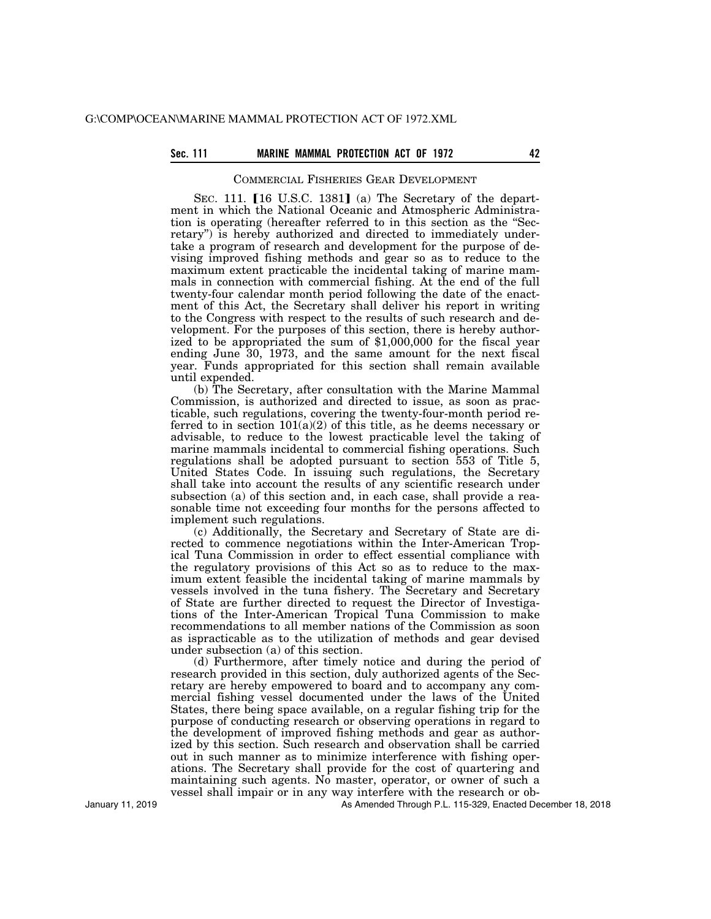## **Sec. 111 MARINE MAMMAL PROTECTION ACT OF 1972 42**

#### COMMERCIAL FISHERIES GEAR DEVELOPMENT

SEC. 111.  $[16 \text{ U.S.C. } 1381]$  (a) The Secretary of the department in which the National Oceanic and Atmospheric Administration is operating (hereafter referred to in this section as the ''Secretary'') is hereby authorized and directed to immediately undertake a program of research and development for the purpose of devising improved fishing methods and gear so as to reduce to the maximum extent practicable the incidental taking of marine mammals in connection with commercial fishing. At the end of the full twenty-four calendar month period following the date of the enactment of this Act, the Secretary shall deliver his report in writing to the Congress with respect to the results of such research and development. For the purposes of this section, there is hereby authorized to be appropriated the sum of \$1,000,000 for the fiscal year ending June 30, 1973, and the same amount for the next fiscal year. Funds appropriated for this section shall remain available until expended.

(b) The Secretary, after consultation with the Marine Mammal Commission, is authorized and directed to issue, as soon as practicable, such regulations, covering the twenty-four-month period referred to in section  $101(a)(2)$  of this title, as he deems necessary or advisable, to reduce to the lowest practicable level the taking of marine mammals incidental to commercial fishing operations. Such regulations shall be adopted pursuant to section 553 of Title 5, United States Code. In issuing such regulations, the Secretary shall take into account the results of any scientific research under subsection (a) of this section and, in each case, shall provide a reasonable time not exceeding four months for the persons affected to implement such regulations.

(c) Additionally, the Secretary and Secretary of State are directed to commence negotiations within the Inter-American Tropical Tuna Commission in order to effect essential compliance with the regulatory provisions of this Act so as to reduce to the maximum extent feasible the incidental taking of marine mammals by vessels involved in the tuna fishery. The Secretary and Secretary of State are further directed to request the Director of Investigations of the Inter-American Tropical Tuna Commission to make recommendations to all member nations of the Commission as soon as ispracticable as to the utilization of methods and gear devised under subsection (a) of this section.

(d) Furthermore, after timely notice and during the period of research provided in this section, duly authorized agents of the Secretary are hereby empowered to board and to accompany any commercial fishing vessel documented under the laws of the United States, there being space available, on a regular fishing trip for the purpose of conducting research or observing operations in regard to the development of improved fishing methods and gear as authorized by this section. Such research and observation shall be carried out in such manner as to minimize interference with fishing operations. The Secretary shall provide for the cost of quartering and maintaining such agents. No master, operator, or owner of such a vessel shall impair or in any way interfere with the research or ob-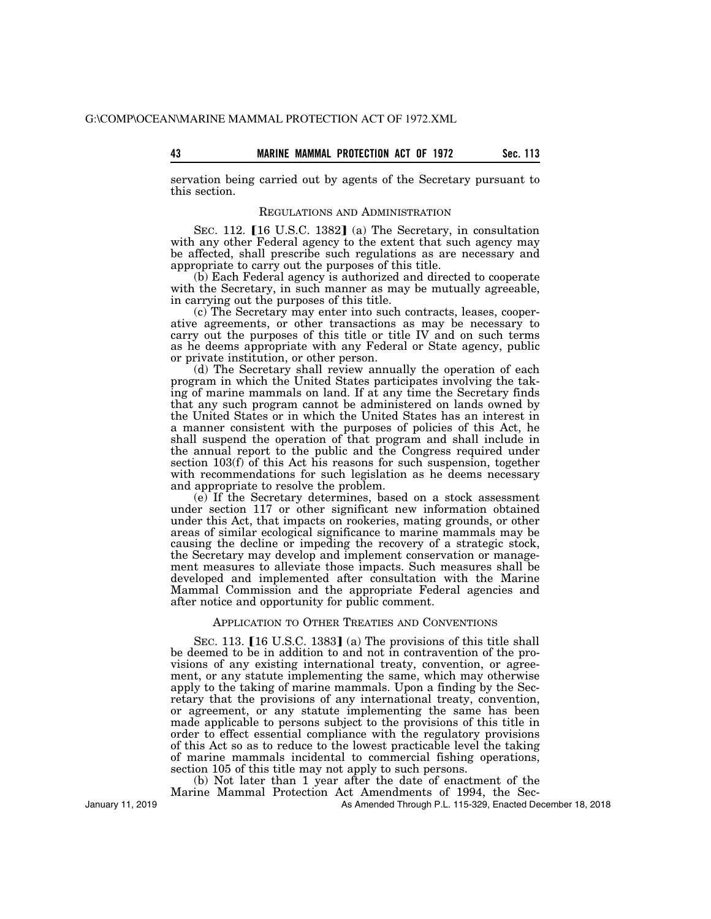servation being carried out by agents of the Secretary pursuant to this section.

#### REGULATIONS AND ADMINISTRATION

SEC. 112. [16 U.S.C. 1382] (a) The Secretary, in consultation with any other Federal agency to the extent that such agency may be affected, shall prescribe such regulations as are necessary and appropriate to carry out the purposes of this title.

(b) Each Federal agency is authorized and directed to cooperate with the Secretary, in such manner as may be mutually agreeable, in carrying out the purposes of this title.

(c) The Secretary may enter into such contracts, leases, cooperative agreements, or other transactions as may be necessary to carry out the purposes of this title or title IV and on such terms as he deems appropriate with any Federal or State agency, public or private institution, or other person.

(d) The Secretary shall review annually the operation of each program in which the United States participates involving the taking of marine mammals on land. If at any time the Secretary finds that any such program cannot be administered on lands owned by the United States or in which the United States has an interest in a manner consistent with the purposes of policies of this Act, he shall suspend the operation of that program and shall include in the annual report to the public and the Congress required under section 103(f) of this Act his reasons for such suspension, together with recommendations for such legislation as he deems necessary and appropriate to resolve the problem.

(e) If the Secretary determines, based on a stock assessment under section 117 or other significant new information obtained under this Act, that impacts on rookeries, mating grounds, or other areas of similar ecological significance to marine mammals may be causing the decline or impeding the recovery of a strategic stock, the Secretary may develop and implement conservation or management measures to alleviate those impacts. Such measures shall be developed and implemented after consultation with the Marine Mammal Commission and the appropriate Federal agencies and after notice and opportunity for public comment.

#### APPLICATION TO OTHER TREATIES AND CONVENTIONS

SEC. 113.  $[16 \text{ U.S.C. } 1383]$  (a) The provisions of this title shall be deemed to be in addition to and not in contravention of the provisions of any existing international treaty, convention, or agreement, or any statute implementing the same, which may otherwise apply to the taking of marine mammals. Upon a finding by the Secretary that the provisions of any international treaty, convention, or agreement, or any statute implementing the same has been made applicable to persons subject to the provisions of this title in order to effect essential compliance with the regulatory provisions of this Act so as to reduce to the lowest practicable level the taking of marine mammals incidental to commercial fishing operations, section 105 of this title may not apply to such persons.

(b) Not later than 1 year after the date of enactment of the Marine Mammal Protection Act Amendments of 1994, the Sec-

As Amended Through P.L. 115-329, Enacted December 18, 2018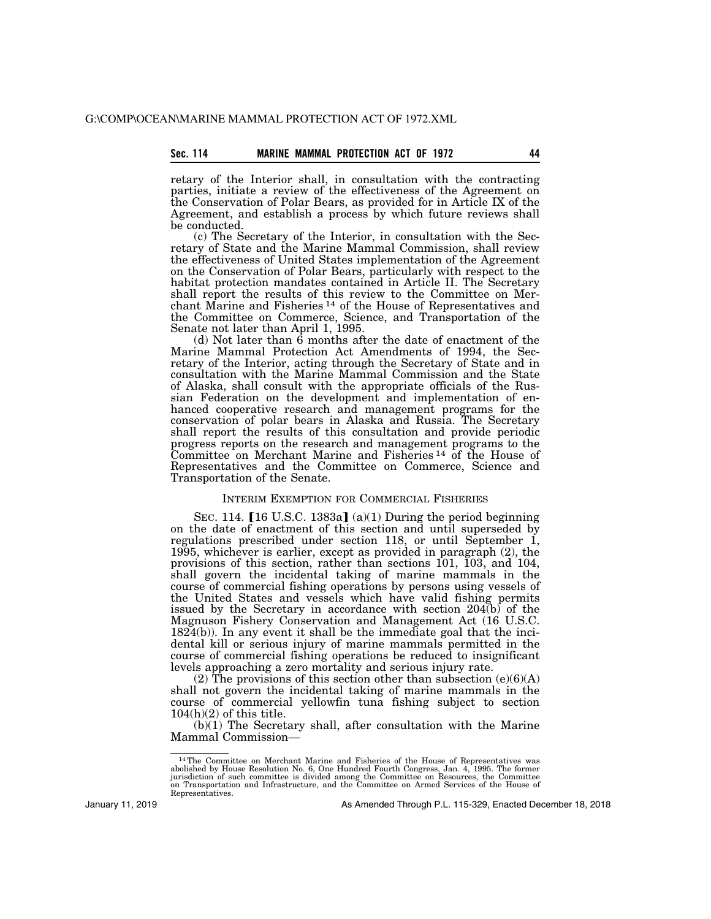## **Sec. 114 MARINE MAMMAL PROTECTION ACT OF 1972 44**

retary of the Interior shall, in consultation with the contracting parties, initiate a review of the effectiveness of the Agreement on the Conservation of Polar Bears, as provided for in Article IX of the Agreement, and establish a process by which future reviews shall be conducted.

(c) The Secretary of the Interior, in consultation with the Secretary of State and the Marine Mammal Commission, shall review the effectiveness of United States implementation of the Agreement on the Conservation of Polar Bears, particularly with respect to the habitat protection mandates contained in Article II. The Secretary shall report the results of this review to the Committee on Merchant Marine and Fisheries 14 of the House of Representatives and the Committee on Commerce, Science, and Transportation of the Senate not later than April 1, 1995.

(d) Not later than 6 months after the date of enactment of the Marine Mammal Protection Act Amendments of 1994, the Secretary of the Interior, acting through the Secretary of State and in consultation with the Marine Mammal Commission and the State of Alaska, shall consult with the appropriate officials of the Russian Federation on the development and implementation of enhanced cooperative research and management programs for the conservation of polar bears in Alaska and Russia. The Secretary shall report the results of this consultation and provide periodic progress reports on the research and management programs to the Committee on Merchant Marine and Fisheries<sup>14</sup> of the House of Representatives and the Committee on Commerce, Science and Transportation of the Senate.

#### INTERIM EXEMPTION FOR COMMERCIAL FISHERIES

SEC. 114. [16 U.S.C. 1383a] (a)(1) During the period beginning on the date of enactment of this section and until superseded by regulations prescribed under section 118, or until September 1, 1995, whichever is earlier, except as provided in paragraph (2), the provisions of this section, rather than sections 101, 103, and 104, shall govern the incidental taking of marine mammals in the course of commercial fishing operations by persons using vessels of the United States and vessels which have valid fishing permits issued by the Secretary in accordance with section 204(b) of the Magnuson Fishery Conservation and Management Act (16 U.S.C.  $1824(b)$ ). In any event it shall be the immediate goal that the incidental kill or serious injury of marine mammals permitted in the course of commercial fishing operations be reduced to insignificant levels approaching a zero mortality and serious injury rate.

(2) The provisions of this section other than subsection  $(e)(6)(A)$ shall not govern the incidental taking of marine mammals in the course of commercial yellowfin tuna fishing subject to section  $104(h)(2)$  of this title.

(b)(1) The Secretary shall, after consultation with the Marine Mammal Commission—

January 11, 2019

<sup>14</sup>The Committee on Merchant Marine and Fisheries of the House of Representatives was abolished by House Resolution No. 6, One Hundred Fourth Congress, Jan. 4, 1995. The former<br>jurisdiction of such committee is divided among the Committee on Resources, the Committee<br>on Transportation and Infrastructure, and Representatives.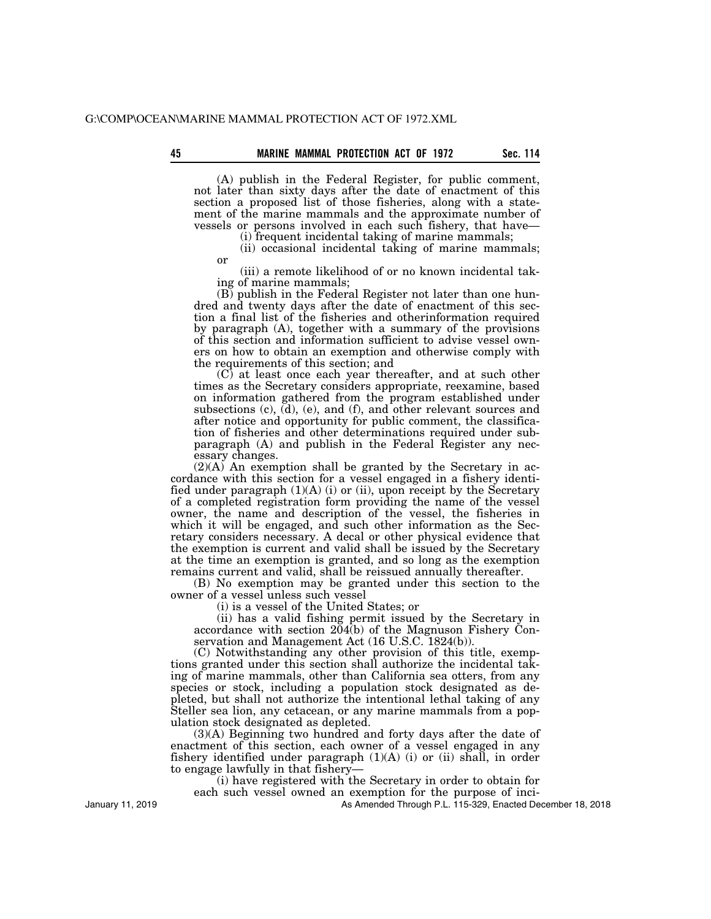(A) publish in the Federal Register, for public comment, not later than sixty days after the date of enactment of this section a proposed list of those fisheries, along with a statement of the marine mammals and the approximate number of vessels or persons involved in each such fishery, that have—

(i) frequent incidental taking of marine mammals;

(ii) occasional incidental taking of marine mammals; or

(iii) a remote likelihood of or no known incidental taking of marine mammals;

(B) publish in the Federal Register not later than one hundred and twenty days after the date of enactment of this section a final list of the fisheries and otherinformation required by paragraph (A), together with a summary of the provisions of this section and information sufficient to advise vessel owners on how to obtain an exemption and otherwise comply with the requirements of this section; and

(C) at least once each year thereafter, and at such other times as the Secretary considers appropriate, reexamine, based on information gathered from the program established under subsections (c), (d), (e), and (f), and other relevant sources and after notice and opportunity for public comment, the classification of fisheries and other determinations required under subparagraph (A) and publish in the Federal Register any necessary changes.

 $(2)(A)$  An exemption shall be granted by the Secretary in accordance with this section for a vessel engaged in a fishery identified under paragraph (1)(A) (i) or (ii), upon receipt by the Secretary of a completed registration form providing the name of the vessel owner, the name and description of the vessel, the fisheries in which it will be engaged, and such other information as the Secretary considers necessary. A decal or other physical evidence that the exemption is current and valid shall be issued by the Secretary at the time an exemption is granted, and so long as the exemption remains current and valid, shall be reissued annually thereafter.

(B) No exemption may be granted under this section to the owner of a vessel unless such vessel

(i) is a vessel of the United States; or

(ii) has a valid fishing permit issued by the Secretary in accordance with section 204(b) of the Magnuson Fishery Conservation and Management Act (16 U.S.C. 1824(b)).

(C) Notwithstanding any other provision of this title, exemptions granted under this section shall authorize the incidental taking of marine mammals, other than California sea otters, from any species or stock, including a population stock designated as depleted, but shall not authorize the intentional lethal taking of any Steller sea lion, any cetacean, or any marine mammals from a population stock designated as depleted.

(3)(A) Beginning two hundred and forty days after the date of enactment of this section, each owner of a vessel engaged in any fishery identified under paragraph (1)(A) (i) or (ii) shall, in order to engage lawfully in that fishery-

(i) have registered with the Secretary in order to obtain for

each such vessel owned an exemption for the purpose of inci-

As Amended Through P.L. 115-329, Enacted December 18, 2018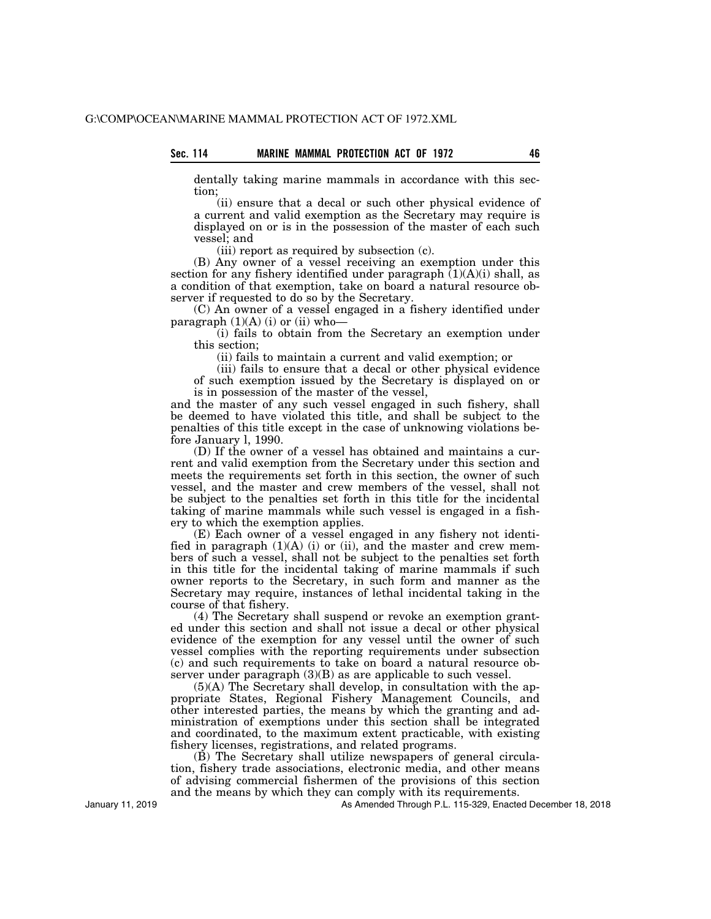dentally taking marine mammals in accordance with this section;

(ii) ensure that a decal or such other physical evidence of a current and valid exemption as the Secretary may require is displayed on or is in the possession of the master of each such vessel; and

(iii) report as required by subsection (c).

(B) Any owner of a vessel receiving an exemption under this section for any fishery identified under paragraph (1)(A)(i) shall, as a condition of that exemption, take on board a natural resource observer if requested to do so by the Secretary.

(C) An owner of a vessel engaged in a fishery identified under paragraph  $(1)(A)$  (i) or (ii) who-

(i) fails to obtain from the Secretary an exemption under this section;

(ii) fails to maintain a current and valid exemption; or

(iii) fails to ensure that a decal or other physical evidence of such exemption issued by the Secretary is displayed on or is in possession of the master of the vessel,

and the master of any such vessel engaged in such fishery, shall be deemed to have violated this title, and shall be subject to the penalties of this title except in the case of unknowing violations before January l, 1990.

(D) If the owner of a vessel has obtained and maintains a current and valid exemption from the Secretary under this section and meets the requirements set forth in this section, the owner of such vessel, and the master and crew members of the vessel, shall not be subject to the penalties set forth in this title for the incidental taking of marine mammals while such vessel is engaged in a fishery to which the exemption applies.

(E) Each owner of a vessel engaged in any fishery not identified in paragraph  $(1)(A)$  (i) or (ii), and the master and crew members of such a vessel, shall not be subject to the penalties set forth in this title for the incidental taking of marine mammals if such owner reports to the Secretary, in such form and manner as the Secretary may require, instances of lethal incidental taking in the course of that fishery.

(4) The Secretary shall suspend or revoke an exemption granted under this section and shall not issue a decal or other physical evidence of the exemption for any vessel until the owner of such vessel complies with the reporting requirements under subsection (c) and such requirements to take on board a natural resource observer under paragraph (3)(B) as are applicable to such vessel.

(5)(A) The Secretary shall develop, in consultation with the appropriate States, Regional Fishery Management Councils, and other interested parties, the means by which the granting and administration of exemptions under this section shall be integrated and coordinated, to the maximum extent practicable, with existing fishery licenses, registrations, and related programs.

(B) The Secretary shall utilize newspapers of general circulation, fishery trade associations, electronic media, and other means of advising commercial fishermen of the provisions of this section and the means by which they can comply with its requirements.

As Amended Through P.L. 115-329, Enacted December 18, 2018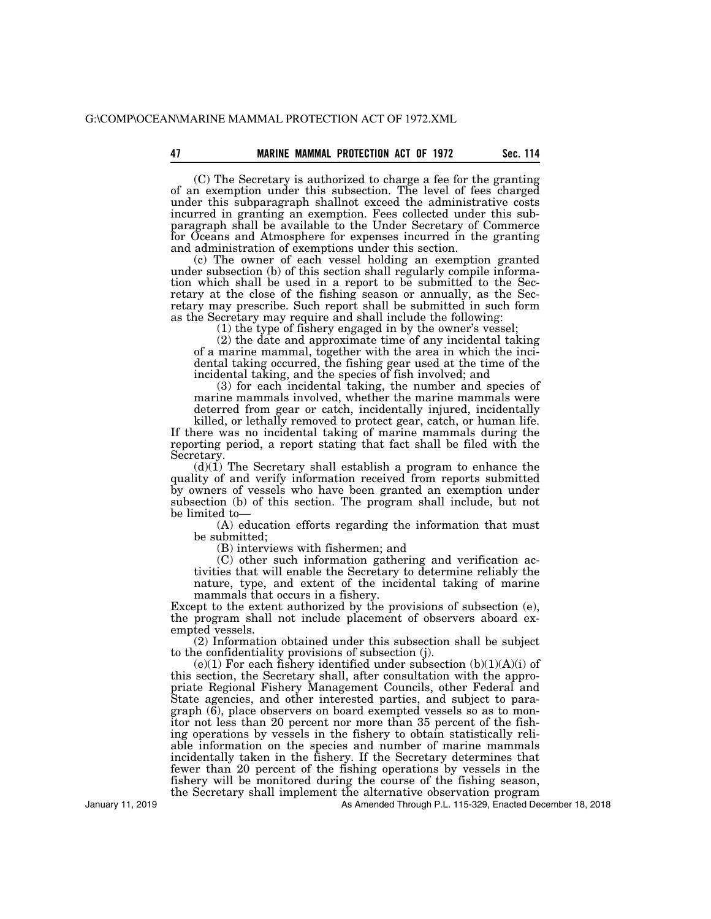(C) The Secretary is authorized to charge a fee for the granting of an exemption under this subsection. The level of fees charged under this subparagraph shallnot exceed the administrative costs incurred in granting an exemption. Fees collected under this subparagraph shall be available to the Under Secretary of Commerce for Oceans and Atmosphere for expenses incurred in the granting and administration of exemptions under this section.

(c) The owner of each vessel holding an exemption granted under subsection (b) of this section shall regularly compile information which shall be used in a report to be submitted to the Secretary at the close of the fishing season or annually, as the Secretary may prescribe. Such report shall be submitted in such form as the Secretary may require and shall include the following:

(1) the type of fishery engaged in by the owner's vessel;

(2) the date and approximate time of any incidental taking of a marine mammal, together with the area in which the incidental taking occurred, the fishing gear used at the time of the incidental taking, and the species of fish involved; and

(3) for each incidental taking, the number and species of marine mammals involved, whether the marine mammals were deterred from gear or catch, incidentally injured, incidentally

killed, or lethally removed to protect gear, catch, or human life. If there was no incidental taking of marine mammals during the reporting period, a report stating that fact shall be filed with the Secretary.

 $(d)(1)$  The Secretary shall establish a program to enhance the quality of and verify information received from reports submitted by owners of vessels who have been granted an exemption under subsection (b) of this section. The program shall include, but not be limited to—

(A) education efforts regarding the information that must be submitted;

(B) interviews with fishermen; and

(C) other such information gathering and verification activities that will enable the Secretary to determine reliably the nature, type, and extent of the incidental taking of marine mammals that occurs in a fishery.

Except to the extent authorized by the provisions of subsection (e), the program shall not include placement of observers aboard exempted vessels.

(2) Information obtained under this subsection shall be subject to the confidentiality provisions of subsection (j).

 $(e)(1)$  For each fishery identified under subsection  $(b)(1)(A)(i)$  of this section, the Secretary shall, after consultation with the appropriate Regional Fishery Management Councils, other Federal and State agencies, and other interested parties, and subject to paragraph  $(\vec{6})$ , place observers on board exempted vessels so as to monitor not less than 20 percent nor more than 35 percent of the fishing operations by vessels in the fishery to obtain statistically reliable information on the species and number of marine mammals incidentally taken in the fishery. If the Secretary determines that fewer than 20 percent of the fishing operations by vessels in the fishery will be monitored during the course of the fishing season, the Secretary shall implement the alternative observation program

As Amended Through P.L. 115-329, Enacted December 18, 2018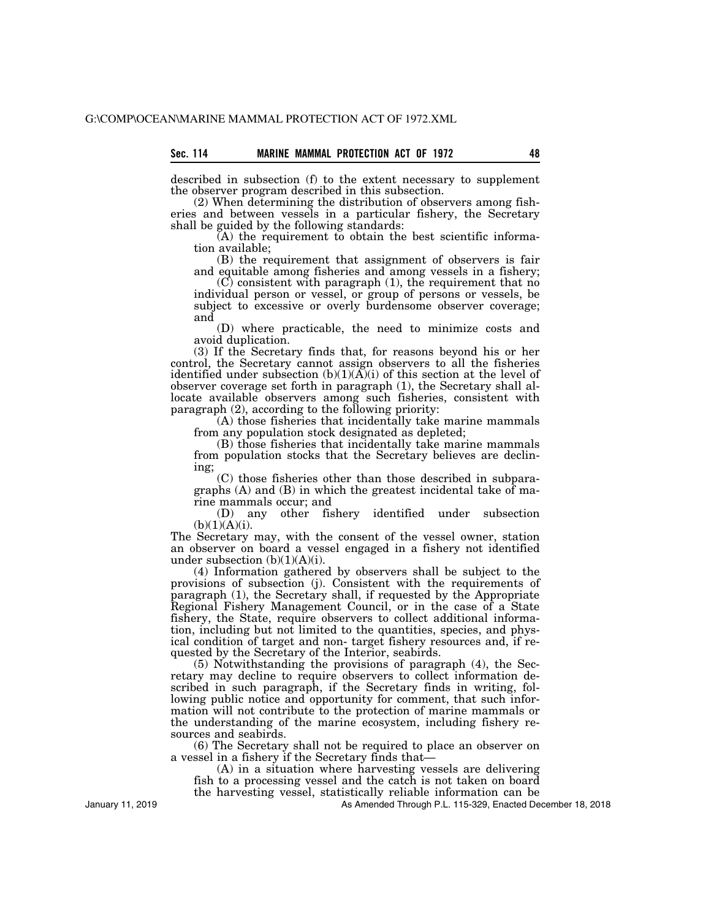described in subsection (f) to the extent necessary to supplement the observer program described in this subsection.

(2) When determining the distribution of observers among fisheries and between vessels in a particular fishery, the Secretary shall be guided by the following standards:

(A) the requirement to obtain the best scientific information available;

(B) the requirement that assignment of observers is fair and equitable among fisheries and among vessels in a fishery;

 $(C)$  consistent with paragraph  $(1)$ , the requirement that no individual person or vessel, or group of persons or vessels, be subject to excessive or overly burdensome observer coverage; and

(D) where practicable, the need to minimize costs and avoid duplication.

(3) If the Secretary finds that, for reasons beyond his or her control, the Secretary cannot assign observers to all the fisheries identified under subsection  $(b)(1)(A)(i)$  of this section at the level of observer coverage set forth in paragraph (1), the Secretary shall allocate available observers among such fisheries, consistent with paragraph (2), according to the following priority:

(A) those fisheries that incidentally take marine mammals from any population stock designated as depleted;

(B) those fisheries that incidentally take marine mammals from population stocks that the Secretary believes are declining;

(C) those fisheries other than those described in subparagraphs (A) and (B) in which the greatest incidental take of marine mammals occur; and

(D) any other fishery identified under subsection  $(b)(1)(A)(i)$ .

The Secretary may, with the consent of the vessel owner, station an observer on board a vessel engaged in a fishery not identified under subsection  $(b)(1)(A)(i)$ .

(4) Information gathered by observers shall be subject to the provisions of subsection (j). Consistent with the requirements of paragraph (1), the Secretary shall, if requested by the Appropriate Regional Fishery Management Council, or in the case of a State fishery, the State, require observers to collect additional information, including but not limited to the quantities, species, and physical condition of target and non- target fishery resources and, if requested by the Secretary of the Interior, seabirds.

(5) Notwithstanding the provisions of paragraph (4), the Secretary may decline to require observers to collect information described in such paragraph, if the Secretary finds in writing, following public notice and opportunity for comment, that such information will not contribute to the protection of marine mammals or the understanding of the marine ecosystem, including fishery resources and seabirds.

(6) The Secretary shall not be required to place an observer on a vessel in a fishery if the Secretary finds that—

(A) in a situation where harvesting vessels are delivering fish to a processing vessel and the catch is not taken on board

the harvesting vessel, statistically reliable information can be

As Amended Through P.L. 115-329, Enacted December 18, 2018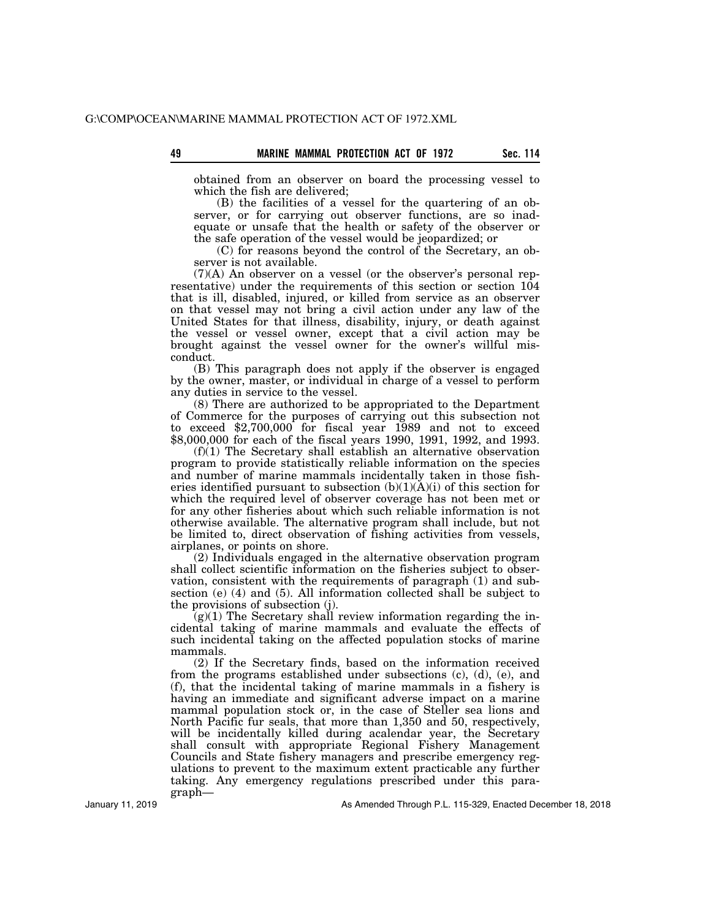obtained from an observer on board the processing vessel to which the fish are delivered;

(B) the facilities of a vessel for the quartering of an observer, or for carrying out observer functions, are so inadequate or unsafe that the health or safety of the observer or the safe operation of the vessel would be jeopardized; or

(C) for reasons beyond the control of the Secretary, an observer is not available.

(7)(A) An observer on a vessel (or the observer's personal representative) under the requirements of this section or section 104 that is ill, disabled, injured, or killed from service as an observer on that vessel may not bring a civil action under any law of the United States for that illness, disability, injury, or death against the vessel or vessel owner, except that a civil action may be brought against the vessel owner for the owner's willful misconduct.

(B) This paragraph does not apply if the observer is engaged by the owner, master, or individual in charge of a vessel to perform any duties in service to the vessel.

(8) There are authorized to be appropriated to the Department of Commerce for the purposes of carrying out this subsection not to exceed \$2,700,000 for fiscal year 1989 and not to exceed \$8,000,000 for each of the fiscal years 1990, 1991, 1992, and 1993.

(f)(1) The Secretary shall establish an alternative observation program to provide statistically reliable information on the species and number of marine mammals incidentally taken in those fisheries identified pursuant to subsection  $(b)(1)(A)(i)$  of this section for which the required level of observer coverage has not been met or for any other fisheries about which such reliable information is not otherwise available. The alternative program shall include, but not be limited to, direct observation of fishing activities from vessels, airplanes, or points on shore.

(2) Individuals engaged in the alternative observation program shall collect scientific information on the fisheries subject to observation, consistent with the requirements of paragraph (1) and subsection (e) (4) and (5). All information collected shall be subject to the provisions of subsection (j).

(g)(1) The Secretary shall review information regarding the incidental taking of marine mammals and evaluate the effects of such incidental taking on the affected population stocks of marine mammals.

(2) If the Secretary finds, based on the information received from the programs established under subsections (c), (d), (e), and (f), that the incidental taking of marine mammals in a fishery is having an immediate and significant adverse impact on a marine mammal population stock or, in the case of Steller sea lions and North Pacific fur seals, that more than 1,350 and 50, respectively, will be incidentally killed during acalendar year, the Secretary shall consult with appropriate Regional Fishery Management Councils and State fishery managers and prescribe emergency regulations to prevent to the maximum extent practicable any further taking. Any emergency regulations prescribed under this paragraph—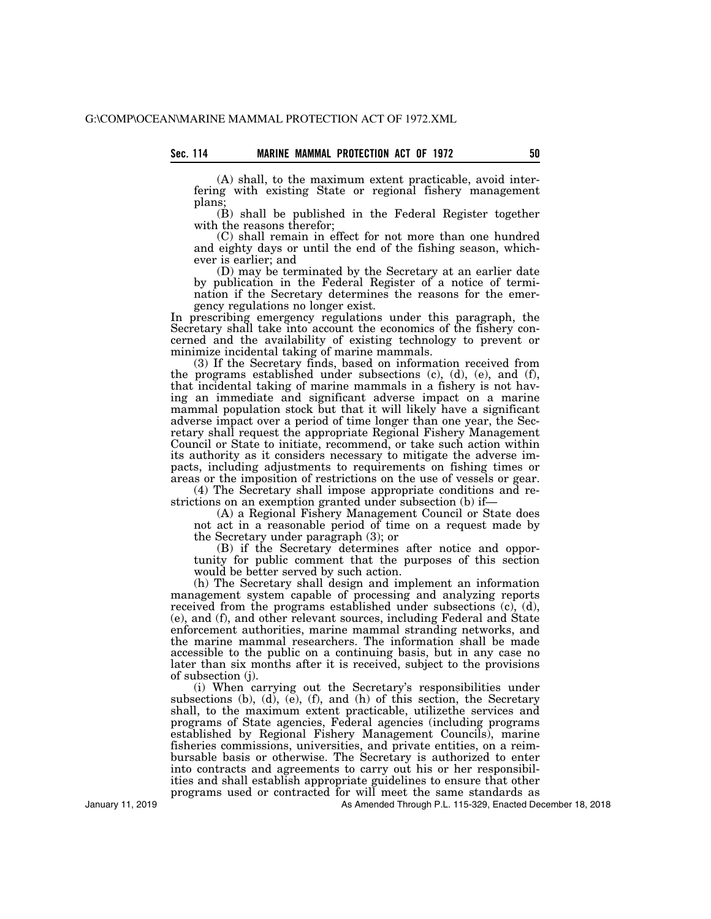## **Sec. 114 MARINE MAMMAL PROTECTION ACT OF 1972 50**

(A) shall, to the maximum extent practicable, avoid interfering with existing State or regional fishery management plans;

(B) shall be published in the Federal Register together with the reasons therefor;

(C) shall remain in effect for not more than one hundred and eighty days or until the end of the fishing season, whichever is earlier; and

(D) may be terminated by the Secretary at an earlier date by publication in the Federal Register of a notice of termination if the Secretary determines the reasons for the emergency regulations no longer exist.

In prescribing emergency regulations under this paragraph, the Secretary shall take into account the economics of the fishery concerned and the availability of existing technology to prevent or minimize incidental taking of marine mammals.

(3) If the Secretary finds, based on information received from the programs established under subsections (c), (d), (e), and (f), that incidental taking of marine mammals in a fishery is not having an immediate and significant adverse impact on a marine mammal population stock but that it will likely have a significant adverse impact over a period of time longer than one year, the Secretary shall request the appropriate Regional Fishery Management Council or State to initiate, recommend, or take such action within its authority as it considers necessary to mitigate the adverse impacts, including adjustments to requirements on fishing times or areas or the imposition of restrictions on the use of vessels or gear.

(4) The Secretary shall impose appropriate conditions and restrictions on an exemption granted under subsection (b) if—

(A) a Regional Fishery Management Council or State does not act in a reasonable period of time on a request made by the Secretary under paragraph (3); or

(B) if the Secretary determines after notice and opportunity for public comment that the purposes of this section would be better served by such action.

(h) The Secretary shall design and implement an information management system capable of processing and analyzing reports received from the programs established under subsections (c), (d), (e), and (f), and other relevant sources, including Federal and State enforcement authorities, marine mammal stranding networks, and the marine mammal researchers. The information shall be made accessible to the public on a continuing basis, but in any case no later than six months after it is received, subject to the provisions of subsection (j).

(i) When carrying out the Secretary's responsibilities under subsections (b), (d), (e), (f), and (h) of this section, the Secretary shall, to the maximum extent practicable, utilizethe services and programs of State agencies, Federal agencies (including programs established by Regional Fishery Management Councils), marine fisheries commissions, universities, and private entities, on a reimbursable basis or otherwise. The Secretary is authorized to enter into contracts and agreements to carry out his or her responsibilities and shall establish appropriate guidelines to ensure that other programs used or contracted for will meet the same standards as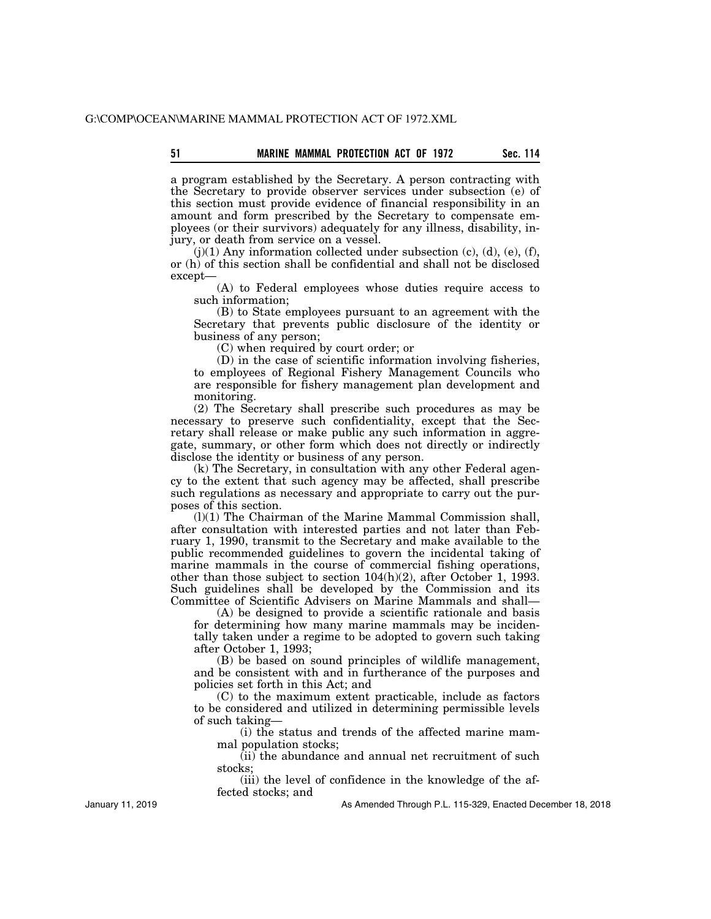a program established by the Secretary. A person contracting with the Secretary to provide observer services under subsection (e) of this section must provide evidence of financial responsibility in an amount and form prescribed by the Secretary to compensate employees (or their survivors) adequately for any illness, disability, injury, or death from service on a vessel.

 $(j)(1)$  Any information collected under subsection  $(c)$ ,  $(d)$ ,  $(e)$ ,  $(f)$ , or (h) of this section shall be confidential and shall not be disclosed except—

(A) to Federal employees whose duties require access to such information;

(B) to State employees pursuant to an agreement with the Secretary that prevents public disclosure of the identity or business of any person;

(C) when required by court order; or

(D) in the case of scientific information involving fisheries, to employees of Regional Fishery Management Councils who are responsible for fishery management plan development and monitoring.

(2) The Secretary shall prescribe such procedures as may be necessary to preserve such confidentiality, except that the Secretary shall release or make public any such information in aggregate, summary, or other form which does not directly or indirectly disclose the identity or business of any person.

(k) The Secretary, in consultation with any other Federal agency to the extent that such agency may be affected, shall prescribe such regulations as necessary and appropriate to carry out the purposes of this section.

(l)(1) The Chairman of the Marine Mammal Commission shall, after consultation with interested parties and not later than February 1, 1990, transmit to the Secretary and make available to the public recommended guidelines to govern the incidental taking of marine mammals in the course of commercial fishing operations, other than those subject to section 104(h)(2), after October 1, 1993. Such guidelines shall be developed by the Commission and its Committee of Scientific Advisers on Marine Mammals and shall—

(A) be designed to provide a scientific rationale and basis for determining how many marine mammals may be incidentally taken under a regime to be adopted to govern such taking after October 1, 1993;

(B) be based on sound principles of wildlife management, and be consistent with and in furtherance of the purposes and policies set forth in this Act; and

(C) to the maximum extent practicable, include as factors to be considered and utilized in determining permissible levels of such taking—

(i) the status and trends of the affected marine mammal population stocks;

(ii) the abundance and annual net recruitment of such stocks;

(iii) the level of confidence in the knowledge of the affected stocks; and

As Amended Through P.L. 115-329, Enacted December 18, 2018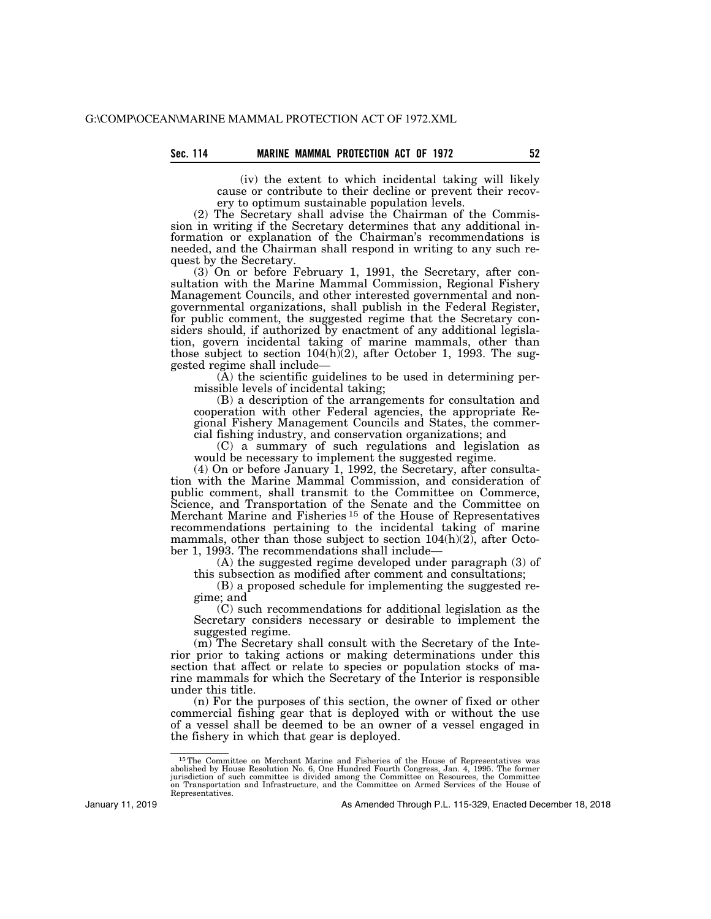(iv) the extent to which incidental taking will likely cause or contribute to their decline or prevent their recovery to optimum sustainable population levels.

(2) The Secretary shall advise the Chairman of the Commission in writing if the Secretary determines that any additional information or explanation of the Chairman's recommendations is needed, and the Chairman shall respond in writing to any such request by the Secretary.

(3) On or before February 1, 1991, the Secretary, after consultation with the Marine Mammal Commission, Regional Fishery Management Councils, and other interested governmental and nongovernmental organizations, shall publish in the Federal Register, for public comment, the suggested regime that the Secretary considers should, if authorized by enactment of any additional legislation, govern incidental taking of marine mammals, other than those subject to section  $104(h)(2)$ , after October 1, 1993. The suggested regime shall include—

(A) the scientific guidelines to be used in determining permissible levels of incidental taking;

(B) a description of the arrangements for consultation and cooperation with other Federal agencies, the appropriate Regional Fishery Management Councils and States, the commercial fishing industry, and conservation organizations; and

(C) a summary of such regulations and legislation as would be necessary to implement the suggested regime.

(4) On or before January 1, 1992, the Secretary, after consultation with the Marine Mammal Commission, and consideration of public comment, shall transmit to the Committee on Commerce, Science, and Transportation of the Senate and the Committee on Merchant Marine and Fisheries 15 of the House of Representatives recommendations pertaining to the incidental taking of marine mammals, other than those subject to section  $104(h)(2)$ , after October 1, 1993. The recommendations shall include—

(A) the suggested regime developed under paragraph (3) of this subsection as modified after comment and consultations;

(B) a proposed schedule for implementing the suggested regime; and

(C) such recommendations for additional legislation as the Secretary considers necessary or desirable to implement the suggested regime.

(m) The Secretary shall consult with the Secretary of the Interior prior to taking actions or making determinations under this section that affect or relate to species or population stocks of marine mammals for which the Secretary of the Interior is responsible under this title.

(n) For the purposes of this section, the owner of fixed or other commercial fishing gear that is deployed with or without the use of a vessel shall be deemed to be an owner of a vessel engaged in the fishery in which that gear is deployed.

January 11, 2019

<sup>15</sup>The Committee on Merchant Marine and Fisheries of the House of Representatives was abolished by House Resolution No. 6, One Hundred Fourth Congress, Jan. 4, 1995. The former<br>jurisdiction of such committee is divided among the Committee on Resources, the Committee<br>on Transportation and Infrastructure, and Representatives.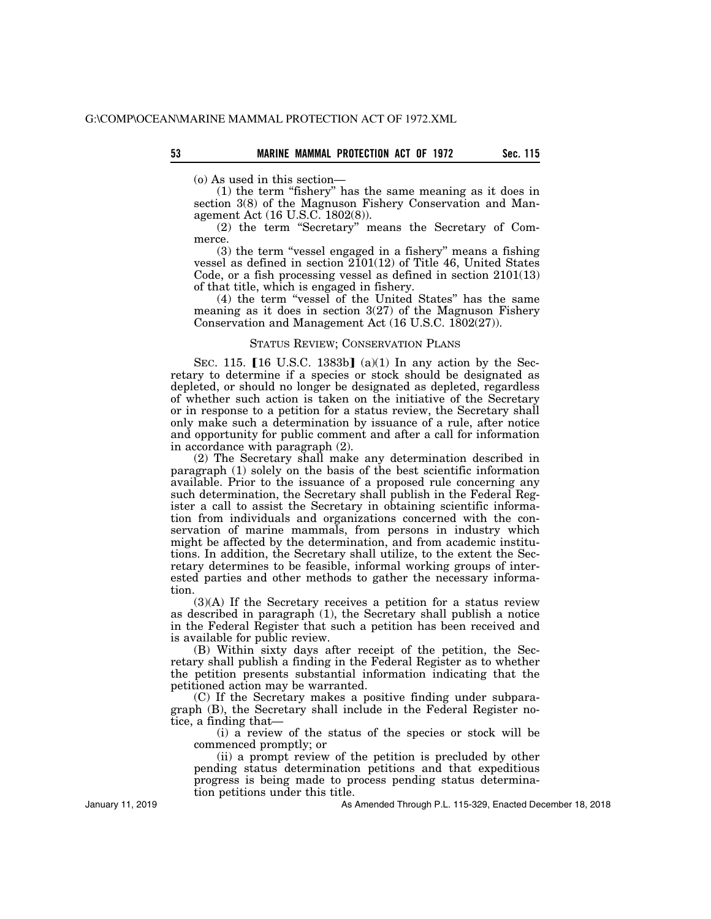(o) As used in this section—

(1) the term ''fishery'' has the same meaning as it does in section 3(8) of the Magnuson Fishery Conservation and Management Act (16 U.S.C. 1802(8)).

(2) the term ''Secretary'' means the Secretary of Commerce.

(3) the term ''vessel engaged in a fishery'' means a fishing vessel as defined in section 2101(12) of Title 46, United States Code, or a fish processing vessel as defined in section 2101(13) of that title, which is engaged in fishery.

(4) the term ''vessel of the United States'' has the same meaning as it does in section 3(27) of the Magnuson Fishery Conservation and Management Act (16 U.S.C. 1802(27)).

#### STATUS REVIEW; CONSERVATION PLANS

SEC. 115.  $[16 \text{ U.S.C. } 1383b]$  (a)(1) In any action by the Secretary to determine if a species or stock should be designated as depleted, or should no longer be designated as depleted, regardless of whether such action is taken on the initiative of the Secretary or in response to a petition for a status review, the Secretary shall only make such a determination by issuance of a rule, after notice and opportunity for public comment and after a call for information in accordance with paragraph (2).

(2) The Secretary shall make any determination described in paragraph (1) solely on the basis of the best scientific information available. Prior to the issuance of a proposed rule concerning any such determination, the Secretary shall publish in the Federal Register a call to assist the Secretary in obtaining scientific information from individuals and organizations concerned with the conservation of marine mammals, from persons in industry which might be affected by the determination, and from academic institutions. In addition, the Secretary shall utilize, to the extent the Secretary determines to be feasible, informal working groups of interested parties and other methods to gather the necessary information.

(3)(A) If the Secretary receives a petition for a status review as described in paragraph (1), the Secretary shall publish a notice in the Federal Register that such a petition has been received and is available for public review.

(B) Within sixty days after receipt of the petition, the Secretary shall publish a finding in the Federal Register as to whether the petition presents substantial information indicating that the petitioned action may be warranted.

(C) If the Secretary makes a positive finding under subparagraph (B), the Secretary shall include in the Federal Register notice, a finding that—

(i) a review of the status of the species or stock will be commenced promptly; or

(ii) a prompt review of the petition is precluded by other pending status determination petitions and that expeditious progress is being made to process pending status determination petitions under this title.

January 11, 2019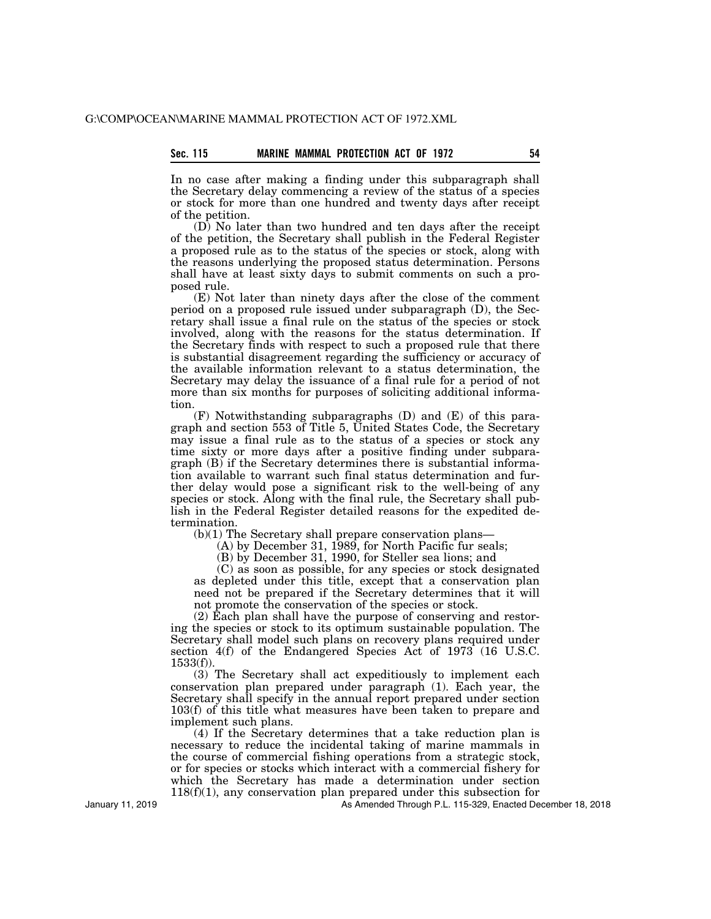## **Sec. 115 MARINE MAMMAL PROTECTION ACT OF 1972 54**

In no case after making a finding under this subparagraph shall the Secretary delay commencing a review of the status of a species or stock for more than one hundred and twenty days after receipt of the petition.

(D) No later than two hundred and ten days after the receipt of the petition, the Secretary shall publish in the Federal Register a proposed rule as to the status of the species or stock, along with the reasons underlying the proposed status determination. Persons shall have at least sixty days to submit comments on such a proposed rule.

(E) Not later than ninety days after the close of the comment period on a proposed rule issued under subparagraph (D), the Secretary shall issue a final rule on the status of the species or stock involved, along with the reasons for the status determination. If the Secretary finds with respect to such a proposed rule that there is substantial disagreement regarding the sufficiency or accuracy of the available information relevant to a status determination, the Secretary may delay the issuance of a final rule for a period of not more than six months for purposes of soliciting additional information.

(F) Notwithstanding subparagraphs (D) and (E) of this paragraph and section 553 of Title 5, United States Code, the Secretary may issue a final rule as to the status of a species or stock any time sixty or more days after a positive finding under subparagraph (B) if the Secretary determines there is substantial information available to warrant such final status determination and further delay would pose a significant risk to the well-being of any species or stock. Along with the final rule, the Secretary shall publish in the Federal Register detailed reasons for the expedited determination.

(b)(1) The Secretary shall prepare conservation plans—

(A) by December 31, 1989, for North Pacific fur seals;

(B) by December 31, 1990, for Steller sea lions; and

(C) as soon as possible, for any species or stock designated as depleted under this title, except that a conservation plan need not be prepared if the Secretary determines that it will not promote the conservation of the species or stock.

(2) Each plan shall have the purpose of conserving and restoring the species or stock to its optimum sustainable population. The Secretary shall model such plans on recovery plans required under section 4(f) of the Endangered Species Act of 1973 (16 U.S.C.  $1533(f)$ ).

(3) The Secretary shall act expeditiously to implement each conservation plan prepared under paragraph (1). Each year, the Secretary shall specify in the annual report prepared under section 103(f) of this title what measures have been taken to prepare and implement such plans.

(4) If the Secretary determines that a take reduction plan is necessary to reduce the incidental taking of marine mammals in the course of commercial fishing operations from a strategic stock, or for species or stocks which interact with a commercial fishery for which the Secretary has made a determination under section 118(f)(1), any conservation plan prepared under this subsection for

As Amended Through P.L. 115-329, Enacted December 18, 2018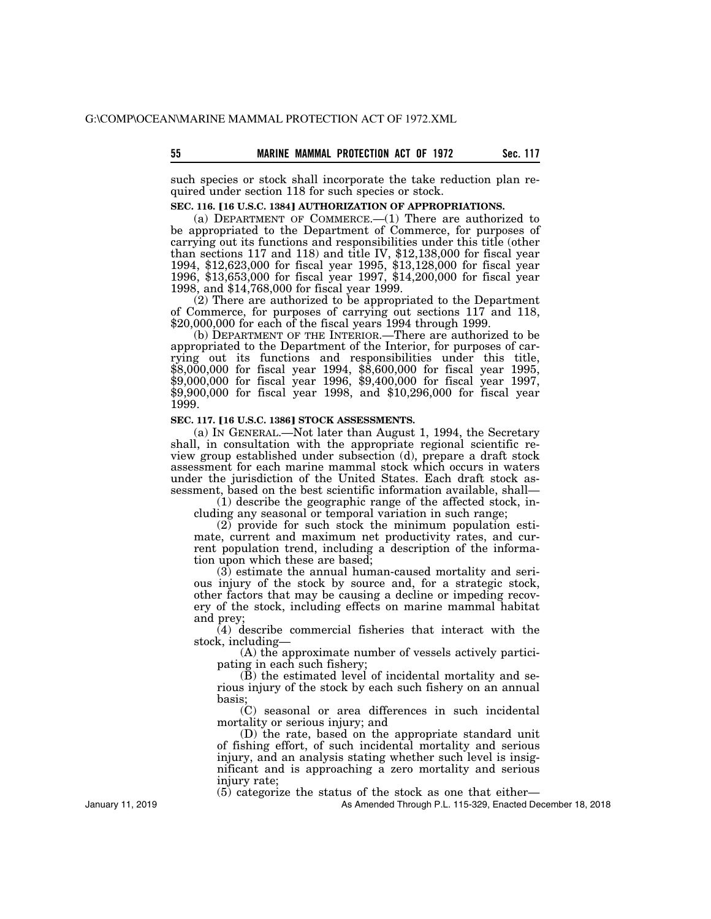such species or stock shall incorporate the take reduction plan required under section 118 for such species or stock.

# **SEC. 116. [16 U.S.C. 1384] AUTHORIZATION OF APPROPRIATIONS.**

(a) DEPARTMENT OF COMMERCE.—(1) There are authorized to be appropriated to the Department of Commerce, for purposes of carrying out its functions and responsibilities under this title (other than sections 117 and 118) and title IV, \$12,138,000 for fiscal year 1994, \$12,623,000 for fiscal year 1995, \$13,128,000 for fiscal year 1996, \$13,653,000 for fiscal year 1997, \$14,200,000 for fiscal year 1998, and \$14,768,000 for fiscal year 1999.

(2) There are authorized to be appropriated to the Department of Commerce, for purposes of carrying out sections 117 and 118, \$20,000,000 for each of the fiscal years 1994 through 1999.

(b) DEPARTMENT OF THE INTERIOR.—There are authorized to be appropriated to the Department of the Interior, for purposes of carrying out its functions and responsibilities under this title, \$8,000,000 for fiscal year 1994, \$8,600,000 for fiscal year 1995, \$9,000,000 for fiscal year 1996, \$9,400,000 for fiscal year 1997, \$9,900,000 for fiscal year 1998, and \$10,296,000 for fiscal year 1999.

## **SEC. 117. [16 U.S.C. 1386] STOCK ASSESSMENTS.**

(a) IN GENERAL.—Not later than August 1, 1994, the Secretary shall, in consultation with the appropriate regional scientific review group established under subsection (d), prepare a draft stock assessment for each marine mammal stock which occurs in waters under the jurisdiction of the United States. Each draft stock assessment, based on the best scientific information available, shall—

(1) describe the geographic range of the affected stock, including any seasonal or temporal variation in such range;

(2) provide for such stock the minimum population estimate, current and maximum net productivity rates, and current population trend, including a description of the information upon which these are based;

(3) estimate the annual human-caused mortality and serious injury of the stock by source and, for a strategic stock, other factors that may be causing a decline or impeding recovery of the stock, including effects on marine mammal habitat and prey;

(4) describe commercial fisheries that interact with the stock, including—

(A) the approximate number of vessels actively participating in each such fishery;

 $(\bar{B})$  the estimated level of incidental mortality and serious injury of the stock by each such fishery on an annual basis;

(C) seasonal or area differences in such incidental mortality or serious injury; and

(D) the rate, based on the appropriate standard unit of fishing effort, of such incidental mortality and serious injury, and an analysis stating whether such level is insignificant and is approaching a zero mortality and serious injury rate;

(5) categorize the status of the stock as one that either—

As Amended Through P.L. 115-329, Enacted December 18, 2018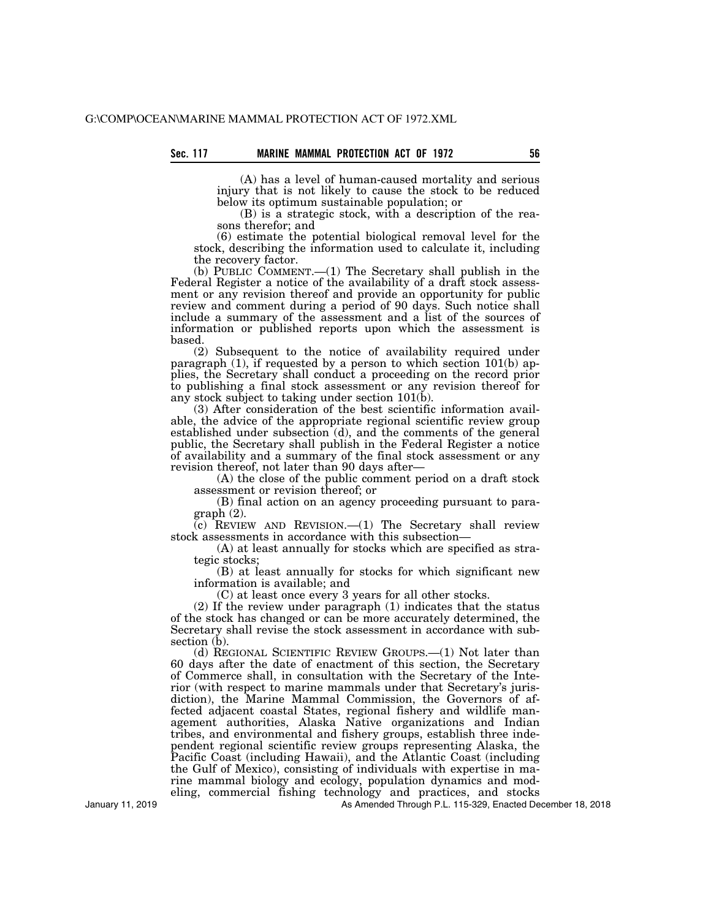| Sec. 117 | MARINE MAMMAL PROTECTION ACT OF 1972 |  | 56 |
|----------|--------------------------------------|--|----|
|----------|--------------------------------------|--|----|

(A) has a level of human-caused mortality and serious injury that is not likely to cause the stock to be reduced below its optimum sustainable population; or

(B) is a strategic stock, with a description of the reasons therefor; and

(6) estimate the potential biological removal level for the stock, describing the information used to calculate it, including the recovery factor.

(b) PUBLIC COMMENT.—(1) The Secretary shall publish in the Federal Register a notice of the availability of a draft stock assessment or any revision thereof and provide an opportunity for public review and comment during a period of 90 days. Such notice shall include a summary of the assessment and a list of the sources of information or published reports upon which the assessment is based.

(2) Subsequent to the notice of availability required under paragraph (1), if requested by a person to which section 101(b) applies, the Secretary shall conduct a proceeding on the record prior to publishing a final stock assessment or any revision thereof for any stock subject to taking under section 101(b).

(3) After consideration of the best scientific information available, the advice of the appropriate regional scientific review group established under subsection (d), and the comments of the general public, the Secretary shall publish in the Federal Register a notice of availability and a summary of the final stock assessment or any revision thereof, not later than 90 days after—

(A) the close of the public comment period on a draft stock assessment or revision thereof; or

(B) final action on an agency proceeding pursuant to paragraph (2).

 $\rm\tilde{c})$  REVIEW AND REVISION.— $(1)$  The Secretary shall review stock assessments in accordance with this subsection—

(A) at least annually for stocks which are specified as strategic stocks;

(B) at least annually for stocks for which significant new information is available; and

(C) at least once every 3 years for all other stocks.

(2) If the review under paragraph (1) indicates that the status of the stock has changed or can be more accurately determined, the Secretary shall revise the stock assessment in accordance with subsection  $(b)$ .

(d) REGIONAL SCIENTIFIC REVIEW GROUPS.—(1) Not later than 60 days after the date of enactment of this section, the Secretary of Commerce shall, in consultation with the Secretary of the Interior (with respect to marine mammals under that Secretary's jurisdiction), the Marine Mammal Commission, the Governors of affected adjacent coastal States, regional fishery and wildlife management authorities, Alaska Native organizations and Indian tribes, and environmental and fishery groups, establish three independent regional scientific review groups representing Alaska, the Pacific Coast (including Hawaii), and the Atlantic Coast (including the Gulf of Mexico), consisting of individuals with expertise in marine mammal biology and ecology, population dynamics and modeling, commercial fishing technology and practices, and stocks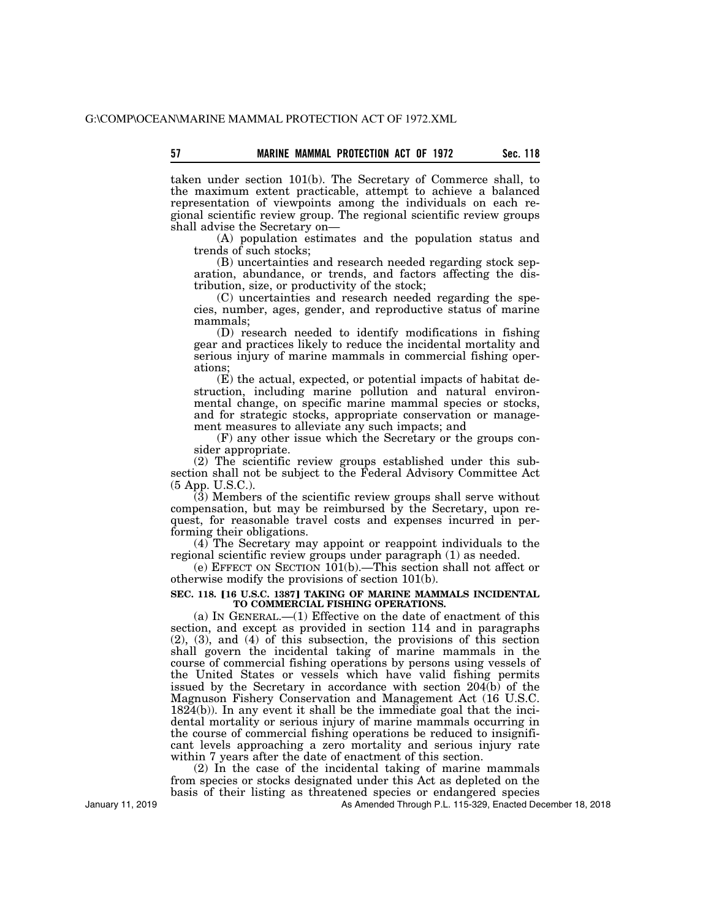taken under section 101(b). The Secretary of Commerce shall, to the maximum extent practicable, attempt to achieve a balanced representation of viewpoints among the individuals on each regional scientific review group. The regional scientific review groups shall advise the Secretary on—

(A) population estimates and the population status and trends of such stocks;

(B) uncertainties and research needed regarding stock separation, abundance, or trends, and factors affecting the distribution, size, or productivity of the stock;

(C) uncertainties and research needed regarding the species, number, ages, gender, and reproductive status of marine mammals;

(D) research needed to identify modifications in fishing gear and practices likely to reduce the incidental mortality and serious injury of marine mammals in commercial fishing operations;

(E) the actual, expected, or potential impacts of habitat destruction, including marine pollution and natural environmental change, on specific marine mammal species or stocks, and for strategic stocks, appropriate conservation or management measures to alleviate any such impacts; and

(F) any other issue which the Secretary or the groups consider appropriate.

(2) The scientific review groups established under this subsection shall not be subject to the Federal Advisory Committee Act (5 App. U.S.C.).

(3) Members of the scientific review groups shall serve without compensation, but may be reimbursed by the Secretary, upon request, for reasonable travel costs and expenses incurred in performing their obligations.

(4) The Secretary may appoint or reappoint individuals to the regional scientific review groups under paragraph (1) as needed.

 $(e)$  EFFECT ON SECTION 101(b).—This section shall not affect or otherwise modify the provisions of section 101(b).

#### **SEC. 118. [16 U.S.C. 1387] TAKING OF MARINE MAMMALS INCIDENTAL TO COMMERCIAL FISHING OPERATIONS.**

(a) IN GENERAL.—(1) Effective on the date of enactment of this section, and except as provided in section 114 and in paragraphs (2), (3), and (4) of this subsection, the provisions of this section shall govern the incidental taking of marine mammals in the course of commercial fishing operations by persons using vessels of the United States or vessels which have valid fishing permits issued by the Secretary in accordance with section  $204(b)$  of the Magnuson Fishery Conservation and Management Act (16 U.S.C.  $1824(b)$ ). In any event it shall be the immediate goal that the incidental mortality or serious injury of marine mammals occurring in the course of commercial fishing operations be reduced to insignificant levels approaching a zero mortality and serious injury rate within 7 years after the date of enactment of this section.

(2) In the case of the incidental taking of marine mammals from species or stocks designated under this Act as depleted on the basis of their listing as threatened species or endangered species

As Amended Through P.L. 115-329, Enacted December 18, 2018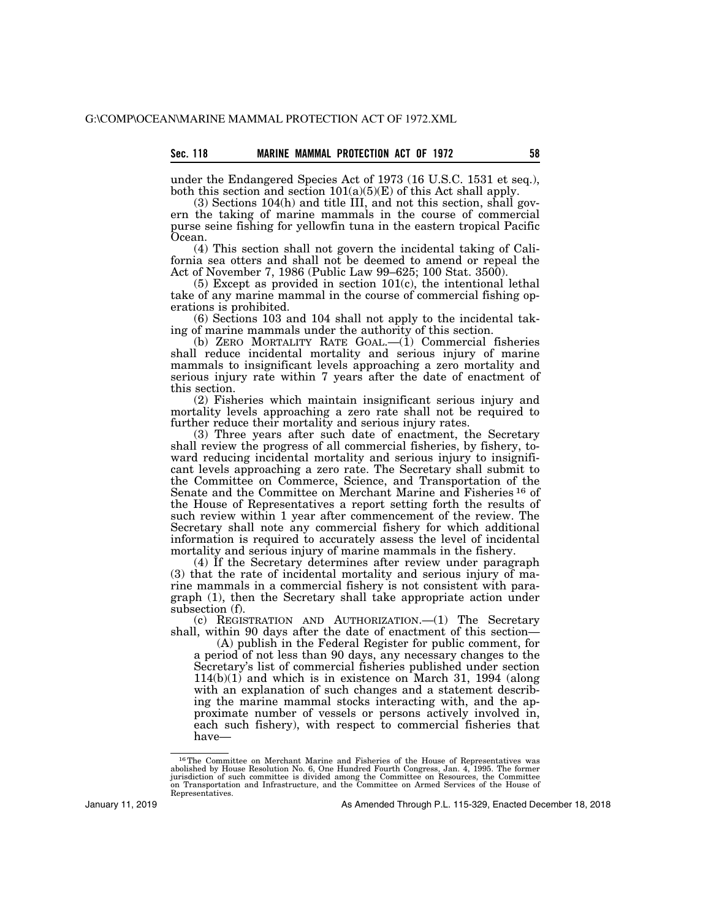under the Endangered Species Act of 1973 (16 U.S.C. 1531 et seq.), both this section and section  $101(a)(5)(E)$  of this Act shall apply.

(3) Sections 104(h) and title III, and not this section, shall govern the taking of marine mammals in the course of commercial purse seine fishing for yellowfin tuna in the eastern tropical Pacific Ocean.

(4) This section shall not govern the incidental taking of California sea otters and shall not be deemed to amend or repeal the Act of November 7, 1986 (Public Law 99–625; 100 Stat. 3500).

 $(5)$  Except as provided in section 101 $(c)$ , the intentional lethal take of any marine mammal in the course of commercial fishing operations is prohibited.

(6) Sections 103 and 104 shall not apply to the incidental taking of marine mammals under the authority of this section.

(b) ZERO MORTALITY RATE GOAL. $-(1)$  Commercial fisheries shall reduce incidental mortality and serious injury of marine mammals to insignificant levels approaching a zero mortality and serious injury rate within 7 years after the date of enactment of this section.

(2) Fisheries which maintain insignificant serious injury and mortality levels approaching a zero rate shall not be required to further reduce their mortality and serious injury rates.

(3) Three years after such date of enactment, the Secretary shall review the progress of all commercial fisheries, by fishery, toward reducing incidental mortality and serious injury to insignificant levels approaching a zero rate. The Secretary shall submit to the Committee on Commerce, Science, and Transportation of the Senate and the Committee on Merchant Marine and Fisheries 16 of the House of Representatives a report setting forth the results of such review within 1 year after commencement of the review. The Secretary shall note any commercial fishery for which additional information is required to accurately assess the level of incidental mortality and serious injury of marine mammals in the fishery.

(4) If the Secretary determines after review under paragraph (3) that the rate of incidental mortality and serious injury of marine mammals in a commercial fishery is not consistent with paragraph (1), then the Secretary shall take appropriate action under subsection (f).

(c) REGISTRATION AND AUTHORIZATION.—(1) The Secretary shall, within 90 days after the date of enactment of this section—

(A) publish in the Federal Register for public comment, for a period of not less than 90 days, any necessary changes to the Secretary's list of commercial fisheries published under section 114(b)(1) and which is in existence on March 31, 1994 (along with an explanation of such changes and a statement describing the marine mammal stocks interacting with, and the approximate number of vessels or persons actively involved in, each such fishery), with respect to commercial fisheries that have—

January 11, 2019

<sup>16</sup>The Committee on Merchant Marine and Fisheries of the House of Representatives was abolished by House Resolution No. 6, One Hundred Fourth Congress, Jan. 4, 1995. The former<br>jurisdiction of such committee is divided among the Committee on Resources, the Committee<br>on Transportation and Infrastructure, and Representatives.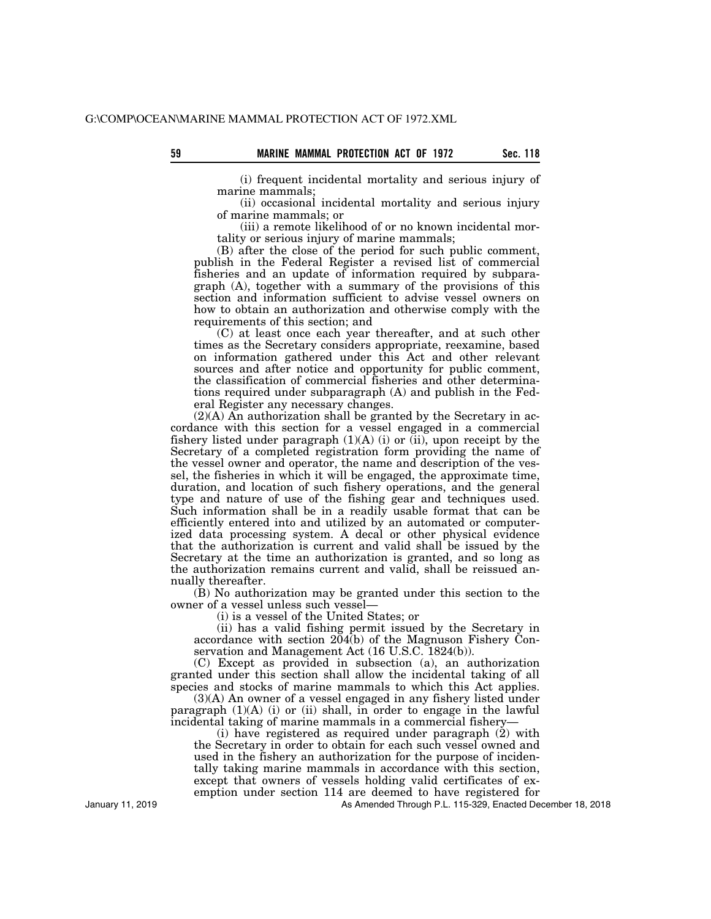(i) frequent incidental mortality and serious injury of marine mammals;

(ii) occasional incidental mortality and serious injury of marine mammals; or

(iii) a remote likelihood of or no known incidental mortality or serious injury of marine mammals;

(B) after the close of the period for such public comment, publish in the Federal Register a revised list of commercial fisheries and an update of information required by subparagraph (A), together with a summary of the provisions of this section and information sufficient to advise vessel owners on how to obtain an authorization and otherwise comply with the requirements of this section; and

(C) at least once each year thereafter, and at such other times as the Secretary considers appropriate, reexamine, based on information gathered under this Act and other relevant sources and after notice and opportunity for public comment, the classification of commercial fisheries and other determinations required under subparagraph (A) and publish in the Federal Register any necessary changes.

 $(2)(A)$  An authorization shall be granted by the Secretary in accordance with this section for a vessel engaged in a commercial fishery listed under paragraph  $(1)(A)$  (i) or (ii), upon receipt by the Secretary of a completed registration form providing the name of the vessel owner and operator, the name and description of the vessel, the fisheries in which it will be engaged, the approximate time, duration, and location of such fishery operations, and the general type and nature of use of the fishing gear and techniques used. Such information shall be in a readily usable format that can be efficiently entered into and utilized by an automated or computerized data processing system. A decal or other physical evidence that the authorization is current and valid shall be issued by the Secretary at the time an authorization is granted, and so long as the authorization remains current and valid, shall be reissued annually thereafter.

(B) No authorization may be granted under this section to the owner of a vessel unless such vessel—

(i) is a vessel of the United States; or

(ii) has a valid fishing permit issued by the Secretary in accordance with section 204(b) of the Magnuson Fishery Conservation and Management Act (16 U.S.C. 1824(b)).

(C) Except as provided in subsection (a), an authorization granted under this section shall allow the incidental taking of all species and stocks of marine mammals to which this Act applies.

(3)(A) An owner of a vessel engaged in any fishery listed under paragraph  $(1)(A)$  (i) or (ii) shall, in order to engage in the lawful incidental taking of marine mammals in a commercial fishery—

(i) have registered as required under paragraph  $(2)$  with the Secretary in order to obtain for each such vessel owned and used in the fishery an authorization for the purpose of incidentally taking marine mammals in accordance with this section, except that owners of vessels holding valid certificates of exemption under section 114 are deemed to have registered for

As Amended Through P.L. 115-329, Enacted December 18, 2018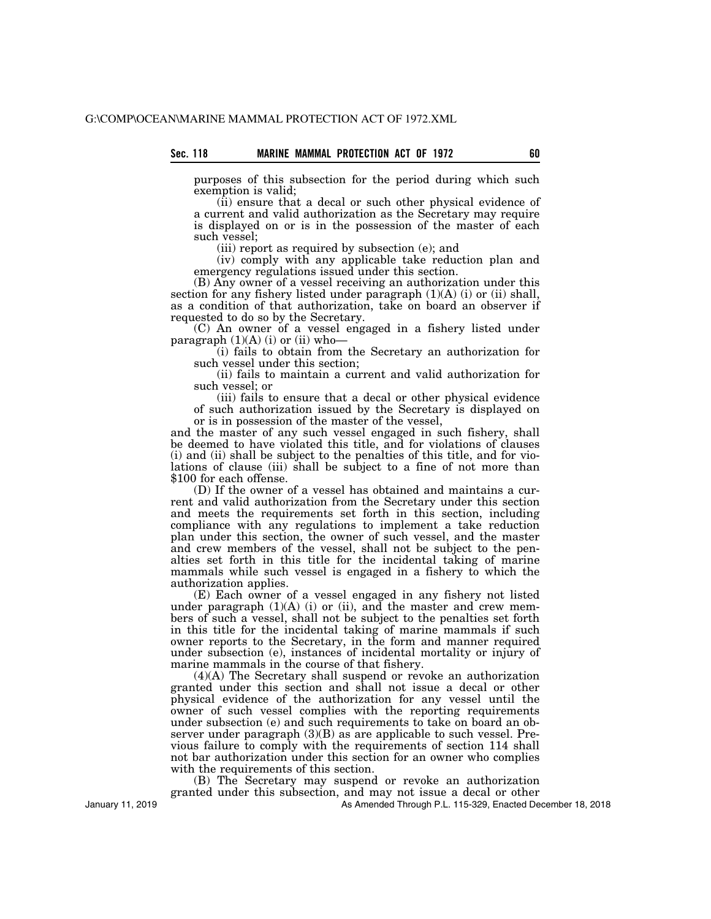purposes of this subsection for the period during which such exemption is valid;

(ii) ensure that a decal or such other physical evidence of a current and valid authorization as the Secretary may require is displayed on or is in the possession of the master of each such vessel;

(iii) report as required by subsection (e); and

(iv) comply with any applicable take reduction plan and emergency regulations issued under this section.

(B) Any owner of a vessel receiving an authorization under this section for any fishery listed under paragraph (1)(A) (i) or (ii) shall, as a condition of that authorization, take on board an observer if requested to do so by the Secretary.

(C) An owner of a vessel engaged in a fishery listed under paragraph  $(1)(A)$  (i) or (ii) who-

(i) fails to obtain from the Secretary an authorization for such vessel under this section;

(ii) fails to maintain a current and valid authorization for such vessel; or

(iii) fails to ensure that a decal or other physical evidence of such authorization issued by the Secretary is displayed on or is in possession of the master of the vessel,

and the master of any such vessel engaged in such fishery, shall be deemed to have violated this title, and for violations of clauses (i) and (ii) shall be subject to the penalties of this title, and for violations of clause (iii) shall be subject to a fine of not more than \$100 for each offense.

(D) If the owner of a vessel has obtained and maintains a current and valid authorization from the Secretary under this section and meets the requirements set forth in this section, including compliance with any regulations to implement a take reduction plan under this section, the owner of such vessel, and the master and crew members of the vessel, shall not be subject to the penalties set forth in this title for the incidental taking of marine mammals while such vessel is engaged in a fishery to which the authorization applies.

(E) Each owner of a vessel engaged in any fishery not listed under paragraph  $(1)(A)$  (i) or (ii), and the master and crew members of such a vessel, shall not be subject to the penalties set forth in this title for the incidental taking of marine mammals if such owner reports to the Secretary, in the form and manner required under subsection (e), instances of incidental mortality or injury of marine mammals in the course of that fishery.

(4)(A) The Secretary shall suspend or revoke an authorization granted under this section and shall not issue a decal or other physical evidence of the authorization for any vessel until the owner of such vessel complies with the reporting requirements under subsection (e) and such requirements to take on board an observer under paragraph (3)(B) as are applicable to such vessel. Previous failure to comply with the requirements of section 114 shall not bar authorization under this section for an owner who complies with the requirements of this section.

(B) The Secretary may suspend or revoke an authorization granted under this subsection, and may not issue a decal or other

As Amended Through P.L. 115-329, Enacted December 18, 2018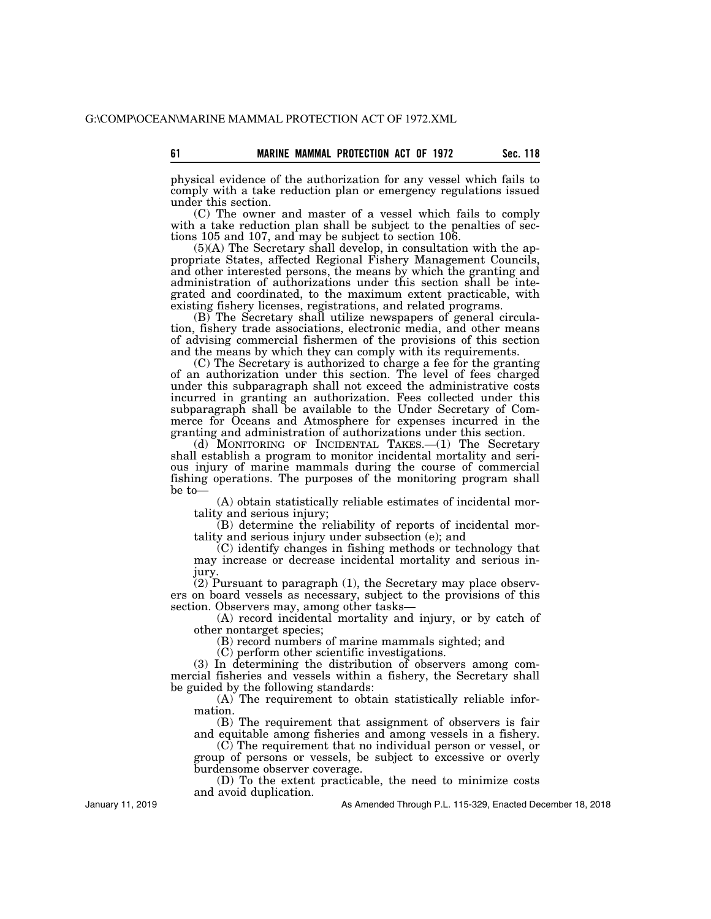physical evidence of the authorization for any vessel which fails to comply with a take reduction plan or emergency regulations issued under this section.

(C) The owner and master of a vessel which fails to comply with a take reduction plan shall be subject to the penalties of sections 105 and 107, and may be subject to section 106.

(5)(A) The Secretary shall develop, in consultation with the appropriate States, affected Regional Fishery Management Councils, and other interested persons, the means by which the granting and administration of authorizations under this section shall be integrated and coordinated, to the maximum extent practicable, with existing fishery licenses, registrations, and related programs.

(B) The Secretary shall utilize newspapers of general circulation, fishery trade associations, electronic media, and other means of advising commercial fishermen of the provisions of this section and the means by which they can comply with its requirements.

(C) The Secretary is authorized to charge a fee for the granting of an authorization under this section. The level of fees charged under this subparagraph shall not exceed the administrative costs incurred in granting an authorization. Fees collected under this subparagraph shall be available to the Under Secretary of Commerce for Oceans and Atmosphere for expenses incurred in the granting and administration of authorizations under this section.

(d) MONITORING OF INCIDENTAL TAKES.—(1) The Secretary shall establish a program to monitor incidental mortality and serious injury of marine mammals during the course of commercial fishing operations. The purposes of the monitoring program shall be to—

(A) obtain statistically reliable estimates of incidental mortality and serious injury;

(B) determine the reliability of reports of incidental mortality and serious injury under subsection (e); and

(C) identify changes in fishing methods or technology that may increase or decrease incidental mortality and serious injury.

(2) Pursuant to paragraph (1), the Secretary may place observers on board vessels as necessary, subject to the provisions of this section. Observers may, among other tasks—

(A) record incidental mortality and injury, or by catch of other nontarget species;

(B) record numbers of marine mammals sighted; and

(C) perform other scientific investigations.

(3) In determining the distribution of observers among commercial fisheries and vessels within a fishery, the Secretary shall be guided by the following standards:

(A) The requirement to obtain statistically reliable information.

(B) The requirement that assignment of observers is fair and equitable among fisheries and among vessels in a fishery.

(C) The requirement that no individual person or vessel, or group of persons or vessels, be subject to excessive or overly burdensome observer coverage.

(D) To the extent practicable, the need to minimize costs and avoid duplication.

January 11, 2019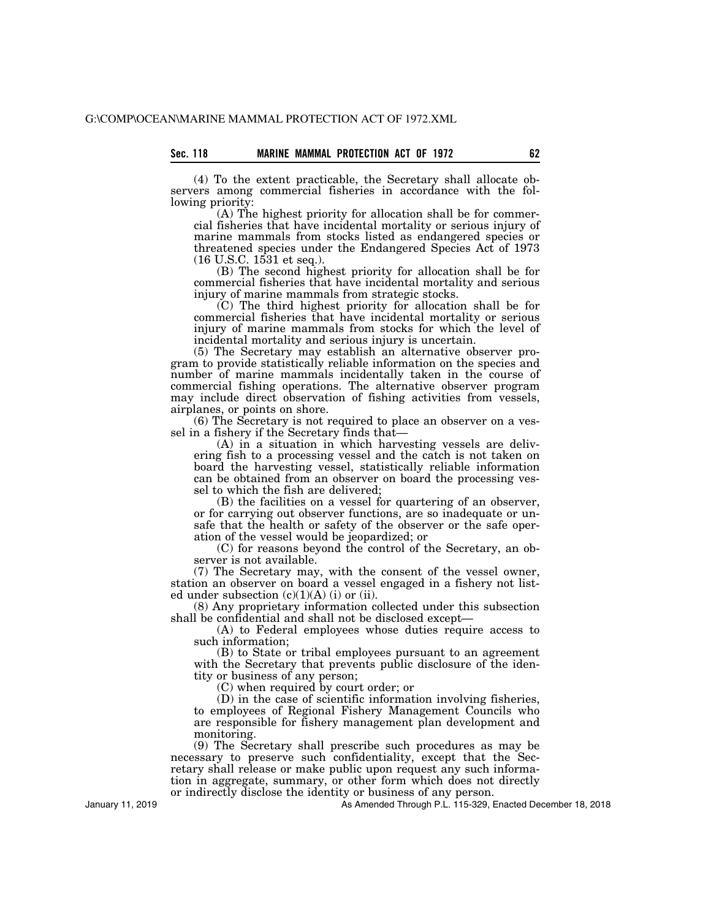(4) To the extent practicable, the Secretary shall allocate observers among commercial fisheries in accordance with the following priority:

(A) The highest priority for allocation shall be for commercial fisheries that have incidental mortality or serious injury of marine mammals from stocks listed as endangered species or threatened species under the Endangered Species Act of 1973 (16 U.S.C. 1531 et seq.).

(B) The second highest priority for allocation shall be for commercial fisheries that have incidental mortality and serious injury of marine mammals from strategic stocks.

(C) The third highest priority for allocation shall be for commercial fisheries that have incidental mortality or serious injury of marine mammals from stocks for which the level of incidental mortality and serious injury is uncertain.

(5) The Secretary may establish an alternative observer program to provide statistically reliable information on the species and number of marine mammals incidentally taken in the course of commercial fishing operations. The alternative observer program may include direct observation of fishing activities from vessels, airplanes, or points on shore.

(6) The Secretary is not required to place an observer on a vessel in a fishery if the Secretary finds that—

(A) in a situation in which harvesting vessels are delivering fish to a processing vessel and the catch is not taken on board the harvesting vessel, statistically reliable information can be obtained from an observer on board the processing vessel to which the fish are delivered;

(B) the facilities on a vessel for quartering of an observer, or for carrying out observer functions, are so inadequate or unsafe that the health or safety of the observer or the safe operation of the vessel would be jeopardized; or

(C) for reasons beyond the control of the Secretary, an observer is not available.

(7) The Secretary may, with the consent of the vessel owner, station an observer on board a vessel engaged in a fishery not listed under subsection  $(c)(1)(A)$  (i) or (ii).

(8) Any proprietary information collected under this subsection shall be confidential and shall not be disclosed except—

(A) to Federal employees whose duties require access to such information;

(B) to State or tribal employees pursuant to an agreement with the Secretary that prevents public disclosure of the identity or business of any person;

(C) when required by court order; or

(D) in the case of scientific information involving fisheries, to employees of Regional Fishery Management Councils who are responsible for fishery management plan development and monitoring.

(9) The Secretary shall prescribe such procedures as may be necessary to preserve such confidentiality, except that the Secretary shall release or make public upon request any such information in aggregate, summary, or other form which does not directly or indirectly disclose the identity or business of any person.

As Amended Through P.L. 115-329, Enacted December 18, 2018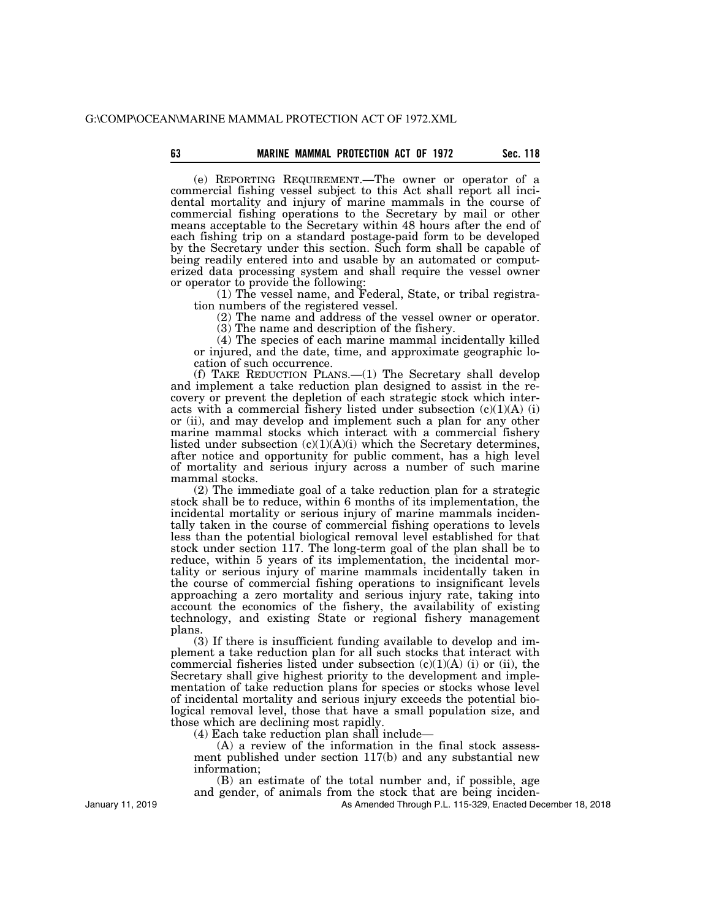(e) REPORTING REQUIREMENT.—The owner or operator of a commercial fishing vessel subject to this Act shall report all incidental mortality and injury of marine mammals in the course of commercial fishing operations to the Secretary by mail or other means acceptable to the Secretary within 48 hours after the end of each fishing trip on a standard postage-paid form to be developed by the Secretary under this section. Such form shall be capable of being readily entered into and usable by an automated or computerized data processing system and shall require the vessel owner or operator to provide the following:

(1) The vessel name, and Federal, State, or tribal registration numbers of the registered vessel.

(2) The name and address of the vessel owner or operator.

(3) The name and description of the fishery.

(4) The species of each marine mammal incidentally killed or injured, and the date, time, and approximate geographic location of such occurrence.

(f) TAKE REDUCTION PLANS.—(1) The Secretary shall develop and implement a take reduction plan designed to assist in the recovery or prevent the depletion of each strategic stock which interacts with a commercial fishery listed under subsection  $(c)(1)(A)$  (i) or (ii), and may develop and implement such a plan for any other marine mammal stocks which interact with a commercial fishery listed under subsection  $(c)(1)(A)(i)$  which the Secretary determines, after notice and opportunity for public comment, has a high level of mortality and serious injury across a number of such marine mammal stocks.

(2) The immediate goal of a take reduction plan for a strategic stock shall be to reduce, within 6 months of its implementation, the incidental mortality or serious injury of marine mammals incidentally taken in the course of commercial fishing operations to levels less than the potential biological removal level established for that stock under section 117. The long-term goal of the plan shall be to reduce, within 5 years of its implementation, the incidental mortality or serious injury of marine mammals incidentally taken in the course of commercial fishing operations to insignificant levels approaching a zero mortality and serious injury rate, taking into account the economics of the fishery, the availability of existing technology, and existing State or regional fishery management plans.

(3) If there is insufficient funding available to develop and implement a take reduction plan for all such stocks that interact with commercial fisheries listed under subsection  $(c)(1)(A)$  (i) or (ii), the Secretary shall give highest priority to the development and implementation of take reduction plans for species or stocks whose level of incidental mortality and serious injury exceeds the potential biological removal level, those that have a small population size, and those which are declining most rapidly.

(4) Each take reduction plan shall include—

(A) a review of the information in the final stock assessment published under section 117(b) and any substantial new information;

(B) an estimate of the total number and, if possible, age and gender, of animals from the stock that are being inciden-

As Amended Through P.L. 115-329, Enacted December 18, 2018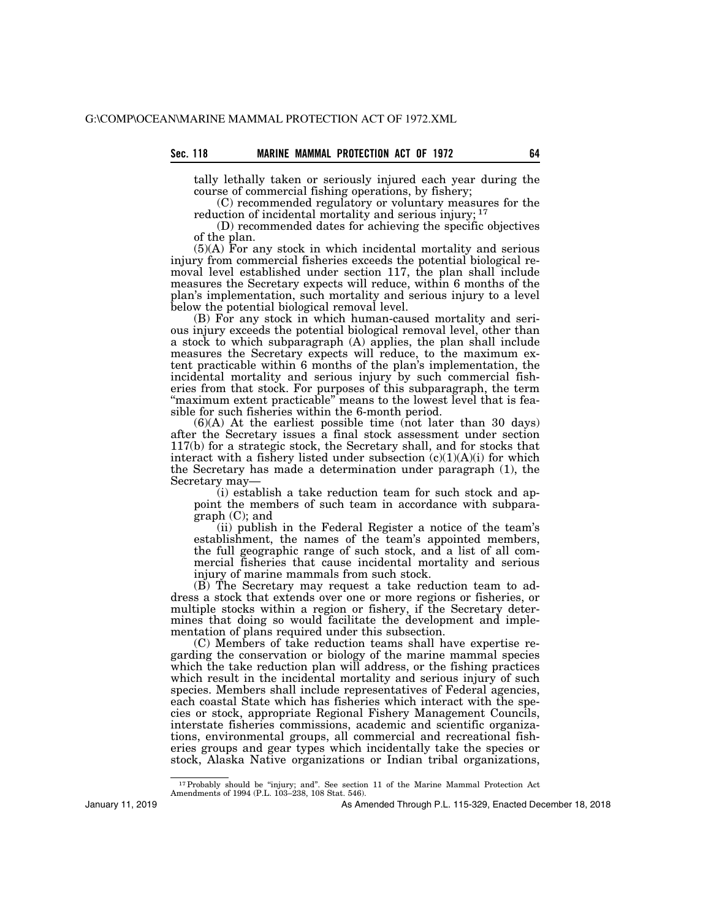tally lethally taken or seriously injured each year during the course of commercial fishing operations, by fishery;

(C) recommended regulatory or voluntary measures for the reduction of incidental mortality and serious injury; <sup>17</sup>

(D) recommended dates for achieving the specific objectives of the plan.

(5)(A) For any stock in which incidental mortality and serious injury from commercial fisheries exceeds the potential biological removal level established under section 117, the plan shall include measures the Secretary expects will reduce, within 6 months of the plan's implementation, such mortality and serious injury to a level below the potential biological removal level.

(B) For any stock in which human-caused mortality and serious injury exceeds the potential biological removal level, other than a stock to which subparagraph (A) applies, the plan shall include measures the Secretary expects will reduce, to the maximum extent practicable within 6 months of the plan's implementation, the incidental mortality and serious injury by such commercial fisheries from that stock. For purposes of this subparagraph, the term "maximum extent practicable" means to the lowest level that is feasible for such fisheries within the 6-month period.

(6)(A) At the earliest possible time (not later than 30 days) after the Secretary issues a final stock assessment under section 117(b) for a strategic stock, the Secretary shall, and for stocks that interact with a fishery listed under subsection  $(c)(1)(A)(i)$  for which the Secretary has made a determination under paragraph (1), the Secretary may—

(i) establish a take reduction team for such stock and appoint the members of such team in accordance with subparagraph (C); and

(ii) publish in the Federal Register a notice of the team's establishment, the names of the team's appointed members, the full geographic range of such stock, and a list of all commercial fisheries that cause incidental mortality and serious injury of marine mammals from such stock.

(B) The Secretary may request a take reduction team to address a stock that extends over one or more regions or fisheries, or multiple stocks within a region or fishery, if the Secretary determines that doing so would facilitate the development and implementation of plans required under this subsection.

(C) Members of take reduction teams shall have expertise regarding the conservation or biology of the marine mammal species which the take reduction plan will address, or the fishing practices which result in the incidental mortality and serious injury of such species. Members shall include representatives of Federal agencies, each coastal State which has fisheries which interact with the species or stock, appropriate Regional Fishery Management Councils, interstate fisheries commissions, academic and scientific organizations, environmental groups, all commercial and recreational fisheries groups and gear types which incidentally take the species or stock, Alaska Native organizations or Indian tribal organizations,

<sup>17</sup>Probably should be ''injury; and''. See section 11 of the Marine Mammal Protection Act Amendments of 1994 (P.L. 103–238, 108 Stat. 546).

As Amended Through P.L. 115-329, Enacted December 18, 2018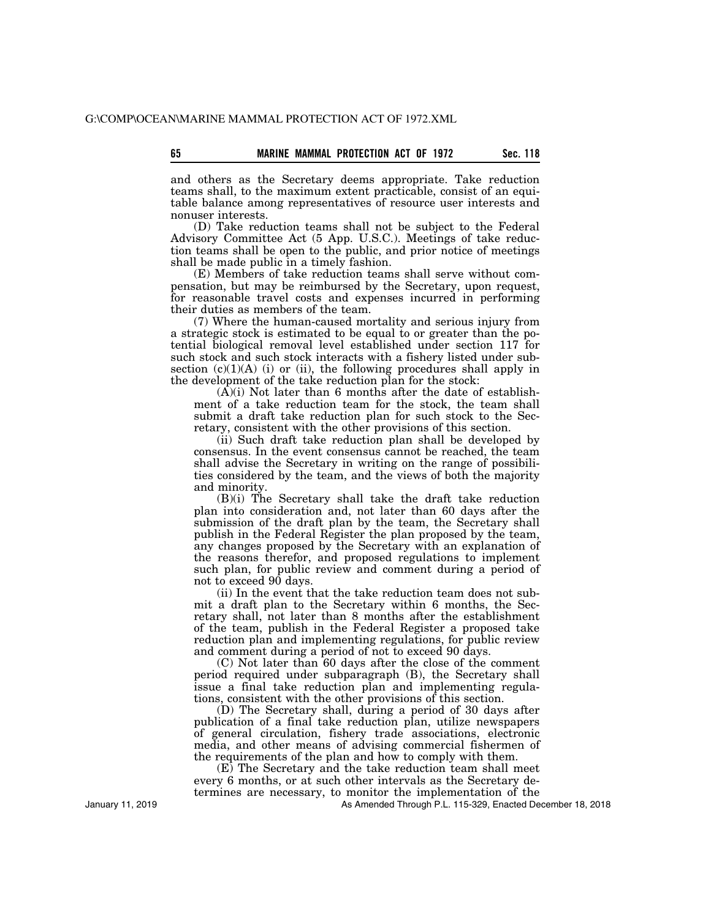and others as the Secretary deems appropriate. Take reduction teams shall, to the maximum extent practicable, consist of an equitable balance among representatives of resource user interests and nonuser interests.

(D) Take reduction teams shall not be subject to the Federal Advisory Committee Act (5 App. U.S.C.). Meetings of take reduction teams shall be open to the public, and prior notice of meetings shall be made public in a timely fashion.

(E) Members of take reduction teams shall serve without compensation, but may be reimbursed by the Secretary, upon request, for reasonable travel costs and expenses incurred in performing their duties as members of the team.

(7) Where the human-caused mortality and serious injury from a strategic stock is estimated to be equal to or greater than the potential biological removal level established under section 117 for such stock and such stock interacts with a fishery listed under subsection  $(c)(1)(A)$  (i) or (ii), the following procedures shall apply in the development of the take reduction plan for the stock:

 $(A)(i)$  Not later than 6 months after the date of establishment of a take reduction team for the stock, the team shall submit a draft take reduction plan for such stock to the Secretary, consistent with the other provisions of this section.

(ii) Such draft take reduction plan shall be developed by consensus. In the event consensus cannot be reached, the team shall advise the Secretary in writing on the range of possibilities considered by the team, and the views of both the majority and minority.

(B)(i) The Secretary shall take the draft take reduction plan into consideration and, not later than 60 days after the submission of the draft plan by the team, the Secretary shall publish in the Federal Register the plan proposed by the team, any changes proposed by the Secretary with an explanation of the reasons therefor, and proposed regulations to implement such plan, for public review and comment during a period of not to exceed 90 days.

(ii) In the event that the take reduction team does not submit a draft plan to the Secretary within 6 months, the Secretary shall, not later than 8 months after the establishment of the team, publish in the Federal Register a proposed take reduction plan and implementing regulations, for public review and comment during a period of not to exceed 90 days.

(C) Not later than 60 days after the close of the comment period required under subparagraph (B), the Secretary shall issue a final take reduction plan and implementing regulations, consistent with the other provisions of this section.

(D) The Secretary shall, during a period of 30 days after publication of a final take reduction plan, utilize newspapers of general circulation, fishery trade associations, electronic media, and other means of advising commercial fishermen of the requirements of the plan and how to comply with them.

(E) The Secretary and the take reduction team shall meet every 6 months, or at such other intervals as the Secretary determines are necessary, to monitor the implementation of the

As Amended Through P.L. 115-329, Enacted December 18, 2018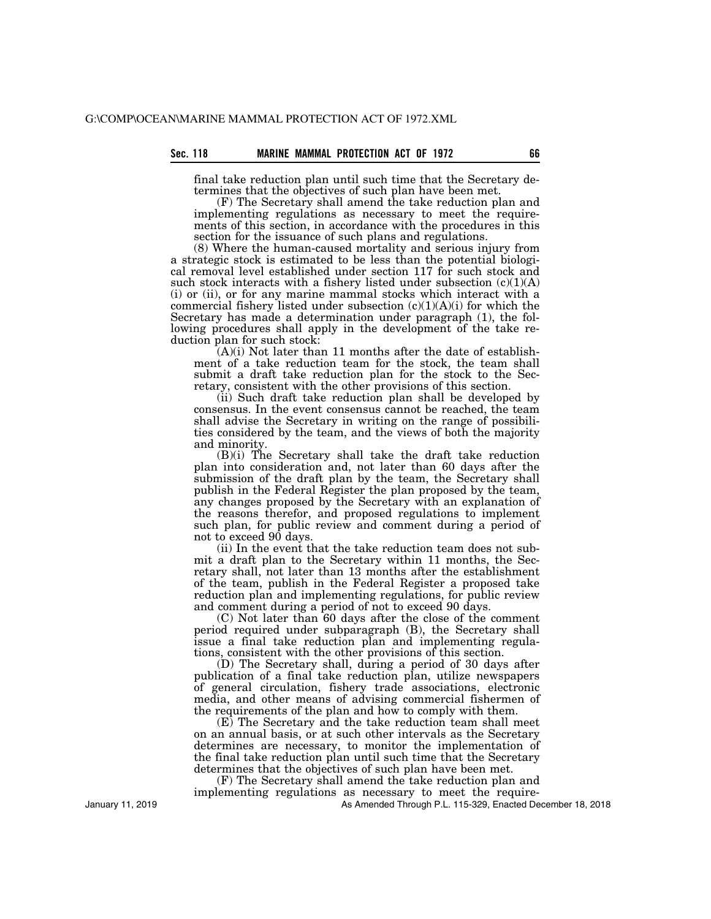# **Sec. 118 MARINE MAMMAL PROTECTION ACT OF 1972 66**

final take reduction plan until such time that the Secretary determines that the objectives of such plan have been met.

(F) The Secretary shall amend the take reduction plan and implementing regulations as necessary to meet the requirements of this section, in accordance with the procedures in this section for the issuance of such plans and regulations.

(8) Where the human-caused mortality and serious injury from a strategic stock is estimated to be less than the potential biological removal level established under section 117 for such stock and such stock interacts with a fishery listed under subsection  $(c)(1)(A)$ (i) or (ii), or for any marine mammal stocks which interact with a commercial fishery listed under subsection  $(c)(1)(A)(i)$  for which the Secretary has made a determination under paragraph (1), the following procedures shall apply in the development of the take reduction plan for such stock:

 $\tilde{A}(A)(i)$  Not later than 11 months after the date of establishment of a take reduction team for the stock, the team shall submit a draft take reduction plan for the stock to the Secretary, consistent with the other provisions of this section.

(ii) Such draft take reduction plan shall be developed by consensus. In the event consensus cannot be reached, the team shall advise the Secretary in writing on the range of possibilities considered by the team, and the views of both the majority and minority.

(B)(i) The Secretary shall take the draft take reduction plan into consideration and, not later than 60 days after the submission of the draft plan by the team, the Secretary shall publish in the Federal Register the plan proposed by the team, any changes proposed by the Secretary with an explanation of the reasons therefor, and proposed regulations to implement such plan, for public review and comment during a period of not to exceed 90 days.

(ii) In the event that the take reduction team does not submit a draft plan to the Secretary within 11 months, the Secretary shall, not later than 13 months after the establishment of the team, publish in the Federal Register a proposed take reduction plan and implementing regulations, for public review and comment during a period of not to exceed 90 days.

(C) Not later than 60 days after the close of the comment period required under subparagraph (B), the Secretary shall issue a final take reduction plan and implementing regulations, consistent with the other provisions of this section.

(D) The Secretary shall, during a period of 30 days after publication of a final take reduction plan, utilize newspapers of general circulation, fishery trade associations, electronic media, and other means of advising commercial fishermen of the requirements of the plan and how to comply with them.

(E) The Secretary and the take reduction team shall meet on an annual basis, or at such other intervals as the Secretary determines are necessary, to monitor the implementation of the final take reduction plan until such time that the Secretary determines that the objectives of such plan have been met.

(F) The Secretary shall amend the take reduction plan and implementing regulations as necessary to meet the require-

As Amended Through P.L. 115-329, Enacted December 18, 2018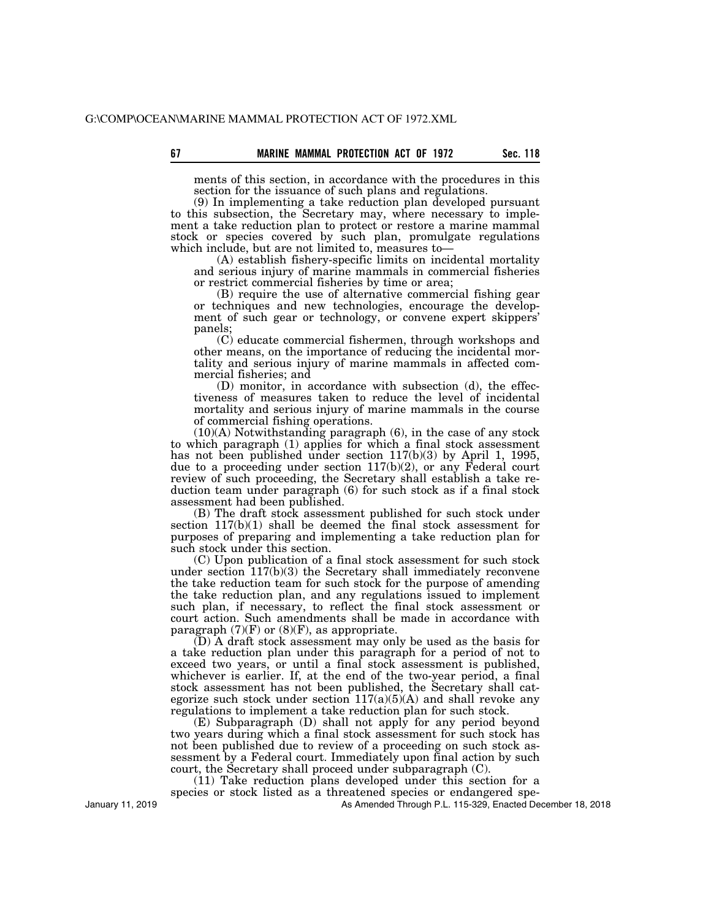ments of this section, in accordance with the procedures in this section for the issuance of such plans and regulations.

(9) In implementing a take reduction plan developed pursuant to this subsection, the Secretary may, where necessary to implement a take reduction plan to protect or restore a marine mammal stock or species covered by such plan, promulgate regulations which include, but are not limited to, measures to—

(A) establish fishery-specific limits on incidental mortality and serious injury of marine mammals in commercial fisheries or restrict commercial fisheries by time or area;

(B) require the use of alternative commercial fishing gear or techniques and new technologies, encourage the development of such gear or technology, or convene expert skippers' panels;

(C) educate commercial fishermen, through workshops and other means, on the importance of reducing the incidental mortality and serious injury of marine mammals in affected commercial fisheries; and

(D) monitor, in accordance with subsection (d), the effectiveness of measures taken to reduce the level of incidental mortality and serious injury of marine mammals in the course of commercial fishing operations.

(10)(A) Notwithstanding paragraph (6), in the case of any stock to which paragraph (1) applies for which a final stock assessment has not been published under section 117(b)(3) by April 1, 1995, due to a proceeding under section 117(b)(2), or any Federal court review of such proceeding, the Secretary shall establish a take reduction team under paragraph (6) for such stock as if a final stock assessment had been published.

(B) The draft stock assessment published for such stock under section  $117(b)(1)$  shall be deemed the final stock assessment for purposes of preparing and implementing a take reduction plan for such stock under this section.

(C) Upon publication of a final stock assessment for such stock under section 117(b)(3) the Secretary shall immediately reconvene the take reduction team for such stock for the purpose of amending the take reduction plan, and any regulations issued to implement such plan, if necessary, to reflect the final stock assessment or court action. Such amendments shall be made in accordance with paragraph  $(7)(F)$  or  $(8)(F)$ , as appropriate.

(D) A draft stock assessment may only be used as the basis for a take reduction plan under this paragraph for a period of not to exceed two years, or until a final stock assessment is published, whichever is earlier. If, at the end of the two-year period, a final stock assessment has not been published, the Secretary shall categorize such stock under section  $117(a)(5)(A)$  and shall revoke any regulations to implement a take reduction plan for such stock.

(E) Subparagraph (D) shall not apply for any period beyond two years during which a final stock assessment for such stock has not been published due to review of a proceeding on such stock assessment by a Federal court. Immediately upon final action by such court, the Secretary shall proceed under subparagraph (C).

(11) Take reduction plans developed under this section for a species or stock listed as a threatened species or endangered spe-

As Amended Through P.L. 115-329, Enacted December 18, 2018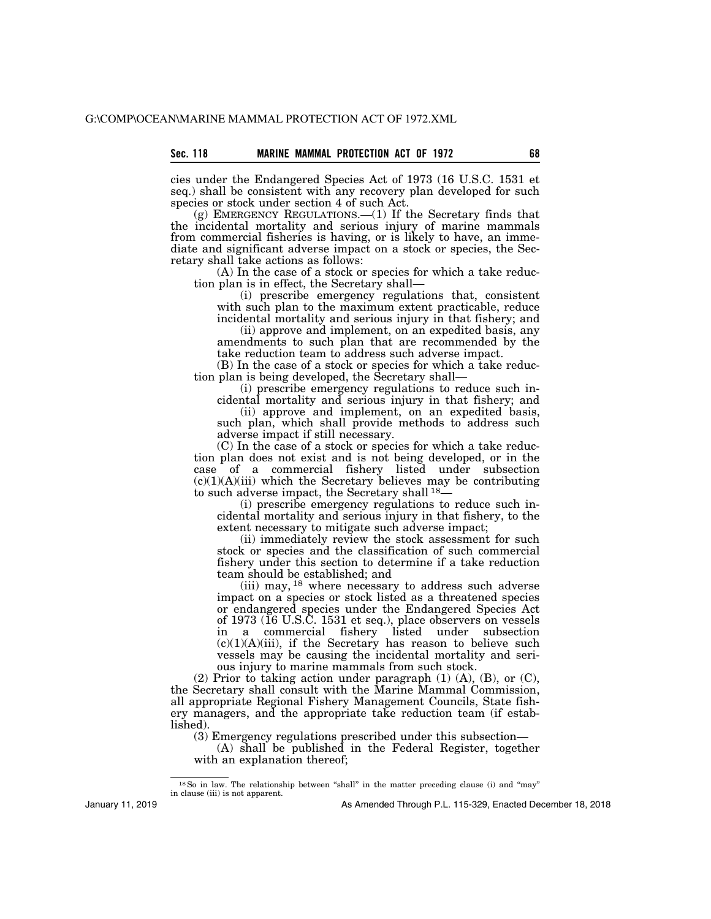# **Sec. 118 MARINE MAMMAL PROTECTION ACT OF 1972 68**

cies under the Endangered Species Act of 1973 (16 U.S.C. 1531 et seq.) shall be consistent with any recovery plan developed for such species or stock under section 4 of such Act.

(g) EMERGENCY REGULATIONS.—(1) If the Secretary finds that the incidental mortality and serious injury of marine mammals from commercial fisheries is having, or is likely to have, an immediate and significant adverse impact on a stock or species, the Secretary shall take actions as follows:

(A) In the case of a stock or species for which a take reduction plan is in effect, the Secretary shall—

(i) prescribe emergency regulations that, consistent with such plan to the maximum extent practicable, reduce incidental mortality and serious injury in that fishery; and

(ii) approve and implement, on an expedited basis, any amendments to such plan that are recommended by the take reduction team to address such adverse impact.

(B) In the case of a stock or species for which a take reduction plan is being developed, the Secretary shall—

(i) prescribe emergency regulations to reduce such incidental mortality and serious injury in that fishery; and

(ii) approve and implement, on an expedited basis, such plan, which shall provide methods to address such adverse impact if still necessary.

(C) In the case of a stock or species for which a take reduction plan does not exist and is not being developed, or in the case of a commercial fishery listed under subsection  $(c)(1)(A)(iii)$  which the Secretary believes may be contributing to such adverse impact, the Secretary shall 18—

(i) prescribe emergency regulations to reduce such incidental mortality and serious injury in that fishery, to the extent necessary to mitigate such adverse impact;

(ii) immediately review the stock assessment for such stock or species and the classification of such commercial fishery under this section to determine if a take reduction team should be established; and

(iii) may, 18 where necessary to address such adverse impact on a species or stock listed as a threatened species or endangered species under the Endangered Species Act of 1973 (16 U.S.C. 1531 et seq.), place observers on vessels in a commercial fishery listed under subsection  $(c)(1)(A)(iii)$ , if the Secretary has reason to believe such vessels may be causing the incidental mortality and serious injury to marine mammals from such stock.

(2) Prior to taking action under paragraph (1) (A), (B), or (C), the Secretary shall consult with the Marine Mammal Commission, all appropriate Regional Fishery Management Councils, State fishery managers, and the appropriate take reduction team (if established).

(3) Emergency regulations prescribed under this subsection—

(A) shall be published in the Federal Register, together with an explanation thereof;

January 11, 2019

 $18$ So in law. The relationship between "shall" in the matter preceding clause (i) and "may" in clause (iii) is not apparent.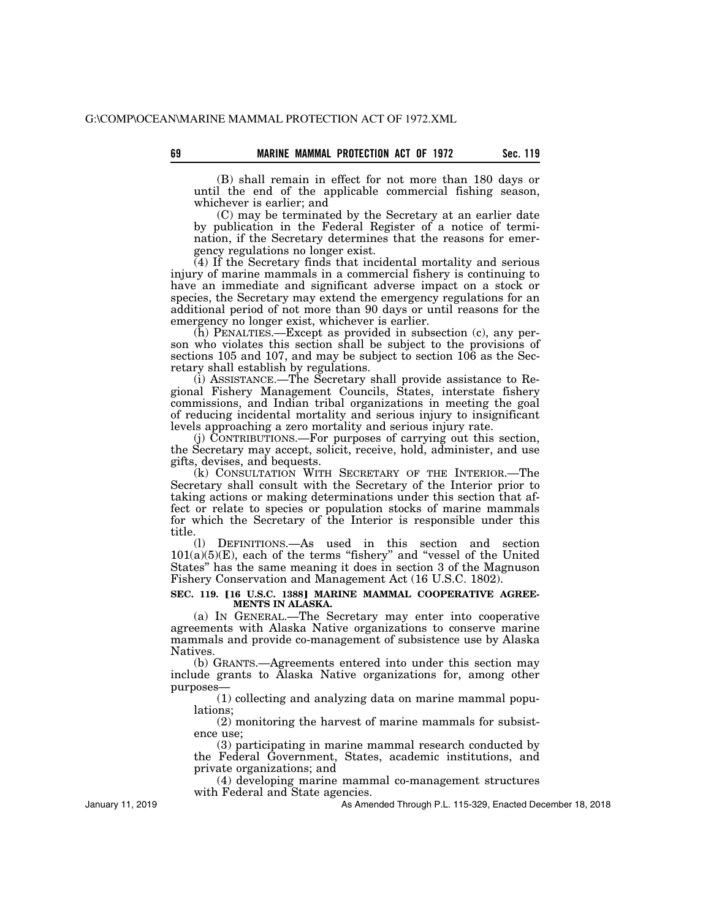(B) shall remain in effect for not more than 180 days or until the end of the applicable commercial fishing season, whichever is earlier; and

(C) may be terminated by the Secretary at an earlier date by publication in the Federal Register of a notice of termination, if the Secretary determines that the reasons for emergency regulations no longer exist.

(4) If the Secretary finds that incidental mortality and serious injury of marine mammals in a commercial fishery is continuing to have an immediate and significant adverse impact on a stock or species, the Secretary may extend the emergency regulations for an additional period of not more than 90 days or until reasons for the emergency no longer exist, whichever is earlier.

(h) PENALTIES.—Except as provided in subsection (c), any person who violates this section shall be subject to the provisions of sections 105 and 107, and may be subject to section 106 as the Secretary shall establish by regulations.

(i) ASSISTANCE.—The Secretary shall provide assistance to Regional Fishery Management Councils, States, interstate fishery commissions, and Indian tribal organizations in meeting the goal of reducing incidental mortality and serious injury to insignificant levels approaching a zero mortality and serious injury rate.

(j) CONTRIBUTIONS.—For purposes of carrying out this section, the Secretary may accept, solicit, receive, hold, administer, and use gifts, devises, and bequests.

(k) CONSULTATION WITH SECRETARY OF THE INTERIOR.—The Secretary shall consult with the Secretary of the Interior prior to taking actions or making determinations under this section that affect or relate to species or population stocks of marine mammals for which the Secretary of the Interior is responsible under this title.

(l) DEFINITIONS.—As used in this section and section  $101(a)(5)(E)$ , each of the terms "fishery" and "vessel of the United States'' has the same meaning it does in section 3 of the Magnuson Fishery Conservation and Management Act (16 U.S.C. 1802).

#### SEC. 119. [16 U.S.C. 1388] MARINE MAMMAL COOPERATIVE AGREE-**MENTS IN ALASKA.**

(a) IN GENERAL.—The Secretary may enter into cooperative agreements with Alaska Native organizations to conserve marine mammals and provide co-management of subsistence use by Alaska Natives.

(b) GRANTS.—Agreements entered into under this section may include grants to Alaska Native organizations for, among other purposes—

(1) collecting and analyzing data on marine mammal populations;

(2) monitoring the harvest of marine mammals for subsistence use;

(3) participating in marine mammal research conducted by the Federal Government, States, academic institutions, and private organizations; and

(4) developing marine mammal co-management structures with Federal and State agencies.

January 11, 2019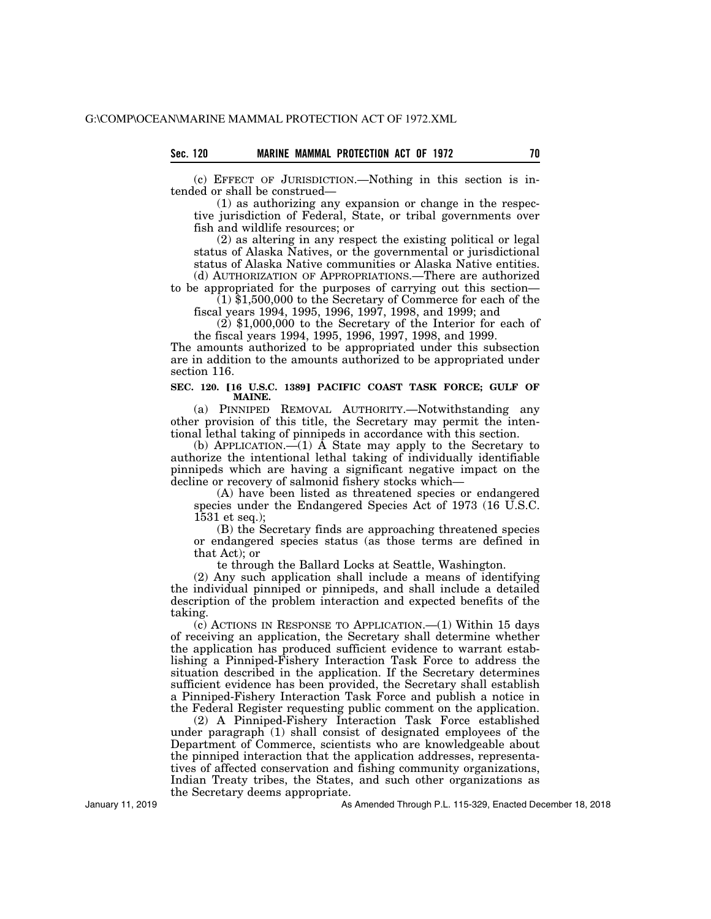(c) EFFECT OF JURISDICTION.—Nothing in this section is intended or shall be construed—

(1) as authorizing any expansion or change in the respective jurisdiction of Federal, State, or tribal governments over fish and wildlife resources; or

(2) as altering in any respect the existing political or legal status of Alaska Natives, or the governmental or jurisdictional status of Alaska Native communities or Alaska Native entities. (d) AUTHORIZATION OF APPROPRIATIONS.—There are authorized

to be appropriated for the purposes of carrying out this section— (1) \$1,500,000 to the Secretary of Commerce for each of the

fiscal years 1994, 1995, 1996, 1997, 1998, and 1999; and

(2) \$1,000,000 to the Secretary of the Interior for each of the fiscal years 1994, 1995, 1996, 1997, 1998, and 1999.

The amounts authorized to be appropriated under this subsection are in addition to the amounts authorized to be appropriated under section 116.

#### SEC. 120. [16 U.S.C. 1389] PACIFIC COAST TASK FORCE; GULF OF **MAINE.**

(a) PINNIPED REMOVAL AUTHORITY.—Notwithstanding any other provision of this title, the Secretary may permit the intentional lethal taking of pinnipeds in accordance with this section.

(b) APPLICATION.—(1)  $\overline{A}$  State may apply to the Secretary to authorize the intentional lethal taking of individually identifiable pinnipeds which are having a significant negative impact on the decline or recovery of salmonid fishery stocks which—

(A) have been listed as threatened species or endangered species under the Endangered Species Act of 1973 (16 U.S.C. 1531 et seq.);

(B) the Secretary finds are approaching threatened species or endangered species status (as those terms are defined in that Act); or

te through the Ballard Locks at Seattle, Washington.

(2) Any such application shall include a means of identifying the individual pinniped or pinnipeds, and shall include a detailed description of the problem interaction and expected benefits of the taking.

(c) ACTIONS IN RESPONSE TO APPLICATION.—(1) Within 15 days of receiving an application, the Secretary shall determine whether the application has produced sufficient evidence to warrant establishing a Pinniped-Fishery Interaction Task Force to address the situation described in the application. If the Secretary determines sufficient evidence has been provided, the Secretary shall establish a Pinniped-Fishery Interaction Task Force and publish a notice in the Federal Register requesting public comment on the application.

(2) A Pinniped-Fishery Interaction Task Force established under paragraph (1) shall consist of designated employees of the Department of Commerce, scientists who are knowledgeable about the pinniped interaction that the application addresses, representatives of affected conservation and fishing community organizations, Indian Treaty tribes, the States, and such other organizations as the Secretary deems appropriate.

January 11, 2019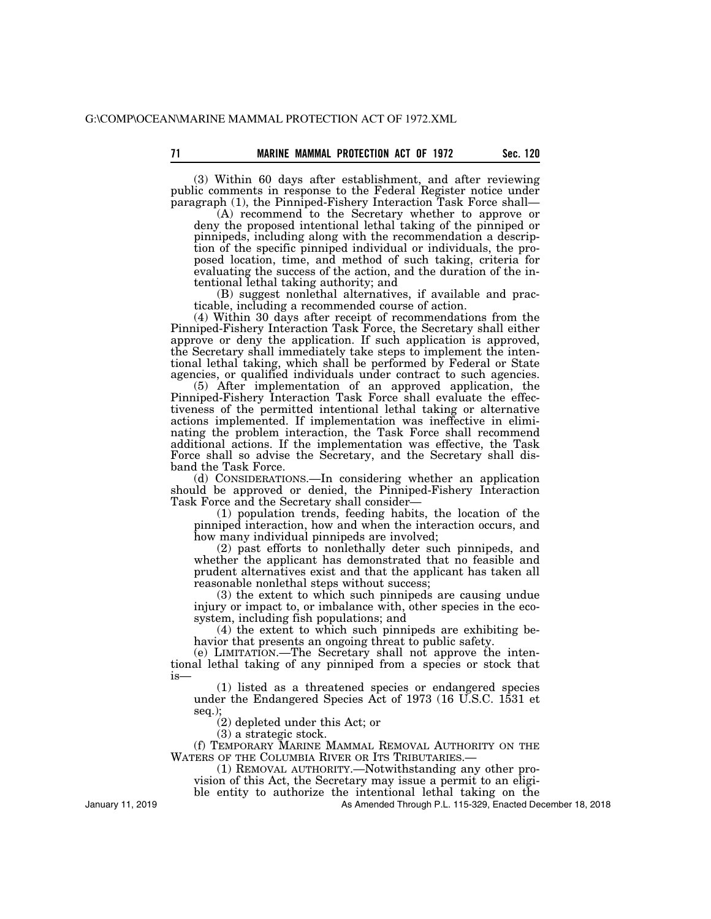(3) Within 60 days after establishment, and after reviewing public comments in response to the Federal Register notice under paragraph (1), the Pinniped-Fishery Interaction Task Force shall—

(A) recommend to the Secretary whether to approve or deny the proposed intentional lethal taking of the pinniped or pinnipeds, including along with the recommendation a description of the specific pinniped individual or individuals, the proposed location, time, and method of such taking, criteria for evaluating the success of the action, and the duration of the intentional lethal taking authority; and

(B) suggest nonlethal alternatives, if available and practicable, including a recommended course of action.

(4) Within 30 days after receipt of recommendations from the Pinniped-Fishery Interaction Task Force, the Secretary shall either approve or deny the application. If such application is approved, the Secretary shall immediately take steps to implement the intentional lethal taking, which shall be performed by Federal or State agencies, or qualified individuals under contract to such agencies.

(5) After implementation of an approved application, the Pinniped-Fishery Interaction Task Force shall evaluate the effectiveness of the permitted intentional lethal taking or alternative actions implemented. If implementation was ineffective in eliminating the problem interaction, the Task Force shall recommend additional actions. If the implementation was effective, the Task Force shall so advise the Secretary, and the Secretary shall disband the Task Force.

(d) CONSIDERATIONS.—In considering whether an application should be approved or denied, the Pinniped-Fishery Interaction Task Force and the Secretary shall consider—

(1) population trends, feeding habits, the location of the pinniped interaction, how and when the interaction occurs, and how many individual pinnipeds are involved;

(2) past efforts to nonlethally deter such pinnipeds, and whether the applicant has demonstrated that no feasible and prudent alternatives exist and that the applicant has taken all reasonable nonlethal steps without success;

(3) the extent to which such pinnipeds are causing undue injury or impact to, or imbalance with, other species in the ecosystem, including fish populations; and

(4) the extent to which such pinnipeds are exhibiting behavior that presents an ongoing threat to public safety.

(e) LIMITATION.—The Secretary shall not approve the intentional lethal taking of any pinniped from a species or stock that is—

(1) listed as a threatened species or endangered species under the Endangered Species Act of 1973 (16 U.S.C. 1531 et seq.);

(2) depleted under this Act; or

(3) a strategic stock.

(f) TEMPORARY MARINE MAMMAL REMOVAL AUTHORITY ON THE WATERS OF THE COLUMBIA RIVER OR ITS TRIBUTARIES.—

(1) REMOVAL AUTHORITY.—Notwithstanding any other pro-

vision of this Act, the Secretary may issue a permit to an eligible entity to authorize the intentional lethal taking on the

As Amended Through P.L. 115-329, Enacted December 18, 2018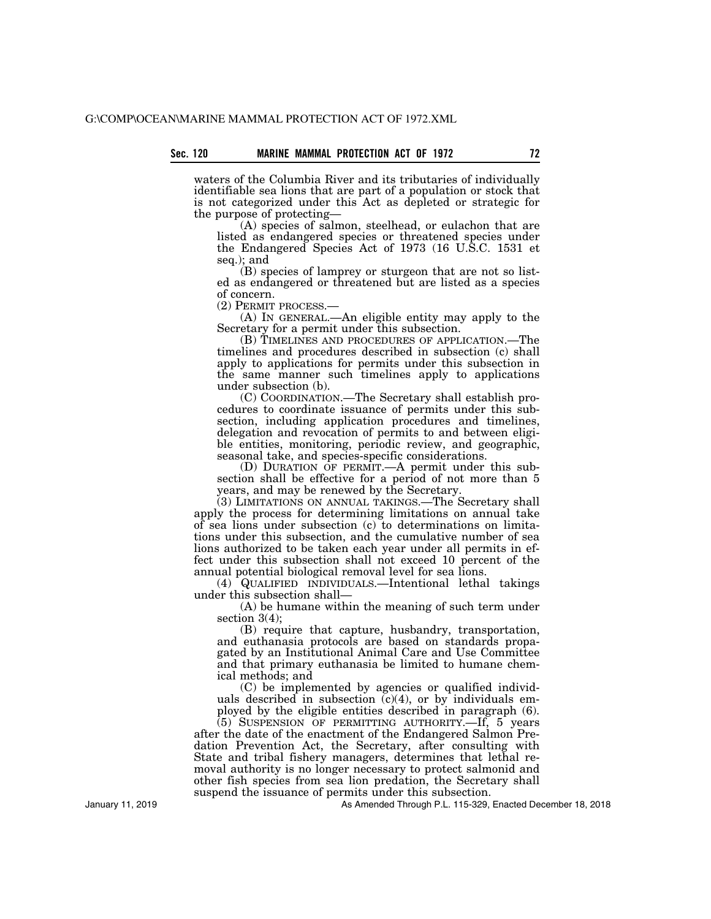waters of the Columbia River and its tributaries of individually identifiable sea lions that are part of a population or stock that is not categorized under this Act as depleted or strategic for the purpose of protecting—

(A) species of salmon, steelhead, or eulachon that are listed as endangered species or threatened species under the Endangered Species Act of 1973 (16 U.S.C. 1531 et seq.); and

(B) species of lamprey or sturgeon that are not so listed as endangered or threatened but are listed as a species of concern.<br>(2) PERMIT PROCESS.—

 $(A)$  In GENERAL.—An eligible entity may apply to the Secretary for a permit under this subsection.

(B) TIMELINES AND PROCEDURES OF APPLICATION.—The timelines and procedures described in subsection (c) shall apply to applications for permits under this subsection in the same manner such timelines apply to applications under subsection (b).

(C) COORDINATION.—The Secretary shall establish procedures to coordinate issuance of permits under this subsection, including application procedures and timelines, delegation and revocation of permits to and between eligible entities, monitoring, periodic review, and geographic, seasonal take, and species-specific considerations.

(D) DURATION OF PERMIT.—A permit under this subsection shall be effective for a period of not more than 5 years, and may be renewed by the Secretary.

(3) LIMITATIONS ON ANNUAL TAKINGS.—The Secretary shall apply the process for determining limitations on annual take of sea lions under subsection (c) to determinations on limitations under this subsection, and the cumulative number of sea lions authorized to be taken each year under all permits in effect under this subsection shall not exceed 10 percent of the annual potential biological removal level for sea lions.

(4) QUALIFIED INDIVIDUALS.—Intentional lethal takings under this subsection shall—

(A) be humane within the meaning of such term under section  $3(4)$ ;

(B) require that capture, husbandry, transportation, and euthanasia protocols are based on standards propagated by an Institutional Animal Care and Use Committee and that primary euthanasia be limited to humane chemical methods; and

(C) be implemented by agencies or qualified individuals described in subsection  $(c)(4)$ , or by individuals employed by the eligible entities described in paragraph (6).

 $(5)$  SUSPENSION OF PERMITTING AUTHORITY.—If, 5 years after the date of the enactment of the Endangered Salmon Predation Prevention Act, the Secretary, after consulting with State and tribal fishery managers, determines that lethal removal authority is no longer necessary to protect salmonid and other fish species from sea lion predation, the Secretary shall suspend the issuance of permits under this subsection.

As Amended Through P.L. 115-329, Enacted December 18, 2018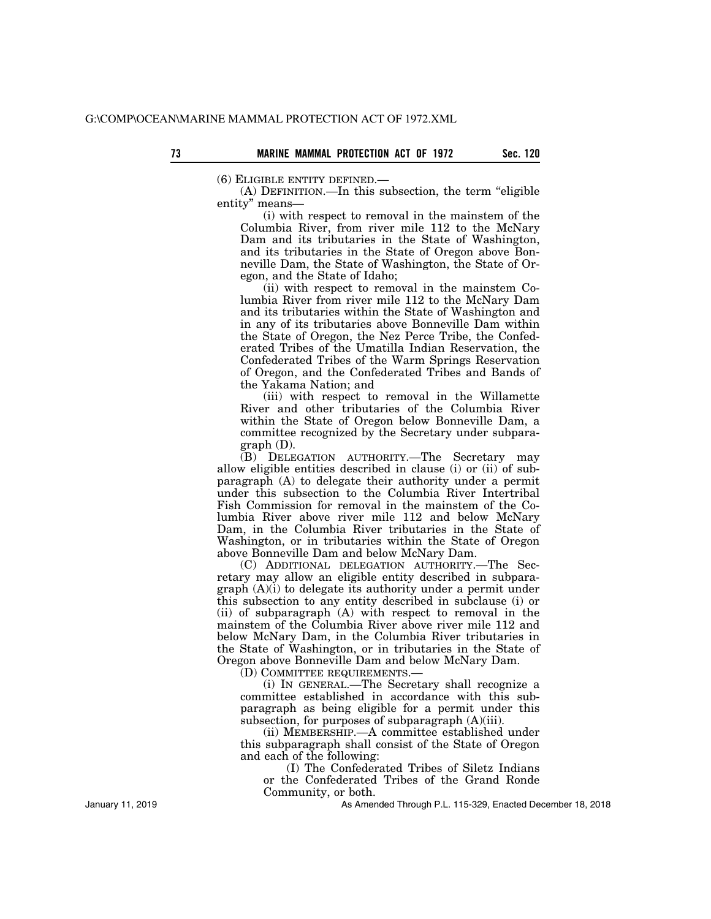(6) ELIGIBLE ENTITY DEFINED.—

(A) DEFINITION.—In this subsection, the term ''eligible entity'' means—

(i) with respect to removal in the mainstem of the Columbia River, from river mile 112 to the McNary Dam and its tributaries in the State of Washington, and its tributaries in the State of Oregon above Bonneville Dam, the State of Washington, the State of Oregon, and the State of Idaho;

(ii) with respect to removal in the mainstem Columbia River from river mile 112 to the McNary Dam and its tributaries within the State of Washington and in any of its tributaries above Bonneville Dam within the State of Oregon, the Nez Perce Tribe, the Confederated Tribes of the Umatilla Indian Reservation, the Confederated Tribes of the Warm Springs Reservation of Oregon, and the Confederated Tribes and Bands of the Yakama Nation; and

(iii) with respect to removal in the Willamette River and other tributaries of the Columbia River within the State of Oregon below Bonneville Dam, a committee recognized by the Secretary under subparagraph (D).

(B) DELEGATION AUTHORITY.—The Secretary may allow eligible entities described in clause (i) or (ii) of subparagraph (A) to delegate their authority under a permit under this subsection to the Columbia River Intertribal Fish Commission for removal in the mainstem of the Columbia River above river mile 112 and below McNary Dam, in the Columbia River tributaries in the State of Washington, or in tributaries within the State of Oregon above Bonneville Dam and below McNary Dam.

(C) ADDITIONAL DELEGATION AUTHORITY.—The Secretary may allow an eligible entity described in subparagraph (A)(i) to delegate its authority under a permit under this subsection to any entity described in subclause (i) or (ii) of subparagraph (A) with respect to removal in the mainstem of the Columbia River above river mile 112 and below McNary Dam, in the Columbia River tributaries in the State of Washington, or in tributaries in the State of Oregon above Bonneville Dam and below McNary Dam.

(D) COMMITTEE REQUIREMENTS.—

(i) IN GENERAL.—The Secretary shall recognize a committee established in accordance with this subparagraph as being eligible for a permit under this subsection, for purposes of subparagraph (A)(iii).

(ii) MEMBERSHIP.—A committee established under this subparagraph shall consist of the State of Oregon and each of the following:

(I) The Confederated Tribes of Siletz Indians or the Confederated Tribes of the Grand Ronde Community, or both.

As Amended Through P.L. 115-329, Enacted December 18, 2018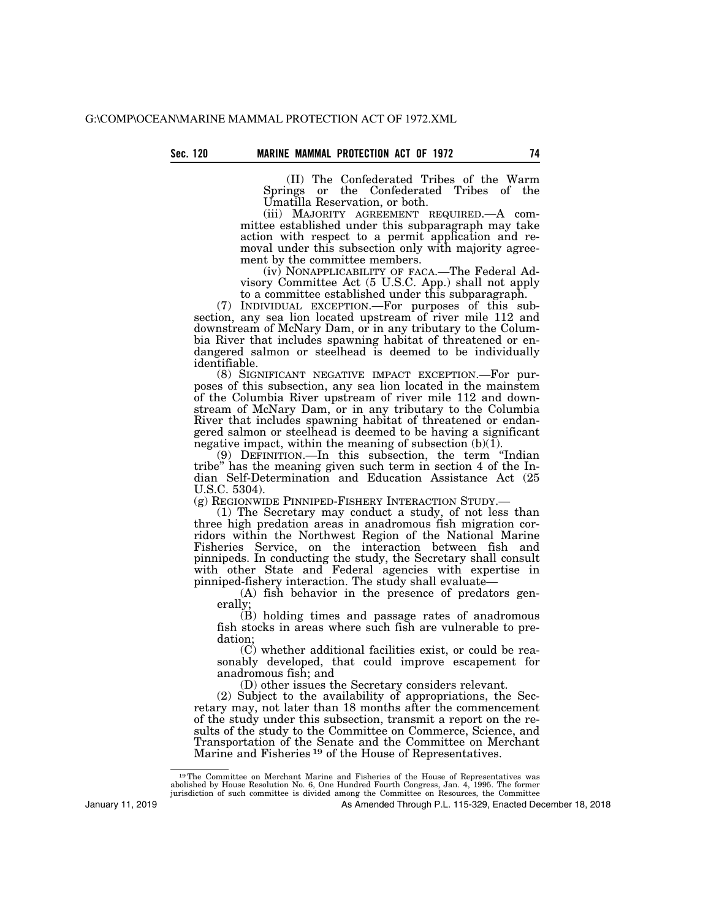(II) The Confederated Tribes of the Warm Springs or the Confederated Tribes of the Umatilla Reservation, or both.

(iii) MAJORITY AGREEMENT REQUIRED.—A committee established under this subparagraph may take action with respect to a permit application and removal under this subsection only with majority agreement by the committee members.

(iv) NONAPPLICABILITY OF FACA.—The Federal Advisory Committee Act (5 U.S.C. App.) shall not apply to a committee established under this subparagraph.

(7) INDIVIDUAL EXCEPTION.—For purposes of this subsection, any sea lion located upstream of river mile 112 and downstream of McNary Dam, or in any tributary to the Columbia River that includes spawning habitat of threatened or endangered salmon or steelhead is deemed to be individually identifiable.

(8) SIGNIFICANT NEGATIVE IMPACT EXCEPTION.—For purposes of this subsection, any sea lion located in the mainstem of the Columbia River upstream of river mile 112 and downstream of McNary Dam, or in any tributary to the Columbia River that includes spawning habitat of threatened or endangered salmon or steelhead is deemed to be having a significant negative impact, within the meaning of subsection  $(b)(1)$ .

(9) DEFINITION.—In this subsection, the term ''Indian tribe'' has the meaning given such term in section 4 of the Indian Self-Determination and Education Assistance Act (25 U.S.C. 5304).<br>(g) Regionwide Pinniped-Fishery Interaction Study.–

 $(1)$  The Secretary may conduct a study, of not less than three high predation areas in anadromous fish migration corridors within the Northwest Region of the National Marine Fisheries Service, on the interaction between fish and pinnipeds. In conducting the study, the Secretary shall consult with other State and Federal agencies with expertise in pinniped-fishery interaction. The study shall evaluate—

(A) fish behavior in the presence of predators generally;

(B) holding times and passage rates of anadromous fish stocks in areas where such fish are vulnerable to predation;

(C) whether additional facilities exist, or could be reasonably developed, that could improve escapement for anadromous fish; and

(D) other issues the Secretary considers relevant.

(2) Subject to the availability of appropriations, the Secretary may, not later than 18 months after the commencement of the study under this subsection, transmit a report on the results of the study to the Committee on Commerce, Science, and Transportation of the Senate and the Committee on Merchant Marine and Fisheries 19 of the House of Representatives.

jurisdiction of such committee is divided among the Committee on Resources, the Committee

<sup>&</sup>lt;sup>19</sup>The Committee on Merchant Marine and Fisheries of the House of Representatives was abolished by House Resolution No. 6, One Hundred Fourth Congress, Jan. 4, 1995. The former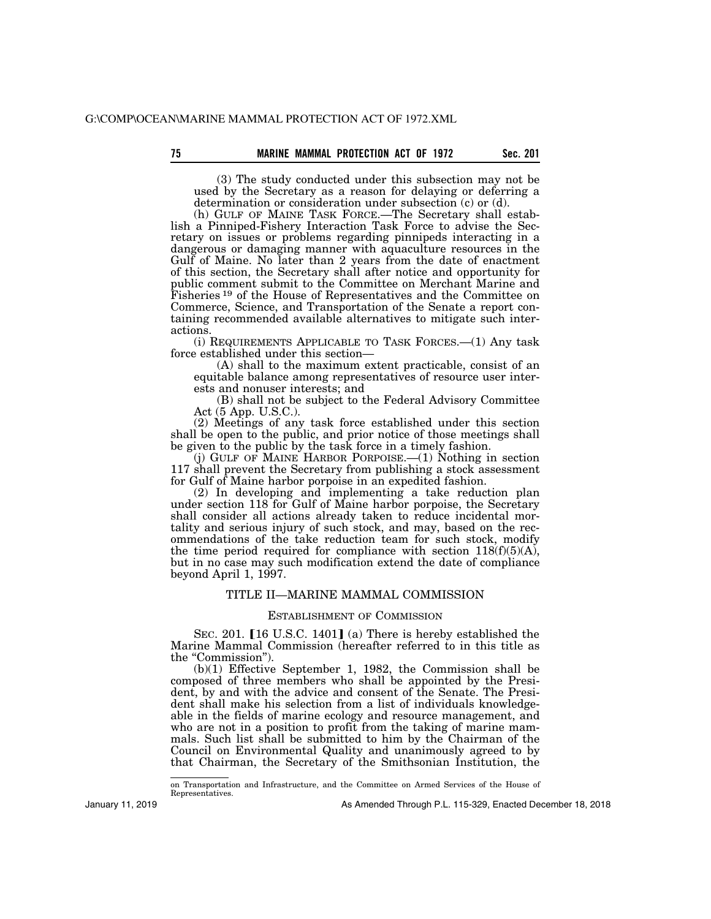(3) The study conducted under this subsection may not be used by the Secretary as a reason for delaying or deferring a determination or consideration under subsection (c) or (d).

(h) GULF OF MAINE TASK FORCE.—The Secretary shall establish a Pinniped-Fishery Interaction Task Force to advise the Secretary on issues or problems regarding pinnipeds interacting in a dangerous or damaging manner with aquaculture resources in the Gulf of Maine. No later than 2 years from the date of enactment of this section, the Secretary shall after notice and opportunity for public comment submit to the Committee on Merchant Marine and Fisheries 19 of the House of Representatives and the Committee on Commerce, Science, and Transportation of the Senate a report containing recommended available alternatives to mitigate such interactions.

(i) REQUIREMENTS APPLICABLE TO TASK FORCES.—(1) Any task force established under this section—

(A) shall to the maximum extent practicable, consist of an equitable balance among representatives of resource user interests and nonuser interests; and

(B) shall not be subject to the Federal Advisory Committee Act (5 App. U.S.C.).

(2) Meetings of any task force established under this section shall be open to the public, and prior notice of those meetings shall be given to the public by the task force in a timely fashion.

(j) GULF OF MAINE HARBOR PORPOISE.—(1) Nothing in section 117 shall prevent the Secretary from publishing a stock assessment for Gulf of Maine harbor porpoise in an expedited fashion.

(2) In developing and implementing a take reduction plan under section 118 for Gulf of Maine harbor porpoise, the Secretary shall consider all actions already taken to reduce incidental mortality and serious injury of such stock, and may, based on the recommendations of the take reduction team for such stock, modify the time period required for compliance with section  $118(f)(5)(A)$ , but in no case may such modification extend the date of compliance beyond April 1, 1997.

#### TITLE II—MARINE MAMMAL COMMISSION

### ESTABLISHMENT OF COMMISSION

SEC. 201.  $[16 \text{ U.S.C. } 1401]$  (a) There is hereby established the Marine Mammal Commission (hereafter referred to in this title as the "Commission").

(b)(1) Effective September 1, 1982, the Commission shall be composed of three members who shall be appointed by the President, by and with the advice and consent of the Senate. The President shall make his selection from a list of individuals knowledgeable in the fields of marine ecology and resource management, and who are not in a position to profit from the taking of marine mammals. Such list shall be submitted to him by the Chairman of the Council on Environmental Quality and unanimously agreed to by that Chairman, the Secretary of the Smithsonian Institution, the

January 11, 2019

on Transportation and Infrastructure, and the Committee on Armed Services of the House of Representatives.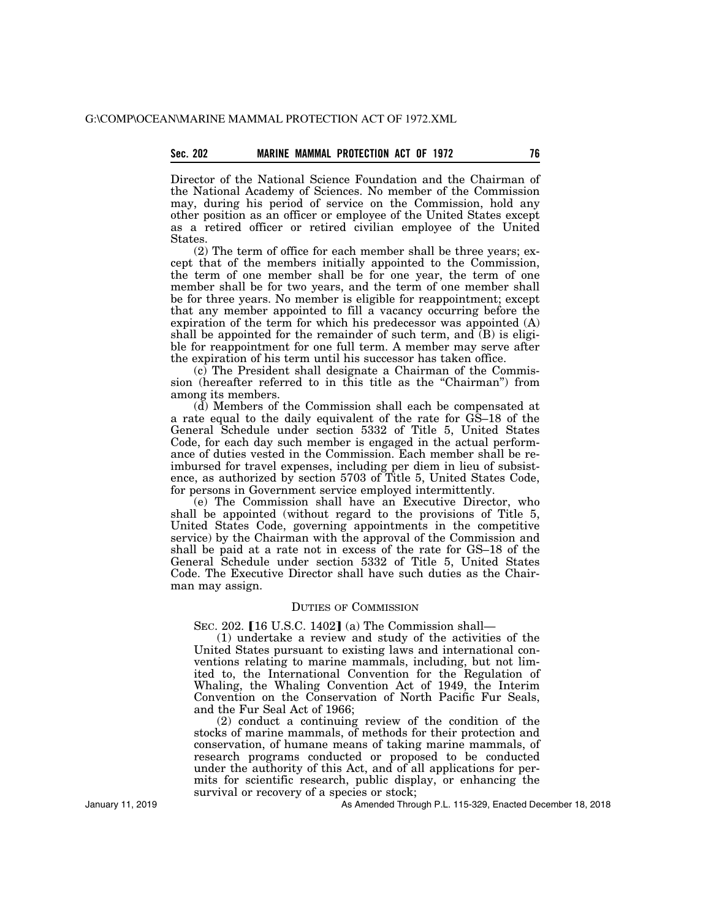# **Sec. 202 MARINE MAMMAL PROTECTION ACT OF 1972 76**

Director of the National Science Foundation and the Chairman of the National Academy of Sciences. No member of the Commission may, during his period of service on the Commission, hold any other position as an officer or employee of the United States except as a retired officer or retired civilian employee of the United States.

(2) The term of office for each member shall be three years; except that of the members initially appointed to the Commission, the term of one member shall be for one year, the term of one member shall be for two years, and the term of one member shall be for three years. No member is eligible for reappointment; except that any member appointed to fill a vacancy occurring before the expiration of the term for which his predecessor was appointed (A) shall be appointed for the remainder of such term, and  $(B)$  is eligible for reappointment for one full term. A member may serve after the expiration of his term until his successor has taken office.

 $(c)$  The President shall designate a Chairman of the Commission (hereafter referred to in this title as the ''Chairman'') from among its members.

(d) Members of the Commission shall each be compensated at a rate equal to the daily equivalent of the rate for GS–18 of the General Schedule under section 5332 of Title 5, United States Code, for each day such member is engaged in the actual performance of duties vested in the Commission. Each member shall be reimbursed for travel expenses, including per diem in lieu of subsistence, as authorized by section 5703 of Title 5, United States Code, for persons in Government service employed intermittently.

(e) The Commission shall have an Executive Director, who shall be appointed (without regard to the provisions of Title 5, United States Code, governing appointments in the competitive service) by the Chairman with the approval of the Commission and shall be paid at a rate not in excess of the rate for GS–18 of the General Schedule under section 5332 of Title 5, United States Code. The Executive Director shall have such duties as the Chairman may assign.

# DUTIES OF COMMISSION

SEC. 202. [16 U.S.C. 1402] (a) The Commission shall-

(1) undertake a review and study of the activities of the United States pursuant to existing laws and international conventions relating to marine mammals, including, but not limited to, the International Convention for the Regulation of Whaling, the Whaling Convention Act of 1949, the Interim Convention on the Conservation of North Pacific Fur Seals, and the Fur Seal Act of 1966;

(2) conduct a continuing review of the condition of the stocks of marine mammals, of methods for their protection and conservation, of humane means of taking marine mammals, of research programs conducted or proposed to be conducted under the authority of this Act, and of all applications for permits for scientific research, public display, or enhancing the survival or recovery of a species or stock;

As Amended Through P.L. 115-329, Enacted December 18, 2018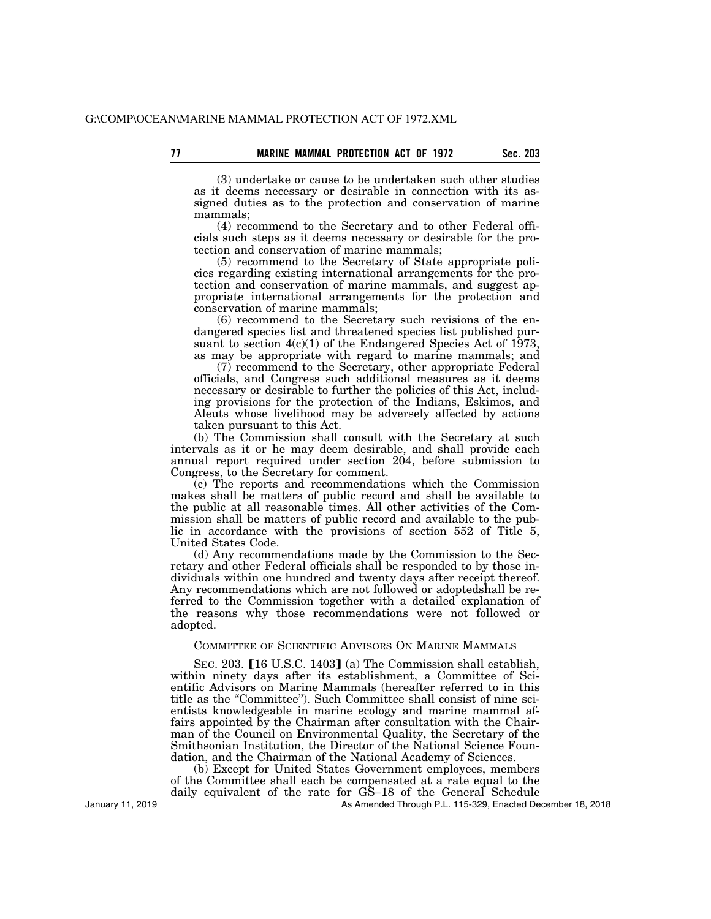(3) undertake or cause to be undertaken such other studies as it deems necessary or desirable in connection with its assigned duties as to the protection and conservation of marine mammals;

(4) recommend to the Secretary and to other Federal officials such steps as it deems necessary or desirable for the protection and conservation of marine mammals;

(5) recommend to the Secretary of State appropriate policies regarding existing international arrangements for the protection and conservation of marine mammals, and suggest appropriate international arrangements for the protection and conservation of marine mammals;

(6) recommend to the Secretary such revisions of the endangered species list and threatened species list published pursuant to section  $4(c)(1)$  of the Endangered Species Act of 1973, as may be appropriate with regard to marine mammals; and

(7) recommend to the Secretary, other appropriate Federal officials, and Congress such additional measures as it deems necessary or desirable to further the policies of this Act, including provisions for the protection of the Indians, Eskimos, and Aleuts whose livelihood may be adversely affected by actions taken pursuant to this Act.

(b) The Commission shall consult with the Secretary at such intervals as it or he may deem desirable, and shall provide each annual report required under section 204, before submission to Congress, to the Secretary for comment.

(c) The reports and recommendations which the Commission makes shall be matters of public record and shall be available to the public at all reasonable times. All other activities of the Commission shall be matters of public record and available to the public in accordance with the provisions of section 552 of Title 5, United States Code.

(d) Any recommendations made by the Commission to the Secretary and other Federal officials shall be responded to by those individuals within one hundred and twenty days after receipt thereof. Any recommendations which are not followed or adoptedshall be referred to the Commission together with a detailed explanation of the reasons why those recommendations were not followed or adopted.

## COMMITTEE OF SCIENTIFIC ADVISORS ON MARINE MAMMALS

SEC. 203.  $[16 \text{ U.S.C. } 1403]$  (a) The Commission shall establish, within ninety days after its establishment, a Committee of Scientific Advisors on Marine Mammals (hereafter referred to in this title as the "Committee"). Such Committee shall consist of nine scientists knowledgeable in marine ecology and marine mammal affairs appointed by the Chairman after consultation with the Chairman of the Council on Environmental Quality, the Secretary of the Smithsonian Institution, the Director of the National Science Foundation, and the Chairman of the National Academy of Sciences.

(b) Except for United States Government employees, members of the Committee shall each be compensated at a rate equal to the daily equivalent of the rate for GS–18 of the General Schedule

As Amended Through P.L. 115-329, Enacted December 18, 2018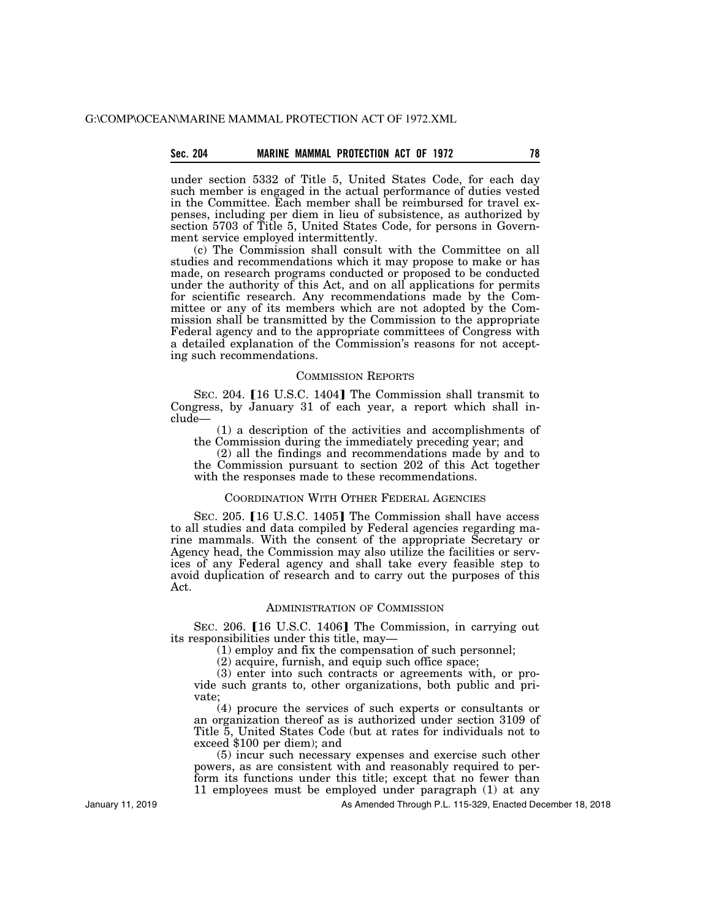## Sec. 204 **MARINE MAMMAL PROTECTION ACT OF 1972** 78

under section 5332 of Title 5, United States Code, for each day such member is engaged in the actual performance of duties vested in the Committee. Each member shall be reimbursed for travel expenses, including per diem in lieu of subsistence, as authorized by section 5703 of Title 5, United States Code, for persons in Government service employed intermittently.

(c) The Commission shall consult with the Committee on all studies and recommendations which it may propose to make or has made, on research programs conducted or proposed to be conducted under the authority of this Act, and on all applications for permits for scientific research. Any recommendations made by the Committee or any of its members which are not adopted by the Commission shall be transmitted by the Commission to the appropriate Federal agency and to the appropriate committees of Congress with a detailed explanation of the Commission's reasons for not accepting such recommendations.

#### COMMISSION REPORTS

SEC. 204. [16 U.S.C. 1404] The Commission shall transmit to Congress, by January 31 of each year, a report which shall include—

(1) a description of the activities and accomplishments of the Commission during the immediately preceding year; and

(2) all the findings and recommendations made by and to the Commission pursuant to section 202 of this Act together with the responses made to these recommendations.

#### COORDINATION WITH OTHER FEDERAL AGENCIES

SEC. 205. [16 U.S.C. 1405] The Commission shall have access to all studies and data compiled by Federal agencies regarding marine mammals. With the consent of the appropriate Secretary or Agency head, the Commission may also utilize the facilities or services of any Federal agency and shall take every feasible step to avoid duplication of research and to carry out the purposes of this Act.

#### ADMINISTRATION OF COMMISSION

SEC. 206. [16 U.S.C. 1406] The Commission, in carrying out its responsibilities under this title, may—

(1) employ and fix the compensation of such personnel;

(2) acquire, furnish, and equip such office space;

(3) enter into such contracts or agreements with, or provide such grants to, other organizations, both public and private;

(4) procure the services of such experts or consultants or an organization thereof as is authorized under section 3109 of Title 5, United States Code (but at rates for individuals not to exceed \$100 per diem); and

(5) incur such necessary expenses and exercise such other powers, as are consistent with and reasonably required to perform its functions under this title; except that no fewer than 11 employees must be employed under paragraph (1) at any

As Amended Through P.L. 115-329, Enacted December 18, 2018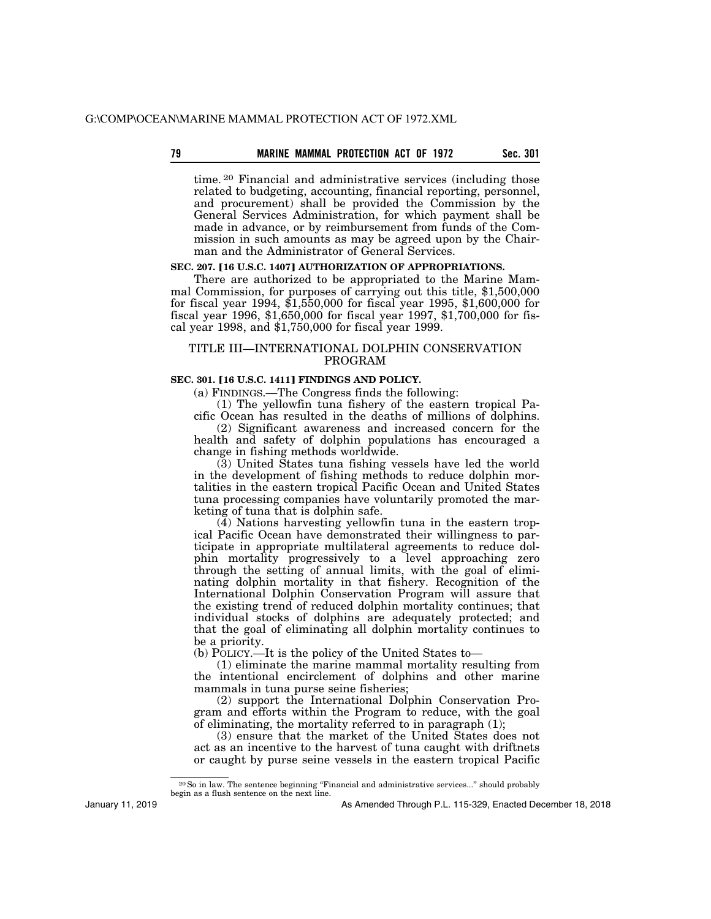### **79 MARINE MAMMAL PROTECTION ACT OF 1972** Sec. 301

time. 20 Financial and administrative services (including those related to budgeting, accounting, financial reporting, personnel, and procurement) shall be provided the Commission by the General Services Administration, for which payment shall be made in advance, or by reimbursement from funds of the Commission in such amounts as may be agreed upon by the Chairman and the Administrator of General Services.

# **SEC. 207. [16 U.S.C. 1407] AUTHORIZATION OF APPROPRIATIONS.**

There are authorized to be appropriated to the Marine Mammal Commission, for purposes of carrying out this title, \$1,500,000 for fiscal year 1994, \$1,550,000 for fiscal year 1995, \$1,600,000 for fiscal year 1996, \$1,650,000 for fiscal year 1997, \$1,700,000 for fiscal year 1998, and \$1,750,000 for fiscal year 1999.

## TITLE III—INTERNATIONAL DOLPHIN CONSERVATION PROGRAM

# **SEC. 301. [16 U.S.C. 1411] FINDINGS AND POLICY.**

(a) FINDINGS.—The Congress finds the following:

(1) The yellowfin tuna fishery of the eastern tropical Pacific Ocean has resulted in the deaths of millions of dolphins.

(2) Significant awareness and increased concern for the health and safety of dolphin populations has encouraged a change in fishing methods worldwide.

(3) United States tuna fishing vessels have led the world in the development of fishing methods to reduce dolphin mortalities in the eastern tropical Pacific Ocean and United States tuna processing companies have voluntarily promoted the marketing of tuna that is dolphin safe.

(4) Nations harvesting yellowfin tuna in the eastern tropical Pacific Ocean have demonstrated their willingness to participate in appropriate multilateral agreements to reduce dolphin mortality progressively to a level approaching zero through the setting of annual limits, with the goal of eliminating dolphin mortality in that fishery. Recognition of the International Dolphin Conservation Program will assure that the existing trend of reduced dolphin mortality continues; that individual stocks of dolphins are adequately protected; and that the goal of eliminating all dolphin mortality continues to be a priority.

(b) POLICY.—It is the policy of the United States to—

(1) eliminate the marine mammal mortality resulting from the intentional encirclement of dolphins and other marine mammals in tuna purse seine fisheries;

(2) support the International Dolphin Conservation Program and efforts within the Program to reduce, with the goal of eliminating, the mortality referred to in paragraph (1);

(3) ensure that the market of the United States does not act as an incentive to the harvest of tuna caught with driftnets or caught by purse seine vessels in the eastern tropical Pacific

January 11, 2019

<sup>&</sup>lt;sup>20</sup> So in law. The sentence beginning "Financial and administrative services..." should probably begin as a flush sentence on the next line.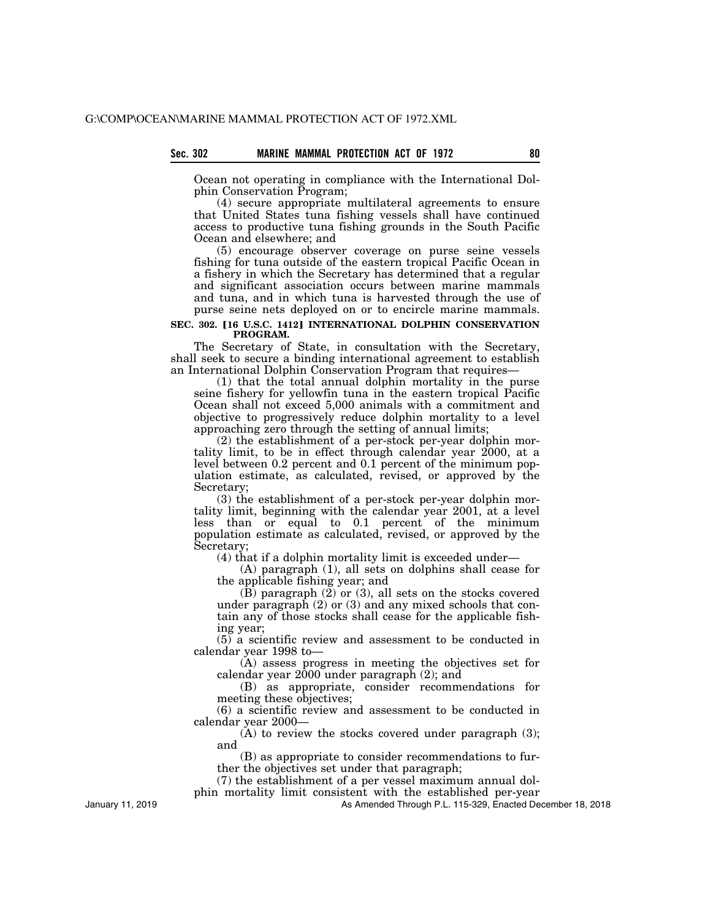## **Sec. 302 MARINE MAMMAL PROTECTION ACT OF 1972 80**

Ocean not operating in compliance with the International Dolphin Conservation Program;

(4) secure appropriate multilateral agreements to ensure that United States tuna fishing vessels shall have continued access to productive tuna fishing grounds in the South Pacific Ocean and elsewhere; and

(5) encourage observer coverage on purse seine vessels fishing for tuna outside of the eastern tropical Pacific Ocean in a fishery in which the Secretary has determined that a regular and significant association occurs between marine mammals and tuna, and in which tuna is harvested through the use of purse seine nets deployed on or to encircle marine mammals.

#### **SEC. 302. [16 U.S.C. 1412] INTERNATIONAL DOLPHIN CONSERVATION PROGRAM.**

The Secretary of State, in consultation with the Secretary, shall seek to secure a binding international agreement to establish an International Dolphin Conservation Program that requires—

(1) that the total annual dolphin mortality in the purse seine fishery for yellowfin tuna in the eastern tropical Pacific Ocean shall not exceed 5,000 animals with a commitment and objective to progressively reduce dolphin mortality to a level approaching zero through the setting of annual limits;

(2) the establishment of a per-stock per-year dolphin mortality limit, to be in effect through calendar year 2000, at a level between 0.2 percent and 0.1 percent of the minimum population estimate, as calculated, revised, or approved by the Secretary;

(3) the establishment of a per-stock per-year dolphin mortality limit, beginning with the calendar year 2001, at a level less than or equal to 0.1 percent of the minimum population estimate as calculated, revised, or approved by the Secretary;

(4) that if a dolphin mortality limit is exceeded under—

(A) paragraph (1), all sets on dolphins shall cease for the applicable fishing year; and

(B) paragraph (2) or (3), all sets on the stocks covered under paragraph (2) or (3) and any mixed schools that contain any of those stocks shall cease for the applicable fishing year;

(5) a scientific review and assessment to be conducted in calendar year 1998 to—

(A) assess progress in meeting the objectives set for calendar year 2000 under paragraph (2); and

(B) as appropriate, consider recommendations for meeting these objectives;

(6) a scientific review and assessment to be conducted in calendar year 2000—

 $(A)$  to review the stocks covered under paragraph  $(3)$ ; and

(B) as appropriate to consider recommendations to further the objectives set under that paragraph;

(7) the establishment of a per vessel maximum annual dol-

phin mortality limit consistent with the established per-year

As Amended Through P.L. 115-329, Enacted December 18, 2018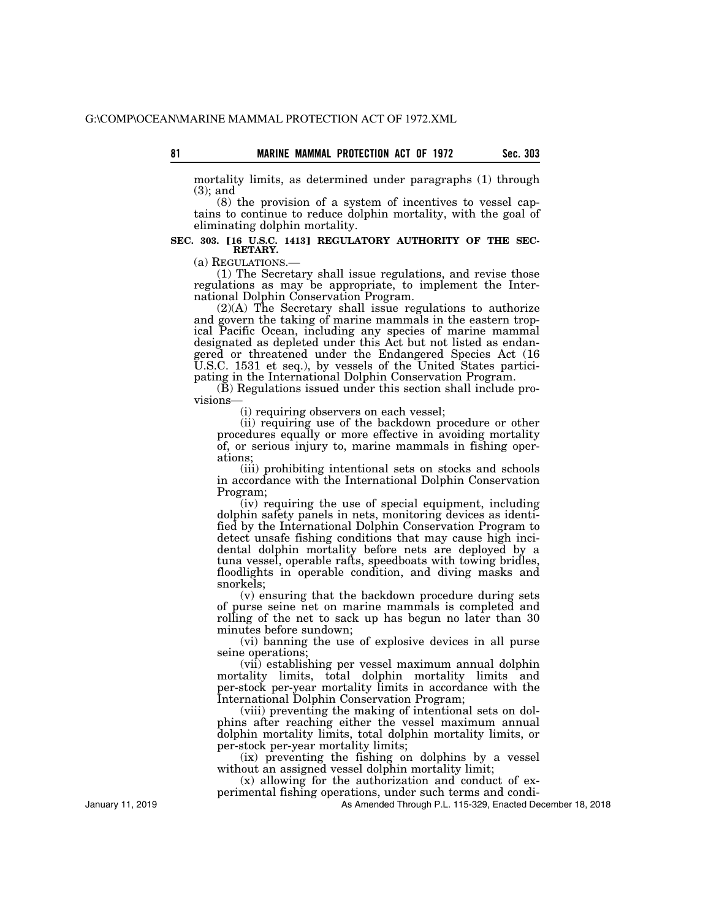mortality limits, as determined under paragraphs (1) through (3); and

(8) the provision of a system of incentives to vessel captains to continue to reduce dolphin mortality, with the goal of eliminating dolphin mortality.

# SEC. 303. [16 U.S.C. 1413] REGULATORY AUTHORITY OF THE SEC-RETARY.

(a) REGULATIONS.— (1) The Secretary shall issue regulations, and revise those regulations as may be appropriate, to implement the International Dolphin Conservation Program.

(2)(A) The Secretary shall issue regulations to authorize and govern the taking of marine mammals in the eastern tropical Pacific Ocean, including any species of marine mammal designated as depleted under this Act but not listed as endangered or threatened under the Endangered Species Act (16 U.S.C. 1531 et seq.), by vessels of the United States participating in the International Dolphin Conservation Program.

(B) Regulations issued under this section shall include provisions—

(i) requiring observers on each vessel;

(ii) requiring use of the backdown procedure or other procedures equally or more effective in avoiding mortality of, or serious injury to, marine mammals in fishing operations;

(iii) prohibiting intentional sets on stocks and schools in accordance with the International Dolphin Conservation Program;

(iv) requiring the use of special equipment, including dolphin safety panels in nets, monitoring devices as identified by the International Dolphin Conservation Program to detect unsafe fishing conditions that may cause high incidental dolphin mortality before nets are deployed by a tuna vessel, operable rafts, speedboats with towing bridles, floodlights in operable condition, and diving masks and snorkels;

(v) ensuring that the backdown procedure during sets of purse seine net on marine mammals is completed and rolling of the net to sack up has begun no later than 30 minutes before sundown;

(vi) banning the use of explosive devices in all purse seine operations;

(vii) establishing per vessel maximum annual dolphin mortality limits, total dolphin mortality limits and per-stock per-year mortality limits in accordance with the International Dolphin Conservation Program;

(viii) preventing the making of intentional sets on dolphins after reaching either the vessel maximum annual dolphin mortality limits, total dolphin mortality limits, or per-stock per-year mortality limits;

(ix) preventing the fishing on dolphins by a vessel without an assigned vessel dolphin mortality limit;

(x) allowing for the authorization and conduct of experimental fishing operations, under such terms and condi-

As Amended Through P.L. 115-329, Enacted December 18, 2018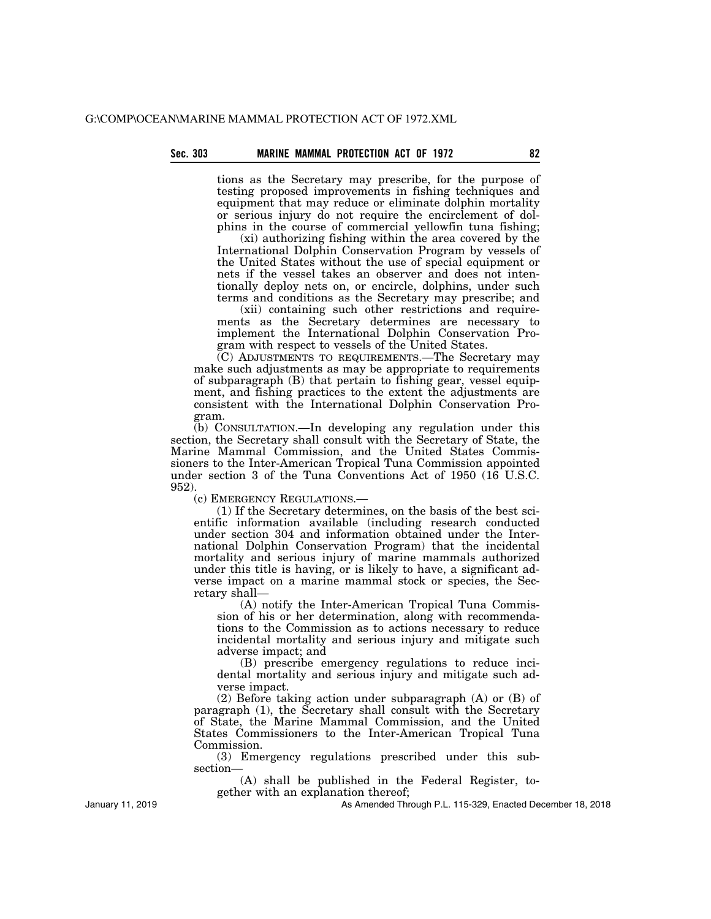#### **Sec. 303 MARINE MAMMAL PROTECTION ACT OF 1972 82**

tions as the Secretary may prescribe, for the purpose of testing proposed improvements in fishing techniques and equipment that may reduce or eliminate dolphin mortality or serious injury do not require the encirclement of dolphins in the course of commercial yellowfin tuna fishing;

(xi) authorizing fishing within the area covered by the International Dolphin Conservation Program by vessels of the United States without the use of special equipment or nets if the vessel takes an observer and does not intentionally deploy nets on, or encircle, dolphins, under such terms and conditions as the Secretary may prescribe; and

(xii) containing such other restrictions and requirements as the Secretary determines are necessary to implement the International Dolphin Conservation Program with respect to vessels of the United States.

(C) ADJUSTMENTS TO REQUIREMENTS.—The Secretary may make such adjustments as may be appropriate to requirements of subparagraph (B) that pertain to fishing gear, vessel equipment, and fishing practices to the extent the adjustments are consistent with the International Dolphin Conservation Program.

(b) CONSULTATION.—In developing any regulation under this section, the Secretary shall consult with the Secretary of State, the Marine Mammal Commission, and the United States Commissioners to the Inter-American Tropical Tuna Commission appointed under section 3 of the Tuna Conventions Act of 1950 (16 U.S.C. 952).

(c) EMERGENCY REGULATIONS.—

(1) If the Secretary determines, on the basis of the best scientific information available (including research conducted under section 304 and information obtained under the International Dolphin Conservation Program) that the incidental mortality and serious injury of marine mammals authorized under this title is having, or is likely to have, a significant adverse impact on a marine mammal stock or species, the Secretary shall—

(A) notify the Inter-American Tropical Tuna Commission of his or her determination, along with recommendations to the Commission as to actions necessary to reduce incidental mortality and serious injury and mitigate such adverse impact; and

(B) prescribe emergency regulations to reduce incidental mortality and serious injury and mitigate such adverse impact.

(2) Before taking action under subparagraph (A) or (B) of paragraph (1), the Secretary shall consult with the Secretary of State, the Marine Mammal Commission, and the United States Commissioners to the Inter-American Tropical Tuna Commission.

(3) Emergency regulations prescribed under this subsection—

(A) shall be published in the Federal Register, together with an explanation thereof;

As Amended Through P.L. 115-329, Enacted December 18, 2018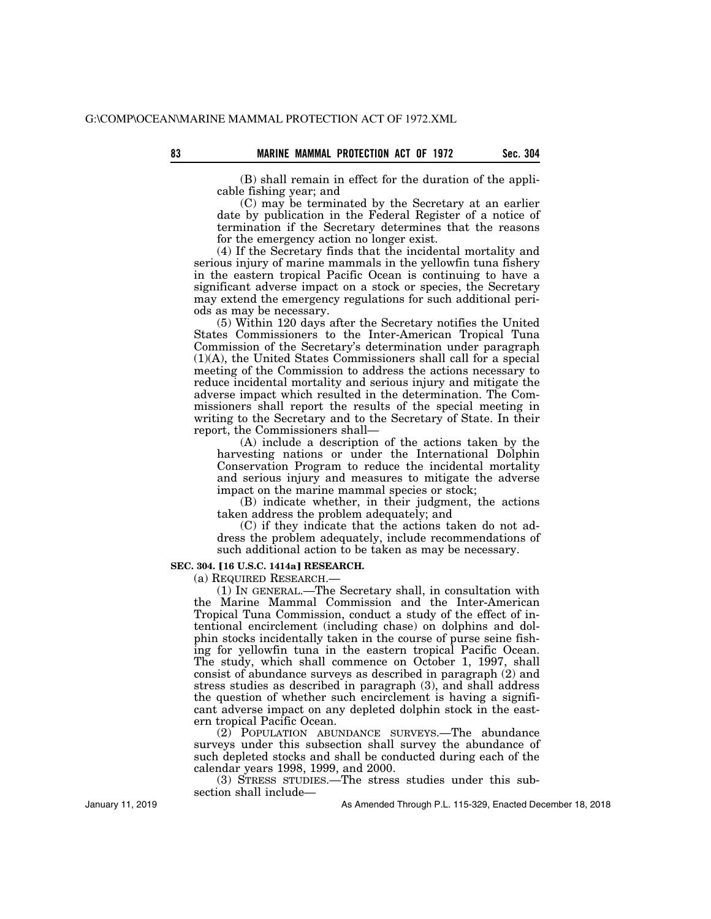(B) shall remain in effect for the duration of the applicable fishing year; and

(C) may be terminated by the Secretary at an earlier date by publication in the Federal Register of a notice of termination if the Secretary determines that the reasons for the emergency action no longer exist.

(4) If the Secretary finds that the incidental mortality and serious injury of marine mammals in the yellowfin tuna fishery in the eastern tropical Pacific Ocean is continuing to have a significant adverse impact on a stock or species, the Secretary may extend the emergency regulations for such additional periods as may be necessary.

(5) Within 120 days after the Secretary notifies the United States Commissioners to the Inter-American Tropical Tuna Commission of the Secretary's determination under paragraph (1)(A), the United States Commissioners shall call for a special meeting of the Commission to address the actions necessary to reduce incidental mortality and serious injury and mitigate the adverse impact which resulted in the determination. The Commissioners shall report the results of the special meeting in writing to the Secretary and to the Secretary of State. In their report, the Commissioners shall—

(A) include a description of the actions taken by the harvesting nations or under the International Dolphin Conservation Program to reduce the incidental mortality and serious injury and measures to mitigate the adverse impact on the marine mammal species or stock;

(B) indicate whether, in their judgment, the actions taken address the problem adequately; and

(C) if they indicate that the actions taken do not address the problem adequately, include recommendations of such additional action to be taken as may be necessary.

## **SEC. 304. [16 U.S.C. 1414a] RESEARCH.**

(a) REQUIRED RESEARCH.—

(1) IN GENERAL.—The Secretary shall, in consultation with the Marine Mammal Commission and the Inter-American Tropical Tuna Commission, conduct a study of the effect of intentional encirclement (including chase) on dolphins and dolphin stocks incidentally taken in the course of purse seine fishing for yellowfin tuna in the eastern tropical Pacific Ocean. The study, which shall commence on October 1, 1997, shall consist of abundance surveys as described in paragraph (2) and stress studies as described in paragraph (3), and shall address the question of whether such encirclement is having a significant adverse impact on any depleted dolphin stock in the eastern tropical Pacific Ocean.

(2) POPULATION ABUNDANCE SURVEYS.—The abundance surveys under this subsection shall survey the abundance of such depleted stocks and shall be conducted during each of the calendar years 1998, 1999, and 2000.

(3) STRESS STUDIES.—The stress studies under this subsection shall include—

As Amended Through P.L. 115-329, Enacted December 18, 2018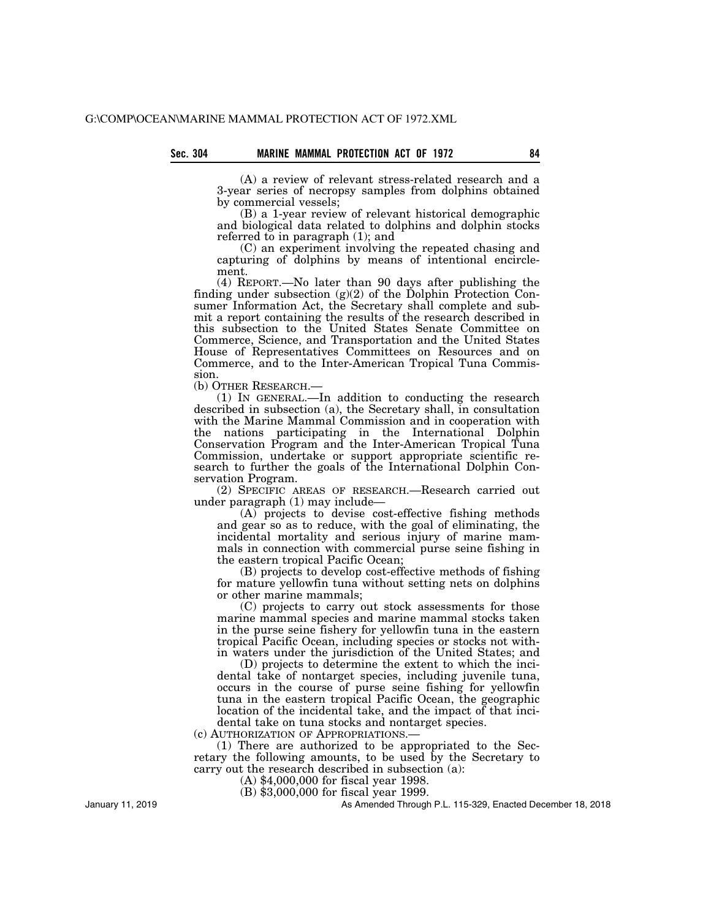| Sec. | 304 |
|------|-----|
|      |     |

(A) a review of relevant stress-related research and a 3-year series of necropsy samples from dolphins obtained by commercial vessels;

(B) a 1-year review of relevant historical demographic and biological data related to dolphins and dolphin stocks referred to in paragraph (1); and

(C) an experiment involving the repeated chasing and capturing of dolphins by means of intentional encirclement.

(4) REPORT.—No later than 90 days after publishing the finding under subsection  $(g)(2)$  of the Dolphin Protection Consumer Information Act, the Secretary shall complete and submit a report containing the results of the research described in this subsection to the United States Senate Committee on Commerce, Science, and Transportation and the United States House of Representatives Committees on Resources and on Commerce, and to the Inter-American Tropical Tuna Commission.<br>(b) OTHER RESEARCH.—

 $(1)$  In GENERAL.—In addition to conducting the research described in subsection (a), the Secretary shall, in consultation with the Marine Mammal Commission and in cooperation with the nations participating in the International Dolphin Conservation Program and the Inter-American Tropical Tuna Commission, undertake or support appropriate scientific research to further the goals of the International Dolphin Conservation Program.

(2) SPECIFIC AREAS OF RESEARCH.—Research carried out under paragraph (1) may include—

(A) projects to devise cost-effective fishing methods and gear so as to reduce, with the goal of eliminating, the incidental mortality and serious injury of marine mammals in connection with commercial purse seine fishing in the eastern tropical Pacific Ocean;

(B) projects to develop cost-effective methods of fishing for mature yellowfin tuna without setting nets on dolphins or other marine mammals;

(C) projects to carry out stock assessments for those marine mammal species and marine mammal stocks taken in the purse seine fishery for yellowfin tuna in the eastern tropical Pacific Ocean, including species or stocks not within waters under the jurisdiction of the United States; and

(D) projects to determine the extent to which the incidental take of nontarget species, including juvenile tuna, occurs in the course of purse seine fishing for yellowfin tuna in the eastern tropical Pacific Ocean, the geographic location of the incidental take, and the impact of that incidental take on tuna stocks and nontarget species.

(c) AUTHORIZATION OF APPROPRIATIONS.—

(1) There are authorized to be appropriated to the Secretary the following amounts, to be used by the Secretary to carry out the research described in subsection (a): (A) \$4,000,000 for fiscal year 1998.

(B) \$3,000,000 for fiscal year 1999.

As Amended Through P.L. 115-329, Enacted December 18, 2018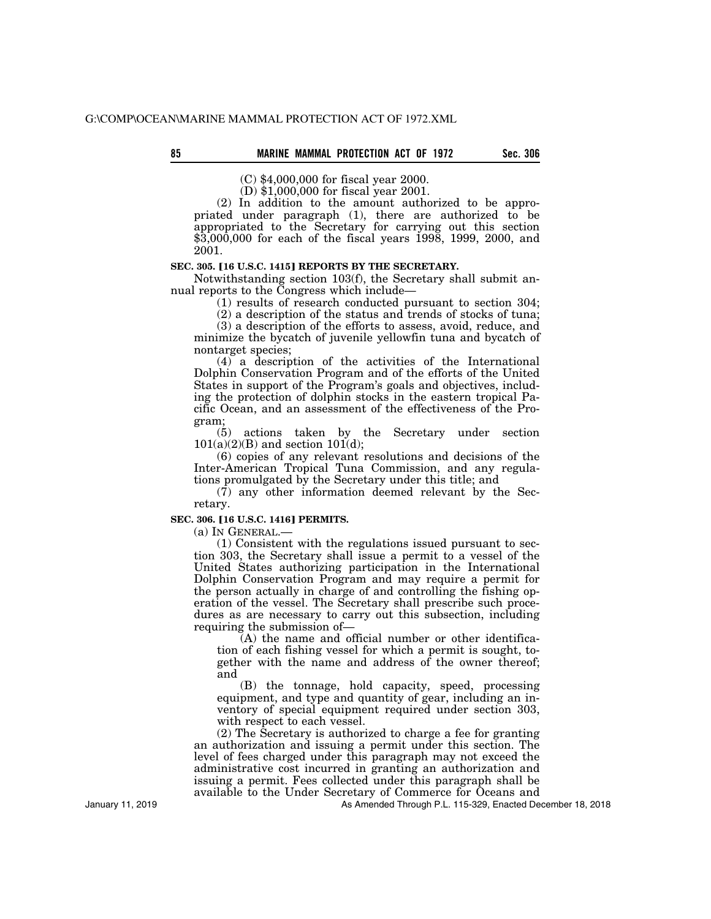(C) \$4,000,000 for fiscal year 2000.

(D) \$1,000,000 for fiscal year 2001.

(2) In addition to the amount authorized to be appropriated under paragraph (1), there are authorized to be appropriated to the Secretary for carrying out this section \$3,000,000 for each of the fiscal years 1998, 1999, 2000, and 2001.

# **SEC. 305. [16 U.S.C. 1415] REPORTS BY THE SECRETARY.**

Notwithstanding section 103(f), the Secretary shall submit annual reports to the Congress which include—

(1) results of research conducted pursuant to section 304;

(2) a description of the status and trends of stocks of tuna;

(3) a description of the efforts to assess, avoid, reduce, and minimize the bycatch of juvenile yellowfin tuna and bycatch of nontarget species;

(4) a description of the activities of the International Dolphin Conservation Program and of the efforts of the United States in support of the Program's goals and objectives, including the protection of dolphin stocks in the eastern tropical Pacific Ocean, and an assessment of the effectiveness of the Program;

(5) actions taken by the Secretary under section  $101(a)(2)(B)$  and section  $101(d)$ ;

(6) copies of any relevant resolutions and decisions of the Inter-American Tropical Tuna Commission, and any regulations promulgated by the Secretary under this title; and

(7) any other information deemed relevant by the Secretary.

#### **SEC. 306. [16 U.S.C. 1416] PERMITS.**

(a) IN GENERAL.—

(1) Consistent with the regulations issued pursuant to section 303, the Secretary shall issue a permit to a vessel of the United States authorizing participation in the International Dolphin Conservation Program and may require a permit for the person actually in charge of and controlling the fishing operation of the vessel. The Secretary shall prescribe such procedures as are necessary to carry out this subsection, including requiring the submission of—

(A) the name and official number or other identification of each fishing vessel for which a permit is sought, together with the name and address of the owner thereof; and

(B) the tonnage, hold capacity, speed, processing equipment, and type and quantity of gear, including an inventory of special equipment required under section 303, with respect to each vessel.

(2) The Secretary is authorized to charge a fee for granting an authorization and issuing a permit under this section. The level of fees charged under this paragraph may not exceed the administrative cost incurred in granting an authorization and issuing a permit. Fees collected under this paragraph shall be available to the Under Secretary of Commerce for Oceans and

As Amended Through P.L. 115-329, Enacted December 18, 2018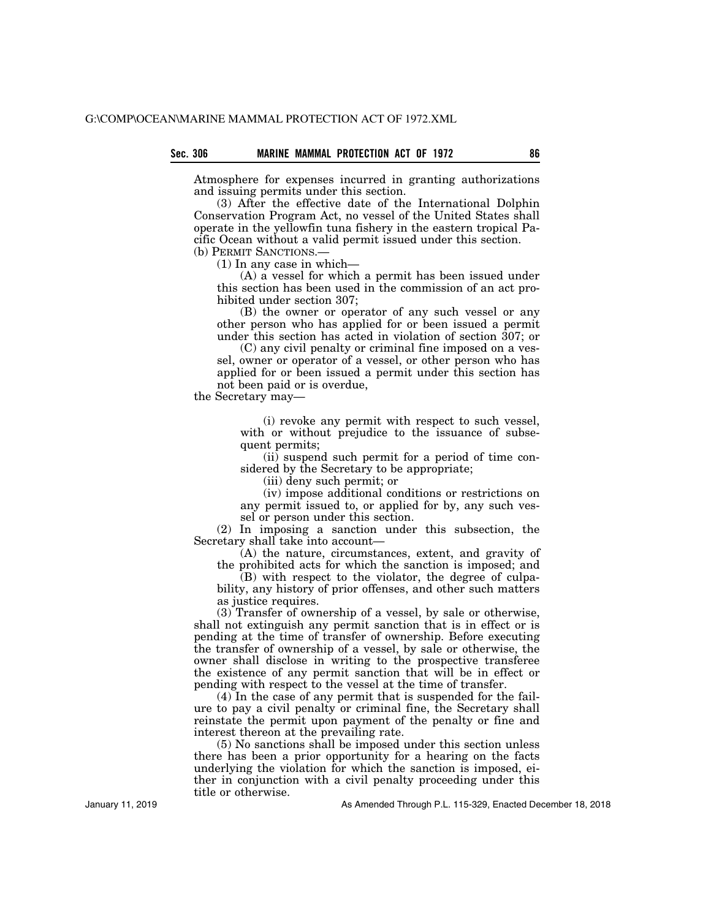Atmosphere for expenses incurred in granting authorizations and issuing permits under this section.

(3) After the effective date of the International Dolphin Conservation Program Act, no vessel of the United States shall operate in the yellowfin tuna fishery in the eastern tropical Pacific Ocean without a valid permit issued under this section. (b) PERMIT SANCTIONS.—

(1) In any case in which—

(A) a vessel for which a permit has been issued under this section has been used in the commission of an act prohibited under section 307;

(B) the owner or operator of any such vessel or any other person who has applied for or been issued a permit under this section has acted in violation of section 307; or

(C) any civil penalty or criminal fine imposed on a vessel, owner or operator of a vessel, or other person who has applied for or been issued a permit under this section has not been paid or is overdue,

the Secretary may—

(i) revoke any permit with respect to such vessel, with or without prejudice to the issuance of subsequent permits;

(ii) suspend such permit for a period of time considered by the Secretary to be appropriate;

(iii) deny such permit; or

(iv) impose additional conditions or restrictions on any permit issued to, or applied for by, any such vessel or person under this section.

(2) In imposing a sanction under this subsection, the Secretary shall take into account—

(A) the nature, circumstances, extent, and gravity of the prohibited acts for which the sanction is imposed; and

(B) with respect to the violator, the degree of culpability, any history of prior offenses, and other such matters as justice requires.

(3) Transfer of ownership of a vessel, by sale or otherwise, shall not extinguish any permit sanction that is in effect or is pending at the time of transfer of ownership. Before executing the transfer of ownership of a vessel, by sale or otherwise, the owner shall disclose in writing to the prospective transferee the existence of any permit sanction that will be in effect or pending with respect to the vessel at the time of transfer.

(4) In the case of any permit that is suspended for the failure to pay a civil penalty or criminal fine, the Secretary shall reinstate the permit upon payment of the penalty or fine and interest thereon at the prevailing rate.

(5) No sanctions shall be imposed under this section unless there has been a prior opportunity for a hearing on the facts underlying the violation for which the sanction is imposed, either in conjunction with a civil penalty proceeding under this title or otherwise.

As Amended Through P.L. 115-329, Enacted December 18, 2018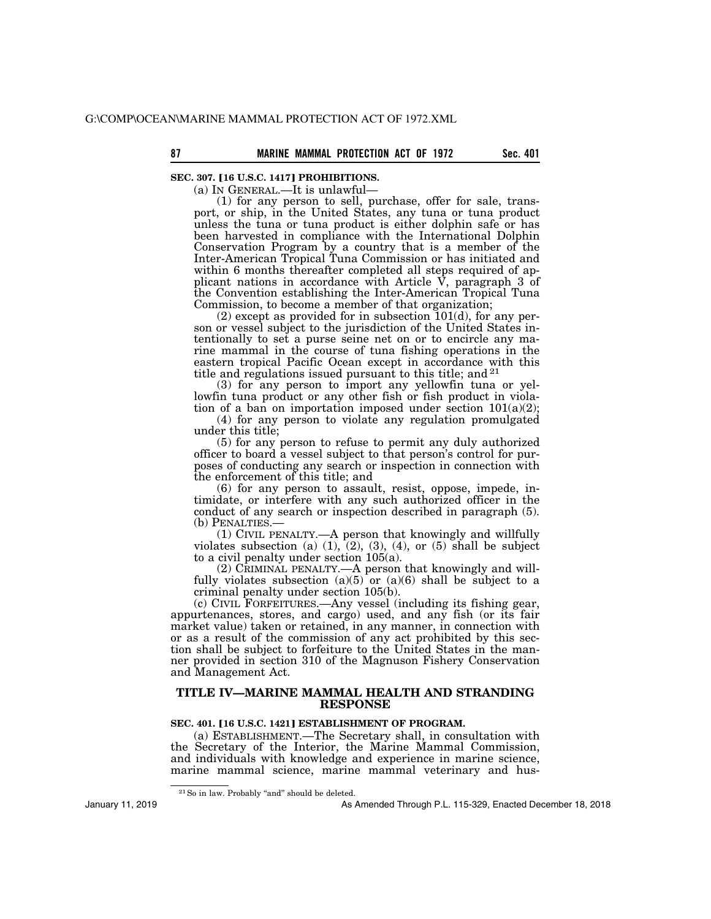## **SEC. 307. [16 U.S.C. 1417] PROHIBITIONS.**

(a) IN GENERAL.—It is unlawful—

(1) for any person to sell, purchase, offer for sale, transport, or ship, in the United States, any tuna or tuna product unless the tuna or tuna product is either dolphin safe or has been harvested in compliance with the International Dolphin Conservation Program by a country that is a member of the Inter-American Tropical Tuna Commission or has initiated and within 6 months thereafter completed all steps required of applicant nations in accordance with Article V, paragraph 3 of the Convention establishing the Inter-American Tropical Tuna Commission, to become a member of that organization;

(2) except as provided for in subsection 101(d), for any person or vessel subject to the jurisdiction of the United States intentionally to set a purse seine net on or to encircle any marine mammal in the course of tuna fishing operations in the eastern tropical Pacific Ocean except in accordance with this title and regulations issued pursuant to this title; and 21

(3) for any person to import any yellowfin tuna or yellowfin tuna product or any other fish or fish product in violation of a ban on importation imposed under section  $101(a)(2)$ ;

(4) for any person to violate any regulation promulgated under this title;

(5) for any person to refuse to permit any duly authorized officer to board a vessel subject to that person's control for purposes of conducting any search or inspection in connection with the enforcement of this title; and

(6) for any person to assault, resist, oppose, impede, intimidate, or interfere with any such authorized officer in the conduct of any search or inspection described in paragraph (5).<br>(b) PENALTIES.—

 $(1)$  CIVIL PENALTY.—A person that knowingly and willfully violates subsection (a)  $(1)$ ,  $(2)$ ,  $(3)$ ,  $(4)$ , or  $(5)$  shall be subject to a civil penalty under section 105(a).

(2) CRIMINAL PENALTY.—A person that knowingly and willfully violates subsection  $(a)(5)$  or  $(a)(6)$  shall be subject to a criminal penalty under section 105(b).

(c) CIVIL FORFEITURES.—Any vessel (including its fishing gear, appurtenances, stores, and cargo) used, and any fish (or its fair market value) taken or retained, in any manner, in connection with or as a result of the commission of any act prohibited by this section shall be subject to forfeiture to the United States in the manner provided in section 310 of the Magnuson Fishery Conservation and Management Act.

## **TITLE IV—MARINE MAMMAL HEALTH AND STRANDING RESPONSE**

#### **SEC. 401. [16 U.S.C. 1421] ESTABLISHMENT OF PROGRAM.**

(a) ESTABLISHMENT.—The Secretary shall, in consultation with the Secretary of the Interior, the Marine Mammal Commission, and individuals with knowledge and experience in marine science, marine mammal science, marine mammal veterinary and hus-

January 11, 2019

<sup>&</sup>lt;sup>21</sup> So in law. Probably "and" should be deleted.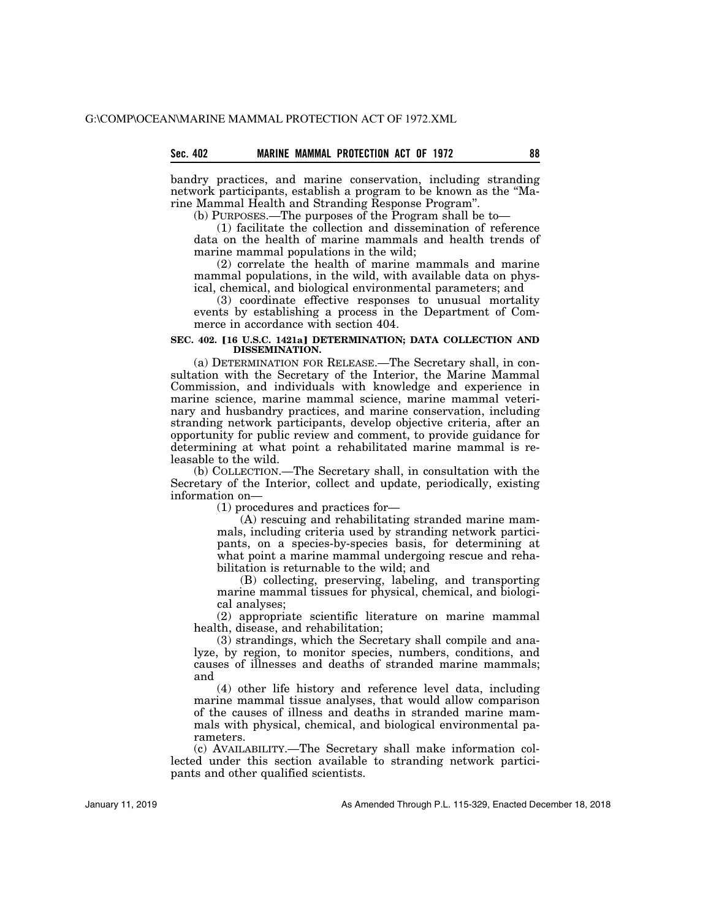## **Sec. 402 MARINE MAMMAL PROTECTION ACT OF 1972 88**

bandry practices, and marine conservation, including stranding network participants, establish a program to be known as the ''Marine Mammal Health and Stranding Response Program''.

(b) PURPOSES.—The purposes of the Program shall be to—

(1) facilitate the collection and dissemination of reference data on the health of marine mammals and health trends of marine mammal populations in the wild;

(2) correlate the health of marine mammals and marine mammal populations, in the wild, with available data on physical, chemical, and biological environmental parameters; and

(3) coordinate effective responses to unusual mortality events by establishing a process in the Department of Commerce in accordance with section 404.

### **SEC. 402. [16 U.S.C. 1421a] DETERMINATION; DATA COLLECTION AND DISSEMINATION.**

(a) DETERMINATION FOR RELEASE.—The Secretary shall, in consultation with the Secretary of the Interior, the Marine Mammal Commission, and individuals with knowledge and experience in marine science, marine mammal science, marine mammal veterinary and husbandry practices, and marine conservation, including stranding network participants, develop objective criteria, after an opportunity for public review and comment, to provide guidance for determining at what point a rehabilitated marine mammal is releasable to the wild.

(b) COLLECTION.—The Secretary shall, in consultation with the Secretary of the Interior, collect and update, periodically, existing information on—

(1) procedures and practices for—

(A) rescuing and rehabilitating stranded marine mammals, including criteria used by stranding network participants, on a species-by-species basis, for determining at what point a marine mammal undergoing rescue and rehabilitation is returnable to the wild; and

(B) collecting, preserving, labeling, and transporting marine mammal tissues for physical, chemical, and biological analyses;

(2) appropriate scientific literature on marine mammal health, disease, and rehabilitation;

(3) strandings, which the Secretary shall compile and analyze, by region, to monitor species, numbers, conditions, and causes of illnesses and deaths of stranded marine mammals; and

(4) other life history and reference level data, including marine mammal tissue analyses, that would allow comparison of the causes of illness and deaths in stranded marine mammals with physical, chemical, and biological environmental parameters.

(c) AVAILABILITY.—The Secretary shall make information collected under this section available to stranding network participants and other qualified scientists.

January 11, 2019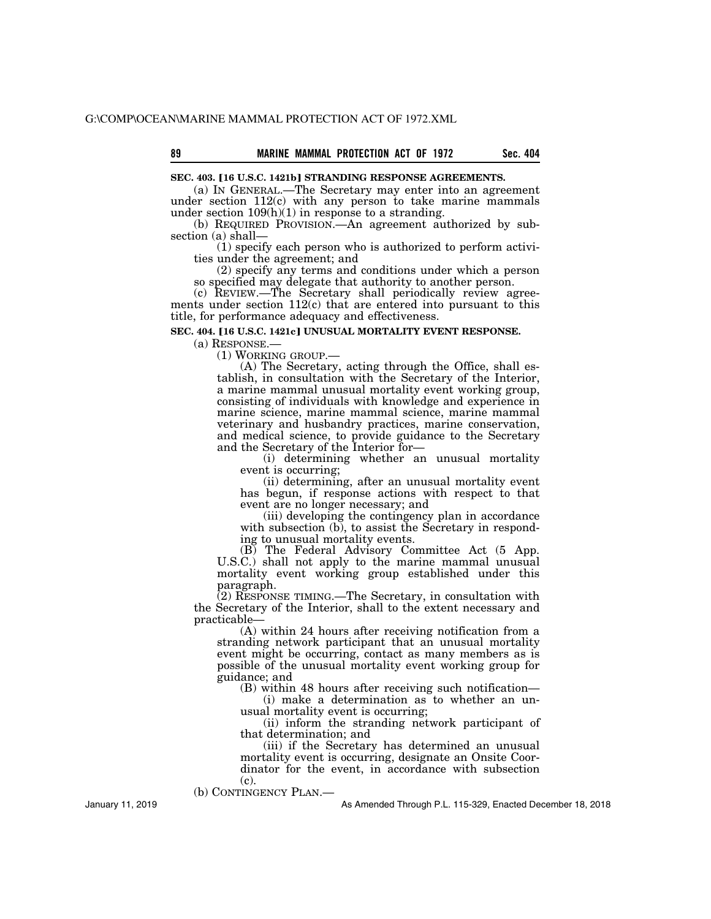### **SEC. 403. [16 U.S.C. 1421b] STRANDING RESPONSE AGREEMENTS.**

(a) IN GENERAL.—The Secretary may enter into an agreement under section 112(c) with any person to take marine mammals under section  $109(h)(1)$  in response to a stranding.

(b) REQUIRED PROVISION.—An agreement authorized by subsection (a) shall—

(1) specify each person who is authorized to perform activities under the agreement; and

(2) specify any terms and conditions under which a person so specified may delegate that authority to another person.

(c) REVIEW.—The Secretary shall periodically review agreements under section 112(c) that are entered into pursuant to this title, for performance adequacy and effectiveness.

# **SEC. 404. [16 U.S.C. 1421c] UNUSUAL MORTALITY EVENT RESPONSE.** (a) RESPONSE.

(1) WORKING GROUP.—<br>(A) The Secretary, acting through the Office, shall establish, in consultation with the Secretary of the Interior, a marine mammal unusual mortality event working group, consisting of individuals with knowledge and experience in marine science, marine mammal science, marine mammal veterinary and husbandry practices, marine conservation, and medical science, to provide guidance to the Secretary and the Secretary of the Interior for—

(i) determining whether an unusual mortality event is occurring;

(ii) determining, after an unusual mortality event has begun, if response actions with respect to that event are no longer necessary; and

(iii) developing the contingency plan in accordance with subsection (b), to assist the Secretary in responding to unusual mortality events.

(B) The Federal Advisory Committee Act (5 App. U.S.C.) shall not apply to the marine mammal unusual mortality event working group established under this paragraph.

(2) RESPONSE TIMING.—The Secretary, in consultation with the Secretary of the Interior, shall to the extent necessary and practicable—

(A) within 24 hours after receiving notification from a stranding network participant that an unusual mortality event might be occurring, contact as many members as is possible of the unusual mortality event working group for guidance; and

(B) within 48 hours after receiving such notification—

(i) make a determination as to whether an unusual mortality event is occurring;

(ii) inform the stranding network participant of that determination; and

(iii) if the Secretary has determined an unusual mortality event is occurring, designate an Onsite Coordinator for the event, in accordance with subsection (c).

(b) CONTINGENCY PLAN.—

As Amended Through P.L. 115-329, Enacted December 18, 2018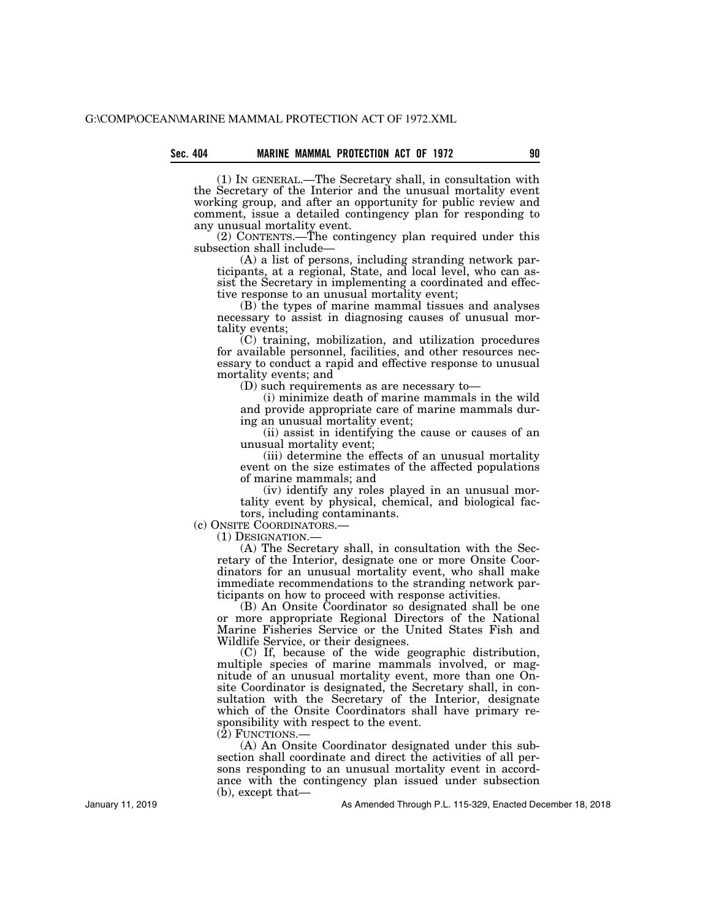(1) IN GENERAL.—The Secretary shall, in consultation with the Secretary of the Interior and the unusual mortality event working group, and after an opportunity for public review and comment, issue a detailed contingency plan for responding to any unusual mortality event.

(2) CONTENTS.—The contingency plan required under this subsection shall include—

(A) a list of persons, including stranding network participants, at a regional, State, and local level, who can assist the Secretary in implementing a coordinated and effective response to an unusual mortality event;

(B) the types of marine mammal tissues and analyses necessary to assist in diagnosing causes of unusual mortality events;

(C) training, mobilization, and utilization procedures for available personnel, facilities, and other resources necessary to conduct a rapid and effective response to unusual mortality events; and

(D) such requirements as are necessary to—

(i) minimize death of marine mammals in the wild and provide appropriate care of marine mammals during an unusual mortality event;

(ii) assist in identifying the cause or causes of an unusual mortality event;

(iii) determine the effects of an unusual mortality event on the size estimates of the affected populations of marine mammals; and

(iv) identify any roles played in an unusual mortality event by physical, chemical, and biological factors, including contaminants.

(c) ONSITE COORDINATORS.— (1) DESIGNATION.—

(A) The Secretary shall, in consultation with the Secretary of the Interior, designate one or more Onsite Coordinators for an unusual mortality event, who shall make immediate recommendations to the stranding network participants on how to proceed with response activities.

(B) An Onsite Coordinator so designated shall be one or more appropriate Regional Directors of the National Marine Fisheries Service or the United States Fish and Wildlife Service, or their designees.

(C) If, because of the wide geographic distribution, multiple species of marine mammals involved, or magnitude of an unusual mortality event, more than one Onsite Coordinator is designated, the Secretary shall, in consultation with the Secretary of the Interior, designate which of the Onsite Coordinators shall have primary responsibility with respect to the event.

 $(2)$  FUNCTIONS.

(A) An Onsite Coordinator designated under this subsection shall coordinate and direct the activities of all persons responding to an unusual mortality event in accordance with the contingency plan issued under subsection (b), except that—

As Amended Through P.L. 115-329, Enacted December 18, 2018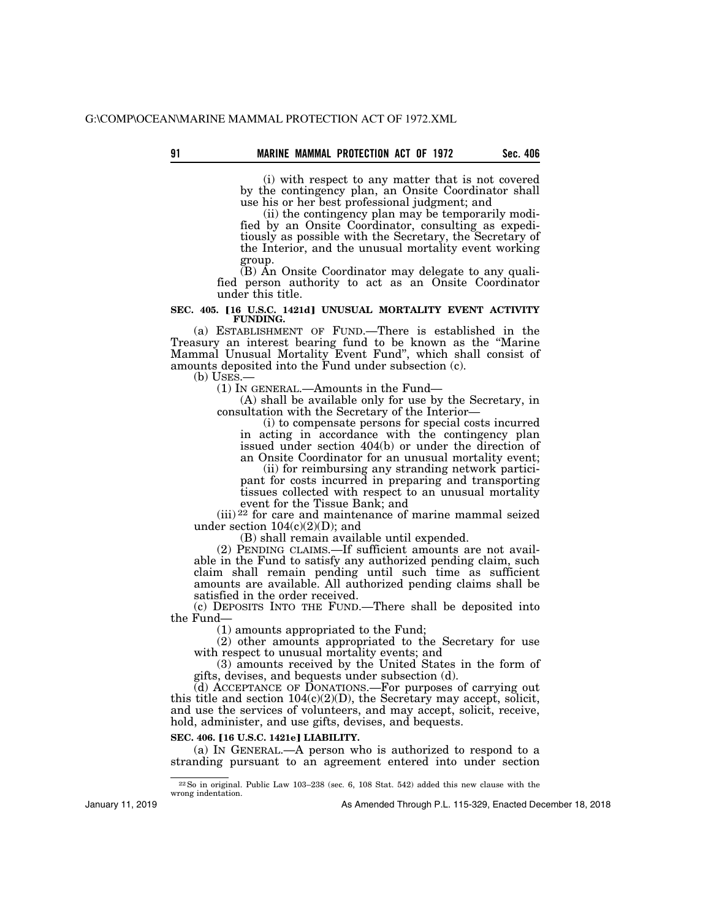(i) with respect to any matter that is not covered by the contingency plan, an Onsite Coordinator shall use his or her best professional judgment; and

(ii) the contingency plan may be temporarily modified by an Onsite Coordinator, consulting as expeditiously as possible with the Secretary, the Secretary of the Interior, and the unusual mortality event working group.

(B) An Onsite Coordinator may delegate to any qualified person authority to act as an Onsite Coordinator under this title.

#### SEC. 405. [16 U.S.C. 1421d] UNUSUAL MORTALITY EVENT ACTIVITY **FUNDING.**

(a) ESTABLISHMENT OF FUND.—There is established in the Treasury an interest bearing fund to be known as the ''Marine Mammal Unusual Mortality Event Fund'', which shall consist of amounts deposited into the Fund under subsection  $(c)$ .<br>(b) USES.—

 $(1)$  In GENERAL.—Amounts in the Fund—

(A) shall be available only for use by the Secretary, in consultation with the Secretary of the Interior—

(i) to compensate persons for special costs incurred in acting in accordance with the contingency plan issued under section 404(b) or under the direction of an Onsite Coordinator for an unusual mortality event;

(ii) for reimbursing any stranding network participant for costs incurred in preparing and transporting tissues collected with respect to an unusual mortality event for the Tissue Bank; and

(iii) 22 for care and maintenance of marine mammal seized under section  $104(c)(2)(D)$ ; and

(B) shall remain available until expended.

(2) PENDING CLAIMS.—If sufficient amounts are not available in the Fund to satisfy any authorized pending claim, such claim shall remain pending until such time as sufficient amounts are available. All authorized pending claims shall be satisfied in the order received.

(c) DEPOSITS INTO THE FUND.—There shall be deposited into the Fund—

(1) amounts appropriated to the Fund;

(2) other amounts appropriated to the Secretary for use with respect to unusual mortality events; and

(3) amounts received by the United States in the form of gifts, devises, and bequests under subsection (d).

(d) ACCEPTANCE OF DONATIONS.—For purposes of carrying out this title and section  $104(c)(2)(D)$ , the Secretary may accept, solicit, and use the services of volunteers, and may accept, solicit, receive, hold, administer, and use gifts, devises, and bequests.

#### **SEC. 406. [16 U.S.C. 1421e] LIABILITY.**

(a) IN GENERAL.—A person who is authorized to respond to a stranding pursuant to an agreement entered into under section

22So in original. Public Law 103–238 (sec. 6, 108 Stat. 542) added this new clause with the wrong indentation.

January 11, 2019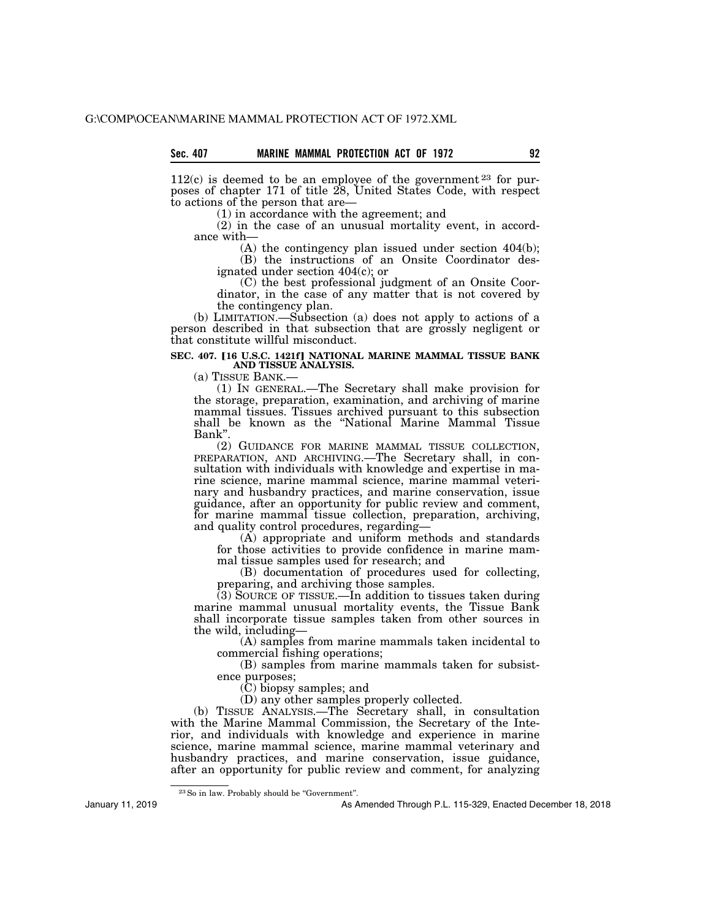$112(c)$  is deemed to be an employee of the government <sup>23</sup> for purposes of chapter 171 of title 28, United States Code, with respect to actions of the person that are—

(1) in accordance with the agreement; and

(2) in the case of an unusual mortality event, in accordance with—

(A) the contingency plan issued under section 404(b);

(B) the instructions of an Onsite Coordinator designated under section 404(c); or

(C) the best professional judgment of an Onsite Coordinator, in the case of any matter that is not covered by the contingency plan.

(b) LIMITATION.—Subsection (a) does not apply to actions of a person described in that subsection that are grossly negligent or that constitute willful misconduct.

# **SEC. 407. [16 U.S.C. 1421f] NATIONAL MARINE MAMMAL TISSUE BANK AND TISSUE ANALYSIS.**

(a) TISSUE BANK.— (1) IN GENERAL.—The Secretary shall make provision for the storage, preparation, examination, and archiving of marine mammal tissues. Tissues archived pursuant to this subsection shall be known as the ''National Marine Mammal Tissue

Bank".<br>(2) GUIDANCE FOR MARINE MAMMAL TISSUE COLLECTION, PREPARATION, AND ARCHIVING.—The Secretary shall, in consultation with individuals with knowledge and expertise in marine science, marine mammal science, marine mammal veterinary and husbandry practices, and marine conservation, issue guidance, after an opportunity for public review and comment, for marine mammal tissue collection, preparation, archiving, and quality control procedures, regarding—

(A) appropriate and uniform methods and standards for those activities to provide confidence in marine mammal tissue samples used for research; and

(B) documentation of procedures used for collecting, preparing, and archiving those samples.

(3) SOURCE OF TISSUE.—In addition to tissues taken during marine mammal unusual mortality events, the Tissue Bank shall incorporate tissue samples taken from other sources in the wild, including—

(A) samples from marine mammals taken incidental to commercial fishing operations;

(B) samples from marine mammals taken for subsistence purposes;

(C) biopsy samples; and

(D) any other samples properly collected.

(b) TISSUE ANALYSIS.—The Secretary shall, in consultation with the Marine Mammal Commission, the Secretary of the Interior, and individuals with knowledge and experience in marine science, marine mammal science, marine mammal veterinary and husbandry practices, and marine conservation, issue guidance, after an opportunity for public review and comment, for analyzing

<sup>23</sup>So in law. Probably should be ''Government''.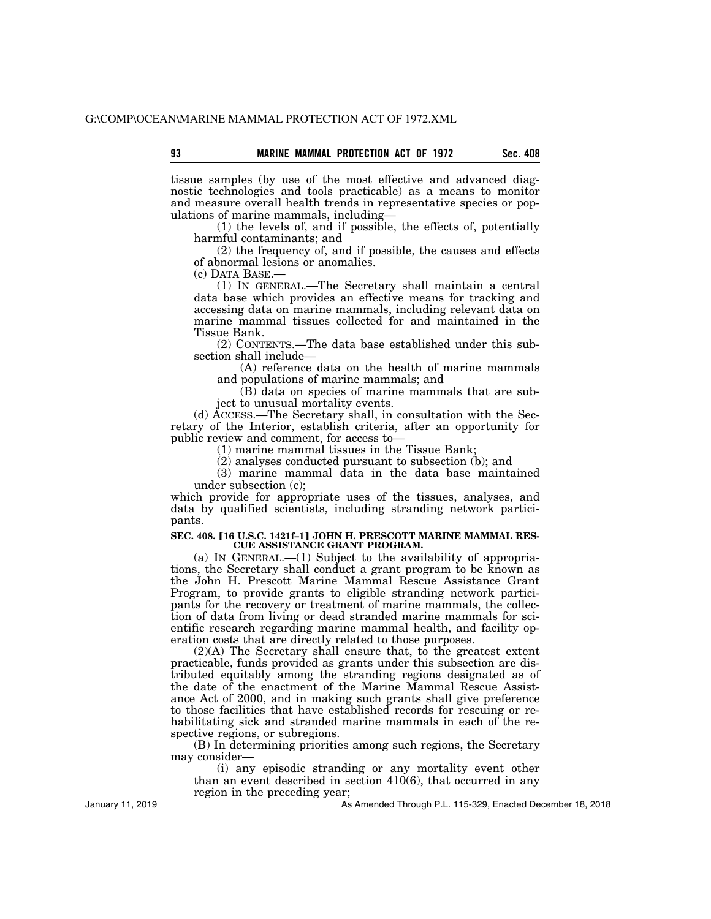tissue samples (by use of the most effective and advanced diagnostic technologies and tools practicable) as a means to monitor and measure overall health trends in representative species or populations of marine mammals, including—

(1) the levels of, and if possible, the effects of, potentially harmful contaminants; and

(2) the frequency of, and if possible, the causes and effects of abnormal lesions or anomalies.

(c) DATA BASE.—

(1) IN GENERAL.—The Secretary shall maintain a central data base which provides an effective means for tracking and accessing data on marine mammals, including relevant data on marine mammal tissues collected for and maintained in the Tissue Bank.

(2) CONTENTS.—The data base established under this subsection shall include—

(A) reference data on the health of marine mammals and populations of marine mammals; and

(B) data on species of marine mammals that are subject to unusual mortality events.

(d) ACCESS.—The Secretary shall, in consultation with the Secretary of the Interior, establish criteria, after an opportunity for public review and comment, for access to—

(1) marine mammal tissues in the Tissue Bank;

(2) analyses conducted pursuant to subsection (b); and

(3) marine mammal data in the data base maintained under subsection (c);

which provide for appropriate uses of the tissues, analyses, and data by qualified scientists, including stranding network participants.

#### SEC. 408. [16 U.S.C. 1421f-1] JOHN H. PRESCOTT MARINE MAMMAL RES-**CUE ASSISTANCE GRANT PROGRAM.**

(a) IN GENERAL,  $-(1)$  Subject to the availability of appropriations, the Secretary shall conduct a grant program to be known as the John H. Prescott Marine Mammal Rescue Assistance Grant Program, to provide grants to eligible stranding network participants for the recovery or treatment of marine mammals, the collection of data from living or dead stranded marine mammals for scientific research regarding marine mammal health, and facility operation costs that are directly related to those purposes.

(2)(A) The Secretary shall ensure that, to the greatest extent practicable, funds provided as grants under this subsection are distributed equitably among the stranding regions designated as of the date of the enactment of the Marine Mammal Rescue Assistance Act of 2000, and in making such grants shall give preference to those facilities that have established records for rescuing or rehabilitating sick and stranded marine mammals in each of the respective regions, or subregions.

(B) In determining priorities among such regions, the Secretary may consider—

(i) any episodic stranding or any mortality event other than an event described in section 410(6), that occurred in any region in the preceding year;

January 11, 2019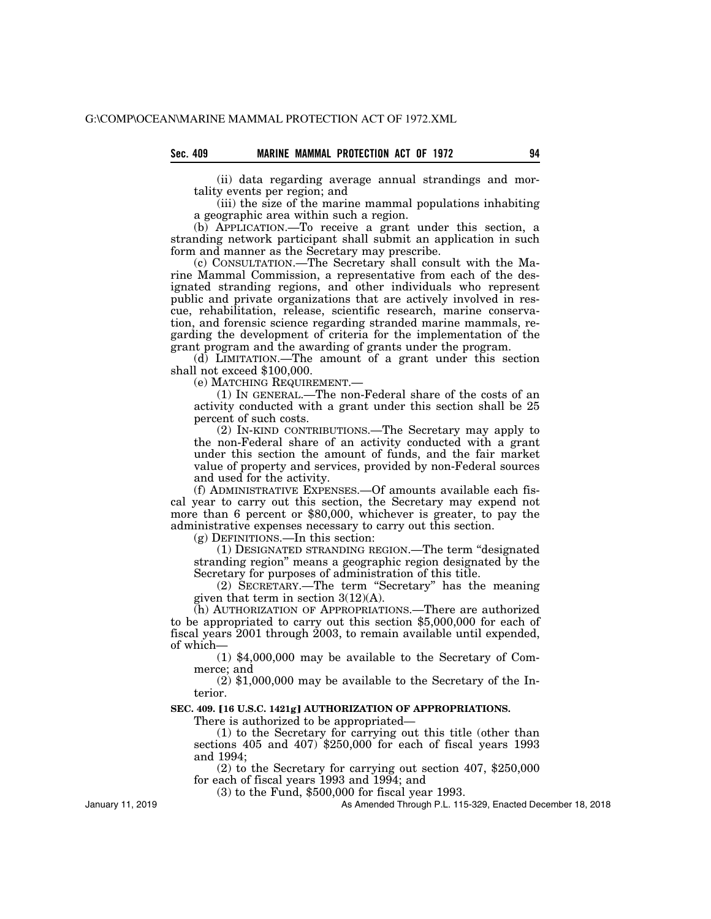# **Sec. 409 MARINE MAMMAL PROTECTION ACT OF 1972 94**

(ii) data regarding average annual strandings and mortality events per region; and

(iii) the size of the marine mammal populations inhabiting a geographic area within such a region.

(b) APPLICATION.—To receive a grant under this section, a stranding network participant shall submit an application in such form and manner as the Secretary may prescribe.

(c) CONSULTATION.—The Secretary shall consult with the Marine Mammal Commission, a representative from each of the designated stranding regions, and other individuals who represent public and private organizations that are actively involved in rescue, rehabilitation, release, scientific research, marine conservation, and forensic science regarding stranded marine mammals, regarding the development of criteria for the implementation of the grant program and the awarding of grants under the program.

(d) LIMITATION.—The amount of a grant under this section shall not exceed \$100,000.

(e) MATCHING REQUIREMENT.—

(1) IN GENERAL.—The non-Federal share of the costs of an activity conducted with a grant under this section shall be 25 percent of such costs.

(2) IN-KIND CONTRIBUTIONS.—The Secretary may apply to the non-Federal share of an activity conducted with a grant under this section the amount of funds, and the fair market value of property and services, provided by non-Federal sources and used for the activity.

(f) ADMINISTRATIVE EXPENSES.—Of amounts available each fiscal year to carry out this section, the Secretary may expend not more than 6 percent or \$80,000, whichever is greater, to pay the administrative expenses necessary to carry out this section.

(g) DEFINITIONS.—In this section:

(1) DESIGNATED STRANDING REGION.—The term ''designated stranding region'' means a geographic region designated by the Secretary for purposes of administration of this title.

(2) SECRETARY.—The term ''Secretary'' has the meaning given that term in section  $3(12)(A)$ .

(h) AUTHORIZATION OF APPROPRIATIONS.—There are authorized to be appropriated to carry out this section \$5,000,000 for each of fiscal years 2001 through 2003, to remain available until expended, of which—

(1) \$4,000,000 may be available to the Secretary of Commerce; and

(2) \$1,000,000 may be available to the Secretary of the Interior.

**SEC. 409. [16 U.S.C. 1421g] AUTHORIZATION OF APPROPRIATIONS.** 

There is authorized to be appropriated—

(1) to the Secretary for carrying out this title (other than sections 405 and 407) \$250,000 for each of fiscal years 1993 and 1994;

(2) to the Secretary for carrying out section 407, \$250,000 for each of fiscal years 1993 and 1994; and

(3) to the Fund, \$500,000 for fiscal year 1993.

As Amended Through P.L. 115-329, Enacted December 18, 2018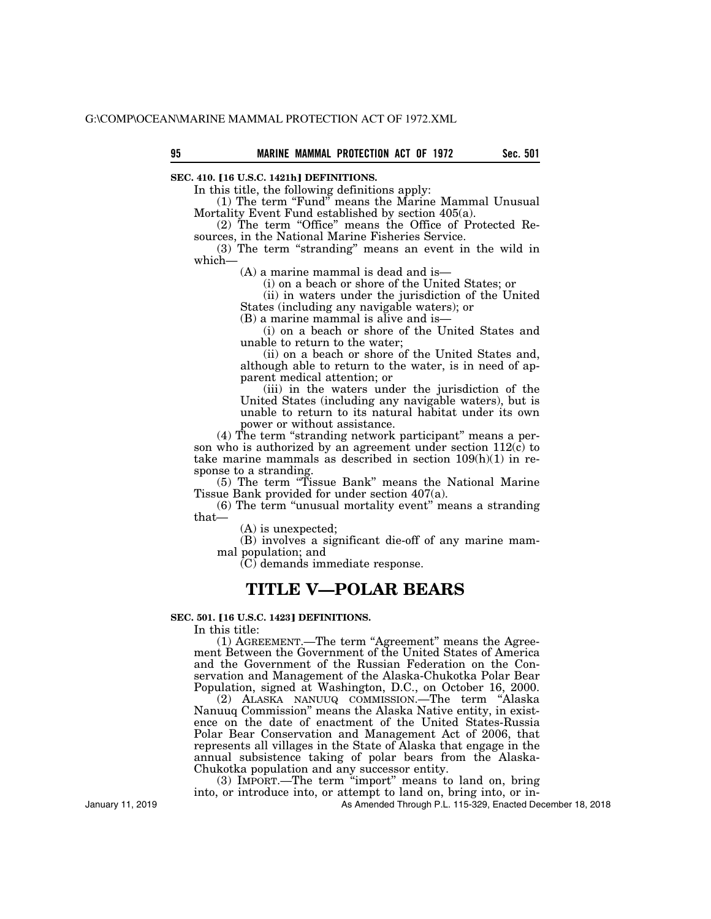# **SEC. 410. [16 U.S.C. 1421h] DEFINITIONS.**

In this title, the following definitions apply:

(1) The term ''Fund'' means the Marine Mammal Unusual Mortality Event Fund established by section 405(a).

(2) The term ''Office'' means the Office of Protected Resources, in the National Marine Fisheries Service.

(3) The term ''stranding'' means an event in the wild in which—

(A) a marine mammal is dead and is—

(i) on a beach or shore of the United States; or

(ii) in waters under the jurisdiction of the United States (including any navigable waters); or

(B) a marine mammal is alive and is—

(i) on a beach or shore of the United States and unable to return to the water;

(ii) on a beach or shore of the United States and, although able to return to the water, is in need of apparent medical attention; or

(iii) in the waters under the jurisdiction of the United States (including any navigable waters), but is unable to return to its natural habitat under its own power or without assistance.

(4) The term ''stranding network participant'' means a person who is authorized by an agreement under section  $112(c)$  to take marine mammals as described in section 109(h)(1) in response to a stranding.

(5) The term ''Tissue Bank'' means the National Marine Tissue Bank provided for under section 407(a).

(6) The term ''unusual mortality event'' means a stranding that—

(A) is unexpected;

(B) involves a significant die-off of any marine mammal population; and

(C) demands immediate response.

# **TITLE V—POLAR BEARS**

#### **SEC. 501. [16 U.S.C. 1423] DEFINITIONS.**

In this title:

(1) AGREEMENT.—The term "Agreement" means the Agreement Between the Government of the United States of America and the Government of the Russian Federation on the Conservation and Management of the Alaska-Chukotka Polar Bear Population, signed at Washington, D.C., on October 16, 2000.

(2) ALASKA NANUUQ COMMISSION.—The term ''Alaska Nanuuq Commission'' means the Alaska Native entity, in existence on the date of enactment of the United States-Russia Polar Bear Conservation and Management Act of 2006, that represents all villages in the State of Alaska that engage in the annual subsistence taking of polar bears from the Alaska-Chukotka population and any successor entity.

(3) IMPORT.—The term ''import'' means to land on, bring into, or introduce into, or attempt to land on, bring into, or in-

As Amended Through P.L. 115-329, Enacted December 18, 2018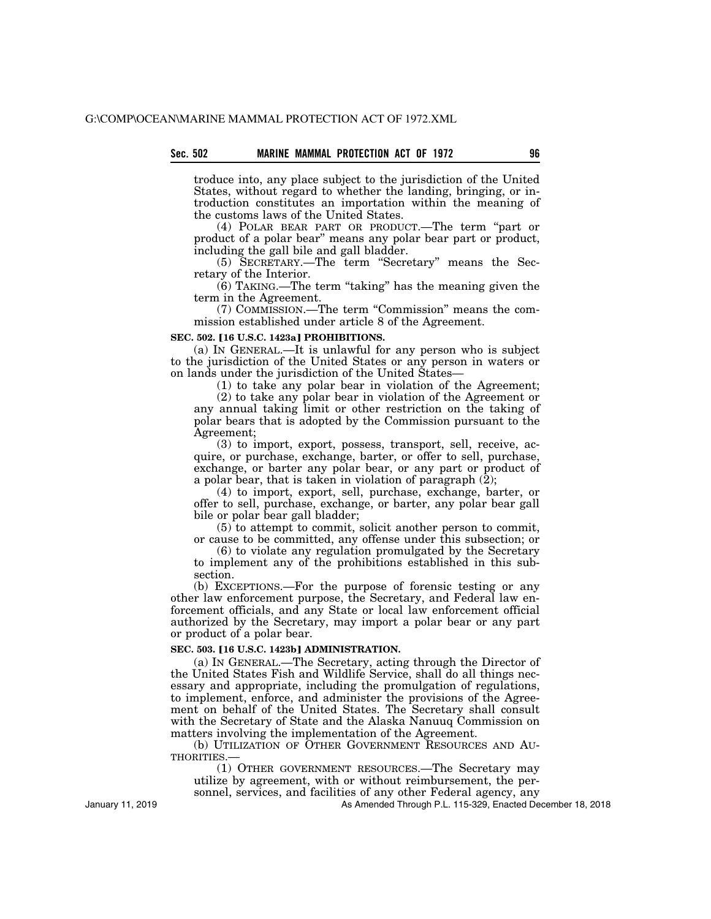troduce into, any place subject to the jurisdiction of the United States, without regard to whether the landing, bringing, or introduction constitutes an importation within the meaning of the customs laws of the United States.

(4) POLAR BEAR PART OR PRODUCT.—The term ''part or product of a polar bear'' means any polar bear part or product, including the gall bile and gall bladder.

(5) SECRETARY.—The term ''Secretary'' means the Secretary of the Interior.

(6) TAKING.—The term ''taking'' has the meaning given the term in the Agreement.

(7) COMMISSION.—The term ''Commission'' means the commission established under article 8 of the Agreement.

## **SEC. 502. [16 U.S.C. 1423a] PROHIBITIONS.**

(a) IN GENERAL.—It is unlawful for any person who is subject to the jurisdiction of the United States or any person in waters or on lands under the jurisdiction of the United States—

(1) to take any polar bear in violation of the Agreement;

(2) to take any polar bear in violation of the Agreement or any annual taking limit or other restriction on the taking of polar bears that is adopted by the Commission pursuant to the Agreement;

(3) to import, export, possess, transport, sell, receive, acquire, or purchase, exchange, barter, or offer to sell, purchase, exchange, or barter any polar bear, or any part or product of a polar bear, that is taken in violation of paragraph (2);

(4) to import, export, sell, purchase, exchange, barter, or offer to sell, purchase, exchange, or barter, any polar bear gall bile or polar bear gall bladder;

(5) to attempt to commit, solicit another person to commit, or cause to be committed, any offense under this subsection; or

(6) to violate any regulation promulgated by the Secretary to implement any of the prohibitions established in this subsection.

(b) EXCEPTIONS.—For the purpose of forensic testing or any other law enforcement purpose, the Secretary, and Federal law enforcement officials, and any State or local law enforcement official authorized by the Secretary, may import a polar bear or any part or product of a polar bear.

## **SEC. 503. [16 U.S.C. 1423b] ADMINISTRATION.**

(a) IN GENERAL.—The Secretary, acting through the Director of the United States Fish and Wildlife Service, shall do all things necessary and appropriate, including the promulgation of regulations, to implement, enforce, and administer the provisions of the Agreement on behalf of the United States. The Secretary shall consult with the Secretary of State and the Alaska Nanuuq Commission on matters involving the implementation of the Agreement.

(b) UTILIZATION OF OTHER GOVERNMENT RESOURCES AND AU-THORITIES.—

(1) OTHER GOVERNMENT RESOURCES.—The Secretary may utilize by agreement, with or without reimbursement, the personnel, services, and facilities of any other Federal agency, any

As Amended Through P.L. 115-329, Enacted December 18, 2018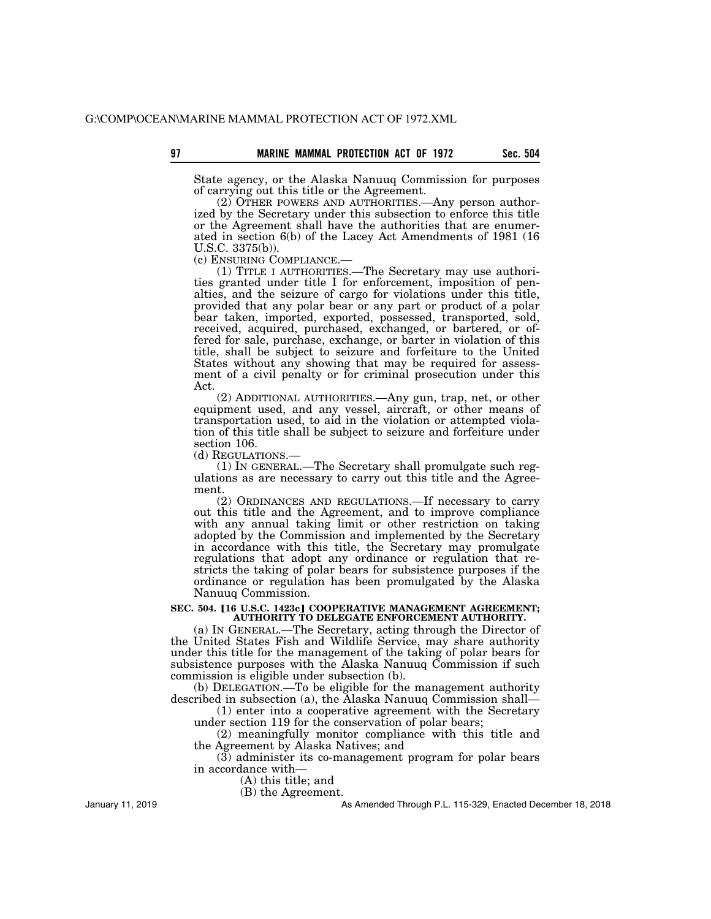State agency, or the Alaska Nanuuq Commission for purposes of carrying out this title or the Agreement.

(2) OTHER POWERS AND AUTHORITIES.—Any person authorized by the Secretary under this subsection to enforce this title or the Agreement shall have the authorities that are enumerated in section 6(b) of the Lacey Act Amendments of 1981 (16 U.S.C. 3375(b)).<br>(c) ENSURING COMPLIANCE.—

 $(1)$  TITLE I AUTHORITIES.— The Secretary may use authorities granted under title I for enforcement, imposition of penalties, and the seizure of cargo for violations under this title, provided that any polar bear or any part or product of a polar bear taken, imported, exported, possessed, transported, sold, received, acquired, purchased, exchanged, or bartered, or offered for sale, purchase, exchange, or barter in violation of this title, shall be subject to seizure and forfeiture to the United States without any showing that may be required for assessment of a civil penalty or for criminal prosecution under this Act.

(2) ADDITIONAL AUTHORITIES.—Any gun, trap, net, or other equipment used, and any vessel, aircraft, or other means of transportation used, to aid in the violation or attempted violation of this title shall be subject to seizure and forfeiture under section 106.<br>(d) REGULATIONS.—

 $(1)$  In GENERAL.—The Secretary shall promulgate such regulations as are necessary to carry out this title and the Agreement.

(2) ORDINANCES AND REGULATIONS.—If necessary to carry out this title and the Agreement, and to improve compliance with any annual taking limit or other restriction on taking adopted by the Commission and implemented by the Secretary in accordance with this title, the Secretary may promulgate regulations that adopt any ordinance or regulation that restricts the taking of polar bears for subsistence purposes if the ordinance or regulation has been promulgated by the Alaska Nanuuq Commission.

#### **SEC. 504. [16 U.S.C. 1423c] COOPERATIVE MANAGEMENT AGREEMENT; AUTHORITY TO DELEGATE ENFORCEMENT AUTHORITY.**

(a) IN GENERAL.—The Secretary, acting through the Director of the United States Fish and Wildlife Service, may share authority under this title for the management of the taking of polar bears for subsistence purposes with the Alaska Nanuuq Commission if such commission is eligible under subsection (b).

(b) DELEGATION.—To be eligible for the management authority described in subsection (a), the Alaska Nanuuq Commission shall—

(1) enter into a cooperative agreement with the Secretary under section 119 for the conservation of polar bears;

(2) meaningfully monitor compliance with this title and the Agreement by Alaska Natives; and

(3) administer its co-management program for polar bears in accordance with—

(A) this title; and

(B) the Agreement.

January 11, 2019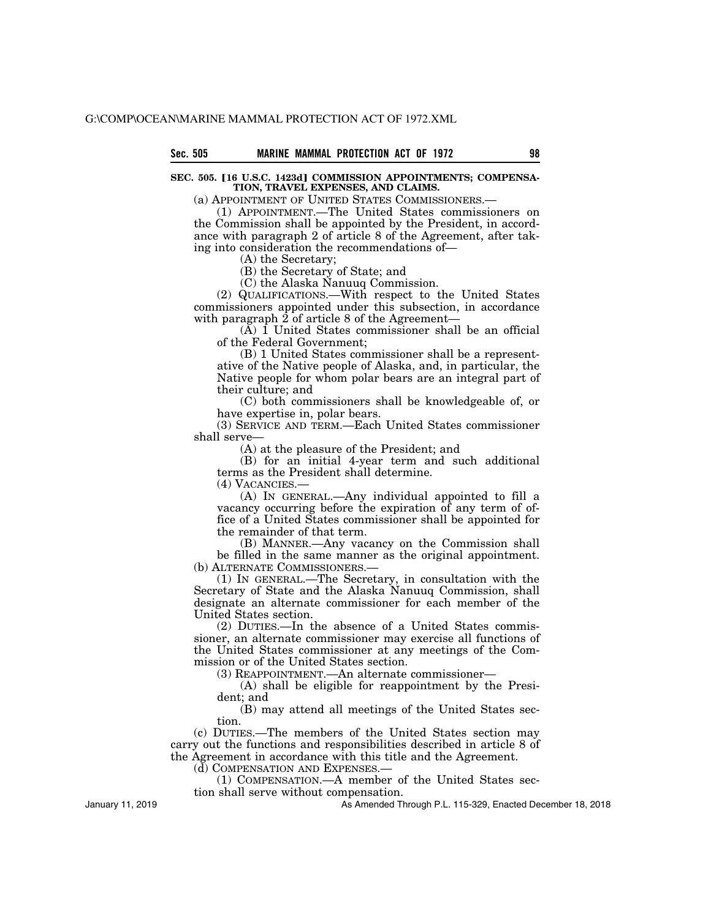### SEC. 505. [16 U.S.C. 1423d] COMMISSION APPOINTMENTS; COMPENSA-**TION, TRAVEL EXPENSES, AND CLAIMS.**

(a) APPOINTMENT OF UNITED STATES COMMISSIONERS.—

(1) APPOINTMENT.—The United States commissioners on the Commission shall be appointed by the President, in accordance with paragraph 2 of article 8 of the Agreement, after taking into consideration the recommendations of—

(A) the Secretary;

(B) the Secretary of State; and

(C) the Alaska Nanuuq Commission.

(2) QUALIFICATIONS.—With respect to the United States commissioners appointed under this subsection, in accordance with paragraph 2 of article 8 of the Agreement—

 $(A)$  1 United States commissioner shall be an official of the Federal Government;

(B) 1 United States commissioner shall be a representative of the Native people of Alaska, and, in particular, the Native people for whom polar bears are an integral part of their culture; and

(C) both commissioners shall be knowledgeable of, or have expertise in, polar bears.

(3) SERVICE AND TERM.—Each United States commissioner shall serve—

(A) at the pleasure of the President; and

(B) for an initial 4-year term and such additional terms as the President shall determine.

(4) VACANCIES.—

(A) IN GENERAL.—Any individual appointed to fill a vacancy occurring before the expiration of any term of office of a United States commissioner shall be appointed for the remainder of that term.

(B) MANNER.—Any vacancy on the Commission shall be filled in the same manner as the original appointment. (b) ALTERNATE COMMISSIONERS.—

(1) IN GENERAL.—The Secretary, in consultation with the Secretary of State and the Alaska Nanuuq Commission, shall designate an alternate commissioner for each member of the United States section.

(2) DUTIES.—In the absence of a United States commissioner, an alternate commissioner may exercise all functions of the United States commissioner at any meetings of the Commission or of the United States section.

(3) REAPPOINTMENT.—An alternate commissioner—

(A) shall be eligible for reappointment by the President; and

(B) may attend all meetings of the United States section.

(c) DUTIES.—The members of the United States section may carry out the functions and responsibilities described in article 8 of the Agreement in accordance with this title and the Agreement.

(d) COMPENSATION AND EXPENSES.—

(1) COMPENSATION.—A member of the United States section shall serve without compensation.

January 11, 2019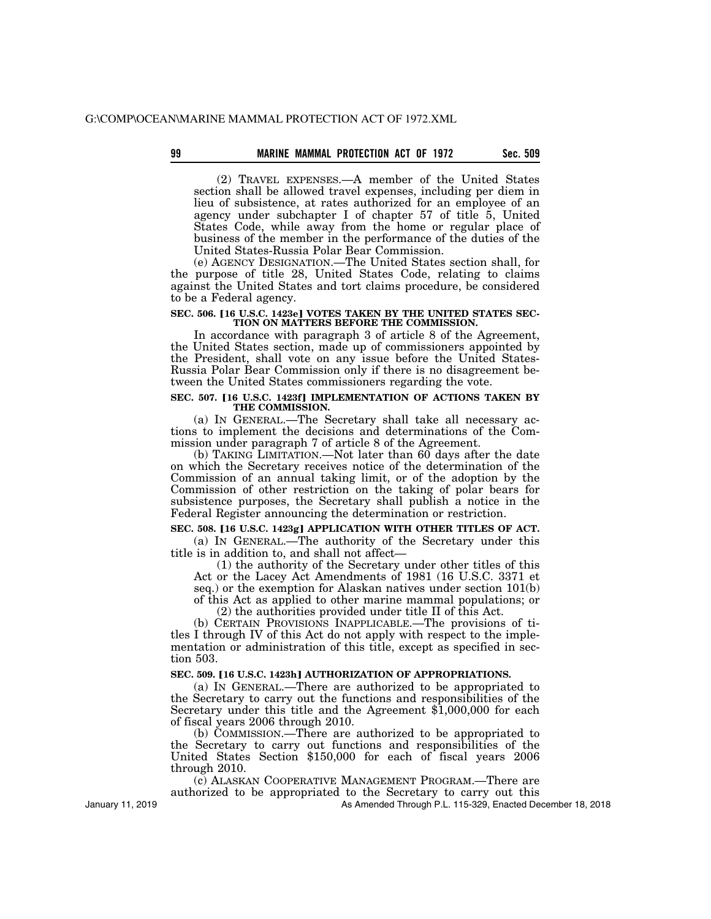(2) TRAVEL EXPENSES.—A member of the United States section shall be allowed travel expenses, including per diem in lieu of subsistence, at rates authorized for an employee of an agency under subchapter I of chapter 57 of title 5, United States Code, while away from the home or regular place of business of the member in the performance of the duties of the United States-Russia Polar Bear Commission.

(e) AGENCY DESIGNATION.—The United States section shall, for the purpose of title 28, United States Code, relating to claims against the United States and tort claims procedure, be considered to be a Federal agency.

#### SEC. 506. [16 U.S.C. 1423e] VOTES TAKEN BY THE UNITED STATES SEC-**TION ON MATTERS BEFORE THE COMMISSION.**

In accordance with paragraph 3 of article 8 of the Agreement, the United States section, made up of commissioners appointed by the President, shall vote on any issue before the United States-Russia Polar Bear Commission only if there is no disagreement between the United States commissioners regarding the vote.

#### **SEC. 507. [16 U.S.C. 1423f] IMPLEMENTATION OF ACTIONS TAKEN BY THE COMMISSION.**

(a) IN GENERAL.—The Secretary shall take all necessary actions to implement the decisions and determinations of the Commission under paragraph 7 of article 8 of the Agreement.

(b) TAKING LIMITATION.—Not later than 60 days after the date on which the Secretary receives notice of the determination of the Commission of an annual taking limit, or of the adoption by the Commission of other restriction on the taking of polar bears for subsistence purposes, the Secretary shall publish a notice in the Federal Register announcing the determination or restriction.

## **SEC. 508. [16 U.S.C. 1423g] APPLICATION WITH OTHER TITLES OF ACT.**

(a) IN GENERAL.—The authority of the Secretary under this title is in addition to, and shall not affect—

(1) the authority of the Secretary under other titles of this Act or the Lacey Act Amendments of 1981 (16 U.S.C. 3371 et seq.) or the exemption for Alaskan natives under section 101(b) of this Act as applied to other marine mammal populations; or

(2) the authorities provided under title II of this Act.

(b) CERTAIN PROVISIONS INAPPLICABLE.—The provisions of titles I through IV of this Act do not apply with respect to the implementation or administration of this title, except as specified in section 503.

### **SEC. 509. [16 U.S.C. 1423h] AUTHORIZATION OF APPROPRIATIONS.**

(a) IN GENERAL.—There are authorized to be appropriated to the Secretary to carry out the functions and responsibilities of the Secretary under this title and the Agreement \$1,000,000 for each of fiscal years 2006 through 2010.

(b) COMMISSION.—There are authorized to be appropriated to the Secretary to carry out functions and responsibilities of the United States Section \$150,000 for each of fiscal years 2006 through 2010.

(c) ALASKAN COOPERATIVE MANAGEMENT PROGRAM.—There are authorized to be appropriated to the Secretary to carry out this

As Amended Through P.L. 115-329, Enacted December 18, 2018